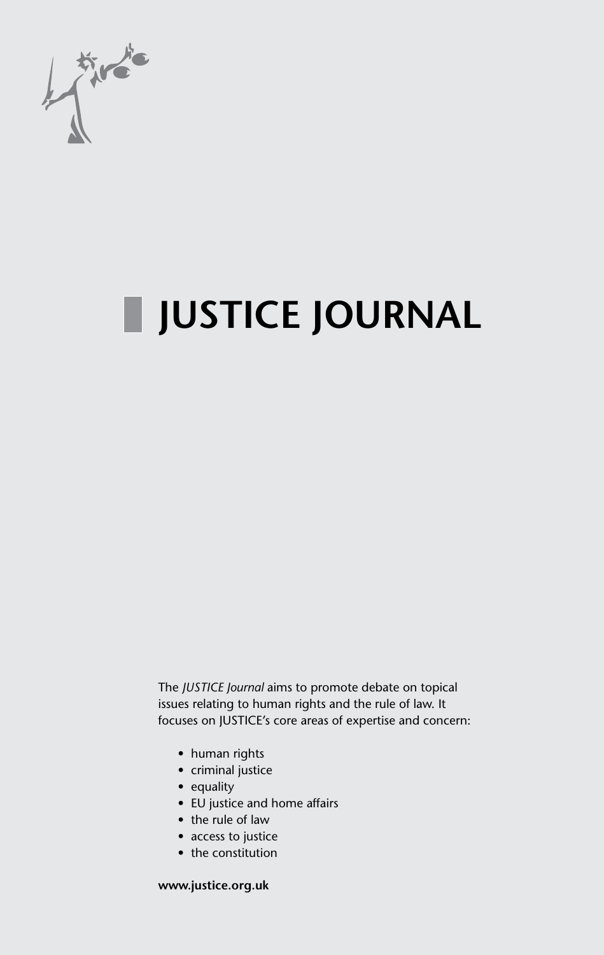

# **JUSTICE JOURNAL**

The *JUSTICE Journal* aims to promote debate on topical issues relating to human rights and the rule of law. It focuses on JUSTICE's core areas of expertise and concern:

- human rights
- criminal justice
- equality
- EU justice and home affairs
- the rule of law
- access to justice
- the constitution

**www.justice.org.uk**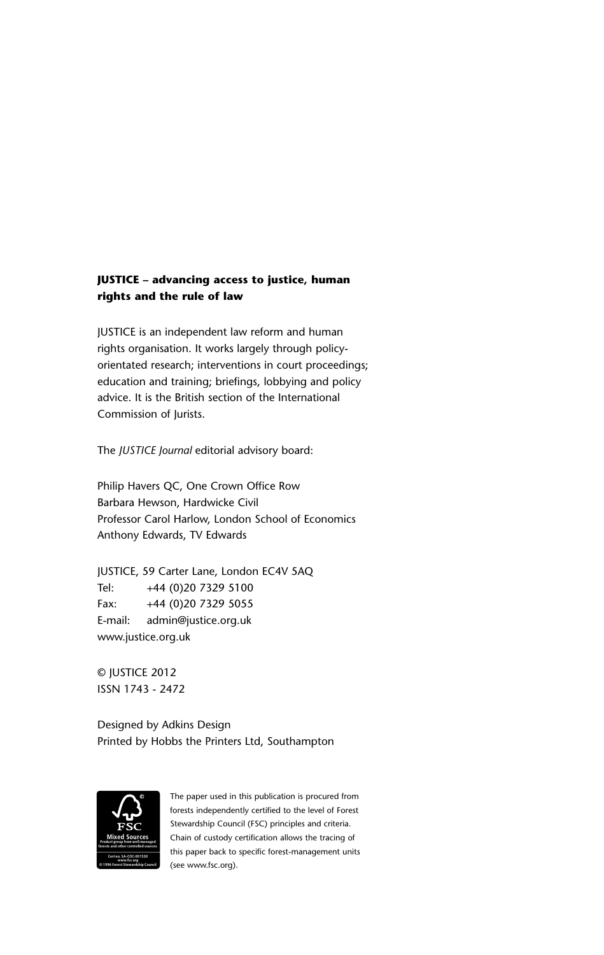### **JUSTICE – advancing access to justice, human – rights and the rule of law rights**

JUSTICE is an independent law reform and human JUSTICE is an independent law reform and human rights organisation. It works largely through policy-rights organisation. It works largely through policyorientated research; interventions in court proceedings; orientated research; interventions in court proceedings; education and training; briefings, lobbying and policy education and training; briefings, lobbying and policy advice. It is the British section of the International advice. It is the British section of the International Commission of Jurists.

The *JUSTICE Journal* editorial advisory board: The *JUSTICE Journal* editorial advisory board:

Philip Havers QC, One Crown Office Row Philip Havers QC, One Crown Office Row Barbara Hewson, Hardwicke Civil Barbara Hewson, Hardwicke Civil Professor Carol Harlow, London School of Economics Professor Carol Harlow, London School of Economics Anthony Edwards, TV Edwards Anthony Edwards, TV Edwards

JUSTICE, 59 Carter Lane, London EC4V 5AQ JUSTICE, 59 Carter Lane, London EC4V 5AQ Tel: +44 (0)20 7329 5100 Tel: +44 (0)20 7329 5100 Fax: +44 (0)20 7329 5055 Fax: +44 (0)20 7329 5055 E-mail: admin@justice.org.uk E-mail: admin@justice.org.uk www.justice.org.uk www.justice.org.uk

© JUSTICE 2010 © JUSTICE 2012 ISSN 1743-2472 ISSN 1743 - 2472

Designed by Adkins Design Designed by Adkins Design Printed by Hobbs the Printers Ltd, Southampton Printed by Hobbs the Printers Ltd, Southampton



The paper used in this publication is procured from The paper used in this publication is procured from forests independently certified to the level of Forest forests independently certified to the level of Forest Stewardship Council (FSC) principles and criteria. Stewardship Council (FSC) principles and criteria. Chain of custody certification allows the tracing of Chain of custody certification allows the tracing of this paper back to specific forest-management units this paper back to specific forest-management units www.fsc.org<br>stStewardship Council (See www.fsc.org).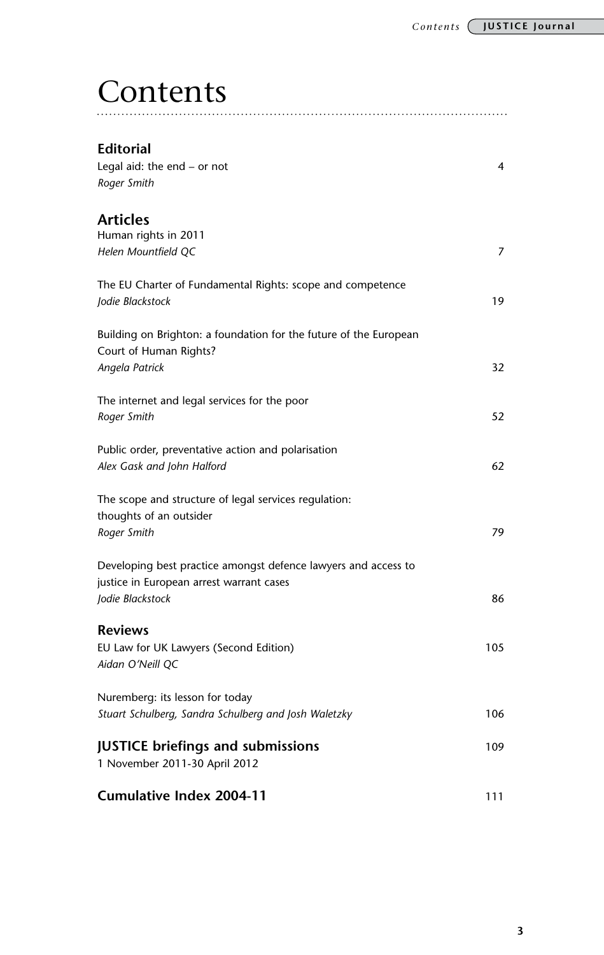## **Contents**

| Editorial<br>Legal aid: the end $-$ or not<br>Roger Smith                                                                      | 4   |
|--------------------------------------------------------------------------------------------------------------------------------|-----|
| Articles<br>Human rights in 2011<br>Helen Mountfield QC                                                                        | 7   |
| The EU Charter of Fundamental Rights: scope and competence<br>Jodie Blackstock                                                 | 19  |
| Building on Brighton: a foundation for the future of the European<br>Court of Human Rights?<br>Angela Patrick                  | 32  |
| The internet and legal services for the poor<br>Roger Smith                                                                    | 52  |
| Public order, preventative action and polarisation<br>Alex Gask and John Halford                                               | 62  |
| The scope and structure of legal services regulation:<br>thoughts of an outsider<br>Roger Smith                                | 79  |
| Developing best practice amongst defence lawyers and access to<br>justice in European arrest warrant cases<br>Jodie Blackstock | 86  |
| <b>Reviews</b><br>EU Law for UK Lawyers (Second Edition)<br>Aidan O'Neill QC                                                   | 105 |
| Nuremberg: its lesson for today<br>Stuart Schulberg, Sandra Schulberg and Josh Waletzky                                        | 106 |
| <b>JUSTICE briefings and submissions</b><br>1 November 2011-30 April 2012                                                      | 109 |
| <b>Cumulative Index 2004-11</b>                                                                                                | 111 |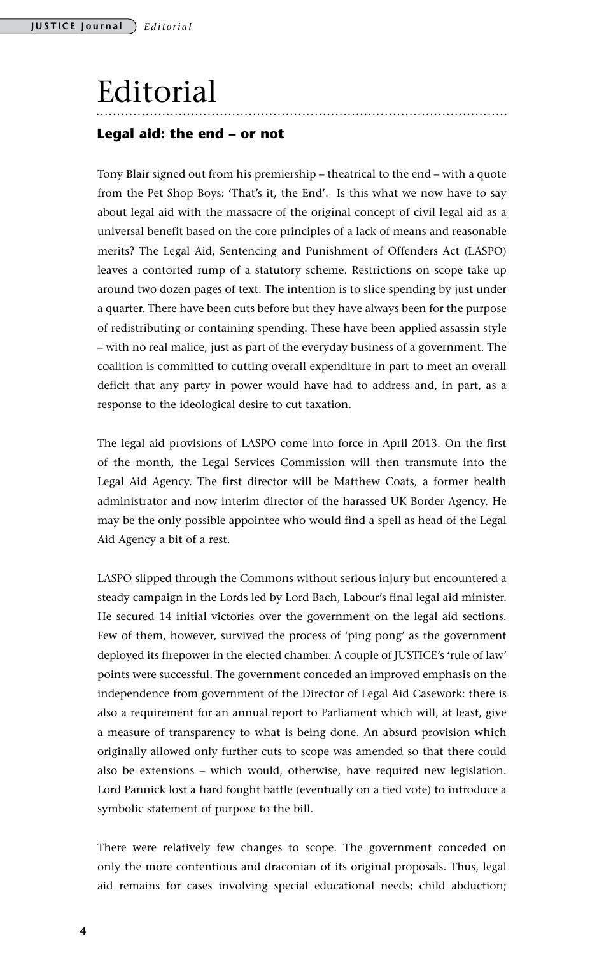## Editorial

### **Legal aid: the end – or not**

Tony Blair signed out from his premiership – theatrical to the end – with a quote from the Pet Shop Boys: 'That's it, the End'. Is this what we now have to say about legal aid with the massacre of the original concept of civil legal aid as a universal benefit based on the core principles of a lack of means and reasonable merits? The Legal Aid, Sentencing and Punishment of Offenders Act (LASPO) leaves a contorted rump of a statutory scheme. Restrictions on scope take up around two dozen pages of text. The intention is to slice spending by just under a quarter. There have been cuts before but they have always been for the purpose of redistributing or containing spending. These have been applied assassin style – with no real malice, just as part of the everyday business of a government. The coalition is committed to cutting overall expenditure in part to meet an overall deficit that any party in power would have had to address and, in part, as a response to the ideological desire to cut taxation.

The legal aid provisions of LASPO come into force in April 2013. On the first of the month, the Legal Services Commission will then transmute into the Legal Aid Agency. The first director will be Matthew Coats, a former health administrator and now interim director of the harassed UK Border Agency. He may be the only possible appointee who would find a spell as head of the Legal Aid Agency a bit of a rest.

LASPO slipped through the Commons without serious injury but encountered a steady campaign in the Lords led by Lord Bach, Labour's final legal aid minister. He secured 14 initial victories over the government on the legal aid sections. Few of them, however, survived the process of 'ping pong' as the government deployed its firepower in the elected chamber. A couple of JUSTICE's 'rule of law' points were successful. The government conceded an improved emphasis on the independence from government of the Director of Legal Aid Casework: there is also a requirement for an annual report to Parliament which will, at least, give a measure of transparency to what is being done. An absurd provision which originally allowed only further cuts to scope was amended so that there could also be extensions – which would, otherwise, have required new legislation. Lord Pannick lost a hard fought battle (eventually on a tied vote) to introduce a symbolic statement of purpose to the bill.

There were relatively few changes to scope. The government conceded on only the more contentious and draconian of its original proposals. Thus, legal aid remains for cases involving special educational needs; child abduction;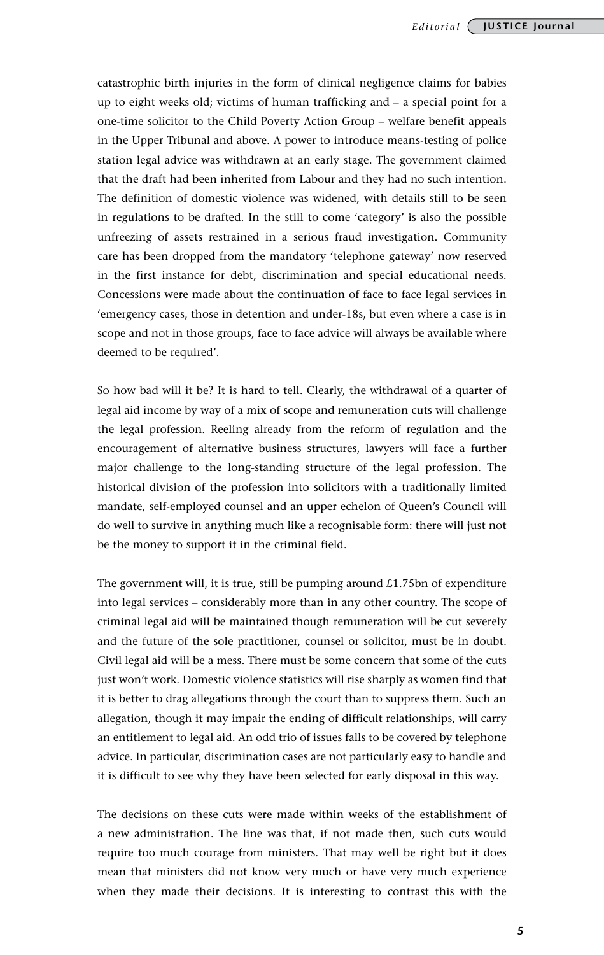catastrophic birth injuries in the form of clinical negligence claims for babies up to eight weeks old; victims of human trafficking and – a special point for a one-time solicitor to the Child Poverty Action Group – welfare benefit appeals in the Upper Tribunal and above. A power to introduce means-testing of police station legal advice was withdrawn at an early stage. The government claimed that the draft had been inherited from Labour and they had no such intention. The definition of domestic violence was widened, with details still to be seen in regulations to be drafted. In the still to come 'category' is also the possible unfreezing of assets restrained in a serious fraud investigation. Community care has been dropped from the mandatory 'telephone gateway' now reserved in the first instance for debt, discrimination and special educational needs. Concessions were made about the continuation of face to face legal services in 'emergency cases, those in detention and under-18s, but even where a case is in scope and not in those groups, face to face advice will always be available where deemed to be required'.

So how bad will it be? It is hard to tell. Clearly, the withdrawal of a quarter of legal aid income by way of a mix of scope and remuneration cuts will challenge the legal profession. Reeling already from the reform of regulation and the encouragement of alternative business structures, lawyers will face a further major challenge to the long-standing structure of the legal profession. The historical division of the profession into solicitors with a traditionally limited mandate, self-employed counsel and an upper echelon of Queen's Council will do well to survive in anything much like a recognisable form: there will just not be the money to support it in the criminal field.

The government will, it is true, still be pumping around  $£1.75$ bn of expenditure into legal services – considerably more than in any other country. The scope of criminal legal aid will be maintained though remuneration will be cut severely and the future of the sole practitioner, counsel or solicitor, must be in doubt. Civil legal aid will be a mess. There must be some concern that some of the cuts just won't work. Domestic violence statistics will rise sharply as women find that it is better to drag allegations through the court than to suppress them. Such an allegation, though it may impair the ending of difficult relationships, will carry an entitlement to legal aid. An odd trio of issues falls to be covered by telephone advice. In particular, discrimination cases are not particularly easy to handle and it is difficult to see why they have been selected for early disposal in this way.

The decisions on these cuts were made within weeks of the establishment of a new administration. The line was that, if not made then, such cuts would require too much courage from ministers. That may well be right but it does mean that ministers did not know very much or have very much experience when they made their decisions. It is interesting to contrast this with the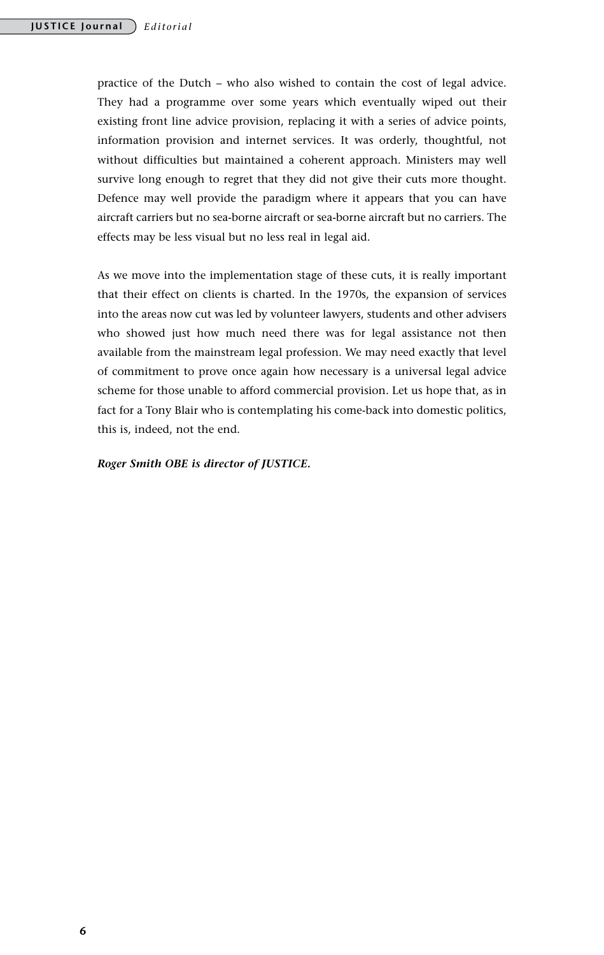practice of the Dutch – who also wished to contain the cost of legal advice. They had a programme over some years which eventually wiped out their existing front line advice provision, replacing it with a series of advice points, information provision and internet services. It was orderly, thoughtful, not without difficulties but maintained a coherent approach. Ministers may well survive long enough to regret that they did not give their cuts more thought. Defence may well provide the paradigm where it appears that you can have aircraft carriers but no sea-borne aircraft or sea-borne aircraft but no carriers. The effects may be less visual but no less real in legal aid.

As we move into the implementation stage of these cuts, it is really important that their effect on clients is charted. In the 1970s, the expansion of services into the areas now cut was led by volunteer lawyers, students and other advisers who showed just how much need there was for legal assistance not then available from the mainstream legal profession. We may need exactly that level of commitment to prove once again how necessary is a universal legal advice scheme for those unable to afford commercial provision. Let us hope that, as in fact for a Tony Blair who is contemplating his come-back into domestic politics, this is, indeed, not the end.

*Roger Smith OBE is director of JUSTICE.*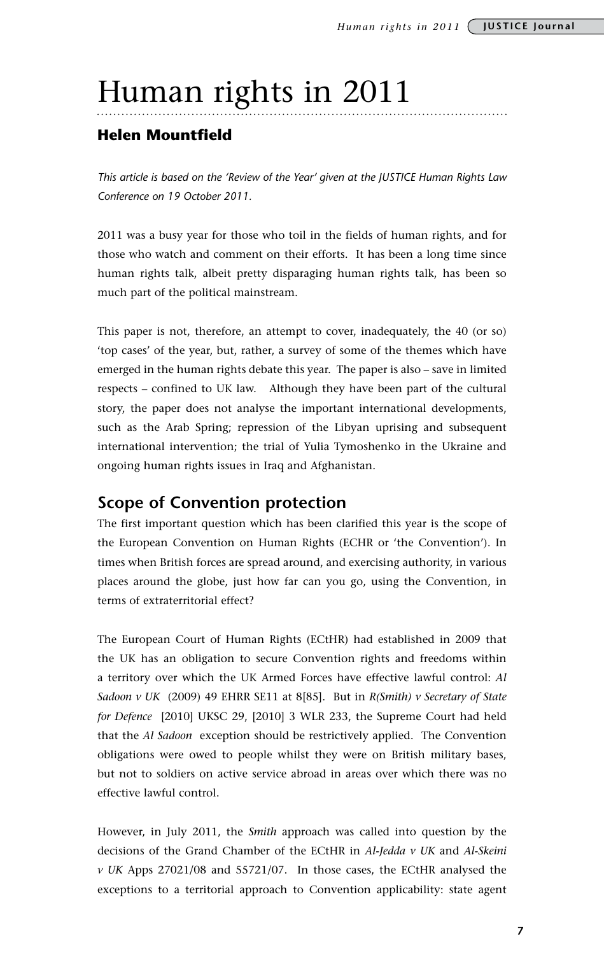## Human rights in 2011

### **Helen Mountfield**

*This article is based on the 'Review of the Year' given at the JUSTICE Human Rights Law Conference on 19 October 2011.*

2011 was a busy year for those who toil in the fields of human rights, and for those who watch and comment on their efforts. It has been a long time since human rights talk, albeit pretty disparaging human rights talk, has been so much part of the political mainstream.

This paper is not, therefore, an attempt to cover, inadequately, the 40 (or so) 'top cases' of the year, but, rather, a survey of some of the themes which have emerged in the human rights debate this year. The paper is also – save in limited respects – confined to UK law. Although they have been part of the cultural story, the paper does not analyse the important international developments, such as the Arab Spring; repression of the Libyan uprising and subsequent international intervention; the trial of Yulia Tymoshenko in the Ukraine and ongoing human rights issues in Iraq and Afghanistan.

### **Scope of Convention protection**

The first important question which has been clarified this year is the scope of the European Convention on Human Rights (ECHR or 'the Convention'). In times when British forces are spread around, and exercising authority, in various places around the globe, just how far can you go, using the Convention, in terms of extraterritorial effect?

The European Court of Human Rights (ECtHR) had established in 2009 that the UK has an obligation to secure Convention rights and freedoms within a territory over which the UK Armed Forces have effective lawful control: *Al Sadoon v UK* (2009) 49 EHRR SE11 at 8[85]. But in *R(Smith) v Secretary of State for Defence* [2010] UKSC 29, [2010] 3 WLR 233, the Supreme Court had held that the *Al Sadoon* exception should be restrictively applied. The Convention obligations were owed to people whilst they were on British military bases, but not to soldiers on active service abroad in areas over which there was no effective lawful control.

However, in July 2011, the *Smith* approach was called into question by the decisions of the Grand Chamber of the ECtHR in *Al-Jedda v UK* and *Al-Skeini v UK* Apps 27021/08 and 55721/07. In those cases, the ECtHR analysed the exceptions to a territorial approach to Convention applicability: state agent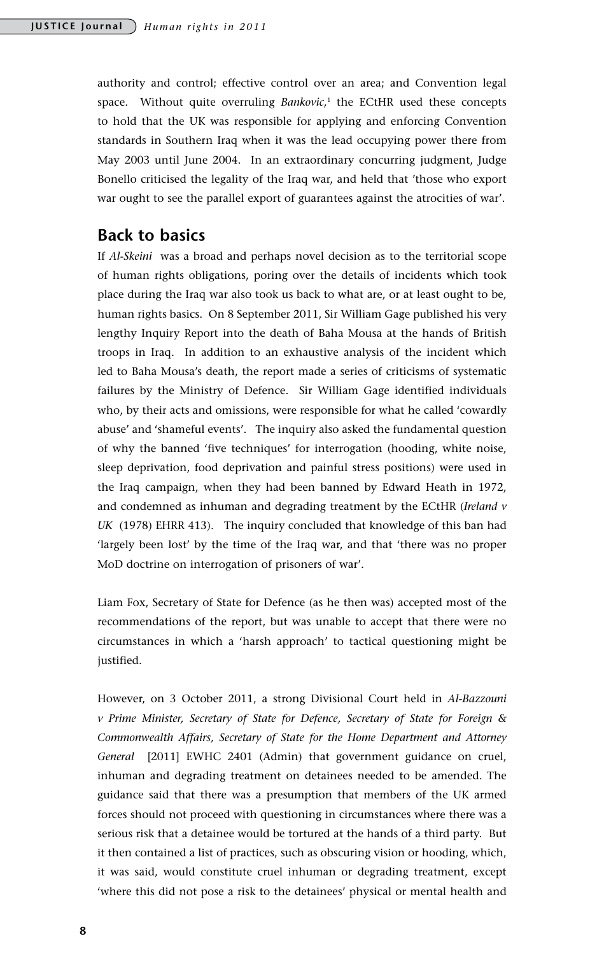authority and control; effective control over an area; and Convention legal space. Without quite overruling *Bankovic,*<sup>1</sup> the ECtHR used these concepts to hold that the UK was responsible for applying and enforcing Convention standards in Southern Iraq when it was the lead occupying power there from May 2003 until June 2004. In an extraordinary concurring judgment, Judge Bonello criticised the legality of the Iraq war, and held that 'those who export war ought to see the parallel export of guarantees against the atrocities of war'.

### **Back to basics**

If *Al-Skeini* was a broad and perhaps novel decision as to the territorial scope of human rights obligations, poring over the details of incidents which took place during the Iraq war also took us back to what are, or at least ought to be, human rights basics. On 8 September 2011, Sir William Gage published his very lengthy Inquiry Report into the death of Baha Mousa at the hands of British troops in Iraq. In addition to an exhaustive analysis of the incident which led to Baha Mousa's death, the report made a series of criticisms of systematic failures by the Ministry of Defence. Sir William Gage identified individuals who, by their acts and omissions, were responsible for what he called 'cowardly abuse' and 'shameful events'. The inquiry also asked the fundamental question of why the banned 'five techniques' for interrogation (hooding, white noise, sleep deprivation, food deprivation and painful stress positions) were used in the Iraq campaign, when they had been banned by Edward Heath in 1972, and condemned as inhuman and degrading treatment by the ECtHR (*Ireland v UK* (1978) EHRR 413). The inquiry concluded that knowledge of this ban had 'largely been lost' by the time of the Iraq war, and that 'there was no proper MoD doctrine on interrogation of prisoners of war'.

Liam Fox, Secretary of State for Defence (as he then was) accepted most of the recommendations of the report, but was unable to accept that there were no circumstances in which a 'harsh approach' to tactical questioning might be justified.

However, on 3 October 2011, a strong Divisional Court held in *Al-Bazzouni v Prime Minister, Secretary of State for Defence, Secretary of State for Foreign & Commonwealth Affairs, Secretary of State for the Home Department and Attorney General* [2011] EWHC 2401 (Admin) that government guidance on cruel, inhuman and degrading treatment on detainees needed to be amended. The guidance said that there was a presumption that members of the UK armed forces should not proceed with questioning in circumstances where there was a serious risk that a detainee would be tortured at the hands of a third party. But it then contained a list of practices, such as obscuring vision or hooding, which, it was said, would constitute cruel inhuman or degrading treatment, except 'where this did not pose a risk to the detainees' physical or mental health and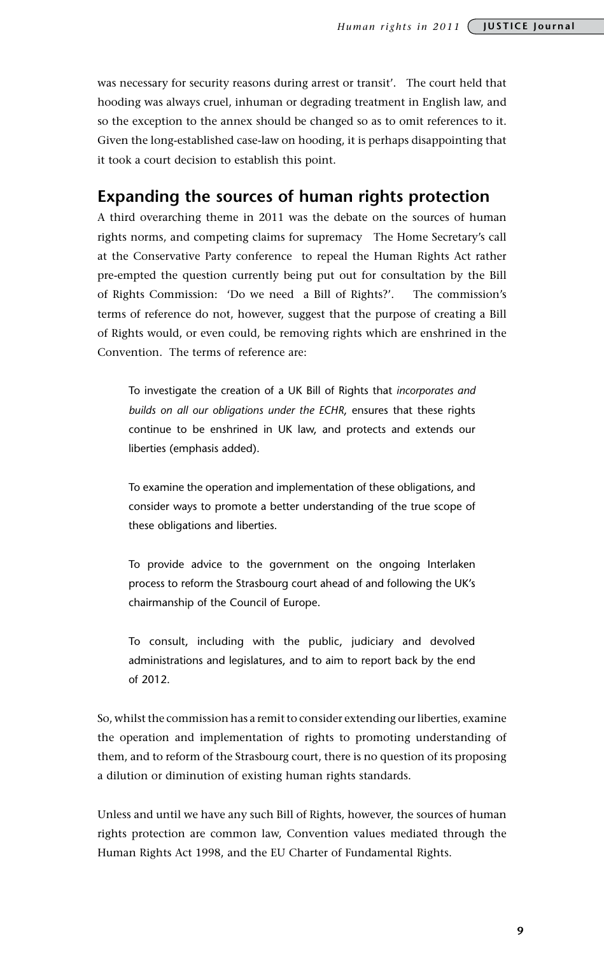was necessary for security reasons during arrest or transit'. The court held that hooding was always cruel, inhuman or degrading treatment in English law, and so the exception to the annex should be changed so as to omit references to it. Given the long-established case-law on hooding, it is perhaps disappointing that it took a court decision to establish this point.

### **Expanding the sources of human rights protection**

A third overarching theme in 2011 was the debate on the sources of human rights norms, and competing claims for supremacy The Home Secretary's call at the Conservative Party conference to repeal the Human Rights Act rather pre-empted the question currently being put out for consultation by the Bill of Rights Commission: 'Do we need a Bill of Rights?'. The commission's terms of reference do not, however, suggest that the purpose of creating a Bill of Rights would, or even could, be removing rights which are enshrined in the Convention. The terms of reference are:

To investigate the creation of a UK Bill of Rights that *incorporates and builds on all our obligations under the ECHR*, ensures that these rights continue to be enshrined in UK law, and protects and extends our liberties (emphasis added).

To examine the operation and implementation of these obligations, and consider ways to promote a better understanding of the true scope of these obligations and liberties.

To provide advice to the government on the ongoing Interlaken process to reform the Strasbourg court ahead of and following the UK's chairmanship of the Council of Europe.

To consult, including with the public, judiciary and devolved administrations and legislatures, and to aim to report back by the end of 2012.

So, whilst the commission has a remit to consider extending our liberties, examine the operation and implementation of rights to promoting understanding of them, and to reform of the Strasbourg court, there is no question of its proposing a dilution or diminution of existing human rights standards.

Unless and until we have any such Bill of Rights, however, the sources of human rights protection are common law, Convention values mediated through the Human Rights Act 1998, and the EU Charter of Fundamental Rights.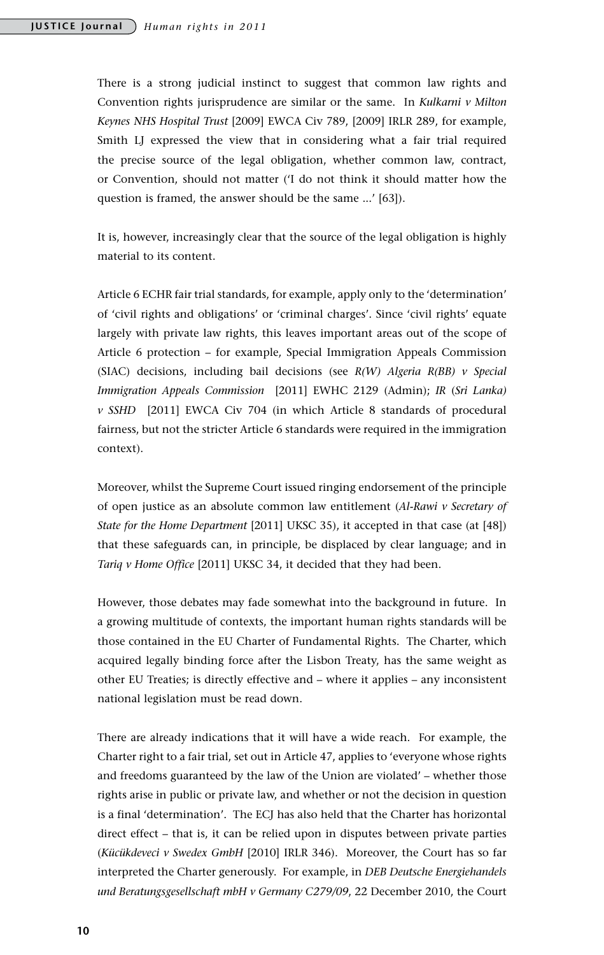There is a strong judicial instinct to suggest that common law rights and Convention rights jurisprudence are similar or the same. In *Kulkarni v Milton Keynes NHS Hospital Trust* [2009] EWCA Civ 789, [2009] IRLR 289, for example, Smith LJ expressed the view that in considering what a fair trial required the precise source of the legal obligation, whether common law, contract, or Convention, should not matter ('I do not think it should matter how the question is framed, the answer should be the same ...' [63]).

It is, however, increasingly clear that the source of the legal obligation is highly material to its content.

Article 6 ECHR fair trial standards, for example, apply only to the 'determination' of 'civil rights and obligations' or 'criminal charges'. Since 'civil rights' equate largely with private law rights, this leaves important areas out of the scope of Article 6 protection – for example, Special Immigration Appeals Commission (SIAC) decisions, including bail decisions (see *R(W) Algeria R(BB) v Special Immigration Appeals Commission* [2011] EWHC 2129 (Admin); *IR* (*Sri Lanka) v SSHD* [2011] EWCA Civ 704 (in which Article 8 standards of procedural fairness, but not the stricter Article 6 standards were required in the immigration context).

Moreover, whilst the Supreme Court issued ringing endorsement of the principle of open justice as an absolute common law entitlement (*Al-Rawi v Secretary of State for the Home Department* [2011] UKSC 35), it accepted in that case (at [48]) that these safeguards can, in principle, be displaced by clear language; and in *Tariq v Home Office* [2011] UKSC 34, it decided that they had been.

However, those debates may fade somewhat into the background in future. In a growing multitude of contexts, the important human rights standards will be those contained in the EU Charter of Fundamental Rights. The Charter, which acquired legally binding force after the Lisbon Treaty, has the same weight as other EU Treaties; is directly effective and – where it applies – any inconsistent national legislation must be read down.

There are already indications that it will have a wide reach. For example, the Charter right to a fair trial, set out in Article 47, applies to 'everyone whose rights and freedoms guaranteed by the law of the Union are violated' – whether those rights arise in public or private law, and whether or not the decision in question is a final 'determination'. The ECJ has also held that the Charter has horizontal direct effect – that is, it can be relied upon in disputes between private parties (*Kücükdeveci v Swedex GmbH* [2010] IRLR 346). Moreover, the Court has so far interpreted the Charter generously. For example, in *DEB Deutsche Energiehandels und Beratungsgesellschaft mbH v Germany C279/09*, 22 December 2010, the Court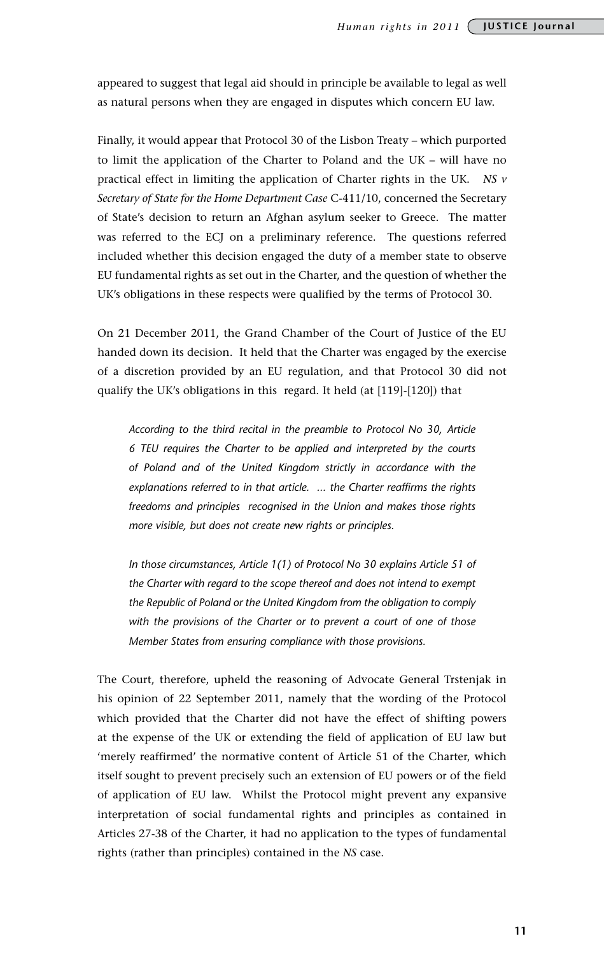appeared to suggest that legal aid should in principle be available to legal as well as natural persons when they are engaged in disputes which concern EU law.

Finally, it would appear that Protocol 30 of the Lisbon Treaty – which purported to limit the application of the Charter to Poland and the UK – will have no practical effect in limiting the application of Charter rights in the UK. *NS v Secretary of State for the Home Department Case* C-411/10, concerned the Secretary of State's decision to return an Afghan asylum seeker to Greece. The matter was referred to the ECJ on a preliminary reference. The questions referred included whether this decision engaged the duty of a member state to observe EU fundamental rights as set out in the Charter, and the question of whether the UK's obligations in these respects were qualified by the terms of Protocol 30.

On 21 December 2011, the Grand Chamber of the Court of Justice of the EU handed down its decision. It held that the Charter was engaged by the exercise of a discretion provided by an EU regulation, and that Protocol 30 did not qualify the UK's obligations in this regard. It held (at [119]-[120]) that

*According to the third recital in the preamble to Protocol No 30, Article 6 TEU requires the Charter to be applied and interpreted by the courts of Poland and of the United Kingdom strictly in accordance with the explanations referred to in that article. ... the Charter reaffirms the rights freedoms and principles recognised in the Union and makes those rights more visible, but does not create new rights or principles.*

*In those circumstances, Article 1(1) of Protocol No 30 explains Article 51 of the Charter with regard to the scope thereof and does not intend to exempt the Republic of Poland or the United Kingdom from the obligation to comply with the provisions of the Charter or to prevent a court of one of those Member States from ensuring compliance with those provisions.*

The Court, therefore, upheld the reasoning of Advocate General Trstenjak in his opinion of 22 September 2011, namely that the wording of the Protocol which provided that the Charter did not have the effect of shifting powers at the expense of the UK or extending the field of application of EU law but 'merely reaffirmed' the normative content of Article 51 of the Charter, which itself sought to prevent precisely such an extension of EU powers or of the field of application of EU law. Whilst the Protocol might prevent any expansive interpretation of social fundamental rights and principles as contained in Articles 27-38 of the Charter, it had no application to the types of fundamental rights (rather than principles) contained in the *NS* case.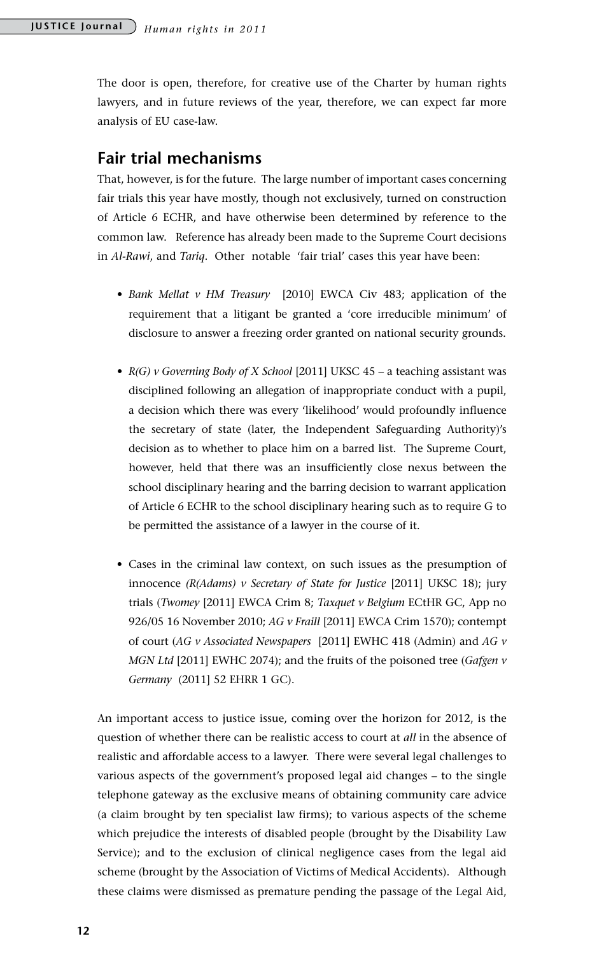The door is open, therefore, for creative use of the Charter by human rights lawyers, and in future reviews of the year, therefore, we can expect far more analysis of EU case-law.

### **Fair trial mechanisms**

That, however, is for the future. The large number of important cases concerning fair trials this year have mostly, though not exclusively, turned on construction of Article 6 ECHR, and have otherwise been determined by reference to the common law. Reference has already been made to the Supreme Court decisions in *Al-Rawi*, and *Tariq*. Other notable 'fair trial' cases this year have been:

- *• Bank Mellat v HM Treasury* [2010] EWCA Civ 483; application of the requirement that a litigant be granted a 'core irreducible minimum' of disclosure to answer a freezing order granted on national security grounds.
- *• R(G) v Governing Body of X School* [2011] UKSC 45 a teaching assistant was disciplined following an allegation of inappropriate conduct with a pupil, a decision which there was every 'likelihood' would profoundly influence the secretary of state (later, the Independent Safeguarding Authority)'s decision as to whether to place him on a barred list. The Supreme Court, however, held that there was an insufficiently close nexus between the school disciplinary hearing and the barring decision to warrant application of Article 6 ECHR to the school disciplinary hearing such as to require G to be permitted the assistance of a lawyer in the course of it.
- • Cases in the criminal law context, on such issues as the presumption of innocence *(R(Adams) v Secretary of State for Justice* [2011] UKSC 18); jury trials (*Twomey* [2011] EWCA Crim 8; *Taxquet v Belgium* ECtHR GC, App no 926/05 16 November 2010; *AG v Fraill* [2011] EWCA Crim 1570); contempt of court (*AG v Associated Newspapers* [2011] EWHC 418 (Admin) and *AG v MGN Ltd* [2011] EWHC 2074); and the fruits of the poisoned tree (*Gafgen v Germany* (2011] 52 EHRR 1 GC).

An important access to justice issue, coming over the horizon for 2012, is the question of whether there can be realistic access to court at *all* in the absence of realistic and affordable access to a lawyer. There were several legal challenges to various aspects of the government's proposed legal aid changes – to the single telephone gateway as the exclusive means of obtaining community care advice (a claim brought by ten specialist law firms); to various aspects of the scheme which prejudice the interests of disabled people (brought by the Disability Law Service); and to the exclusion of clinical negligence cases from the legal aid scheme (brought by the Association of Victims of Medical Accidents). Although these claims were dismissed as premature pending the passage of the Legal Aid,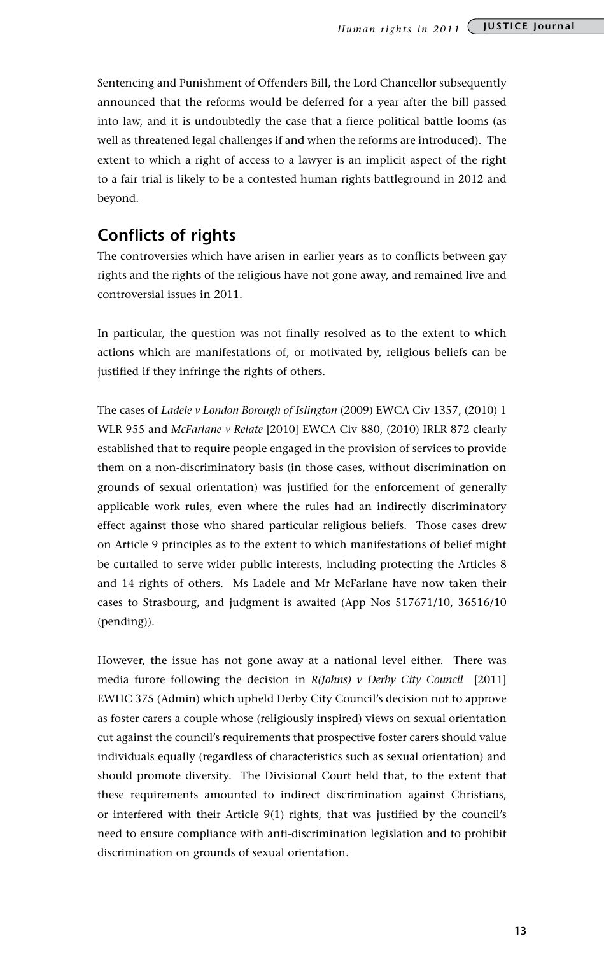Sentencing and Punishment of Offenders Bill, the Lord Chancellor subsequently announced that the reforms would be deferred for a year after the bill passed into law, and it is undoubtedly the case that a fierce political battle looms (as well as threatened legal challenges if and when the reforms are introduced). The extent to which a right of access to a lawyer is an implicit aspect of the right to a fair trial is likely to be a contested human rights battleground in 2012 and beyond.

### **Conflicts of rights**

The controversies which have arisen in earlier years as to conflicts between gay rights and the rights of the religious have not gone away, and remained live and controversial issues in 2011.

In particular, the question was not finally resolved as to the extent to which actions which are manifestations of, or motivated by, religious beliefs can be justified if they infringe the rights of others.

The cases of *Ladele v London Borough of Islington* (2009) EWCA Civ 1357, (2010) 1 WLR 955 and *McFarlane v Relate* [2010] EWCA Civ 880, (2010) IRLR 872 clearly established that to require people engaged in the provision of services to provide them on a non-discriminatory basis (in those cases, without discrimination on grounds of sexual orientation) was justified for the enforcement of generally applicable work rules, even where the rules had an indirectly discriminatory effect against those who shared particular religious beliefs. Those cases drew on Article 9 principles as to the extent to which manifestations of belief might be curtailed to serve wider public interests, including protecting the Articles 8 and 14 rights of others. Ms Ladele and Mr McFarlane have now taken their cases to Strasbourg, and judgment is awaited (App Nos 517671/10, 36516/10 (pending)).

However, the issue has not gone away at a national level either. There was media furore following the decision in *R(Johns) v Derby City Council* [2011] EWHC 375 (Admin) which upheld Derby City Council's decision not to approve as foster carers a couple whose (religiously inspired) views on sexual orientation cut against the council's requirements that prospective foster carers should value individuals equally (regardless of characteristics such as sexual orientation) and should promote diversity. The Divisional Court held that, to the extent that these requirements amounted to indirect discrimination against Christians, or interfered with their Article 9(1) rights, that was justified by the council's need to ensure compliance with anti-discrimination legislation and to prohibit discrimination on grounds of sexual orientation.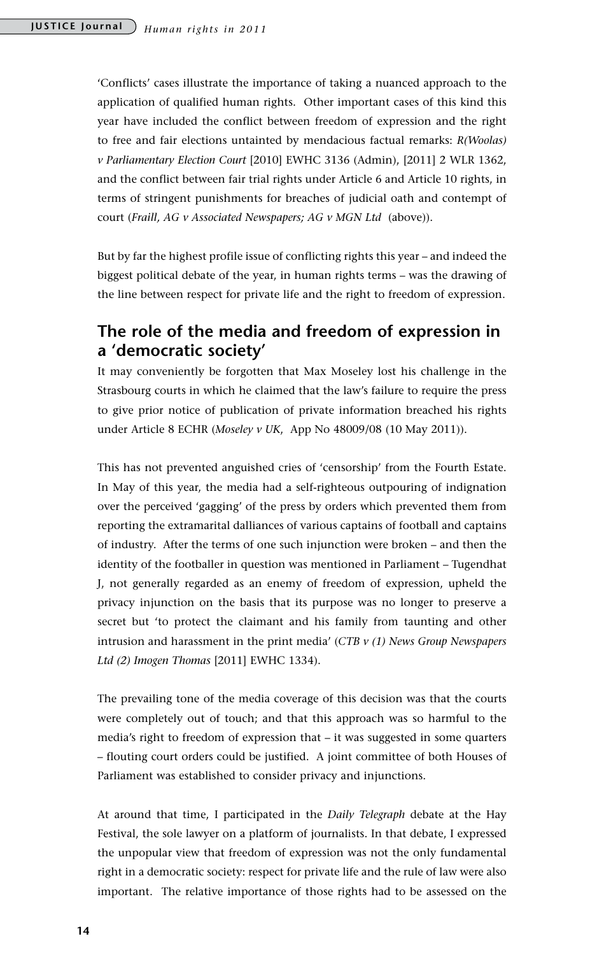'Conflicts' cases illustrate the importance of taking a nuanced approach to the application of qualified human rights. Other important cases of this kind this year have included the conflict between freedom of expression and the right to free and fair elections untainted by mendacious factual remarks: *R(Woolas) v Parliamentary Election Court* [2010] EWHC 3136 (Admin), [2011] 2 WLR 1362, and the conflict between fair trial rights under Article 6 and Article 10 rights, in terms of stringent punishments for breaches of judicial oath and contempt of court (*Fraill, AG v Associated Newspapers; AG v MGN Ltd* (above)).

But by far the highest profile issue of conflicting rights this year – and indeed the biggest political debate of the year, in human rights terms – was the drawing of the line between respect for private life and the right to freedom of expression.

### **The role of the media and freedom of expression in a 'democratic society'**

It may conveniently be forgotten that Max Moseley lost his challenge in the Strasbourg courts in which he claimed that the law's failure to require the press to give prior notice of publication of private information breached his rights under Article 8 ECHR (*Moseley v UK*, App No 48009/08 (10 May 2011)).

This has not prevented anguished cries of 'censorship' from the Fourth Estate. In May of this year, the media had a self-righteous outpouring of indignation over the perceived 'gagging' of the press by orders which prevented them from reporting the extramarital dalliances of various captains of football and captains of industry. After the terms of one such injunction were broken – and then the identity of the footballer in question was mentioned in Parliament – Tugendhat J, not generally regarded as an enemy of freedom of expression, upheld the privacy injunction on the basis that its purpose was no longer to preserve a secret but 'to protect the claimant and his family from taunting and other intrusion and harassment in the print media' (*CTB v (1) News Group Newspapers Ltd (2) Imogen Thomas* [2011] EWHC 1334).

The prevailing tone of the media coverage of this decision was that the courts were completely out of touch; and that this approach was so harmful to the media's right to freedom of expression that – it was suggested in some quarters – flouting court orders could be justified. A joint committee of both Houses of Parliament was established to consider privacy and injunctions.

At around that time, I participated in the *Daily Telegraph* debate at the Hay Festival, the sole lawyer on a platform of journalists. In that debate, I expressed the unpopular view that freedom of expression was not the only fundamental right in a democratic society: respect for private life and the rule of law were also important. The relative importance of those rights had to be assessed on the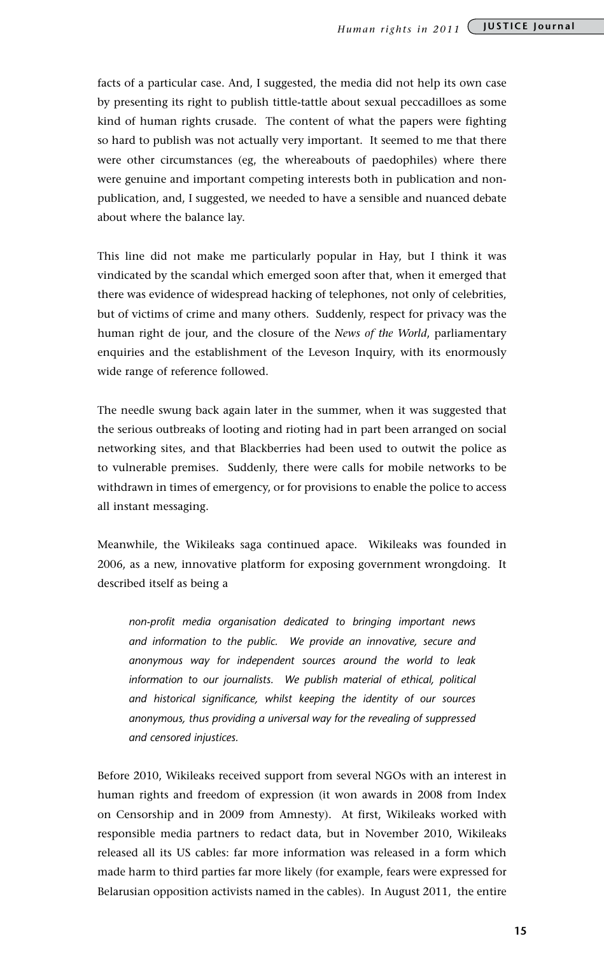facts of a particular case. And, I suggested, the media did not help its own case by presenting its right to publish tittle-tattle about sexual peccadilloes as some kind of human rights crusade. The content of what the papers were fighting so hard to publish was not actually very important. It seemed to me that there were other circumstances (eg, the whereabouts of paedophiles) where there were genuine and important competing interests both in publication and nonpublication, and, I suggested, we needed to have a sensible and nuanced debate about where the balance lay.

This line did not make me particularly popular in Hay, but I think it was vindicated by the scandal which emerged soon after that, when it emerged that there was evidence of widespread hacking of telephones, not only of celebrities, but of victims of crime and many others. Suddenly, respect for privacy was the human right de jour, and the closure of the *News of the World*, parliamentary enquiries and the establishment of the Leveson Inquiry, with its enormously wide range of reference followed.

The needle swung back again later in the summer, when it was suggested that the serious outbreaks of looting and rioting had in part been arranged on social networking sites, and that Blackberries had been used to outwit the police as to vulnerable premises. Suddenly, there were calls for mobile networks to be withdrawn in times of emergency, or for provisions to enable the police to access all instant messaging.

Meanwhile, the Wikileaks saga continued apace. Wikileaks was founded in 2006, as a new, innovative platform for exposing government wrongdoing. It described itself as being a

*non-profit media organisation dedicated to bringing important news and information to the public. We provide an innovative, secure and anonymous way for independent sources around the world to leak*  information to our journalists. We publish material of ethical, political *and historical significance, whilst keeping the identity of our sources anonymous, thus providing a universal way for the revealing of suppressed and censored injustices.* 

Before 2010, Wikileaks received support from several NGOs with an interest in human rights and freedom of expression (it won awards in 2008 from Index on Censorship and in 2009 from Amnesty). At first, Wikileaks worked with responsible media partners to redact data, but in November 2010, Wikileaks released all its US cables: far more information was released in a form which made harm to third parties far more likely (for example, fears were expressed for Belarusian opposition activists named in the cables). In August 2011, the entire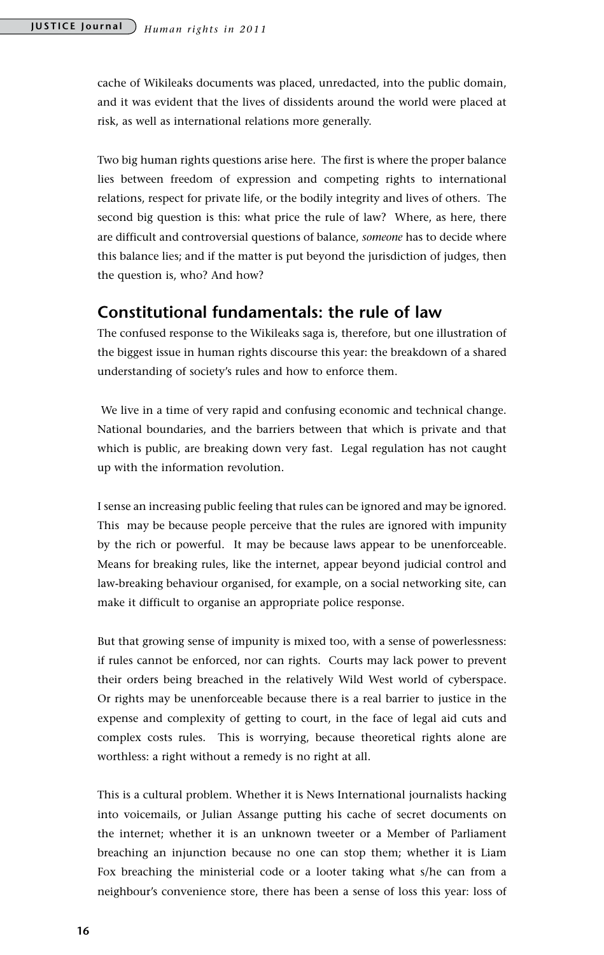cache of Wikileaks documents was placed, unredacted, into the public domain, and it was evident that the lives of dissidents around the world were placed at risk, as well as international relations more generally.

Two big human rights questions arise here. The first is where the proper balance lies between freedom of expression and competing rights to international relations, respect for private life, or the bodily integrity and lives of others. The second big question is this: what price the rule of law? Where, as here, there are difficult and controversial questions of balance, *someone* has to decide where this balance lies; and if the matter is put beyond the jurisdiction of judges, then the question is, who? And how?

### **Constitutional fundamentals: the rule of law**

The confused response to the Wikileaks saga is, therefore, but one illustration of the biggest issue in human rights discourse this year: the breakdown of a shared understanding of society's rules and how to enforce them.

 We live in a time of very rapid and confusing economic and technical change. National boundaries, and the barriers between that which is private and that which is public, are breaking down very fast. Legal regulation has not caught up with the information revolution.

I sense an increasing public feeling that rules can be ignored and may be ignored. This may be because people perceive that the rules are ignored with impunity by the rich or powerful. It may be because laws appear to be unenforceable. Means for breaking rules, like the internet, appear beyond judicial control and law-breaking behaviour organised, for example, on a social networking site, can make it difficult to organise an appropriate police response.

But that growing sense of impunity is mixed too, with a sense of powerlessness: if rules cannot be enforced, nor can rights. Courts may lack power to prevent their orders being breached in the relatively Wild West world of cyberspace. Or rights may be unenforceable because there is a real barrier to justice in the expense and complexity of getting to court, in the face of legal aid cuts and complex costs rules. This is worrying, because theoretical rights alone are worthless: a right without a remedy is no right at all.

This is a cultural problem. Whether it is News International journalists hacking into voicemails, or Julian Assange putting his cache of secret documents on the internet; whether it is an unknown tweeter or a Member of Parliament breaching an injunction because no one can stop them; whether it is Liam Fox breaching the ministerial code or a looter taking what s/he can from a neighbour's convenience store, there has been a sense of loss this year: loss of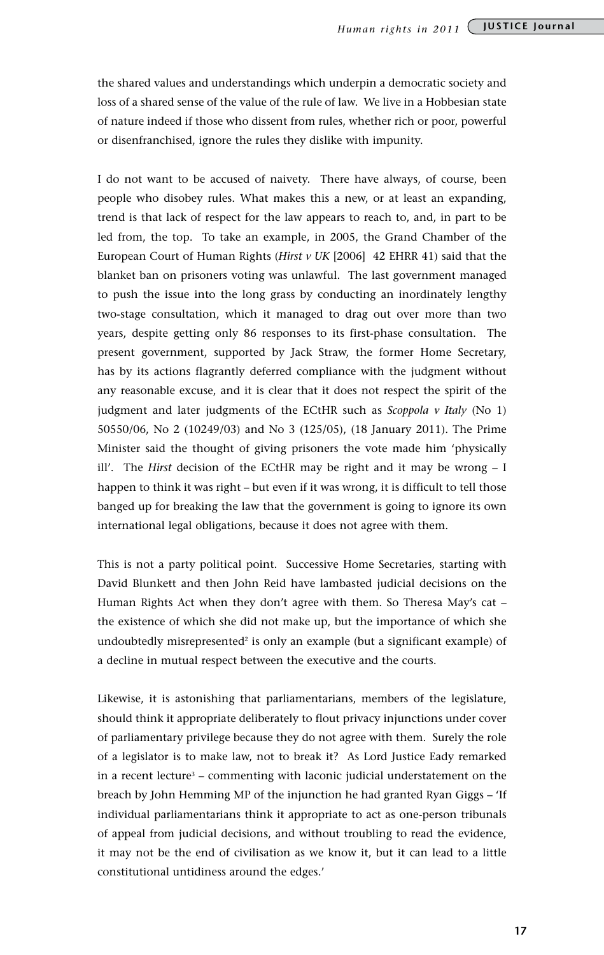the shared values and understandings which underpin a democratic society and loss of a shared sense of the value of the rule of law. We live in a Hobbesian state of nature indeed if those who dissent from rules, whether rich or poor, powerful or disenfranchised, ignore the rules they dislike with impunity.

I do not want to be accused of naivety. There have always, of course, been people who disobey rules. What makes this a new, or at least an expanding, trend is that lack of respect for the law appears to reach to, and, in part to be led from, the top. To take an example, in 2005, the Grand Chamber of the European Court of Human Rights (*Hirst v UK* [2006] 42 EHRR 41) said that the blanket ban on prisoners voting was unlawful. The last government managed to push the issue into the long grass by conducting an inordinately lengthy two-stage consultation, which it managed to drag out over more than two years, despite getting only 86 responses to its first-phase consultation. The present government, supported by Jack Straw, the former Home Secretary, has by its actions flagrantly deferred compliance with the judgment without any reasonable excuse, and it is clear that it does not respect the spirit of the judgment and later judgments of the ECtHR such as *Scoppola v Italy* (No 1) 50550/06, No 2 (10249/03) and No 3 (125/05), (18 January 2011). The Prime Minister said the thought of giving prisoners the vote made him 'physically ill'. The *Hirst* decision of the ECtHR may be right and it may be wrong – I happen to think it was right – but even if it was wrong, it is difficult to tell those banged up for breaking the law that the government is going to ignore its own international legal obligations, because it does not agree with them.

This is not a party political point. Successive Home Secretaries, starting with David Blunkett and then John Reid have lambasted judicial decisions on the Human Rights Act when they don't agree with them. So Theresa May's cat – the existence of which she did not make up, but the importance of which she undoubtedly misrepresented<sup>2</sup> is only an example (but a significant example) of a decline in mutual respect between the executive and the courts.

Likewise, it is astonishing that parliamentarians, members of the legislature, should think it appropriate deliberately to flout privacy injunctions under cover of parliamentary privilege because they do not agree with them. Surely the role of a legislator is to make law, not to break it? As Lord Justice Eady remarked in a recent lecture<sup>3</sup> – commenting with laconic judicial understatement on the breach by John Hemming MP of the injunction he had granted Ryan Giggs – 'If individual parliamentarians think it appropriate to act as one-person tribunals of appeal from judicial decisions, and without troubling to read the evidence, it may not be the end of civilisation as we know it, but it can lead to a little constitutional untidiness around the edges.'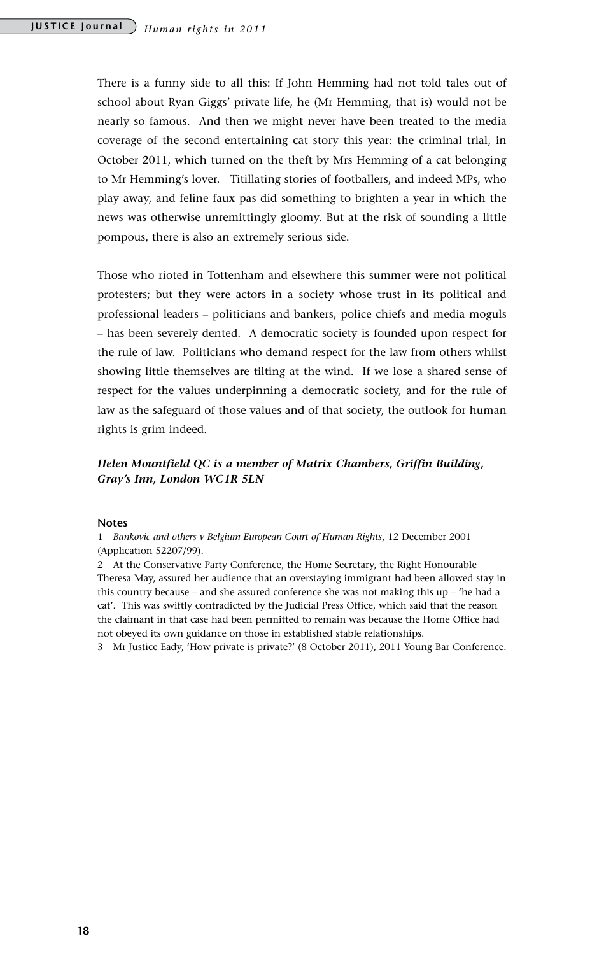There is a funny side to all this: If John Hemming had not told tales out of school about Ryan Giggs' private life, he (Mr Hemming, that is) would not be nearly so famous. And then we might never have been treated to the media coverage of the second entertaining cat story this year: the criminal trial, in October 2011, which turned on the theft by Mrs Hemming of a cat belonging to Mr Hemming's lover. Titillating stories of footballers, and indeed MPs, who play away, and feline faux pas did something to brighten a year in which the news was otherwise unremittingly gloomy. But at the risk of sounding a little pompous, there is also an extremely serious side.

Those who rioted in Tottenham and elsewhere this summer were not political protesters; but they were actors in a society whose trust in its political and professional leaders – politicians and bankers, police chiefs and media moguls – has been severely dented. A democratic society is founded upon respect for the rule of law. Politicians who demand respect for the law from others whilst showing little themselves are tilting at the wind. If we lose a shared sense of respect for the values underpinning a democratic society, and for the rule of law as the safeguard of those values and of that society, the outlook for human rights is grim indeed.

### *Helen Mountfield QC is a member of Matrix Chambers, Griffin Building, Gray's Inn, London WC1R 5LN*

#### **Notes**

1 *Bankovic and others v Belgium European Court of Human Rights*, 12 December 2001 (Application 52207/99).

2 At the Conservative Party Conference, the Home Secretary, the Right Honourable Theresa May, assured her audience that an overstaying immigrant had been allowed stay in this country because – and she assured conference she was not making this up – 'he had a cat'. This was swiftly contradicted by the Judicial Press Office, which said that the reason the claimant in that case had been permitted to remain was because the Home Office had not obeyed its own guidance on those in established stable relationships.

3 Mr Justice Eady, 'How private is private?' (8 October 2011), 2011 Young Bar Conference.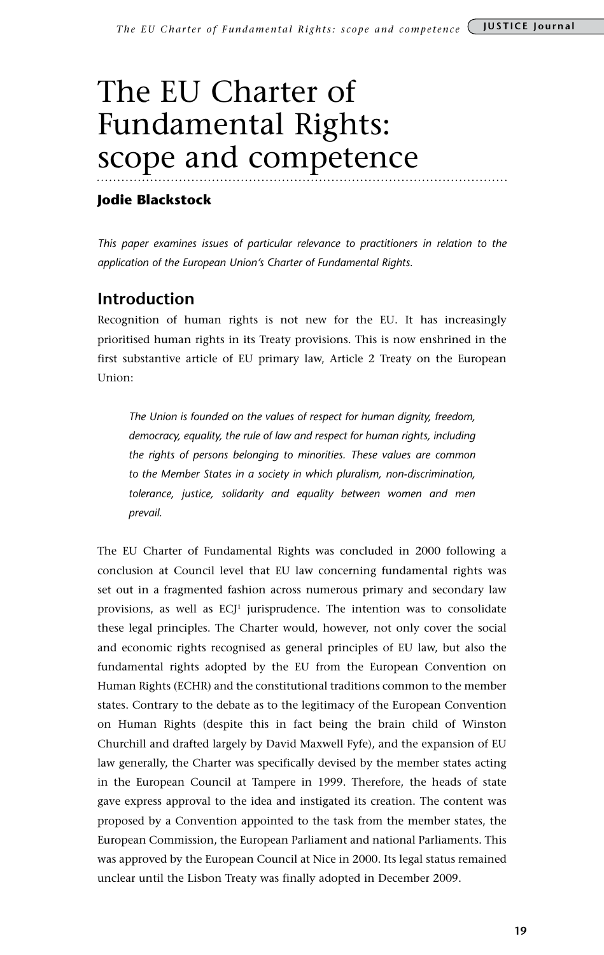## The EU Charter of Fundamental Rights: scope and competence

### **Jodie Blackstock**

*This paper examines issues of particular relevance to practitioners in relation to the application of the European Union's Charter of Fundamental Rights.*

### **Introduction**

Recognition of human rights is not new for the EU. It has increasingly prioritised human rights in its Treaty provisions. This is now enshrined in the first substantive article of EU primary law, Article 2 Treaty on the European Union:

*The Union is founded on the values of respect for human dignity, freedom, democracy, equality, the rule of law and respect for human rights, including the rights of persons belonging to minorities. These values are common to the Member States in a society in which pluralism, non-discrimination, tolerance, justice, solidarity and equality between women and men prevail.*

The EU Charter of Fundamental Rights was concluded in 2000 following a conclusion at Council level that EU law concerning fundamental rights was set out in a fragmented fashion across numerous primary and secondary law provisions, as well as  $ECJ<sup>1</sup>$  jurisprudence. The intention was to consolidate these legal principles. The Charter would, however, not only cover the social and economic rights recognised as general principles of EU law, but also the fundamental rights adopted by the EU from the European Convention on Human Rights (ECHR) and the constitutional traditions common to the member states. Contrary to the debate as to the legitimacy of the European Convention on Human Rights (despite this in fact being the brain child of Winston Churchill and drafted largely by David Maxwell Fyfe), and the expansion of EU law generally, the Charter was specifically devised by the member states acting in the European Council at Tampere in 1999. Therefore, the heads of state gave express approval to the idea and instigated its creation. The content was proposed by a Convention appointed to the task from the member states, the European Commission, the European Parliament and national Parliaments. This was approved by the European Council at Nice in 2000. Its legal status remained unclear until the Lisbon Treaty was finally adopted in December 2009.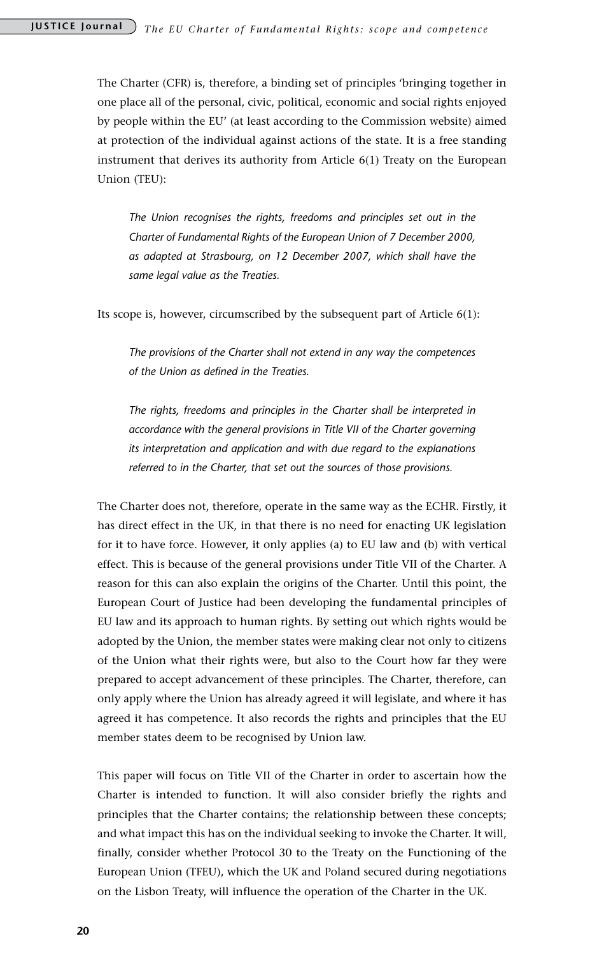The Charter (CFR) is, therefore, a binding set of principles 'bringing together in one place all of the personal, civic, political, economic and social rights enjoyed by people within the EU' (at least according to the Commission website) aimed at protection of the individual against actions of the state. It is a free standing instrument that derives its authority from Article 6(1) Treaty on the European Union (TEU):

*The Union recognises the rights, freedoms and principles set out in the Charter of Fundamental Rights of the European Union of 7 December 2000, as adapted at Strasbourg, on 12 December 2007, which shall have the same legal value as the Treaties.* 

Its scope is, however, circumscribed by the subsequent part of Article 6(1):

*The provisions of the Charter shall not extend in any way the competences of the Union as defined in the Treaties.* 

*The rights, freedoms and principles in the Charter shall be interpreted in accordance with the general provisions in Title VII of the Charter governing its interpretation and application and with due regard to the explanations referred to in the Charter, that set out the sources of those provisions.*

The Charter does not, therefore, operate in the same way as the ECHR. Firstly, it has direct effect in the UK, in that there is no need for enacting UK legislation for it to have force. However, it only applies (a) to EU law and (b) with vertical effect. This is because of the general provisions under Title VII of the Charter. A reason for this can also explain the origins of the Charter. Until this point, the European Court of Justice had been developing the fundamental principles of EU law and its approach to human rights. By setting out which rights would be adopted by the Union, the member states were making clear not only to citizens of the Union what their rights were, but also to the Court how far they were prepared to accept advancement of these principles. The Charter, therefore, can only apply where the Union has already agreed it will legislate, and where it has agreed it has competence. It also records the rights and principles that the EU member states deem to be recognised by Union law.

This paper will focus on Title VII of the Charter in order to ascertain how the Charter is intended to function. It will also consider briefly the rights and principles that the Charter contains; the relationship between these concepts; and what impact this has on the individual seeking to invoke the Charter. It will, finally, consider whether Protocol 30 to the Treaty on the Functioning of the European Union (TFEU), which the UK and Poland secured during negotiations on the Lisbon Treaty, will influence the operation of the Charter in the UK.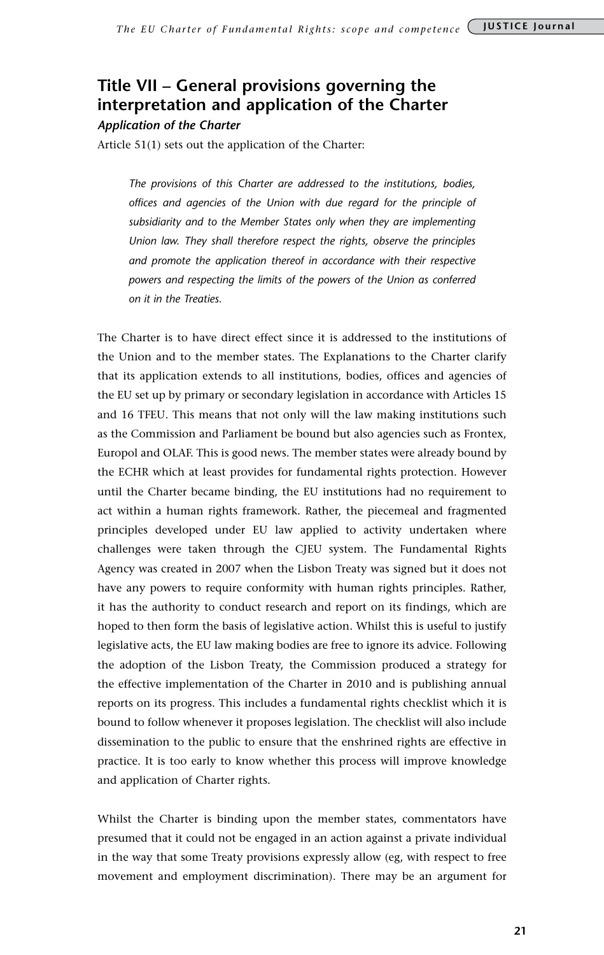### **Title VII – General provisions governing the interpretation and application of the Charter**

*Application of the Charter* 

Article 51(1) sets out the application of the Charter:

*The provisions of this Charter are addressed to the institutions, bodies, offices and agencies of the Union with due regard for the principle of subsidiarity and to the Member States only when they are implementing Union law. They shall therefore respect the rights, observe the principles and promote the application thereof in accordance with their respective powers and respecting the limits of the powers of the Union as conferred on it in the Treaties.*

The Charter is to have direct effect since it is addressed to the institutions of the Union and to the member states. The Explanations to the Charter clarify that its application extends to all institutions, bodies, offices and agencies of the EU set up by primary or secondary legislation in accordance with Articles 15 and 16 TFEU. This means that not only will the law making institutions such as the Commission and Parliament be bound but also agencies such as Frontex, Europol and OLAF. This is good news. The member states were already bound by the ECHR which at least provides for fundamental rights protection. However until the Charter became binding, the EU institutions had no requirement to act within a human rights framework. Rather, the piecemeal and fragmented principles developed under EU law applied to activity undertaken where challenges were taken through the CJEU system. The Fundamental Rights Agency was created in 2007 when the Lisbon Treaty was signed but it does not have any powers to require conformity with human rights principles. Rather, it has the authority to conduct research and report on its findings, which are hoped to then form the basis of legislative action. Whilst this is useful to justify legislative acts, the EU law making bodies are free to ignore its advice. Following the adoption of the Lisbon Treaty, the Commission produced a strategy for the effective implementation of the Charter in 2010 and is publishing annual reports on its progress. This includes a fundamental rights checklist which it is bound to follow whenever it proposes legislation. The checklist will also include dissemination to the public to ensure that the enshrined rights are effective in practice. It is too early to know whether this process will improve knowledge and application of Charter rights.

Whilst the Charter is binding upon the member states, commentators have presumed that it could not be engaged in an action against a private individual in the way that some Treaty provisions expressly allow (eg, with respect to free movement and employment discrimination). There may be an argument for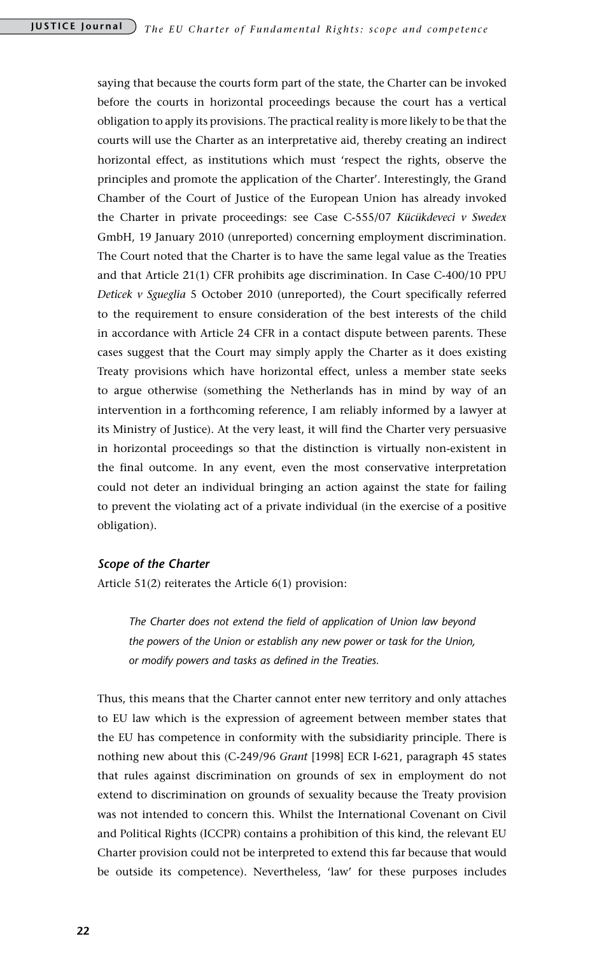saying that because the courts form part of the state, the Charter can be invoked before the courts in horizontal proceedings because the court has a vertical obligation to apply its provisions. The practical reality is more likely to be that the courts will use the Charter as an interpretative aid, thereby creating an indirect horizontal effect, as institutions which must 'respect the rights, observe the principles and promote the application of the Charter'. Interestingly, the Grand Chamber of the Court of Justice of the European Union has already invoked the Charter in private proceedings: see Case C-555/07 *Kücükdeveci v Swedex* GmbH, 19 January 2010 (unreported) concerning employment discrimination. The Court noted that the Charter is to have the same legal value as the Treaties and that Article 21(1) CFR prohibits age discrimination. In Case C-400/10 PPU *Deticek v Sgueglia* 5 October 2010 (unreported), the Court specifically referred to the requirement to ensure consideration of the best interests of the child in accordance with Article 24 CFR in a contact dispute between parents. These cases suggest that the Court may simply apply the Charter as it does existing Treaty provisions which have horizontal effect, unless a member state seeks to argue otherwise (something the Netherlands has in mind by way of an intervention in a forthcoming reference, I am reliably informed by a lawyer at its Ministry of Justice). At the very least, it will find the Charter very persuasive in horizontal proceedings so that the distinction is virtually non-existent in the final outcome. In any event, even the most conservative interpretation could not deter an individual bringing an action against the state for failing to prevent the violating act of a private individual (in the exercise of a positive obligation).

### *Scope of the Charter*

Article 51(2) reiterates the Article 6(1) provision:

*The Charter does not extend the field of application of Union law beyond the powers of the Union or establish any new power or task for the Union, or modify powers and tasks as defined in the Treaties.*

Thus, this means that the Charter cannot enter new territory and only attaches to EU law which is the expression of agreement between member states that the EU has competence in conformity with the subsidiarity principle. There is nothing new about this (C-249/96 *Grant* [1998] ECR I-621, paragraph 45 states that rules against discrimination on grounds of sex in employment do not extend to discrimination on grounds of sexuality because the Treaty provision was not intended to concern this. Whilst the International Covenant on Civil and Political Rights (ICCPR) contains a prohibition of this kind, the relevant EU Charter provision could not be interpreted to extend this far because that would be outside its competence). Nevertheless, 'law' for these purposes includes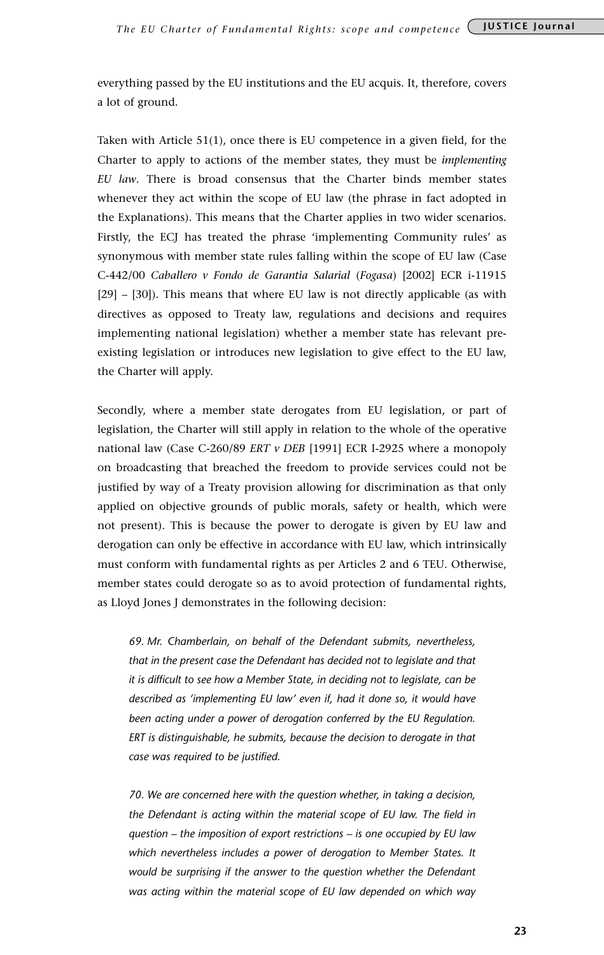everything passed by the EU institutions and the EU acquis. It, therefore, covers a lot of ground.

Taken with Article 51(1), once there is EU competence in a given field, for the Charter to apply to actions of the member states, they must be *implementing EU law*. There is broad consensus that the Charter binds member states whenever they act within the scope of EU law (the phrase in fact adopted in the Explanations). This means that the Charter applies in two wider scenarios. Firstly, the ECJ has treated the phrase 'implementing Community rules' as synonymous with member state rules falling within the scope of EU law (Case C-442/00 *Caballero v Fondo de Garantia Salarial* (*Fogasa*) [2002] ECR i-11915 [29] – [30]). This means that where EU law is not directly applicable (as with directives as opposed to Treaty law, regulations and decisions and requires implementing national legislation) whether a member state has relevant preexisting legislation or introduces new legislation to give effect to the EU law, the Charter will apply.

Secondly, where a member state derogates from EU legislation, or part of legislation, the Charter will still apply in relation to the whole of the operative national law (Case C-260/89 *ERT v DEB* [1991] ECR I-2925 where a monopoly on broadcasting that breached the freedom to provide services could not be justified by way of a Treaty provision allowing for discrimination as that only applied on objective grounds of public morals, safety or health, which were not present). This is because the power to derogate is given by EU law and derogation can only be effective in accordance with EU law, which intrinsically must conform with fundamental rights as per Articles 2 and 6 TEU. Otherwise, member states could derogate so as to avoid protection of fundamental rights, as Lloyd Jones J demonstrates in the following decision:

*69. Mr. Chamberlain, on behalf of the Defendant submits, nevertheless, that in the present case the Defendant has decided not to legislate and that it is difficult to see how a Member State, in deciding not to legislate, can be described as 'implementing EU law' even if, had it done so, it would have been acting under a power of derogation conferred by the EU Regulation. ERT is distinguishable, he submits, because the decision to derogate in that case was required to be justified.*

*70. We are concerned here with the question whether, in taking a decision, the Defendant is acting within the material scope of EU law. The field in question – the imposition of export restrictions – is one occupied by EU law which nevertheless includes a power of derogation to Member States. It would be surprising if the answer to the question whether the Defendant was acting within the material scope of EU law depended on which way*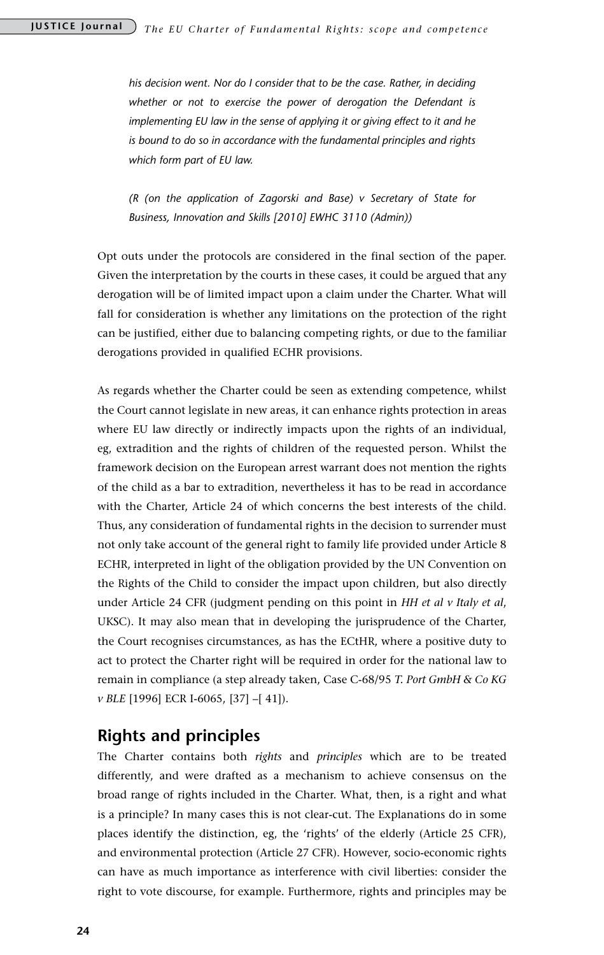*his decision went. Nor do I consider that to be the case. Rather, in deciding whether or not to exercise the power of derogation the Defendant is implementing EU law in the sense of applying it or giving effect to it and he is bound to do so in accordance with the fundamental principles and rights which form part of EU law.* 

*(R (on the application of Zagorski and Base) v Secretary of State for Business, Innovation and Skills [2010] EWHC 3110 (Admin))*

Opt outs under the protocols are considered in the final section of the paper. Given the interpretation by the courts in these cases, it could be argued that any derogation will be of limited impact upon a claim under the Charter. What will fall for consideration is whether any limitations on the protection of the right can be justified, either due to balancing competing rights, or due to the familiar derogations provided in qualified ECHR provisions.

As regards whether the Charter could be seen as extending competence, whilst the Court cannot legislate in new areas, it can enhance rights protection in areas where EU law directly or indirectly impacts upon the rights of an individual, eg, extradition and the rights of children of the requested person. Whilst the framework decision on the European arrest warrant does not mention the rights of the child as a bar to extradition, nevertheless it has to be read in accordance with the Charter, Article 24 of which concerns the best interests of the child. Thus, any consideration of fundamental rights in the decision to surrender must not only take account of the general right to family life provided under Article 8 ECHR, interpreted in light of the obligation provided by the UN Convention on the Rights of the Child to consider the impact upon children, but also directly under Article 24 CFR (judgment pending on this point in *HH et al v Italy et al*, UKSC). It may also mean that in developing the jurisprudence of the Charter, the Court recognises circumstances, as has the ECtHR, where a positive duty to act to protect the Charter right will be required in order for the national law to remain in compliance (a step already taken, Case C-68/95 *T. Port GmbH & Co KG v BLE* [1996] ECR I-6065, [37] –[ 41]).

### **Rights and principles**

The Charter contains both *rights* and *principles* which are to be treated differently, and were drafted as a mechanism to achieve consensus on the broad range of rights included in the Charter. What, then, is a right and what is a principle? In many cases this is not clear-cut. The Explanations do in some places identify the distinction, eg, the 'rights' of the elderly (Article 25 CFR), and environmental protection (Article 27 CFR). However, socio-economic rights can have as much importance as interference with civil liberties: consider the right to vote discourse, for example. Furthermore, rights and principles may be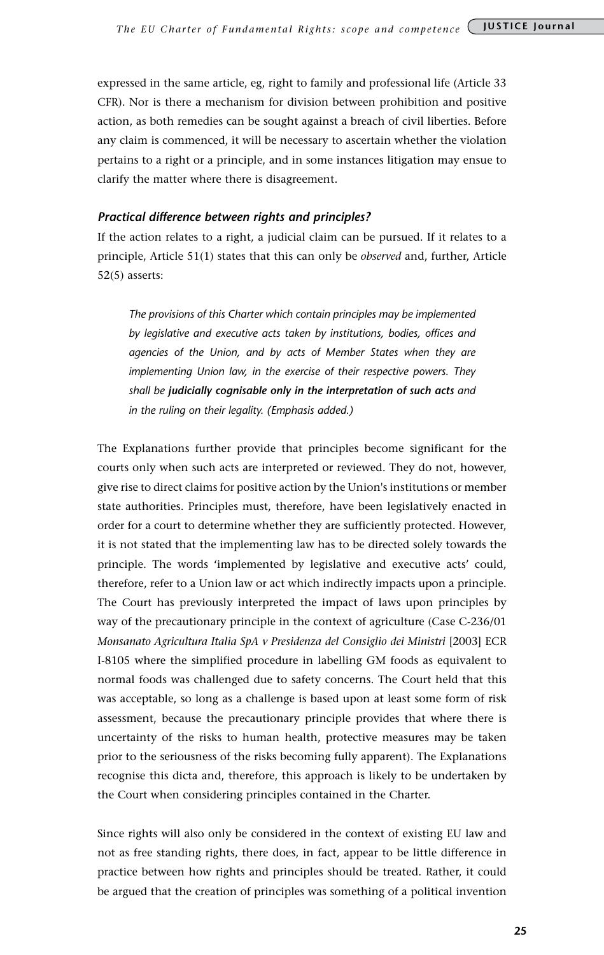expressed in the same article, eg, right to family and professional life (Article 33 CFR). Nor is there a mechanism for division between prohibition and positive action, as both remedies can be sought against a breach of civil liberties. Before any claim is commenced, it will be necessary to ascertain whether the violation pertains to a right or a principle, and in some instances litigation may ensue to clarify the matter where there is disagreement.

### *Practical difference between rights and principles?*

If the action relates to a right, a judicial claim can be pursued. If it relates to a principle, Article 51(1) states that this can only be *observed* and, further, Article 52(5) asserts:

*The provisions of this Charter which contain principles may be implemented by legislative and executive acts taken by institutions, bodies, offices and agencies of the Union, and by acts of Member States when they are implementing Union law, in the exercise of their respective powers. They shall be judicially cognisable only in the interpretation of such acts and in the ruling on their legality. (Emphasis added.)*

The Explanations further provide that principles become significant for the courts only when such acts are interpreted or reviewed. They do not, however, give rise to direct claims for positive action by the Union's institutions or member state authorities. Principles must, therefore, have been legislatively enacted in order for a court to determine whether they are sufficiently protected. However, it is not stated that the implementing law has to be directed solely towards the principle. The words 'implemented by legislative and executive acts' could, therefore, refer to a Union law or act which indirectly impacts upon a principle. The Court has previously interpreted the impact of laws upon principles by way of the precautionary principle in the context of agriculture (Case C-236/01 *Monsanato Agricultura Italia SpA v Presidenza del Consiglio dei Ministri* [2003] ECR I-8105 where the simplified procedure in labelling GM foods as equivalent to normal foods was challenged due to safety concerns. The Court held that this was acceptable, so long as a challenge is based upon at least some form of risk assessment, because the precautionary principle provides that where there is uncertainty of the risks to human health, protective measures may be taken prior to the seriousness of the risks becoming fully apparent). The Explanations recognise this dicta and, therefore, this approach is likely to be undertaken by the Court when considering principles contained in the Charter.

Since rights will also only be considered in the context of existing EU law and not as free standing rights, there does, in fact, appear to be little difference in practice between how rights and principles should be treated. Rather, it could be argued that the creation of principles was something of a political invention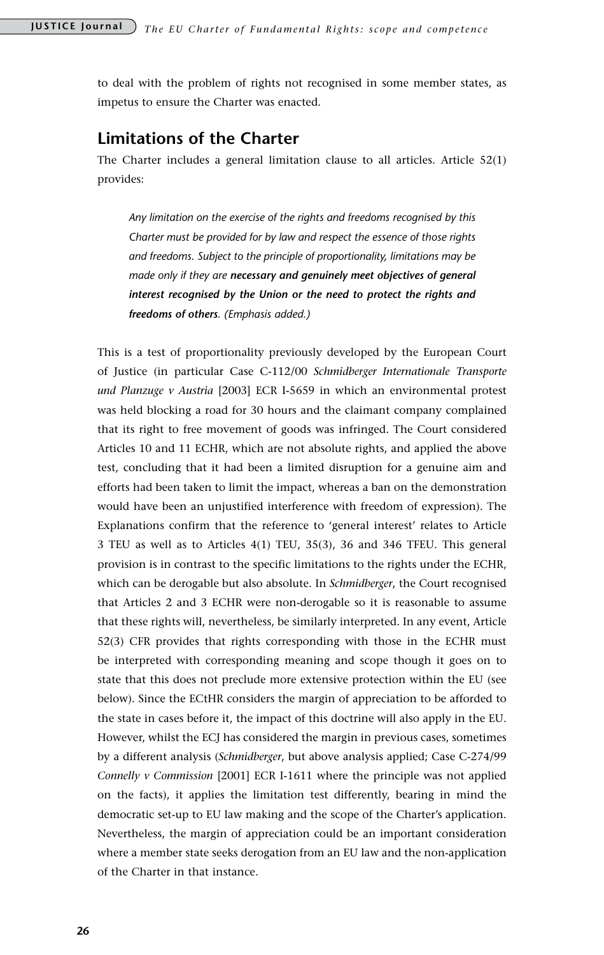to deal with the problem of rights not recognised in some member states, as impetus to ensure the Charter was enacted.

### **Limitations of the Charter**

The Charter includes a general limitation clause to all articles. Article 52(1) provides:

*Any limitation on the exercise of the rights and freedoms recognised by this Charter must be provided for by law and respect the essence of those rights and freedoms. Subject to the principle of proportionality, limitations may be made only if they are necessary and genuinely meet objectives of general interest recognised by the Union or the need to protect the rights and freedoms of others. (Emphasis added.)*

This is a test of proportionality previously developed by the European Court of Justice (in particular Case C-112/00 *Schmidberger Internationale Transporte und Planzuge v Austria* [2003] ECR I-5659 in which an environmental protest was held blocking a road for 30 hours and the claimant company complained that its right to free movement of goods was infringed. The Court considered Articles 10 and 11 ECHR, which are not absolute rights, and applied the above test, concluding that it had been a limited disruption for a genuine aim and efforts had been taken to limit the impact, whereas a ban on the demonstration would have been an unjustified interference with freedom of expression). The Explanations confirm that the reference to 'general interest' relates to Article 3 TEU as well as to Articles 4(1) TEU, 35(3), 36 and 346 TFEU. This general provision is in contrast to the specific limitations to the rights under the ECHR, which can be derogable but also absolute. In *Schmidberger*, the Court recognised that Articles 2 and 3 ECHR were non-derogable so it is reasonable to assume that these rights will, nevertheless, be similarly interpreted. In any event, Article 52(3) CFR provides that rights corresponding with those in the ECHR must be interpreted with corresponding meaning and scope though it goes on to state that this does not preclude more extensive protection within the EU (see below). Since the ECtHR considers the margin of appreciation to be afforded to the state in cases before it, the impact of this doctrine will also apply in the EU. However, whilst the ECJ has considered the margin in previous cases, sometimes by a different analysis (*Schmidberger*, but above analysis applied; Case C-274/99 *Connelly v Commission* [2001] ECR I-1611 where the principle was not applied on the facts), it applies the limitation test differently, bearing in mind the democratic set-up to EU law making and the scope of the Charter's application. Nevertheless, the margin of appreciation could be an important consideration where a member state seeks derogation from an EU law and the non-application of the Charter in that instance.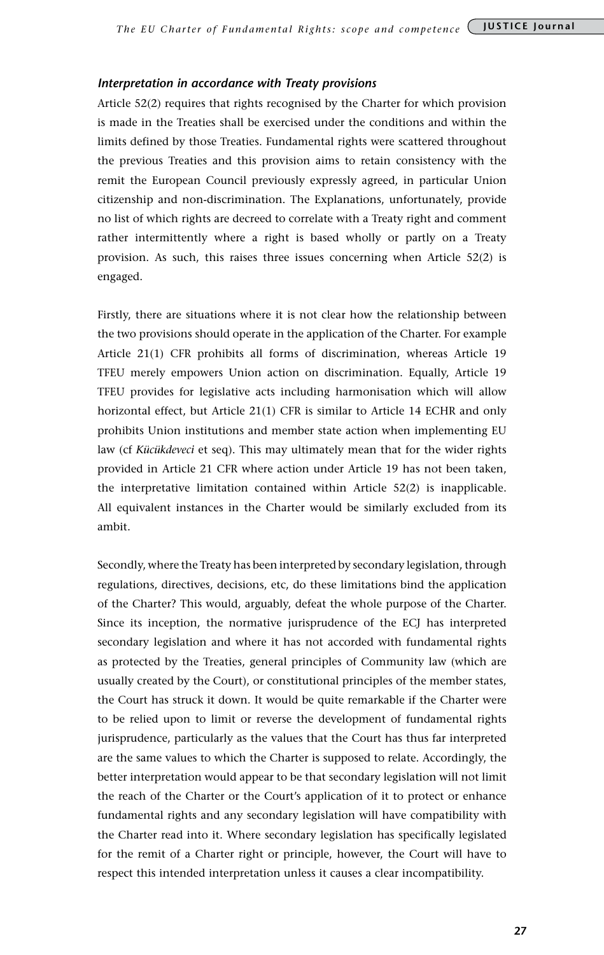### *Interpretation in accordance with Treaty provisions*

Article 52(2) requires that rights recognised by the Charter for which provision is made in the Treaties shall be exercised under the conditions and within the limits defined by those Treaties. Fundamental rights were scattered throughout the previous Treaties and this provision aims to retain consistency with the remit the European Council previously expressly agreed, in particular Union citizenship and non-discrimination. The Explanations, unfortunately, provide no list of which rights are decreed to correlate with a Treaty right and comment rather intermittently where a right is based wholly or partly on a Treaty provision. As such, this raises three issues concerning when Article 52(2) is engaged.

Firstly, there are situations where it is not clear how the relationship between the two provisions should operate in the application of the Charter. For example Article 21(1) CFR prohibits all forms of discrimination, whereas Article 19 TFEU merely empowers Union action on discrimination. Equally, Article 19 TFEU provides for legislative acts including harmonisation which will allow horizontal effect, but Article 21(1) CFR is similar to Article 14 ECHR and only prohibits Union institutions and member state action when implementing EU law (cf *Kücükdeveci* et seq). This may ultimately mean that for the wider rights provided in Article 21 CFR where action under Article 19 has not been taken, the interpretative limitation contained within Article 52(2) is inapplicable. All equivalent instances in the Charter would be similarly excluded from its ambit.

Secondly, where the Treaty has been interpreted by secondary legislation, through regulations, directives, decisions, etc, do these limitations bind the application of the Charter? This would, arguably, defeat the whole purpose of the Charter. Since its inception, the normative jurisprudence of the ECJ has interpreted secondary legislation and where it has not accorded with fundamental rights as protected by the Treaties, general principles of Community law (which are usually created by the Court), or constitutional principles of the member states, the Court has struck it down. It would be quite remarkable if the Charter were to be relied upon to limit or reverse the development of fundamental rights jurisprudence, particularly as the values that the Court has thus far interpreted are the same values to which the Charter is supposed to relate. Accordingly, the better interpretation would appear to be that secondary legislation will not limit the reach of the Charter or the Court's application of it to protect or enhance fundamental rights and any secondary legislation will have compatibility with the Charter read into it. Where secondary legislation has specifically legislated for the remit of a Charter right or principle, however, the Court will have to respect this intended interpretation unless it causes a clear incompatibility.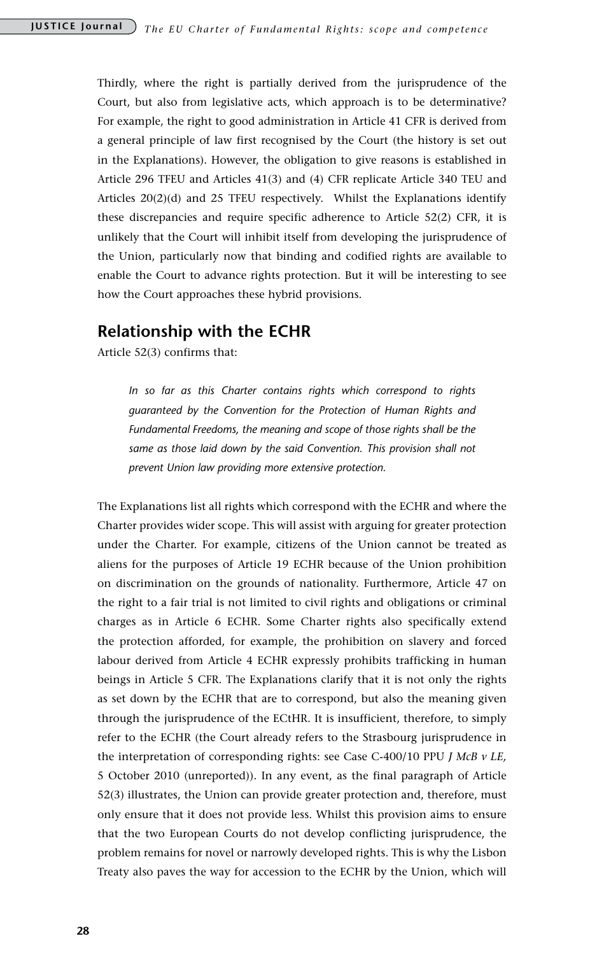Thirdly, where the right is partially derived from the jurisprudence of the Court, but also from legislative acts, which approach is to be determinative? For example, the right to good administration in Article 41 CFR is derived from a general principle of law first recognised by the Court (the history is set out in the Explanations). However, the obligation to give reasons is established in Article 296 TFEU and Articles 41(3) and (4) CFR replicate Article 340 TEU and Articles 20(2)(d) and 25 TFEU respectively. Whilst the Explanations identify these discrepancies and require specific adherence to Article 52(2) CFR, it is unlikely that the Court will inhibit itself from developing the jurisprudence of the Union, particularly now that binding and codified rights are available to enable the Court to advance rights protection. But it will be interesting to see how the Court approaches these hybrid provisions.

### **Relationship with the ECHR**

Article 52(3) confirms that:

*In so far as this Charter contains rights which correspond to rights guaranteed by the Convention for the Protection of Human Rights and Fundamental Freedoms, the meaning and scope of those rights shall be the same as those laid down by the said Convention. This provision shall not prevent Union law providing more extensive protection.*

The Explanations list all rights which correspond with the ECHR and where the Charter provides wider scope. This will assist with arguing for greater protection under the Charter. For example, citizens of the Union cannot be treated as aliens for the purposes of Article 19 ECHR because of the Union prohibition on discrimination on the grounds of nationality. Furthermore, Article 47 on the right to a fair trial is not limited to civil rights and obligations or criminal charges as in Article 6 ECHR. Some Charter rights also specifically extend the protection afforded, for example, the prohibition on slavery and forced labour derived from Article 4 ECHR expressly prohibits trafficking in human beings in Article 5 CFR. The Explanations clarify that it is not only the rights as set down by the ECHR that are to correspond, but also the meaning given through the jurisprudence of the ECtHR. It is insufficient, therefore, to simply refer to the ECHR (the Court already refers to the Strasbourg jurisprudence in the interpretation of corresponding rights: see Case C-400/10 PPU *J McB v LE,*  5 October 2010 (unreported)). In any event, as the final paragraph of Article 52(3) illustrates, the Union can provide greater protection and, therefore, must only ensure that it does not provide less. Whilst this provision aims to ensure that the two European Courts do not develop conflicting jurisprudence, the problem remains for novel or narrowly developed rights. This is why the Lisbon Treaty also paves the way for accession to the ECHR by the Union, which will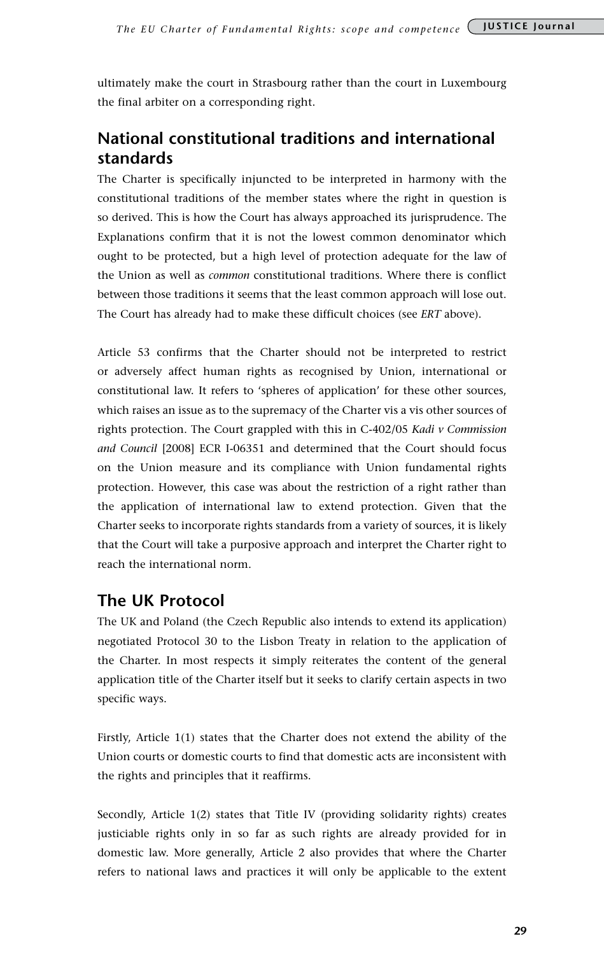ultimately make the court in Strasbourg rather than the court in Luxembourg the final arbiter on a corresponding right.

### **National constitutional traditions and international standards**

The Charter is specifically injuncted to be interpreted in harmony with the constitutional traditions of the member states where the right in question is so derived. This is how the Court has always approached its jurisprudence. The Explanations confirm that it is not the lowest common denominator which ought to be protected, but a high level of protection adequate for the law of the Union as well as *common* constitutional traditions. Where there is conflict between those traditions it seems that the least common approach will lose out. The Court has already had to make these difficult choices (see *ERT* above).

Article 53 confirms that the Charter should not be interpreted to restrict or adversely affect human rights as recognised by Union, international or constitutional law. It refers to 'spheres of application' for these other sources, which raises an issue as to the supremacy of the Charter vis a vis other sources of rights protection. The Court grappled with this in C-402/05 *Kadi v Commission and Council* [2008] ECR I-06351 and determined that the Court should focus on the Union measure and its compliance with Union fundamental rights protection. However, this case was about the restriction of a right rather than the application of international law to extend protection. Given that the Charter seeks to incorporate rights standards from a variety of sources, it is likely that the Court will take a purposive approach and interpret the Charter right to reach the international norm.

### **The UK Protocol**

The UK and Poland (the Czech Republic also intends to extend its application) negotiated Protocol 30 to the Lisbon Treaty in relation to the application of the Charter. In most respects it simply reiterates the content of the general application title of the Charter itself but it seeks to clarify certain aspects in two specific ways.

Firstly, Article 1(1) states that the Charter does not extend the ability of the Union courts or domestic courts to find that domestic acts are inconsistent with the rights and principles that it reaffirms.

Secondly, Article 1(2) states that Title IV (providing solidarity rights) creates justiciable rights only in so far as such rights are already provided for in domestic law. More generally, Article 2 also provides that where the Charter refers to national laws and practices it will only be applicable to the extent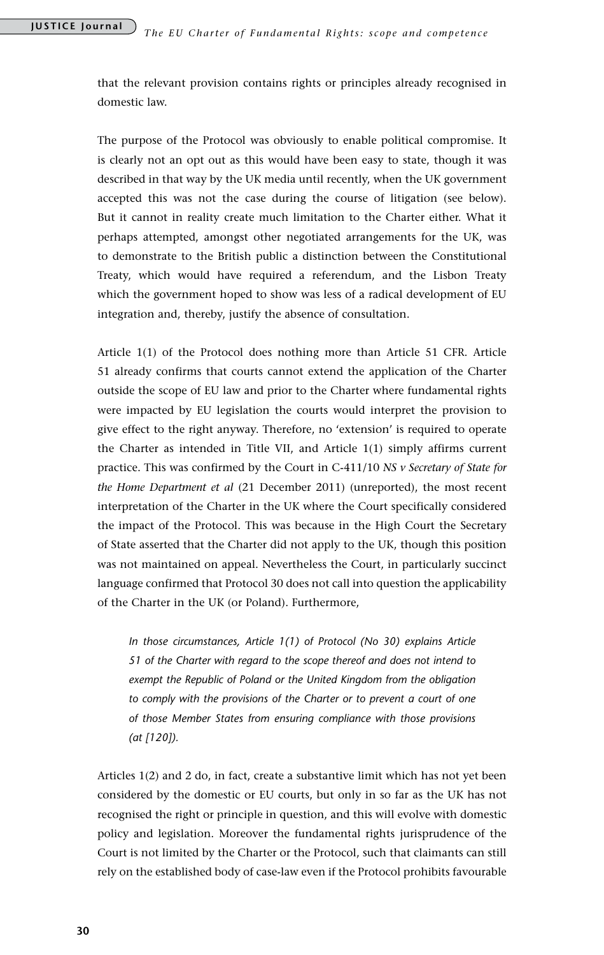that the relevant provision contains rights or principles already recognised in domestic law.

The purpose of the Protocol was obviously to enable political compromise. It is clearly not an opt out as this would have been easy to state, though it was described in that way by the UK media until recently, when the UK government accepted this was not the case during the course of litigation (see below). But it cannot in reality create much limitation to the Charter either. What it perhaps attempted, amongst other negotiated arrangements for the UK, was to demonstrate to the British public a distinction between the Constitutional Treaty, which would have required a referendum, and the Lisbon Treaty which the government hoped to show was less of a radical development of EU integration and, thereby, justify the absence of consultation.

Article 1(1) of the Protocol does nothing more than Article 51 CFR. Article 51 already confirms that courts cannot extend the application of the Charter outside the scope of EU law and prior to the Charter where fundamental rights were impacted by EU legislation the courts would interpret the provision to give effect to the right anyway. Therefore, no 'extension' is required to operate the Charter as intended in Title VII, and Article 1(1) simply affirms current practice. This was confirmed by the Court in C-411/10 *NS v Secretary of State for the Home Department et al* (21 December 2011) (unreported), the most recent interpretation of the Charter in the UK where the Court specifically considered the impact of the Protocol. This was because in the High Court the Secretary of State asserted that the Charter did not apply to the UK, though this position was not maintained on appeal. Nevertheless the Court, in particularly succinct language confirmed that Protocol 30 does not call into question the applicability of the Charter in the UK (or Poland). Furthermore,

*In those circumstances, Article 1(1) of Protocol (No 30) explains Article 51 of the Charter with regard to the scope thereof and does not intend to exempt the Republic of Poland or the United Kingdom from the obligation to comply with the provisions of the Charter or to prevent a court of one of those Member States from ensuring compliance with those provisions (at [120]).*

Articles 1(2) and 2 do, in fact, create a substantive limit which has not yet been considered by the domestic or EU courts, but only in so far as the UK has not recognised the right or principle in question, and this will evolve with domestic policy and legislation. Moreover the fundamental rights jurisprudence of the Court is not limited by the Charter or the Protocol, such that claimants can still rely on the established body of case-law even if the Protocol prohibits favourable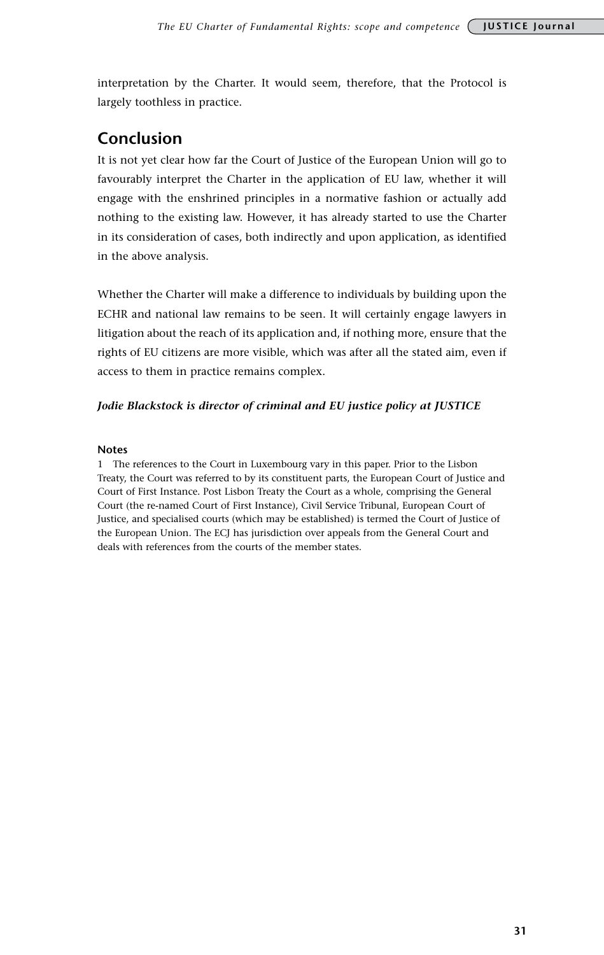interpretation by the Charter. It would seem, therefore, that the Protocol is largely toothless in practice.

### **Conclusion**

It is not yet clear how far the Court of Justice of the European Union will go to favourably interpret the Charter in the application of EU law, whether it will engage with the enshrined principles in a normative fashion or actually add nothing to the existing law. However, it has already started to use the Charter in its consideration of cases, both indirectly and upon application, as identified in the above analysis.

Whether the Charter will make a difference to individuals by building upon the ECHR and national law remains to be seen. It will certainly engage lawyers in litigation about the reach of its application and, if nothing more, ensure that the rights of EU citizens are more visible, which was after all the stated aim, even if access to them in practice remains complex.

### *Jodie Blackstock is director of criminal and EU justice policy at JUSTICE*

### **Notes**

1 The references to the Court in Luxembourg vary in this paper. Prior to the Lisbon Treaty, the Court was referred to by its constituent parts, the European Court of Justice and Court of First Instance. Post Lisbon Treaty the Court as a whole, comprising the General Court (the re-named Court of First Instance), Civil Service Tribunal, European Court of Justice, and specialised courts (which may be established) is termed the Court of Justice of the European Union. The ECJ has jurisdiction over appeals from the General Court and deals with references from the courts of the member states.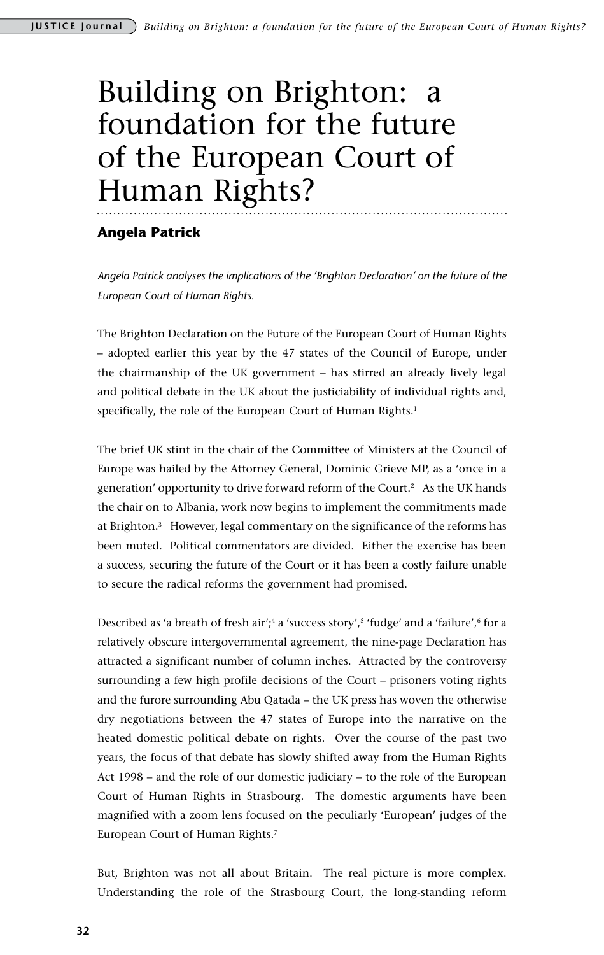## Building on Brighton: a foundation for the future of the European Court of Human Rights?

### **Angela Patrick**

*Angela Patrick analyses the implications of the 'Brighton Declaration' on the future of the European Court of Human Rights.*

The Brighton Declaration on the Future of the European Court of Human Rights – adopted earlier this year by the 47 states of the Council of Europe, under the chairmanship of the UK government – has stirred an already lively legal and political debate in the UK about the justiciability of individual rights and, specifically, the role of the European Court of Human Rights.<sup>1</sup>

The brief UK stint in the chair of the Committee of Ministers at the Council of Europe was hailed by the Attorney General, Dominic Grieve MP, as a 'once in a generation' opportunity to drive forward reform of the Court.<sup>2</sup> As the UK hands the chair on to Albania, work now begins to implement the commitments made at Brighton.3 However, legal commentary on the significance of the reforms has been muted. Political commentators are divided. Either the exercise has been a success, securing the future of the Court or it has been a costly failure unable to secure the radical reforms the government had promised.

Described as 'a breath of fresh air';<sup>4</sup> a 'success story',<sup>5</sup> 'fudge' and a 'failure',<sup>6</sup> for a relatively obscure intergovernmental agreement, the nine-page Declaration has attracted a significant number of column inches. Attracted by the controversy surrounding a few high profile decisions of the Court – prisoners voting rights and the furore surrounding Abu Qatada – the UK press has woven the otherwise dry negotiations between the 47 states of Europe into the narrative on the heated domestic political debate on rights. Over the course of the past two years, the focus of that debate has slowly shifted away from the Human Rights Act 1998 – and the role of our domestic judiciary – to the role of the European Court of Human Rights in Strasbourg. The domestic arguments have been magnified with a zoom lens focused on the peculiarly 'European' judges of the European Court of Human Rights.<sup>7</sup>

But, Brighton was not all about Britain. The real picture is more complex. Understanding the role of the Strasbourg Court, the long-standing reform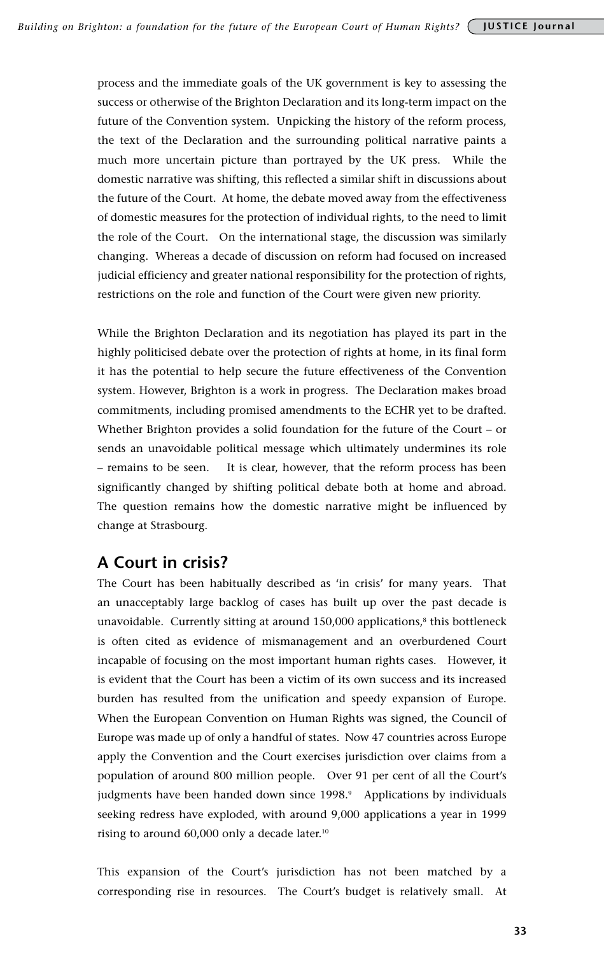process and the immediate goals of the UK government is key to assessing the success or otherwise of the Brighton Declaration and its long-term impact on the future of the Convention system. Unpicking the history of the reform process, the text of the Declaration and the surrounding political narrative paints a much more uncertain picture than portrayed by the UK press. While the domestic narrative was shifting, this reflected a similar shift in discussions about the future of the Court. At home, the debate moved away from the effectiveness of domestic measures for the protection of individual rights, to the need to limit the role of the Court. On the international stage, the discussion was similarly changing. Whereas a decade of discussion on reform had focused on increased judicial efficiency and greater national responsibility for the protection of rights, restrictions on the role and function of the Court were given new priority.

While the Brighton Declaration and its negotiation has played its part in the highly politicised debate over the protection of rights at home, in its final form it has the potential to help secure the future effectiveness of the Convention system. However, Brighton is a work in progress. The Declaration makes broad commitments, including promised amendments to the ECHR yet to be drafted. Whether Brighton provides a solid foundation for the future of the Court – or sends an unavoidable political message which ultimately undermines its role – remains to be seen. It is clear, however, that the reform process has been significantly changed by shifting political debate both at home and abroad. The question remains how the domestic narrative might be influenced by change at Strasbourg.

### **A Court in crisis?**

The Court has been habitually described as 'in crisis' for many years. That an unacceptably large backlog of cases has built up over the past decade is unavoidable. Currently sitting at around  $150,000$  applications,<sup>8</sup> this bottleneck is often cited as evidence of mismanagement and an overburdened Court incapable of focusing on the most important human rights cases. However, it is evident that the Court has been a victim of its own success and its increased burden has resulted from the unification and speedy expansion of Europe. When the European Convention on Human Rights was signed, the Council of Europe was made up of only a handful of states. Now 47 countries across Europe apply the Convention and the Court exercises jurisdiction over claims from a population of around 800 million people. Over 91 per cent of all the Court's judgments have been handed down since 1998.<sup>9</sup> Applications by individuals seeking redress have exploded, with around 9,000 applications a year in 1999 rising to around 60,000 only a decade later.10

This expansion of the Court's jurisdiction has not been matched by a corresponding rise in resources. The Court's budget is relatively small. At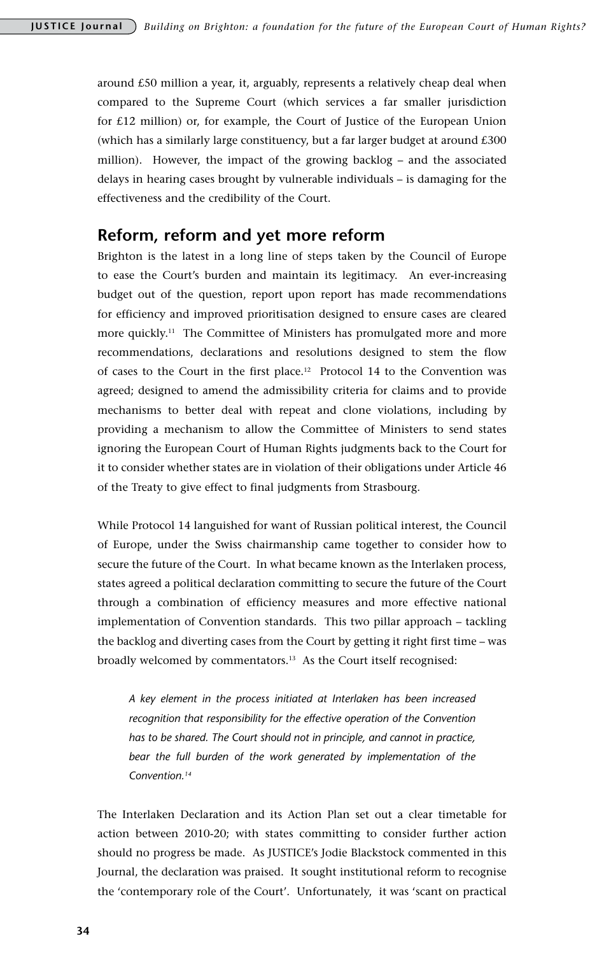around £50 million a year, it, arguably, represents a relatively cheap deal when compared to the Supreme Court (which services a far smaller jurisdiction for £12 million) or, for example, the Court of Justice of the European Union (which has a similarly large constituency, but a far larger budget at around  $£300$ million). However, the impact of the growing backlog – and the associated delays in hearing cases brought by vulnerable individuals – is damaging for the effectiveness and the credibility of the Court.

### **Reform, reform and yet more reform**

Brighton is the latest in a long line of steps taken by the Council of Europe to ease the Court's burden and maintain its legitimacy. An ever-increasing budget out of the question, report upon report has made recommendations for efficiency and improved prioritisation designed to ensure cases are cleared more quickly.<sup>11</sup> The Committee of Ministers has promulgated more and more recommendations, declarations and resolutions designed to stem the flow of cases to the Court in the first place.12 Protocol 14 to the Convention was agreed; designed to amend the admissibility criteria for claims and to provide mechanisms to better deal with repeat and clone violations, including by providing a mechanism to allow the Committee of Ministers to send states ignoring the European Court of Human Rights judgments back to the Court for it to consider whether states are in violation of their obligations under Article 46 of the Treaty to give effect to final judgments from Strasbourg.

While Protocol 14 languished for want of Russian political interest, the Council of Europe, under the Swiss chairmanship came together to consider how to secure the future of the Court. In what became known as the Interlaken process, states agreed a political declaration committing to secure the future of the Court through a combination of efficiency measures and more effective national implementation of Convention standards. This two pillar approach – tackling the backlog and diverting cases from the Court by getting it right first time – was broadly welcomed by commentators.13 As the Court itself recognised:

*A key element in the process initiated at Interlaken has been increased recognition that responsibility for the effective operation of the Convention has to be shared. The Court should not in principle, and cannot in practice, bear the full burden of the work generated by implementation of the Convention.14*

The Interlaken Declaration and its Action Plan set out a clear timetable for action between 2010-20; with states committing to consider further action should no progress be made. As JUSTICE's Jodie Blackstock commented in this Journal, the declaration was praised. It sought institutional reform to recognise the 'contemporary role of the Court'. Unfortunately, it was 'scant on practical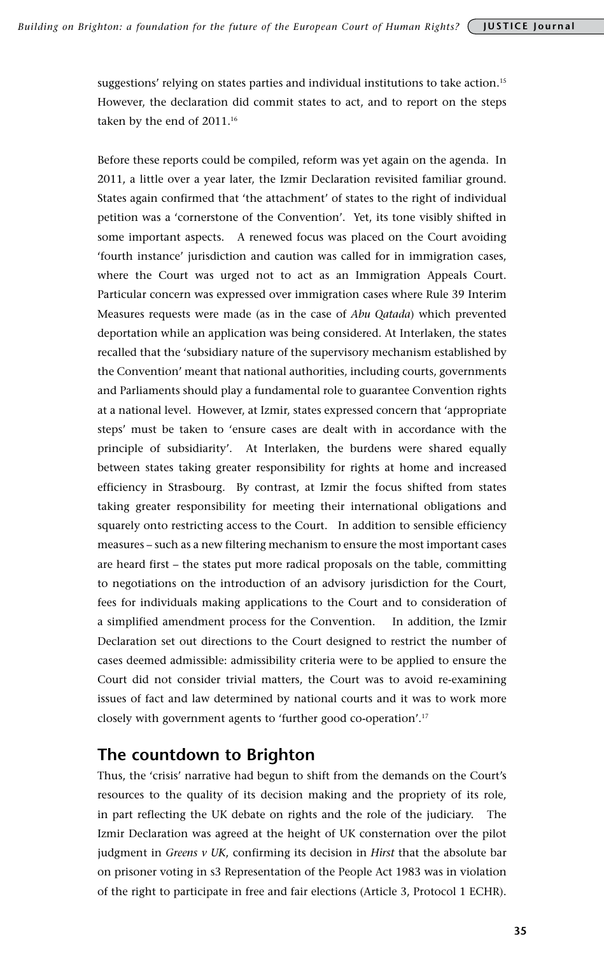suggestions' relying on states parties and individual institutions to take action.15 However, the declaration did commit states to act, and to report on the steps taken by the end of 2011.<sup>16</sup>

Before these reports could be compiled, reform was yet again on the agenda. In 2011, a little over a year later, the Izmir Declaration revisited familiar ground. States again confirmed that 'the attachment' of states to the right of individual petition was a 'cornerstone of the Convention'. Yet, its tone visibly shifted in some important aspects. A renewed focus was placed on the Court avoiding 'fourth instance' jurisdiction and caution was called for in immigration cases, where the Court was urged not to act as an Immigration Appeals Court. Particular concern was expressed over immigration cases where Rule 39 Interim Measures requests were made (as in the case of *Abu Qatada*) which prevented deportation while an application was being considered. At Interlaken, the states recalled that the 'subsidiary nature of the supervisory mechanism established by the Convention' meant that national authorities, including courts, governments and Parliaments should play a fundamental role to guarantee Convention rights at a national level. However, at Izmir, states expressed concern that 'appropriate steps' must be taken to 'ensure cases are dealt with in accordance with the principle of subsidiarity'. At Interlaken, the burdens were shared equally between states taking greater responsibility for rights at home and increased efficiency in Strasbourg. By contrast, at Izmir the focus shifted from states taking greater responsibility for meeting their international obligations and squarely onto restricting access to the Court. In addition to sensible efficiency measures – such as a new filtering mechanism to ensure the most important cases are heard first – the states put more radical proposals on the table, committing to negotiations on the introduction of an advisory jurisdiction for the Court, fees for individuals making applications to the Court and to consideration of a simplified amendment process for the Convention. In addition, the Izmir Declaration set out directions to the Court designed to restrict the number of cases deemed admissible: admissibility criteria were to be applied to ensure the Court did not consider trivial matters, the Court was to avoid re-examining issues of fact and law determined by national courts and it was to work more closely with government agents to 'further good co-operation'.17

### **The countdown to Brighton**

Thus, the 'crisis' narrative had begun to shift from the demands on the Court's resources to the quality of its decision making and the propriety of its role, in part reflecting the UK debate on rights and the role of the judiciary. The Izmir Declaration was agreed at the height of UK consternation over the pilot judgment in *Greens v UK*, confirming its decision in *Hirst* that the absolute bar on prisoner voting in s3 Representation of the People Act 1983 was in violation of the right to participate in free and fair elections (Article 3, Protocol 1 ECHR).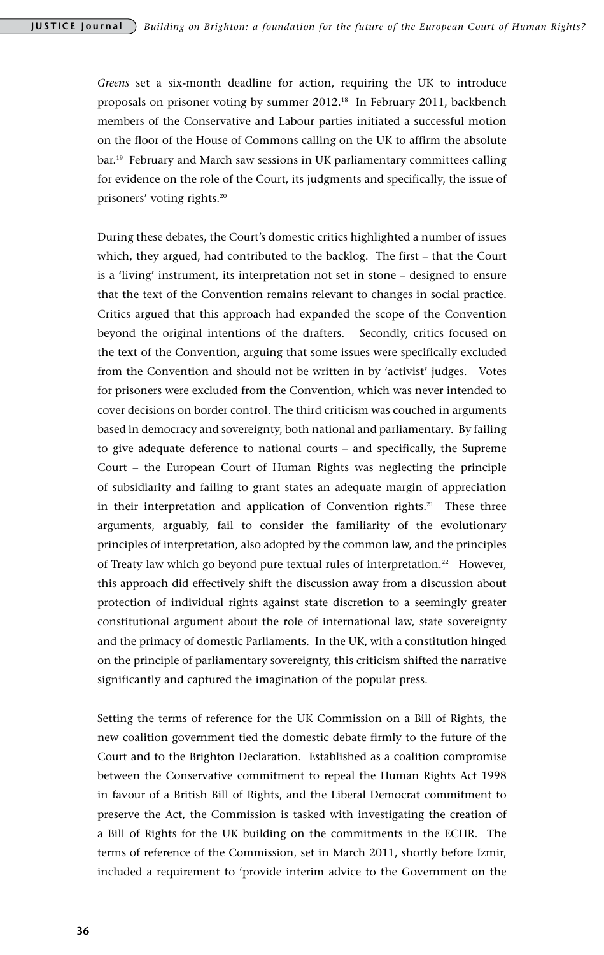*Greens* set a six-month deadline for action, requiring the UK to introduce proposals on prisoner voting by summer 2012.<sup>18</sup> In February 2011, backbench members of the Conservative and Labour parties initiated a successful motion on the floor of the House of Commons calling on the UK to affirm the absolute bar.19 February and March saw sessions in UK parliamentary committees calling for evidence on the role of the Court, its judgments and specifically, the issue of prisoners' voting rights.20

During these debates, the Court's domestic critics highlighted a number of issues which, they argued, had contributed to the backlog. The first – that the Court is a 'living' instrument, its interpretation not set in stone – designed to ensure that the text of the Convention remains relevant to changes in social practice. Critics argued that this approach had expanded the scope of the Convention beyond the original intentions of the drafters. Secondly, critics focused on the text of the Convention, arguing that some issues were specifically excluded from the Convention and should not be written in by 'activist' judges. Votes for prisoners were excluded from the Convention, which was never intended to cover decisions on border control. The third criticism was couched in arguments based in democracy and sovereignty, both national and parliamentary. By failing to give adequate deference to national courts – and specifically, the Supreme Court – the European Court of Human Rights was neglecting the principle of subsidiarity and failing to grant states an adequate margin of appreciation in their interpretation and application of Convention rights.<sup>21</sup> These three arguments, arguably, fail to consider the familiarity of the evolutionary principles of interpretation, also adopted by the common law, and the principles of Treaty law which go beyond pure textual rules of interpretation.<sup>22</sup> However, this approach did effectively shift the discussion away from a discussion about protection of individual rights against state discretion to a seemingly greater constitutional argument about the role of international law, state sovereignty and the primacy of domestic Parliaments. In the UK, with a constitution hinged on the principle of parliamentary sovereignty, this criticism shifted the narrative significantly and captured the imagination of the popular press.

Setting the terms of reference for the UK Commission on a Bill of Rights, the new coalition government tied the domestic debate firmly to the future of the Court and to the Brighton Declaration. Established as a coalition compromise between the Conservative commitment to repeal the Human Rights Act 1998 in favour of a British Bill of Rights, and the Liberal Democrat commitment to preserve the Act, the Commission is tasked with investigating the creation of a Bill of Rights for the UK building on the commitments in the ECHR. The terms of reference of the Commission, set in March 2011, shortly before Izmir, included a requirement to 'provide interim advice to the Government on the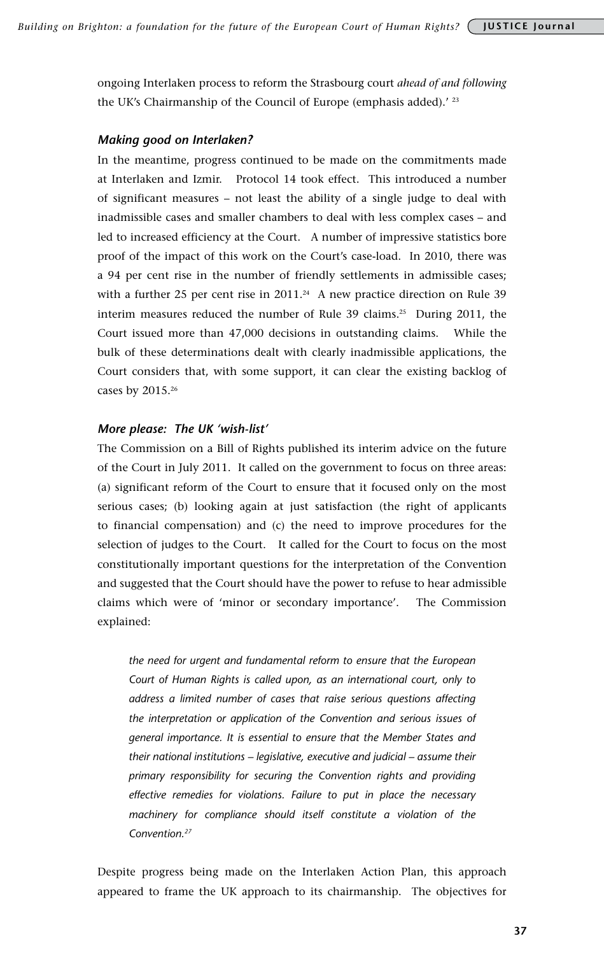ongoing Interlaken process to reform the Strasbourg court *ahead of and following* the UK's Chairmanship of the Council of Europe (emphasis added).<sup>' 23</sup>

#### *Making good on Interlaken?*

In the meantime, progress continued to be made on the commitments made at Interlaken and Izmir. Protocol 14 took effect. This introduced a number of significant measures – not least the ability of a single judge to deal with inadmissible cases and smaller chambers to deal with less complex cases – and led to increased efficiency at the Court. A number of impressive statistics bore proof of the impact of this work on the Court's case-load. In 2010, there was a 94 per cent rise in the number of friendly settlements in admissible cases; with a further 25 per cent rise in  $2011.^{24}$  A new practice direction on Rule 39 interim measures reduced the number of Rule 39 claims.<sup>25</sup> During 2011, the Court issued more than 47,000 decisions in outstanding claims. While the bulk of these determinations dealt with clearly inadmissible applications, the Court considers that, with some support, it can clear the existing backlog of cases by 2015.26

#### *More please: The UK 'wish-list'*

The Commission on a Bill of Rights published its interim advice on the future of the Court in July 2011. It called on the government to focus on three areas: (a) significant reform of the Court to ensure that it focused only on the most serious cases; (b) looking again at just satisfaction (the right of applicants to financial compensation) and (c) the need to improve procedures for the selection of judges to the Court. It called for the Court to focus on the most constitutionally important questions for the interpretation of the Convention and suggested that the Court should have the power to refuse to hear admissible claims which were of 'minor or secondary importance'. The Commission explained:

*the need for urgent and fundamental reform to ensure that the European Court of Human Rights is called upon, as an international court, only to address a limited number of cases that raise serious questions affecting the interpretation or application of the Convention and serious issues of general importance. It is essential to ensure that the Member States and their national institutions – legislative, executive and judicial – assume their primary responsibility for securing the Convention rights and providing effective remedies for violations. Failure to put in place the necessary machinery for compliance should itself constitute a violation of the Convention.27*

Despite progress being made on the Interlaken Action Plan, this approach appeared to frame the UK approach to its chairmanship. The objectives for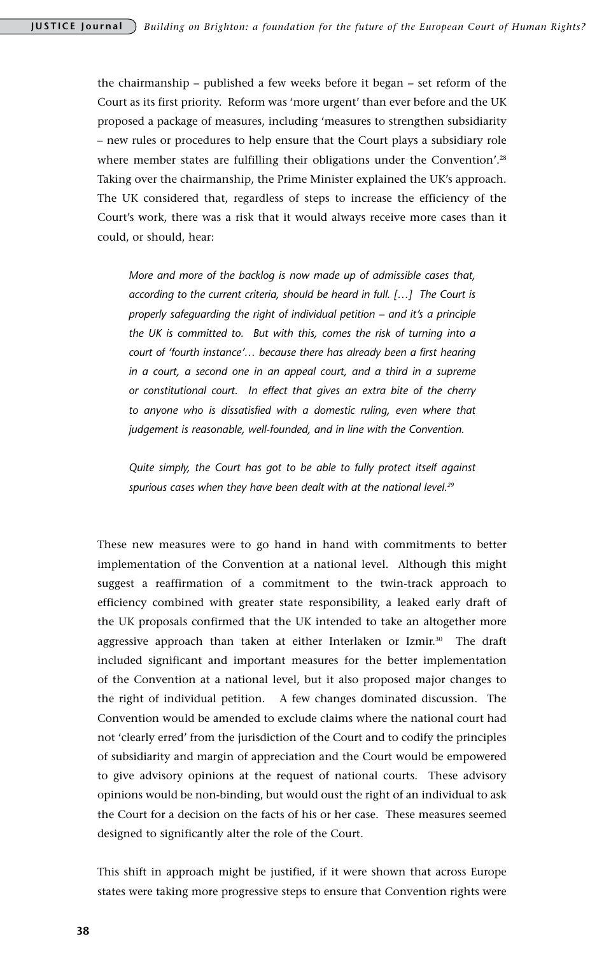the chairmanship – published a few weeks before it began – set reform of the Court as its first priority. Reform was 'more urgent' than ever before and the UK proposed a package of measures, including 'measures to strengthen subsidiarity – new rules or procedures to help ensure that the Court plays a subsidiary role where member states are fulfilling their obligations under the Convention'.<sup>28</sup> Taking over the chairmanship, the Prime Minister explained the UK's approach. The UK considered that, regardless of steps to increase the efficiency of the Court's work, there was a risk that it would always receive more cases than it could, or should, hear:

*More and more of the backlog is now made up of admissible cases that, according to the current criteria, should be heard in full. […] The Court is properly safeguarding the right of individual petition – and it's a principle the UK is committed to. But with this, comes the risk of turning into a court of 'fourth instance'… because there has already been a first hearing in a court, a second one in an appeal court, and a third in a supreme or constitutional court. In effect that gives an extra bite of the cherry to anyone who is dissatisfied with a domestic ruling, even where that judgement is reasonable, well-founded, and in line with the Convention.*

*Quite simply, the Court has got to be able to fully protect itself against spurious cases when they have been dealt with at the national level.29*

These new measures were to go hand in hand with commitments to better implementation of the Convention at a national level. Although this might suggest a reaffirmation of a commitment to the twin-track approach to efficiency combined with greater state responsibility, a leaked early draft of the UK proposals confirmed that the UK intended to take an altogether more aggressive approach than taken at either Interlaken or Izmir.30 The draft included significant and important measures for the better implementation of the Convention at a national level, but it also proposed major changes to the right of individual petition. A few changes dominated discussion. The Convention would be amended to exclude claims where the national court had not 'clearly erred' from the jurisdiction of the Court and to codify the principles of subsidiarity and margin of appreciation and the Court would be empowered to give advisory opinions at the request of national courts. These advisory opinions would be non-binding, but would oust the right of an individual to ask the Court for a decision on the facts of his or her case. These measures seemed designed to significantly alter the role of the Court.

This shift in approach might be justified, if it were shown that across Europe states were taking more progressive steps to ensure that Convention rights were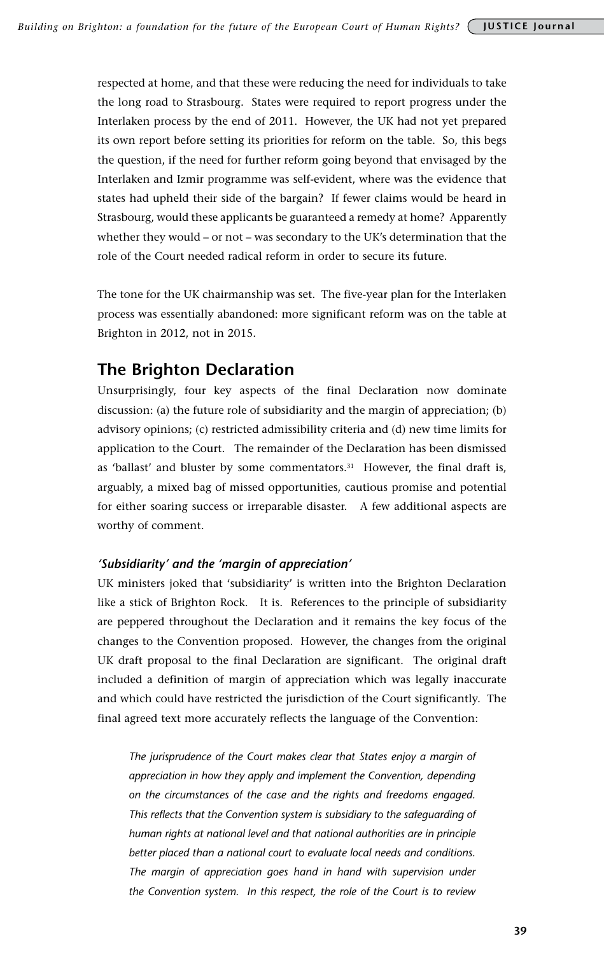respected at home, and that these were reducing the need for individuals to take the long road to Strasbourg. States were required to report progress under the Interlaken process by the end of 2011. However, the UK had not yet prepared its own report before setting its priorities for reform on the table. So, this begs the question, if the need for further reform going beyond that envisaged by the Interlaken and Izmir programme was self-evident, where was the evidence that states had upheld their side of the bargain? If fewer claims would be heard in Strasbourg, would these applicants be guaranteed a remedy at home? Apparently whether they would – or not – was secondary to the UK's determination that the role of the Court needed radical reform in order to secure its future.

The tone for the UK chairmanship was set. The five-year plan for the Interlaken process was essentially abandoned: more significant reform was on the table at Brighton in 2012, not in 2015.

# **The Brighton Declaration**

Unsurprisingly, four key aspects of the final Declaration now dominate discussion: (a) the future role of subsidiarity and the margin of appreciation; (b) advisory opinions; (c) restricted admissibility criteria and (d) new time limits for application to the Court. The remainder of the Declaration has been dismissed as 'ballast' and bluster by some commentators.31 However, the final draft is, arguably, a mixed bag of missed opportunities, cautious promise and potential for either soaring success or irreparable disaster. A few additional aspects are worthy of comment.

### *'Subsidiarity' and the 'margin of appreciation'*

UK ministers joked that 'subsidiarity' is written into the Brighton Declaration like a stick of Brighton Rock. It is. References to the principle of subsidiarity are peppered throughout the Declaration and it remains the key focus of the changes to the Convention proposed. However, the changes from the original UK draft proposal to the final Declaration are significant. The original draft included a definition of margin of appreciation which was legally inaccurate and which could have restricted the jurisdiction of the Court significantly. The final agreed text more accurately reflects the language of the Convention:

*The jurisprudence of the Court makes clear that States enjoy a margin of appreciation in how they apply and implement the Convention, depending on the circumstances of the case and the rights and freedoms engaged.*  This reflects that the Convention system is subsidiary to the safeguarding of *human rights at national level and that national authorities are in principle better placed than a national court to evaluate local needs and conditions. The margin of appreciation goes hand in hand with supervision under the Convention system. In this respect, the role of the Court is to review*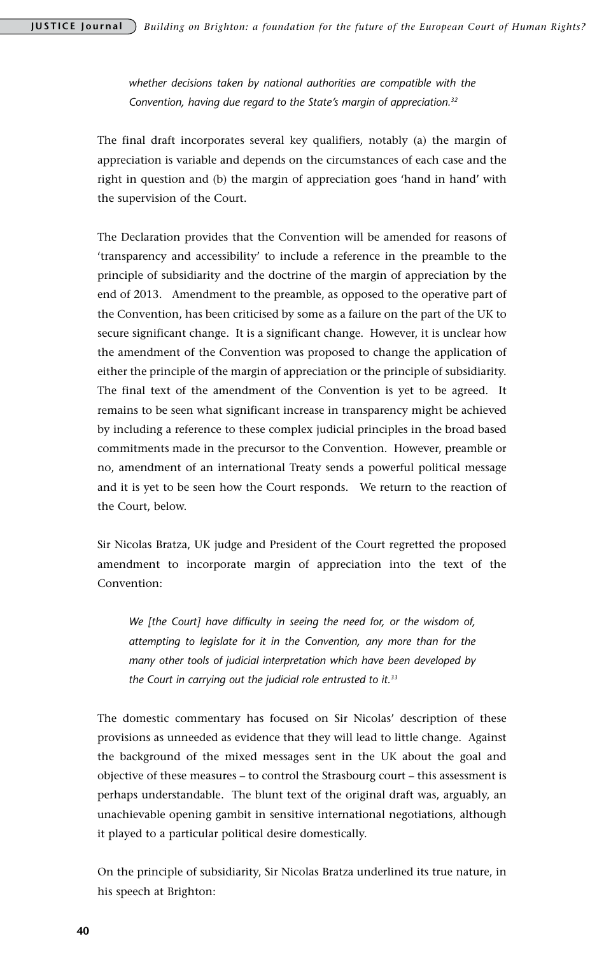*whether decisions taken by national authorities are compatible with the Convention, having due regard to the State's margin of appreciation.32*

The final draft incorporates several key qualifiers, notably (a) the margin of appreciation is variable and depends on the circumstances of each case and the right in question and (b) the margin of appreciation goes 'hand in hand' with the supervision of the Court.

The Declaration provides that the Convention will be amended for reasons of 'transparency and accessibility' to include a reference in the preamble to the principle of subsidiarity and the doctrine of the margin of appreciation by the end of 2013. Amendment to the preamble, as opposed to the operative part of the Convention, has been criticised by some as a failure on the part of the UK to secure significant change. It is a significant change. However, it is unclear how the amendment of the Convention was proposed to change the application of either the principle of the margin of appreciation or the principle of subsidiarity. The final text of the amendment of the Convention is yet to be agreed. It remains to be seen what significant increase in transparency might be achieved by including a reference to these complex judicial principles in the broad based commitments made in the precursor to the Convention. However, preamble or no, amendment of an international Treaty sends a powerful political message and it is yet to be seen how the Court responds. We return to the reaction of the Court, below.

Sir Nicolas Bratza, UK judge and President of the Court regretted the proposed amendment to incorporate margin of appreciation into the text of the Convention:

*We [the Court] have difficulty in seeing the need for, or the wisdom of, attempting to legislate for it in the Convention, any more than for the many other tools of judicial interpretation which have been developed by the Court in carrying out the judicial role entrusted to it.33* 

The domestic commentary has focused on Sir Nicolas' description of these provisions as unneeded as evidence that they will lead to little change. Against the background of the mixed messages sent in the UK about the goal and objective of these measures – to control the Strasbourg court – this assessment is perhaps understandable. The blunt text of the original draft was, arguably, an unachievable opening gambit in sensitive international negotiations, although it played to a particular political desire domestically.

On the principle of subsidiarity, Sir Nicolas Bratza underlined its true nature, in his speech at Brighton: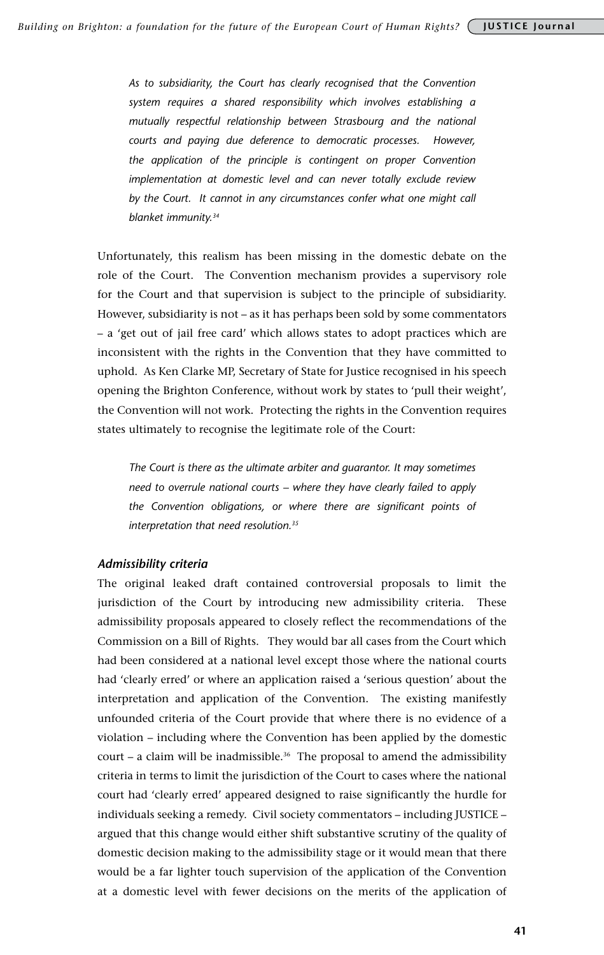*As to subsidiarity, the Court has clearly recognised that the Convention system requires a shared responsibility which involves establishing a mutually respectful relationship between Strasbourg and the national courts and paying due deference to democratic processes. However, the application of the principle is contingent on proper Convention implementation at domestic level and can never totally exclude review*  by the Court. It cannot in any circumstances confer what one might call *blanket immunity.34* 

Unfortunately, this realism has been missing in the domestic debate on the role of the Court. The Convention mechanism provides a supervisory role for the Court and that supervision is subject to the principle of subsidiarity. However, subsidiarity is not – as it has perhaps been sold by some commentators – a 'get out of jail free card' which allows states to adopt practices which are inconsistent with the rights in the Convention that they have committed to uphold. As Ken Clarke MP, Secretary of State for Justice recognised in his speech opening the Brighton Conference, without work by states to 'pull their weight', the Convention will not work. Protecting the rights in the Convention requires states ultimately to recognise the legitimate role of the Court:

*The Court is there as the ultimate arbiter and guarantor. It may sometimes need to overrule national courts – where they have clearly failed to apply the Convention obligations, or where there are significant points of interpretation that need resolution.35*

### *Admissibility criteria*

The original leaked draft contained controversial proposals to limit the jurisdiction of the Court by introducing new admissibility criteria. These admissibility proposals appeared to closely reflect the recommendations of the Commission on a Bill of Rights. They would bar all cases from the Court which had been considered at a national level except those where the national courts had 'clearly erred' or where an application raised a 'serious question' about the interpretation and application of the Convention. The existing manifestly unfounded criteria of the Court provide that where there is no evidence of a violation – including where the Convention has been applied by the domestic court – a claim will be inadmissible.<sup>36</sup> The proposal to amend the admissibility criteria in terms to limit the jurisdiction of the Court to cases where the national court had 'clearly erred' appeared designed to raise significantly the hurdle for individuals seeking a remedy. Civil society commentators – including JUSTICE – argued that this change would either shift substantive scrutiny of the quality of domestic decision making to the admissibility stage or it would mean that there would be a far lighter touch supervision of the application of the Convention at a domestic level with fewer decisions on the merits of the application of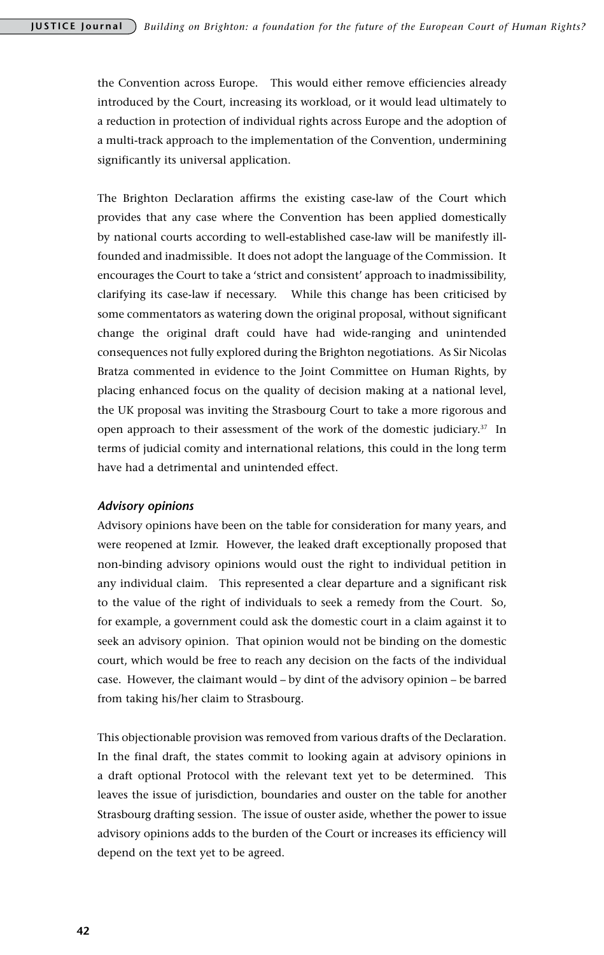the Convention across Europe. This would either remove efficiencies already introduced by the Court, increasing its workload, or it would lead ultimately to a reduction in protection of individual rights across Europe and the adoption of a multi-track approach to the implementation of the Convention, undermining significantly its universal application.

The Brighton Declaration affirms the existing case-law of the Court which provides that any case where the Convention has been applied domestically by national courts according to well-established case-law will be manifestly illfounded and inadmissible. It does not adopt the language of the Commission. It encourages the Court to take a 'strict and consistent' approach to inadmissibility, clarifying its case-law if necessary. While this change has been criticised by some commentators as watering down the original proposal, without significant change the original draft could have had wide-ranging and unintended consequences not fully explored during the Brighton negotiations. As Sir Nicolas Bratza commented in evidence to the Joint Committee on Human Rights, by placing enhanced focus on the quality of decision making at a national level, the UK proposal was inviting the Strasbourg Court to take a more rigorous and open approach to their assessment of the work of the domestic judiciary.<sup>37</sup> In terms of judicial comity and international relations, this could in the long term have had a detrimental and unintended effect.

#### *Advisory opinions*

Advisory opinions have been on the table for consideration for many years, and were reopened at Izmir. However, the leaked draft exceptionally proposed that non-binding advisory opinions would oust the right to individual petition in any individual claim. This represented a clear departure and a significant risk to the value of the right of individuals to seek a remedy from the Court. So, for example, a government could ask the domestic court in a claim against it to seek an advisory opinion. That opinion would not be binding on the domestic court, which would be free to reach any decision on the facts of the individual case. However, the claimant would – by dint of the advisory opinion – be barred from taking his/her claim to Strasbourg.

This objectionable provision was removed from various drafts of the Declaration. In the final draft, the states commit to looking again at advisory opinions in a draft optional Protocol with the relevant text yet to be determined. This leaves the issue of jurisdiction, boundaries and ouster on the table for another Strasbourg drafting session. The issue of ouster aside, whether the power to issue advisory opinions adds to the burden of the Court or increases its efficiency will depend on the text yet to be agreed.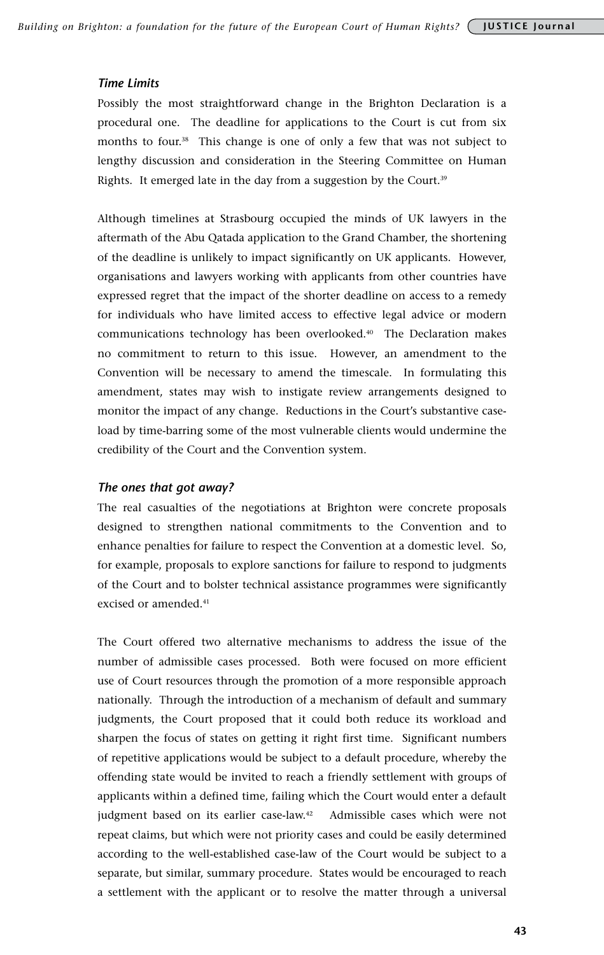#### *Time Limits*

Possibly the most straightforward change in the Brighton Declaration is a procedural one. The deadline for applications to the Court is cut from six months to four.38 This change is one of only a few that was not subject to lengthy discussion and consideration in the Steering Committee on Human Rights. It emerged late in the day from a suggestion by the Court.<sup>39</sup>

Although timelines at Strasbourg occupied the minds of UK lawyers in the aftermath of the Abu Qatada application to the Grand Chamber, the shortening of the deadline is unlikely to impact significantly on UK applicants. However, organisations and lawyers working with applicants from other countries have expressed regret that the impact of the shorter deadline on access to a remedy for individuals who have limited access to effective legal advice or modern communications technology has been overlooked.40 The Declaration makes no commitment to return to this issue. However, an amendment to the Convention will be necessary to amend the timescale. In formulating this amendment, states may wish to instigate review arrangements designed to monitor the impact of any change. Reductions in the Court's substantive caseload by time-barring some of the most vulnerable clients would undermine the credibility of the Court and the Convention system.

#### *The ones that got away?*

The real casualties of the negotiations at Brighton were concrete proposals designed to strengthen national commitments to the Convention and to enhance penalties for failure to respect the Convention at a domestic level. So, for example, proposals to explore sanctions for failure to respond to judgments of the Court and to bolster technical assistance programmes were significantly excised or amended.<sup>41</sup>

The Court offered two alternative mechanisms to address the issue of the number of admissible cases processed. Both were focused on more efficient use of Court resources through the promotion of a more responsible approach nationally. Through the introduction of a mechanism of default and summary judgments, the Court proposed that it could both reduce its workload and sharpen the focus of states on getting it right first time. Significant numbers of repetitive applications would be subject to a default procedure, whereby the offending state would be invited to reach a friendly settlement with groups of applicants within a defined time, failing which the Court would enter a default judgment based on its earlier case-law.42 Admissible cases which were not repeat claims, but which were not priority cases and could be easily determined according to the well-established case-law of the Court would be subject to a separate, but similar, summary procedure. States would be encouraged to reach a settlement with the applicant or to resolve the matter through a universal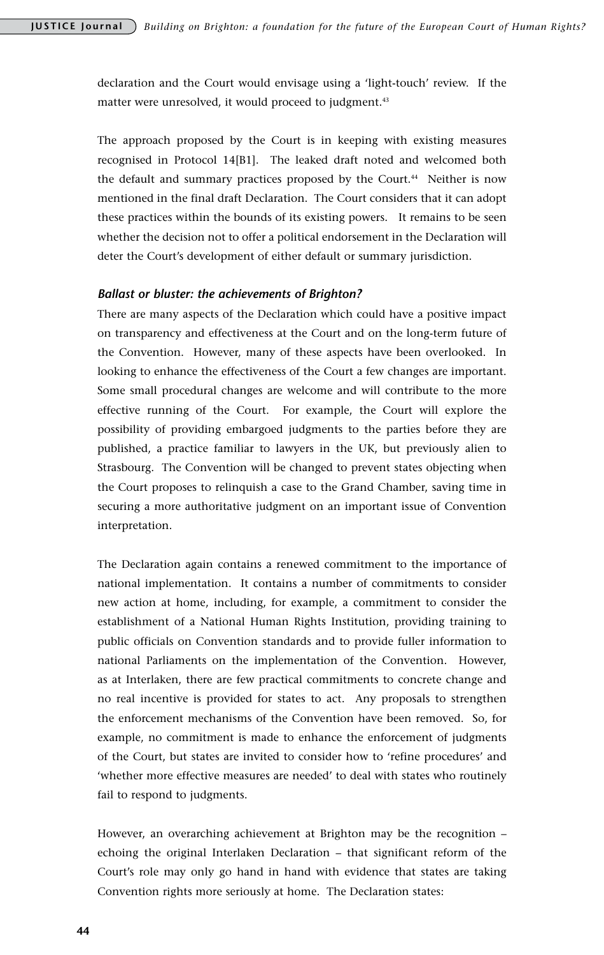declaration and the Court would envisage using a 'light-touch' review. If the matter were unresolved, it would proceed to judgment.<sup>43</sup>

The approach proposed by the Court is in keeping with existing measures recognised in Protocol 14[B1]. The leaked draft noted and welcomed both the default and summary practices proposed by the Court.<sup>44</sup> Neither is now mentioned in the final draft Declaration. The Court considers that it can adopt these practices within the bounds of its existing powers. It remains to be seen whether the decision not to offer a political endorsement in the Declaration will deter the Court's development of either default or summary jurisdiction.

#### *Ballast or bluster: the achievements of Brighton?*

There are many aspects of the Declaration which could have a positive impact on transparency and effectiveness at the Court and on the long-term future of the Convention. However, many of these aspects have been overlooked. In looking to enhance the effectiveness of the Court a few changes are important. Some small procedural changes are welcome and will contribute to the more effective running of the Court. For example, the Court will explore the possibility of providing embargoed judgments to the parties before they are published, a practice familiar to lawyers in the UK, but previously alien to Strasbourg. The Convention will be changed to prevent states objecting when the Court proposes to relinquish a case to the Grand Chamber, saving time in securing a more authoritative judgment on an important issue of Convention interpretation.

The Declaration again contains a renewed commitment to the importance of national implementation. It contains a number of commitments to consider new action at home, including, for example, a commitment to consider the establishment of a National Human Rights Institution, providing training to public officials on Convention standards and to provide fuller information to national Parliaments on the implementation of the Convention. However, as at Interlaken, there are few practical commitments to concrete change and no real incentive is provided for states to act. Any proposals to strengthen the enforcement mechanisms of the Convention have been removed. So, for example, no commitment is made to enhance the enforcement of judgments of the Court, but states are invited to consider how to 'refine procedures' and 'whether more effective measures are needed' to deal with states who routinely fail to respond to judgments.

However, an overarching achievement at Brighton may be the recognition – echoing the original Interlaken Declaration – that significant reform of the Court's role may only go hand in hand with evidence that states are taking Convention rights more seriously at home. The Declaration states: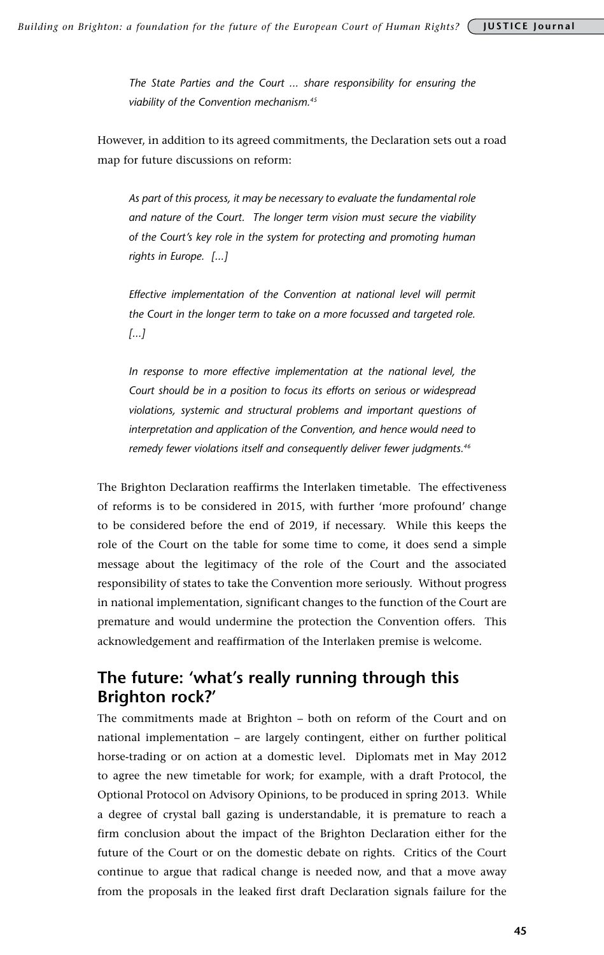*The State Parties and the Court ... share responsibility for ensuring the viability of the Convention mechanism.45* 

However, in addition to its agreed commitments, the Declaration sets out a road map for future discussions on reform:

*As part of this process, it may be necessary to evaluate the fundamental role and nature of the Court. The longer term vision must secure the viability of the Court's key role in the system for protecting and promoting human rights in Europe. [...]*

*Effective implementation of the Convention at national level will permit the Court in the longer term to take on a more focussed and targeted role. [...]*

In response to more effective implementation at the national level, the *Court should be in a position to focus its efforts on serious or widespread violations, systemic and structural problems and important questions of interpretation and application of the Convention, and hence would need to remedy fewer violations itself and consequently deliver fewer judgments.46*

The Brighton Declaration reaffirms the Interlaken timetable. The effectiveness of reforms is to be considered in 2015, with further 'more profound' change to be considered before the end of 2019, if necessary. While this keeps the role of the Court on the table for some time to come, it does send a simple message about the legitimacy of the role of the Court and the associated responsibility of states to take the Convention more seriously. Without progress in national implementation, significant changes to the function of the Court are premature and would undermine the protection the Convention offers. This acknowledgement and reaffirmation of the Interlaken premise is welcome.

# **The future: 'what's really running through this Brighton rock?'**

The commitments made at Brighton – both on reform of the Court and on national implementation – are largely contingent, either on further political horse-trading or on action at a domestic level. Diplomats met in May 2012 to agree the new timetable for work; for example, with a draft Protocol, the Optional Protocol on Advisory Opinions, to be produced in spring 2013. While a degree of crystal ball gazing is understandable, it is premature to reach a firm conclusion about the impact of the Brighton Declaration either for the future of the Court or on the domestic debate on rights. Critics of the Court continue to argue that radical change is needed now, and that a move away from the proposals in the leaked first draft Declaration signals failure for the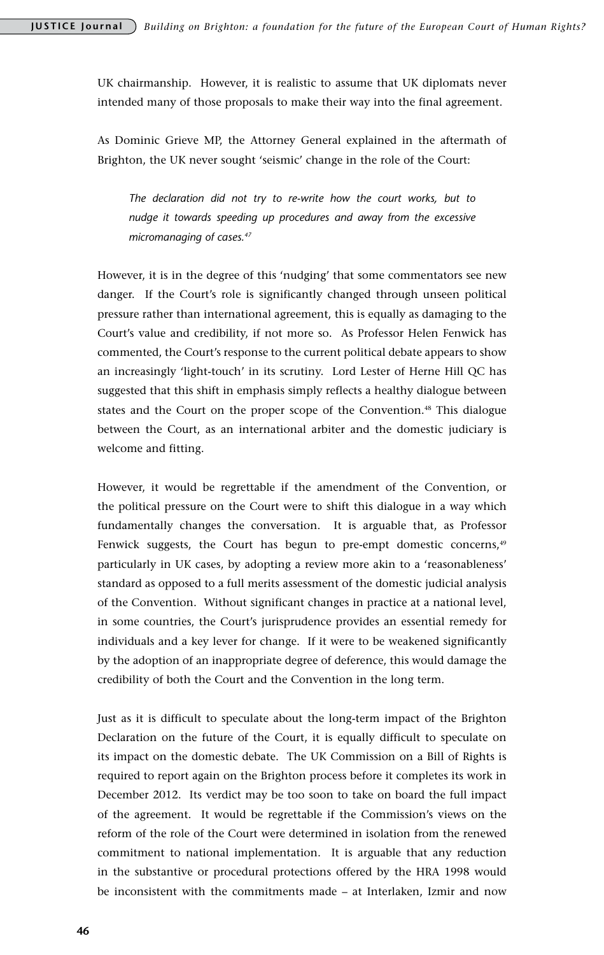UK chairmanship. However, it is realistic to assume that UK diplomats never intended many of those proposals to make their way into the final agreement.

As Dominic Grieve MP, the Attorney General explained in the aftermath of Brighton, the UK never sought 'seismic' change in the role of the Court:

*The declaration did not try to re-write how the court works, but to nudge it towards speeding up procedures and away from the excessive micromanaging of cases.47* 

However, it is in the degree of this 'nudging' that some commentators see new danger. If the Court's role is significantly changed through unseen political pressure rather than international agreement, this is equally as damaging to the Court's value and credibility, if not more so. As Professor Helen Fenwick has commented, the Court's response to the current political debate appears to show an increasingly 'light-touch' in its scrutiny. Lord Lester of Herne Hill QC has suggested that this shift in emphasis simply reflects a healthy dialogue between states and the Court on the proper scope of the Convention.48 This dialogue between the Court, as an international arbiter and the domestic judiciary is welcome and fitting.

However, it would be regrettable if the amendment of the Convention, or the political pressure on the Court were to shift this dialogue in a way which fundamentally changes the conversation. It is arguable that, as Professor Fenwick suggests, the Court has begun to pre-empt domestic concerns,<sup>49</sup> particularly in UK cases, by adopting a review more akin to a 'reasonableness' standard as opposed to a full merits assessment of the domestic judicial analysis of the Convention. Without significant changes in practice at a national level, in some countries, the Court's jurisprudence provides an essential remedy for individuals and a key lever for change. If it were to be weakened significantly by the adoption of an inappropriate degree of deference, this would damage the credibility of both the Court and the Convention in the long term.

Just as it is difficult to speculate about the long-term impact of the Brighton Declaration on the future of the Court, it is equally difficult to speculate on its impact on the domestic debate. The UK Commission on a Bill of Rights is required to report again on the Brighton process before it completes its work in December 2012. Its verdict may be too soon to take on board the full impact of the agreement. It would be regrettable if the Commission's views on the reform of the role of the Court were determined in isolation from the renewed commitment to national implementation. It is arguable that any reduction in the substantive or procedural protections offered by the HRA 1998 would be inconsistent with the commitments made – at Interlaken, Izmir and now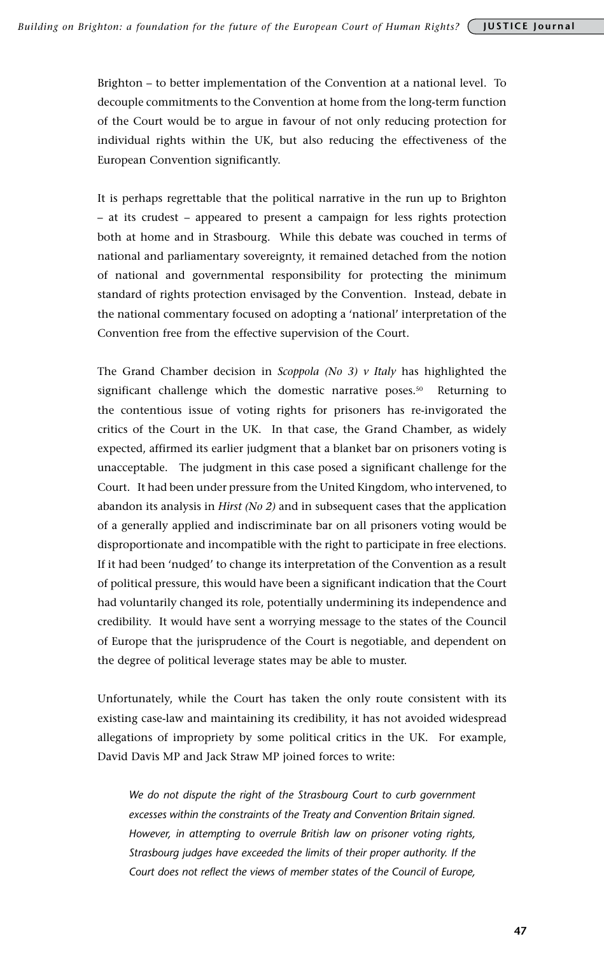Brighton – to better implementation of the Convention at a national level. To decouple commitments to the Convention at home from the long-term function of the Court would be to argue in favour of not only reducing protection for individual rights within the UK, but also reducing the effectiveness of the European Convention significantly.

It is perhaps regrettable that the political narrative in the run up to Brighton – at its crudest – appeared to present a campaign for less rights protection both at home and in Strasbourg. While this debate was couched in terms of national and parliamentary sovereignty, it remained detached from the notion of national and governmental responsibility for protecting the minimum standard of rights protection envisaged by the Convention. Instead, debate in the national commentary focused on adopting a 'national' interpretation of the Convention free from the effective supervision of the Court.

The Grand Chamber decision in *Scoppola (No 3) v Italy* has highlighted the significant challenge which the domestic narrative poses.<sup>50</sup> Returning to the contentious issue of voting rights for prisoners has re-invigorated the critics of the Court in the UK. In that case, the Grand Chamber, as widely expected, affirmed its earlier judgment that a blanket bar on prisoners voting is unacceptable. The judgment in this case posed a significant challenge for the Court. It had been under pressure from the United Kingdom, who intervened, to abandon its analysis in *Hirst (No 2)* and in subsequent cases that the application of a generally applied and indiscriminate bar on all prisoners voting would be disproportionate and incompatible with the right to participate in free elections. If it had been 'nudged' to change its interpretation of the Convention as a result of political pressure, this would have been a significant indication that the Court had voluntarily changed its role, potentially undermining its independence and credibility. It would have sent a worrying message to the states of the Council of Europe that the jurisprudence of the Court is negotiable, and dependent on the degree of political leverage states may be able to muster.

Unfortunately, while the Court has taken the only route consistent with its existing case-law and maintaining its credibility, it has not avoided widespread allegations of impropriety by some political critics in the UK. For example, David Davis MP and Jack Straw MP joined forces to write:

*We do not dispute the right of the Strasbourg Court to curb government excesses within the constraints of the Treaty and Convention Britain signed. However, in attempting to overrule British law on prisoner voting rights, Strasbourg judges have exceeded the limits of their proper authority. If the Court does not reflect the views of member states of the Council of Europe,*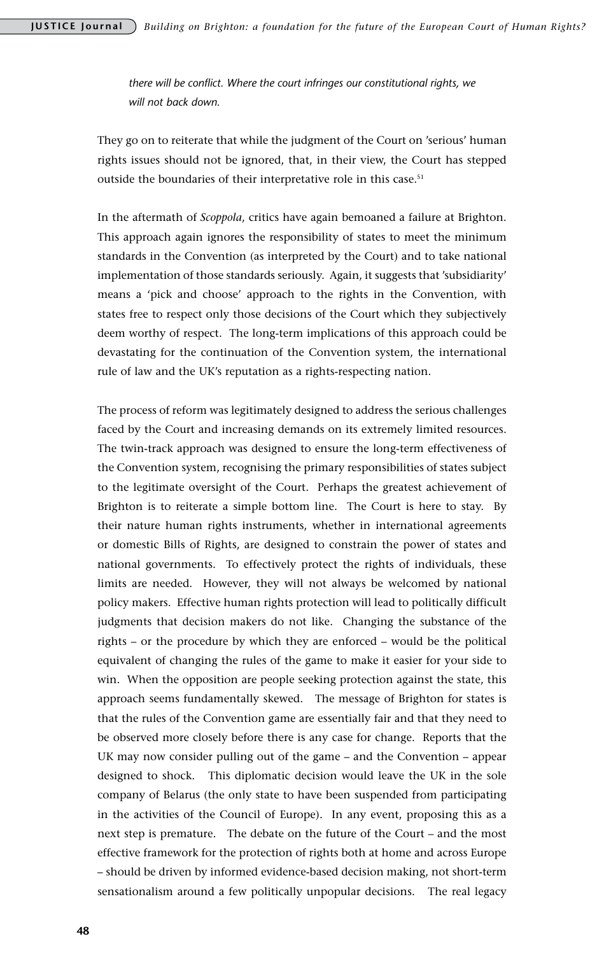*there will be conflict. Where the court infringes our constitutional rights, we will not back down.* 

They go on to reiterate that while the judgment of the Court on 'serious' human rights issues should not be ignored, that, in their view, the Court has stepped outside the boundaries of their interpretative role in this case.<sup>51</sup>

In the aftermath of *Scoppola*, critics have again bemoaned a failure at Brighton. This approach again ignores the responsibility of states to meet the minimum standards in the Convention (as interpreted by the Court) and to take national implementation of those standards seriously. Again, it suggests that 'subsidiarity' means a 'pick and choose' approach to the rights in the Convention, with states free to respect only those decisions of the Court which they subjectively deem worthy of respect. The long-term implications of this approach could be devastating for the continuation of the Convention system, the international rule of law and the UK's reputation as a rights-respecting nation.

The process of reform was legitimately designed to address the serious challenges faced by the Court and increasing demands on its extremely limited resources. The twin-track approach was designed to ensure the long-term effectiveness of the Convention system, recognising the primary responsibilities of states subject to the legitimate oversight of the Court. Perhaps the greatest achievement of Brighton is to reiterate a simple bottom line. The Court is here to stay. By their nature human rights instruments, whether in international agreements or domestic Bills of Rights, are designed to constrain the power of states and national governments. To effectively protect the rights of individuals, these limits are needed. However, they will not always be welcomed by national policy makers. Effective human rights protection will lead to politically difficult judgments that decision makers do not like. Changing the substance of the rights – or the procedure by which they are enforced – would be the political equivalent of changing the rules of the game to make it easier for your side to win. When the opposition are people seeking protection against the state, this approach seems fundamentally skewed. The message of Brighton for states is that the rules of the Convention game are essentially fair and that they need to be observed more closely before there is any case for change. Reports that the UK may now consider pulling out of the game – and the Convention – appear designed to shock. This diplomatic decision would leave the UK in the sole company of Belarus (the only state to have been suspended from participating in the activities of the Council of Europe). In any event, proposing this as a next step is premature. The debate on the future of the Court – and the most effective framework for the protection of rights both at home and across Europe – should be driven by informed evidence-based decision making, not short-term sensationalism around a few politically unpopular decisions. The real legacy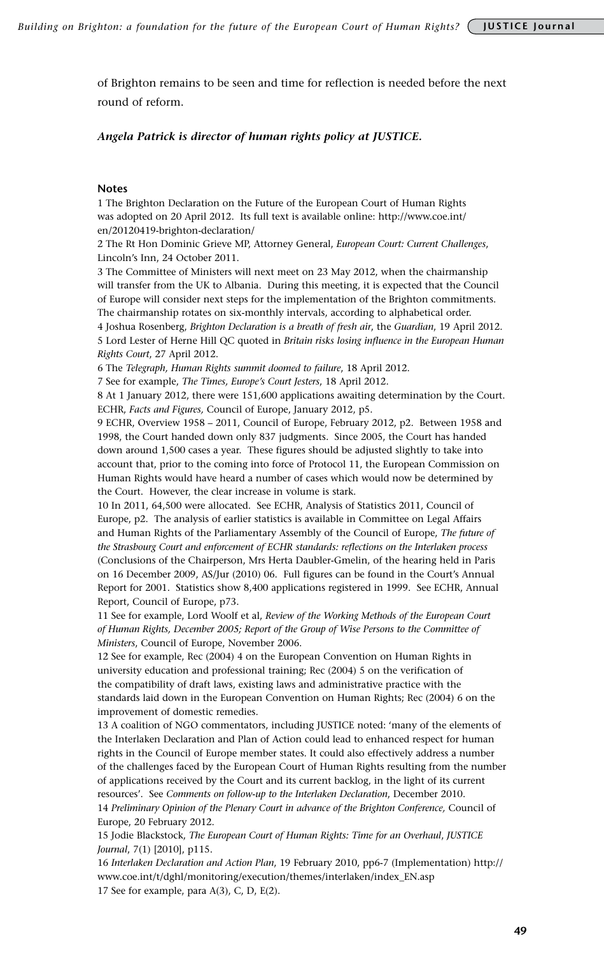of Brighton remains to be seen and time for reflection is needed before the next round of reform.

#### *Angela Patrick is director of human rights policy at JUSTICE.*

#### **Notes**

1 The Brighton Declaration on the Future of the European Court of Human Rights was adopted on 20 April 2012. Its full text is available online: http://www.coe.int/ en/20120419-brighton-declaration/

2 The Rt Hon Dominic Grieve MP, Attorney General, *European Court: Current Challenges*, Lincoln's Inn, 24 October 2011.

3 The Committee of Ministers will next meet on 23 May 2012, when the chairmanship will transfer from the UK to Albania. During this meeting, it is expected that the Council of Europe will consider next steps for the implementation of the Brighton commitments. The chairmanship rotates on six-monthly intervals, according to alphabetical order.

4 Joshua Rosenberg, *Brighton Declaration is a breath of fresh air*, the *Guardian*, 19 April 2012. 5 Lord Lester of Herne Hill QC quoted in *Britain risks losing influence in the European Human Rights Court*, 27 April 2012.

6 The *Telegraph, Human Rights summit doomed to failure*, 18 April 2012.

7 See for example, *The Times, Europe's Court Jesters*, 18 April 2012.

8 At 1 January 2012, there were 151,600 applications awaiting determination by the Court. ECHR, *Facts and Figures,* Council of Europe, January 2012, p5.

9 ECHR, Overview 1958 – 2011, Council of Europe, February 2012, p2. Between 1958 and 1998, the Court handed down only 837 judgments. Since 2005, the Court has handed down around 1,500 cases a year. These figures should be adjusted slightly to take into account that, prior to the coming into force of Protocol 11, the European Commission on Human Rights would have heard a number of cases which would now be determined by the Court. However, the clear increase in volume is stark.

10 In 2011, 64,500 were allocated. See ECHR, Analysis of Statistics 2011, Council of Europe, p2. The analysis of earlier statistics is available in Committee on Legal Affairs and Human Rights of the Parliamentary Assembly of the Council of Europe, *The future of the Strasbourg Court and enforcement of ECHR standards: reflections on the Interlaken process*  (Conclusions of the Chairperson, Mrs Herta Daubler-Gmelin, of the hearing held in Paris on 16 December 2009, AS/Jur (2010) 06. Full figures can be found in the Court's Annual Report for 2001. Statistics show 8,400 applications registered in 1999. See ECHR, Annual Report, Council of Europe, p73.

11 See for example, Lord Woolf et al, *Review of the Working Methods of the European Court of Human Rights, December 2005; Report of the Group of Wise Persons to the Committee of Ministers*, Council of Europe, November 2006.

12 See for example, Rec (2004) 4 on the European Convention on Human Rights in university education and professional training; Rec (2004) 5 on the verification of the compatibility of draft laws, existing laws and administrative practice with the standards laid down in the European Convention on Human Rights; Rec (2004) 6 on the improvement of domestic remedies.

13 A coalition of NGO commentators, including JUSTICE noted: 'many of the elements of the Interlaken Declaration and Plan of Action could lead to enhanced respect for human rights in the Council of Europe member states. It could also effectively address a number of the challenges faced by the European Court of Human Rights resulting from the number of applications received by the Court and its current backlog, in the light of its current resources'. See *Comments on follow-up to the Interlaken Declaration*, December 2010.

14 *Preliminary Opinion of the Plenary Court in advance of the Brighton Conference,* Council of Europe, 20 February 2012.

15 Jodie Blackstock, *The European Court of Human Rights: Time for an Overhaul*, *JUSTICE Journal*, 7(1) [2010], p115.

16 *Interlaken Declaration and Action Plan*, 19 February 2010, pp6-7 (Implementation) http:// www.coe.int/t/dghl/monitoring/execution/themes/interlaken/index\_EN.asp 17 See for example, para A(3), C, D, E(2).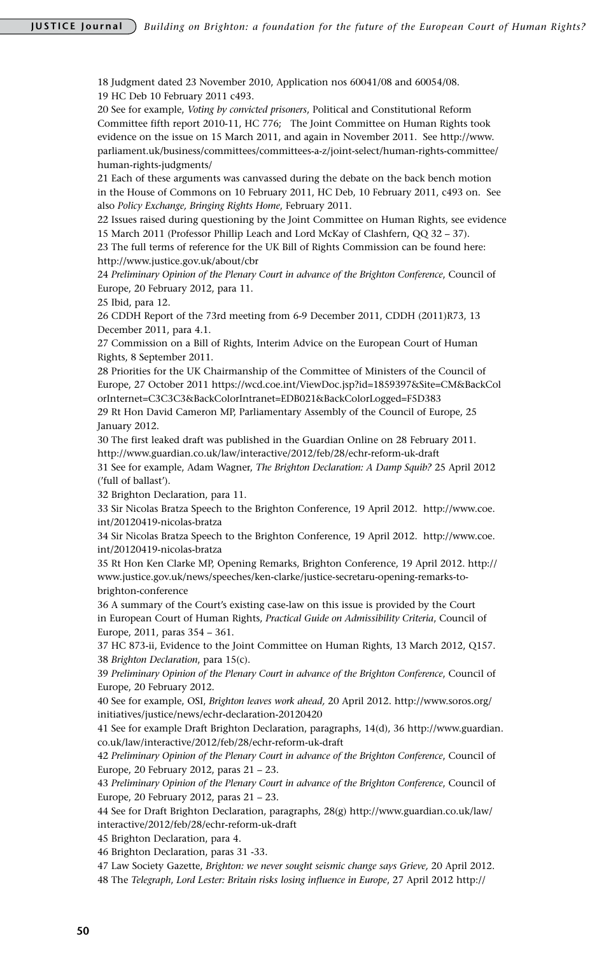18 Judgment dated 23 November 2010, Application nos 60041/08 and 60054/08. 19 HC Deb 10 February 2011 c493.

20 See for example, *Voting by convicted prisoners*, Political and Constitutional Reform Committee fifth report 2010-11, HC 776; The Joint Committee on Human Rights took evidence on the issue on 15 March 2011, and again in November 2011. See http://www. parliament.uk/business/committees/committees-a-z/joint-select/human-rights-committee/ human-rights-judgments/

21 Each of these arguments was canvassed during the debate on the back bench motion in the House of Commons on 10 February 2011, HC Deb, 10 February 2011, c493 on. See also *Policy Exchange, Bringing Rights Home*, February 2011.

22 Issues raised during questioning by the Joint Committee on Human Rights, see evidence 15 March 2011 (Professor Phillip Leach and Lord McKay of Clashfern, QQ 32 – 37). 23 The full terms of reference for the UK Bill of Rights Commission can be found here:

http://www.justice.gov.uk/about/cbr

24 *Preliminary Opinion of the Plenary Court in advance of the Brighton Conference*, Council of Europe, 20 February 2012, para 11.

25 Ibid, para 12.

26 CDDH Report of the 73rd meeting from 6-9 December 2011, CDDH (2011)R73, 13 December 2011, para 4.1.

27 Commission on a Bill of Rights, Interim Advice on the European Court of Human Rights, 8 September 2011.

28 Priorities for the UK Chairmanship of the Committee of Ministers of the Council of Europe, 27 October 2011 https://wcd.coe.int/ViewDoc.jsp?id=1859397&Site=CM&BackCol orInternet=C3C3C3&BackColorIntranet=EDB021&BackColorLogged=F5D383

29 Rt Hon David Cameron MP, Parliamentary Assembly of the Council of Europe, 25 January 2012.

30 The first leaked draft was published in the Guardian Online on 28 February 2011. http://www.guardian.co.uk/law/interactive/2012/feb/28/echr-reform-uk-draft

31 See for example, Adam Wagner, *The Brighton Declaration: A Damp Squib?* 25 April 2012 ('full of ballast').

32 Brighton Declaration, para 11.

33 Sir Nicolas Bratza Speech to the Brighton Conference, 19 April 2012. http://www.coe. int/20120419-nicolas-bratza

34 Sir Nicolas Bratza Speech to the Brighton Conference, 19 April 2012. http://www.coe. int/20120419-nicolas-bratza

35 Rt Hon Ken Clarke MP, Opening Remarks, Brighton Conference, 19 April 2012. http:// www.justice.gov.uk/news/speeches/ken-clarke/justice-secretaru-opening-remarks-tobrighton-conference

36 A summary of the Court's existing case-law on this issue is provided by the Court in European Court of Human Rights, *Practical Guide on Admissibility Criteria*, Council of Europe, 2011, paras 354 – 361.

37 HC 873-ii, Evidence to the Joint Committee on Human Rights, 13 March 2012, Q157. 38 *Brighton Declaration*, para 15(c).

39 *Preliminary Opinion of the Plenary Court in advance of the Brighton Conference*, Council of Europe, 20 February 2012.

40 See for example, OSI, *Brighton leaves work ahead,* 20 April 2012. http://www.soros.org/ initiatives/justice/news/echr-declaration-20120420

41 See for example Draft Brighton Declaration, paragraphs, 14(d), 36 http://www.guardian. co.uk/law/interactive/2012/feb/28/echr-reform-uk-draft

42 *Preliminary Opinion of the Plenary Court in advance of the Brighton Conference*, Council of Europe, 20 February 2012, paras 21 – 23.

43 *Preliminary Opinion of the Plenary Court in advance of the Brighton Conference*, Council of Europe, 20 February 2012, paras 21 – 23.

44 See for Draft Brighton Declaration, paragraphs, 28(g) http://www.guardian.co.uk/law/ interactive/2012/feb/28/echr-reform-uk-draft

45 Brighton Declaration, para 4.

46 Brighton Declaration, paras 31 -33.

47 Law Society Gazette, *Brighton: we never sought seismic change says Grieve,* 20 April 2012.

48 The *Telegraph*, *Lord Lester: Britain risks losing influence in Europe*, 27 April 2012 http://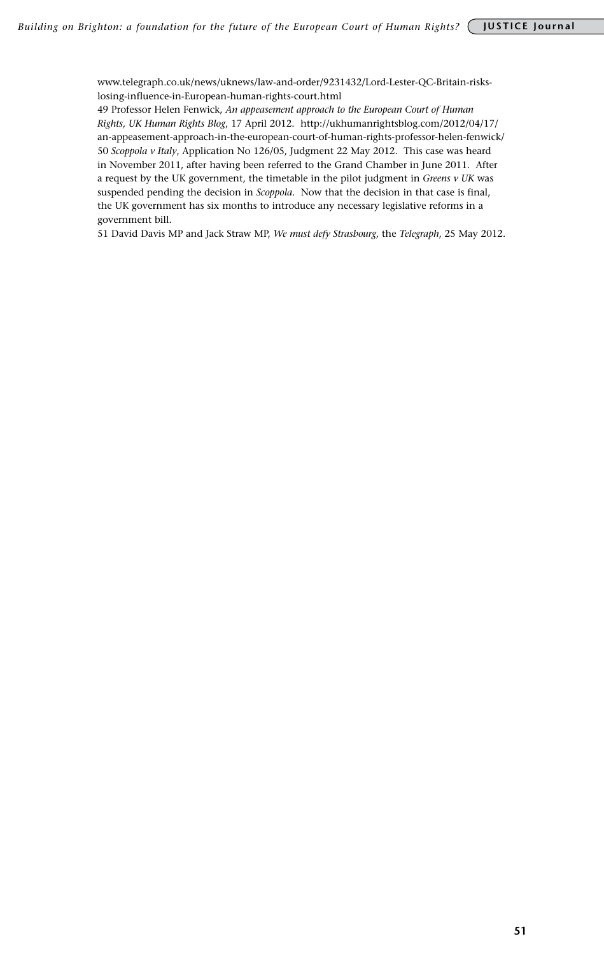www.telegraph.co.uk/news/uknews/law-and-order/9231432/Lord-Lester-QC-Britain-riskslosing-influence-in-European-human-rights-court.html

49 Professor Helen Fenwick, *An appeasement approach to the European Court of Human Rights, UK Human Rights Blog*, 17 April 2012. http://ukhumanrightsblog.com/2012/04/17/ an-appeasement-approach-in-the-european-court-of-human-rights-professor-helen-fenwick/ 50 *Scoppola v Italy*, Application No 126/05, Judgment 22 May 2012. This case was heard in November 2011, after having been referred to the Grand Chamber in June 2011. After a request by the UK government, the timetable in the pilot judgment in *Greens v UK* was suspended pending the decision in *Scoppola*. Now that the decision in that case is final, the UK government has six months to introduce any necessary legislative reforms in a government bill.

51 David Davis MP and Jack Straw MP, *We must defy Strasbourg*, the *Telegraph*, 25 May 2012.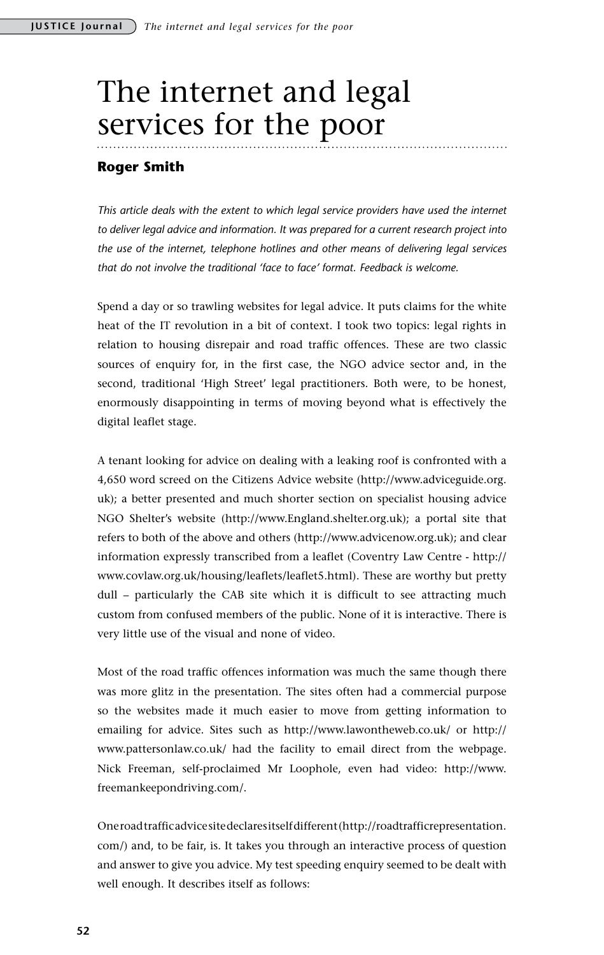# The internet and legal services for the poor

## **Roger Smith**

*This article deals with the extent to which legal service providers have used the internet to deliver legal advice and information. It was prepared for a current research project into the use of the internet, telephone hotlines and other means of delivering legal services that do not involve the traditional 'face to face' format. Feedback is welcome.* 

Spend a day or so trawling websites for legal advice. It puts claims for the white heat of the IT revolution in a bit of context. I took two topics: legal rights in relation to housing disrepair and road traffic offences. These are two classic sources of enquiry for, in the first case, the NGO advice sector and, in the second, traditional 'High Street' legal practitioners. Both were, to be honest, enormously disappointing in terms of moving beyond what is effectively the digital leaflet stage.

A tenant looking for advice on dealing with a leaking roof is confronted with a 4,650 word screed on the Citizens Advice website (http://www.adviceguide.org. uk); a better presented and much shorter section on specialist housing advice NGO Shelter's website (http://www.England.shelter.org.uk); a portal site that refers to both of the above and others (http://www.advicenow.org.uk); and clear information expressly transcribed from a leaflet (Coventry Law Centre - http:// www.covlaw.org.uk/housing/leaflets/leaflet5.html). These are worthy but pretty dull – particularly the CAB site which it is difficult to see attracting much custom from confused members of the public. None of it is interactive. There is very little use of the visual and none of video.

Most of the road traffic offences information was much the same though there was more glitz in the presentation. The sites often had a commercial purpose so the websites made it much easier to move from getting information to emailing for advice. Sites such as http://www.lawontheweb.co.uk/ or http:// www.pattersonlaw.co.uk/ had the facility to email direct from the webpage. Nick Freeman, self-proclaimed Mr Loophole, even had video: http://www. freemankeepondriving.com/.

One road traffic advice site declares itself different (http://roadtrafficrepresentation. com/) and, to be fair, is. It takes you through an interactive process of question and answer to give you advice. My test speeding enquiry seemed to be dealt with well enough. It describes itself as follows: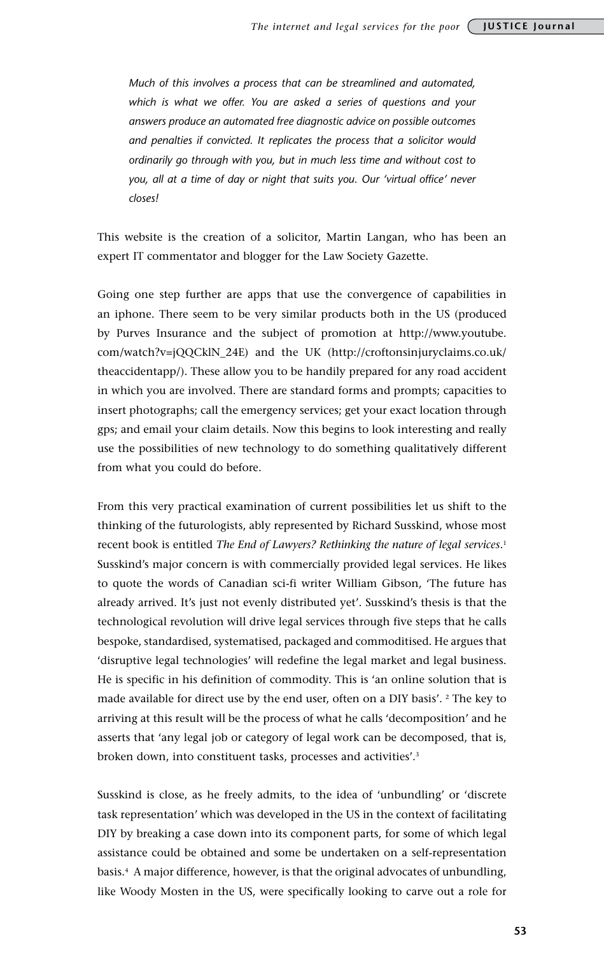*Much of this involves a process that can be streamlined and automated, which is what we offer. You are asked a series of questions and your answers produce an automated free diagnostic advice on possible outcomes and penalties if convicted. It replicates the process that a solicitor would ordinarily go through with you, but in much less time and without cost to you, all at a time of day or night that suits you. Our 'virtual office' never closes!* 

This website is the creation of a solicitor, Martin Langan, who has been an expert IT commentator and blogger for the Law Society Gazette.

Going one step further are apps that use the convergence of capabilities in an iphone. There seem to be very similar products both in the US (produced by Purves Insurance and the subject of promotion at http://www.youtube. com/watch?v=jQQCklN\_24E) and the UK (http://croftonsinjuryclaims.co.uk/ theaccidentapp/). These allow you to be handily prepared for any road accident in which you are involved. There are standard forms and prompts; capacities to insert photographs; call the emergency services; get your exact location through gps; and email your claim details. Now this begins to look interesting and really use the possibilities of new technology to do something qualitatively different from what you could do before.

From this very practical examination of current possibilities let us shift to the thinking of the futurologists, ably represented by Richard Susskind, whose most recent book is entitled *The End of Lawyers? Rethinking the nature of legal services*. 1 Susskind's major concern is with commercially provided legal services. He likes to quote the words of Canadian sci-fi writer William Gibson, 'The future has already arrived. It's just not evenly distributed yet'. Susskind's thesis is that the technological revolution will drive legal services through five steps that he calls bespoke, standardised, systematised, packaged and commoditised. He argues that 'disruptive legal technologies' will redefine the legal market and legal business. He is specific in his definition of commodity. This is 'an online solution that is made available for direct use by the end user, often on a DIY basis'. <sup>2</sup> The key to arriving at this result will be the process of what he calls 'decomposition' and he asserts that 'any legal job or category of legal work can be decomposed, that is, broken down, into constituent tasks, processes and activities'.3

Susskind is close, as he freely admits, to the idea of 'unbundling' or 'discrete task representation' which was developed in the US in the context of facilitating DIY by breaking a case down into its component parts, for some of which legal assistance could be obtained and some be undertaken on a self-representation basis.4 A major difference, however, is that the original advocates of unbundling, like Woody Mosten in the US, were specifically looking to carve out a role for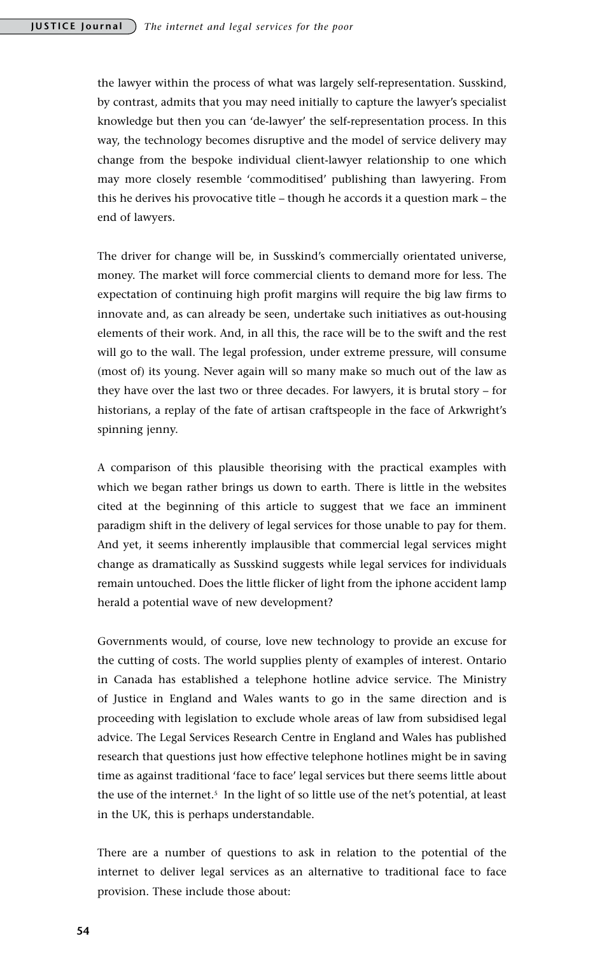the lawyer within the process of what was largely self-representation. Susskind, by contrast, admits that you may need initially to capture the lawyer's specialist knowledge but then you can 'de-lawyer' the self-representation process. In this way, the technology becomes disruptive and the model of service delivery may change from the bespoke individual client-lawyer relationship to one which may more closely resemble 'commoditised' publishing than lawyering. From this he derives his provocative title – though he accords it a question mark – the end of lawyers.

The driver for change will be, in Susskind's commercially orientated universe, money. The market will force commercial clients to demand more for less. The expectation of continuing high profit margins will require the big law firms to innovate and, as can already be seen, undertake such initiatives as out-housing elements of their work. And, in all this, the race will be to the swift and the rest will go to the wall. The legal profession, under extreme pressure, will consume (most of) its young. Never again will so many make so much out of the law as they have over the last two or three decades. For lawyers, it is brutal story – for historians, a replay of the fate of artisan craftspeople in the face of Arkwright's spinning jenny.

A comparison of this plausible theorising with the practical examples with which we began rather brings us down to earth. There is little in the websites cited at the beginning of this article to suggest that we face an imminent paradigm shift in the delivery of legal services for those unable to pay for them. And yet, it seems inherently implausible that commercial legal services might change as dramatically as Susskind suggests while legal services for individuals remain untouched. Does the little flicker of light from the iphone accident lamp herald a potential wave of new development?

Governments would, of course, love new technology to provide an excuse for the cutting of costs. The world supplies plenty of examples of interest. Ontario in Canada has established a telephone hotline advice service. The Ministry of Justice in England and Wales wants to go in the same direction and is proceeding with legislation to exclude whole areas of law from subsidised legal advice. The Legal Services Research Centre in England and Wales has published research that questions just how effective telephone hotlines might be in saving time as against traditional 'face to face' legal services but there seems little about the use of the internet.<sup>5</sup> In the light of so little use of the net's potential, at least in the UK, this is perhaps understandable.

There are a number of questions to ask in relation to the potential of the internet to deliver legal services as an alternative to traditional face to face provision. These include those about: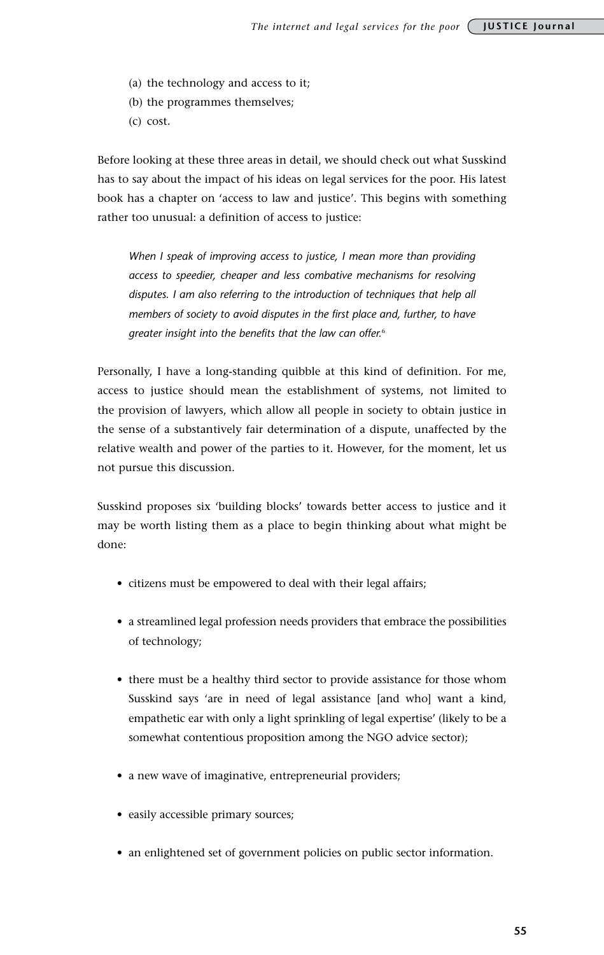- (a) the technology and access to it;
- (b) the programmes themselves;
- (c) cost.

Before looking at these three areas in detail, we should check out what Susskind has to say about the impact of his ideas on legal services for the poor. His latest book has a chapter on 'access to law and justice'. This begins with something rather too unusual: a definition of access to justice:

*When I speak of improving access to justice, I mean more than providing access to speedier, cheaper and less combative mechanisms for resolving disputes. I am also referring to the introduction of techniques that help all members of society to avoid disputes in the first place and, further, to have greater insight into the benefits that the law can offer.*<sup>6</sup>

Personally, I have a long-standing quibble at this kind of definition. For me, access to justice should mean the establishment of systems, not limited to the provision of lawyers, which allow all people in society to obtain justice in the sense of a substantively fair determination of a dispute, unaffected by the relative wealth and power of the parties to it. However, for the moment, let us not pursue this discussion.

Susskind proposes six 'building blocks' towards better access to justice and it may be worth listing them as a place to begin thinking about what might be done:

- • citizens must be empowered to deal with their legal affairs;
- a streamlined legal profession needs providers that embrace the possibilities of technology;
- there must be a healthy third sector to provide assistance for those whom Susskind says 'are in need of legal assistance [and who] want a kind, empathetic ear with only a light sprinkling of legal expertise' (likely to be a somewhat contentious proposition among the NGO advice sector);
- a new wave of imaginative, entrepreneurial providers;
- easily accessible primary sources;
- an enlightened set of government policies on public sector information.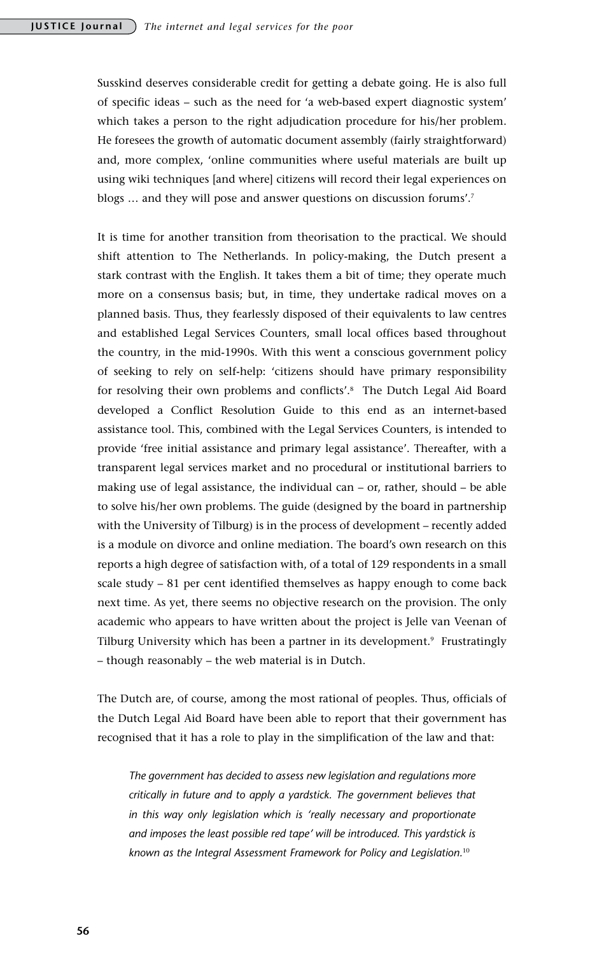Susskind deserves considerable credit for getting a debate going. He is also full of specific ideas – such as the need for 'a web-based expert diagnostic system' which takes a person to the right adjudication procedure for his/her problem. He foresees the growth of automatic document assembly (fairly straightforward) and, more complex, 'online communities where useful materials are built up using wiki techniques [and where] citizens will record their legal experiences on blogs … and they will pose and answer questions on discussion forums'.7

It is time for another transition from theorisation to the practical. We should shift attention to The Netherlands. In policy-making, the Dutch present a stark contrast with the English. It takes them a bit of time; they operate much more on a consensus basis; but, in time, they undertake radical moves on a planned basis. Thus, they fearlessly disposed of their equivalents to law centres and established Legal Services Counters, small local offices based throughout the country, in the mid-1990s. With this went a conscious government policy of seeking to rely on self-help: 'citizens should have primary responsibility for resolving their own problems and conflicts'.8 The Dutch Legal Aid Board developed a Conflict Resolution Guide to this end as an internet-based assistance tool. This, combined with the Legal Services Counters, is intended to provide 'free initial assistance and primary legal assistance'. Thereafter, with a transparent legal services market and no procedural or institutional barriers to making use of legal assistance, the individual can – or, rather, should – be able to solve his/her own problems. The guide (designed by the board in partnership with the University of Tilburg) is in the process of development – recently added is a module on divorce and online mediation. The board's own research on this reports a high degree of satisfaction with, of a total of 129 respondents in a small scale study – 81 per cent identified themselves as happy enough to come back next time. As yet, there seems no objective research on the provision. The only academic who appears to have written about the project is Jelle van Veenan of Tilburg University which has been a partner in its development.<sup>9</sup> Frustratingly – though reasonably – the web material is in Dutch.

The Dutch are, of course, among the most rational of peoples. Thus, officials of the Dutch Legal Aid Board have been able to report that their government has recognised that it has a role to play in the simplification of the law and that:

*The government has decided to assess new legislation and regulations more critically in future and to apply a yardstick. The government believes that in this way only legislation which is 'really necessary and proportionate and imposes the least possible red tape' will be introduced. This yardstick is known as the Integral Assessment Framework for Policy and Legislation.*10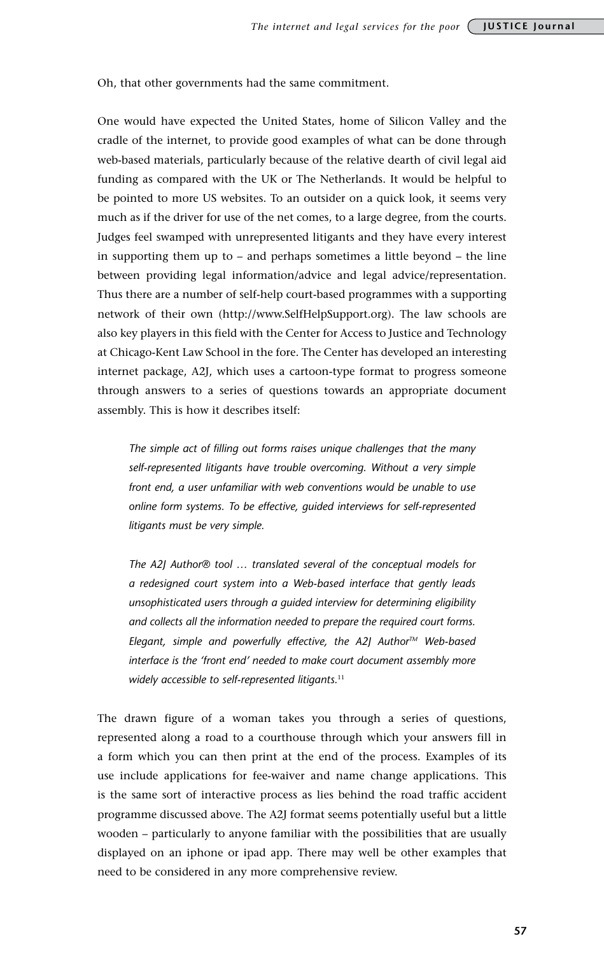Oh, that other governments had the same commitment.

One would have expected the United States, home of Silicon Valley and the cradle of the internet, to provide good examples of what can be done through web-based materials, particularly because of the relative dearth of civil legal aid funding as compared with the UK or The Netherlands. It would be helpful to be pointed to more US websites. To an outsider on a quick look, it seems very much as if the driver for use of the net comes, to a large degree, from the courts. Judges feel swamped with unrepresented litigants and they have every interest in supporting them up to – and perhaps sometimes a little beyond – the line between providing legal information/advice and legal advice/representation. Thus there are a number of self-help court-based programmes with a supporting network of their own (http://www.SelfHelpSupport.org). The law schools are also key players in this field with the Center for Access to Justice and Technology at Chicago-Kent Law School in the fore. The Center has developed an interesting internet package, A2J, which uses a cartoon-type format to progress someone through answers to a series of questions towards an appropriate document assembly. This is how it describes itself:

*The simple act of filling out forms raises unique challenges that the many self-represented litigants have trouble overcoming. Without a very simple front end, a user unfamiliar with web conventions would be unable to use online form systems. To be effective, guided interviews for self-represented litigants must be very simple.*

*The A2J Author® tool … translated several of the conceptual models for a redesigned court system into a Web-based interface that gently leads unsophisticated users through a guided interview for determining eligibility and collects all the information needed to prepare the required court forms. Elegant, simple and powerfully effective, the A2J Author<sup>™</sup> Web-based interface is the 'front end' needed to make court document assembly more widely accessible to self-represented litigants.*<sup>11</sup>

The drawn figure of a woman takes you through a series of questions, represented along a road to a courthouse through which your answers fill in a form which you can then print at the end of the process. Examples of its use include applications for fee-waiver and name change applications. This is the same sort of interactive process as lies behind the road traffic accident programme discussed above. The A2J format seems potentially useful but a little wooden – particularly to anyone familiar with the possibilities that are usually displayed on an iphone or ipad app. There may well be other examples that need to be considered in any more comprehensive review.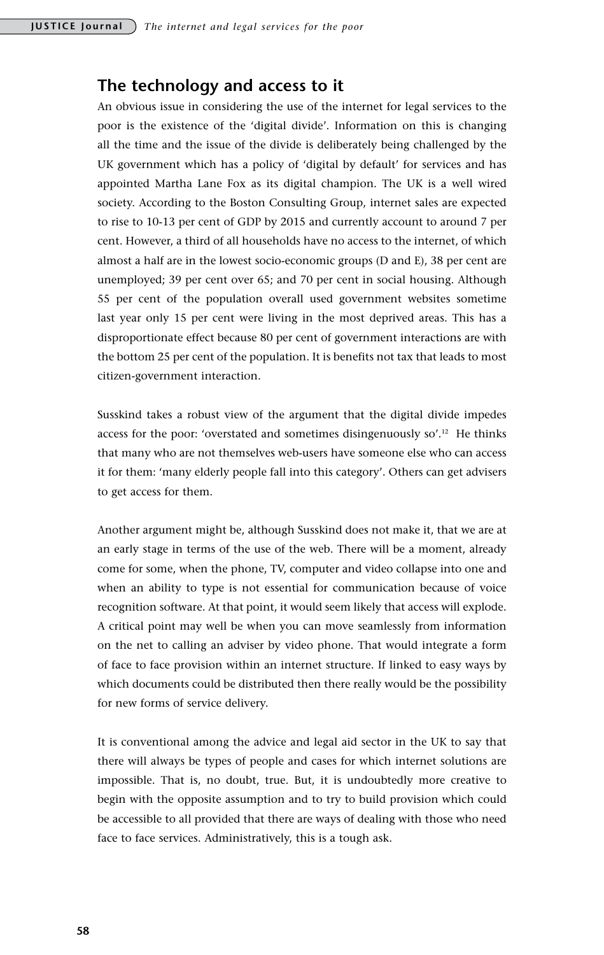## **The technology and access to it**

An obvious issue in considering the use of the internet for legal services to the poor is the existence of the 'digital divide'. Information on this is changing all the time and the issue of the divide is deliberately being challenged by the UK government which has a policy of 'digital by default' for services and has appointed Martha Lane Fox as its digital champion. The UK is a well wired society. According to the Boston Consulting Group, internet sales are expected to rise to 10-13 per cent of GDP by 2015 and currently account to around 7 per cent. However, a third of all households have no access to the internet, of which almost a half are in the lowest socio-economic groups (D and E), 38 per cent are unemployed; 39 per cent over 65; and 70 per cent in social housing. Although 55 per cent of the population overall used government websites sometime last year only 15 per cent were living in the most deprived areas. This has a disproportionate effect because 80 per cent of government interactions are with the bottom 25 per cent of the population. It is benefits not tax that leads to most citizen-government interaction.

Susskind takes a robust view of the argument that the digital divide impedes access for the poor: 'overstated and sometimes disingenuously so'.12 He thinks that many who are not themselves web-users have someone else who can access it for them: 'many elderly people fall into this category'. Others can get advisers to get access for them.

Another argument might be, although Susskind does not make it, that we are at an early stage in terms of the use of the web. There will be a moment, already come for some, when the phone, TV, computer and video collapse into one and when an ability to type is not essential for communication because of voice recognition software. At that point, it would seem likely that access will explode. A critical point may well be when you can move seamlessly from information on the net to calling an adviser by video phone. That would integrate a form of face to face provision within an internet structure. If linked to easy ways by which documents could be distributed then there really would be the possibility for new forms of service delivery.

It is conventional among the advice and legal aid sector in the UK to say that there will always be types of people and cases for which internet solutions are impossible. That is, no doubt, true. But, it is undoubtedly more creative to begin with the opposite assumption and to try to build provision which could be accessible to all provided that there are ways of dealing with those who need face to face services. Administratively, this is a tough ask.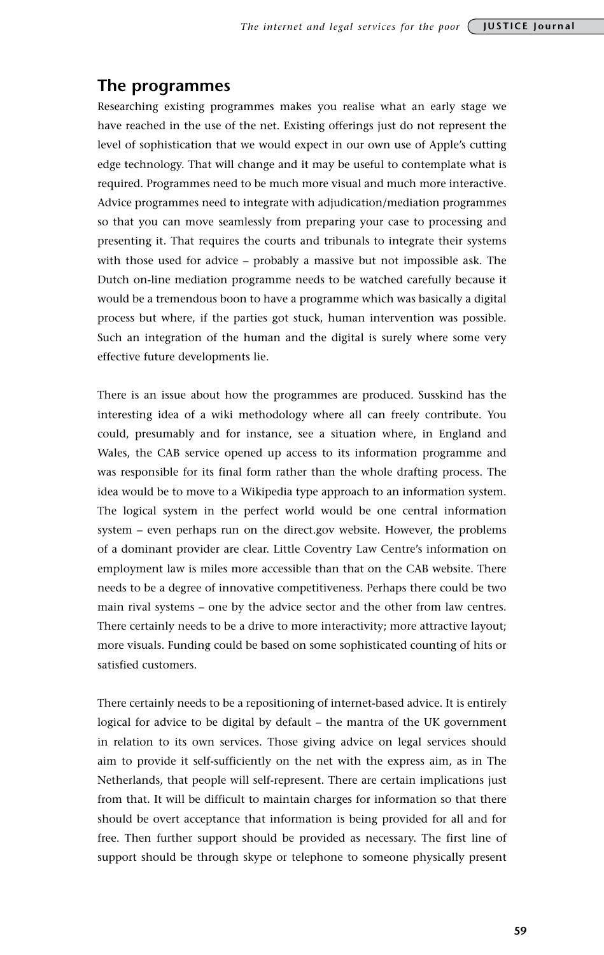## **The programmes**

Researching existing programmes makes you realise what an early stage we have reached in the use of the net. Existing offerings just do not represent the level of sophistication that we would expect in our own use of Apple's cutting edge technology. That will change and it may be useful to contemplate what is required. Programmes need to be much more visual and much more interactive. Advice programmes need to integrate with adjudication/mediation programmes so that you can move seamlessly from preparing your case to processing and presenting it. That requires the courts and tribunals to integrate their systems with those used for advice – probably a massive but not impossible ask. The Dutch on-line mediation programme needs to be watched carefully because it would be a tremendous boon to have a programme which was basically a digital process but where, if the parties got stuck, human intervention was possible. Such an integration of the human and the digital is surely where some very effective future developments lie.

There is an issue about how the programmes are produced. Susskind has the interesting idea of a wiki methodology where all can freely contribute. You could, presumably and for instance, see a situation where, in England and Wales, the CAB service opened up access to its information programme and was responsible for its final form rather than the whole drafting process. The idea would be to move to a Wikipedia type approach to an information system. The logical system in the perfect world would be one central information system – even perhaps run on the direct.gov website. However, the problems of a dominant provider are clear. Little Coventry Law Centre's information on employment law is miles more accessible than that on the CAB website. There needs to be a degree of innovative competitiveness. Perhaps there could be two main rival systems – one by the advice sector and the other from law centres. There certainly needs to be a drive to more interactivity; more attractive layout; more visuals. Funding could be based on some sophisticated counting of hits or satisfied customers.

There certainly needs to be a repositioning of internet-based advice. It is entirely logical for advice to be digital by default – the mantra of the UK government in relation to its own services. Those giving advice on legal services should aim to provide it self-sufficiently on the net with the express aim, as in The Netherlands, that people will self-represent. There are certain implications just from that. It will be difficult to maintain charges for information so that there should be overt acceptance that information is being provided for all and for free. Then further support should be provided as necessary. The first line of support should be through skype or telephone to someone physically present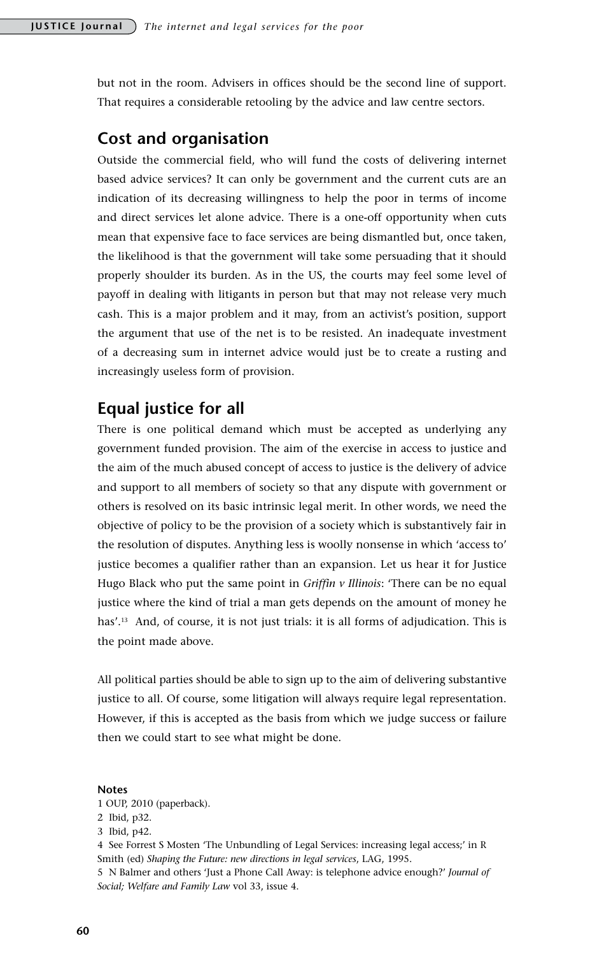but not in the room. Advisers in offices should be the second line of support. That requires a considerable retooling by the advice and law centre sectors.

## **Cost and organisation**

Outside the commercial field, who will fund the costs of delivering internet based advice services? It can only be government and the current cuts are an indication of its decreasing willingness to help the poor in terms of income and direct services let alone advice. There is a one-off opportunity when cuts mean that expensive face to face services are being dismantled but, once taken, the likelihood is that the government will take some persuading that it should properly shoulder its burden. As in the US, the courts may feel some level of payoff in dealing with litigants in person but that may not release very much cash. This is a major problem and it may, from an activist's position, support the argument that use of the net is to be resisted. An inadequate investment of a decreasing sum in internet advice would just be to create a rusting and increasingly useless form of provision.

## **Equal justice for all**

There is one political demand which must be accepted as underlying any government funded provision. The aim of the exercise in access to justice and the aim of the much abused concept of access to justice is the delivery of advice and support to all members of society so that any dispute with government or others is resolved on its basic intrinsic legal merit. In other words, we need the objective of policy to be the provision of a society which is substantively fair in the resolution of disputes. Anything less is woolly nonsense in which 'access to' justice becomes a qualifier rather than an expansion. Let us hear it for Justice Hugo Black who put the same point in *Griffin v Illinois*: 'There can be no equal justice where the kind of trial a man gets depends on the amount of money he has'.<sup>13</sup> And, of course, it is not just trials: it is all forms of adjudication. This is the point made above.

All political parties should be able to sign up to the aim of delivering substantive justice to all. Of course, some litigation will always require legal representation. However, if this is accepted as the basis from which we judge success or failure then we could start to see what might be done.

#### **Notes**

1 OUP, 2010 (paperback).

2 Ibid, p32.

4 See Forrest S Mosten 'The Unbundling of Legal Services: increasing legal access;' in R Smith (ed) *Shaping the Future: new directions in legal services*, LAG, 1995.

5 N Balmer and others 'Just a Phone Call Away: is telephone advice enough?' *Journal of Social; Welfare and Family Law* vol 33, issue 4.

<sup>3</sup> Ibid, p42.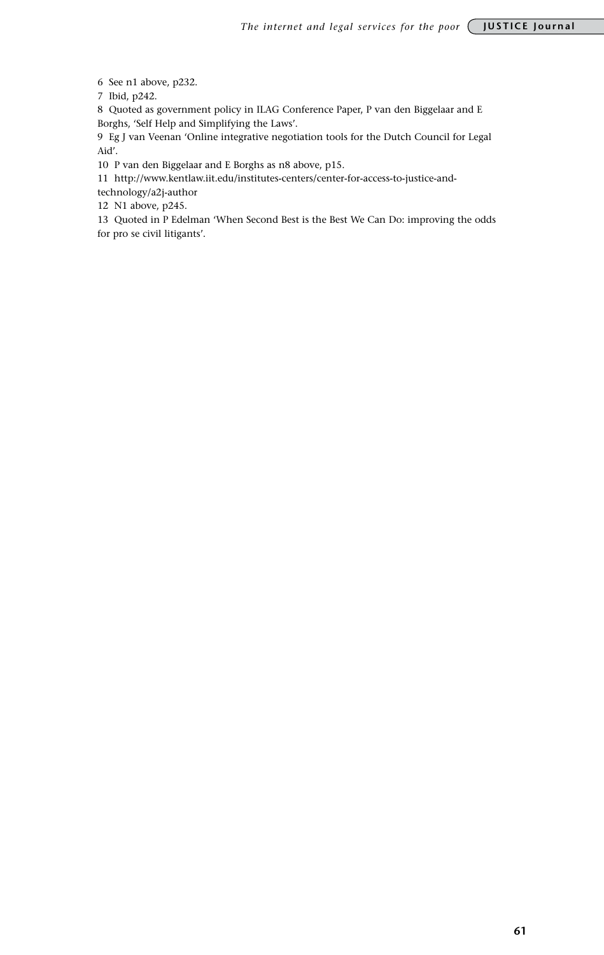6 See n1 above, p232.

7 Ibid, p242.

8 Quoted as government policy in ILAG Conference Paper, P van den Biggelaar and E Borghs, 'Self Help and Simplifying the Laws'.

9 Eg J van Veenan 'Online integrative negotiation tools for the Dutch Council for Legal Aid'.

10 P van den Biggelaar and E Borghs as n8 above, p15.

11 http://www.kentlaw.iit.edu/institutes-centers/center-for-access-to-justice-and-

technology/a2j-author

12 N1 above, p245.

13 Quoted in P Edelman 'When Second Best is the Best We Can Do: improving the odds for pro se civil litigants'.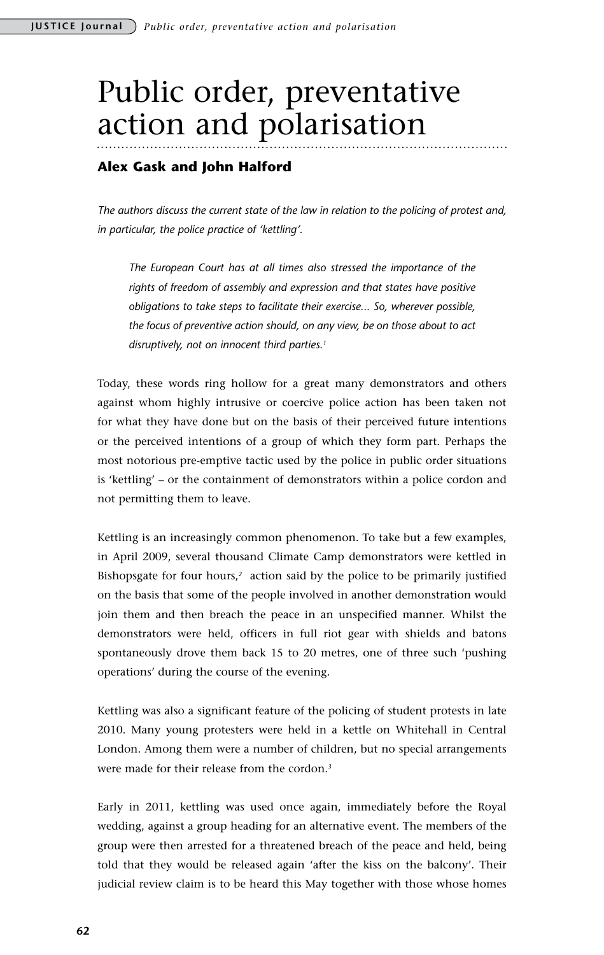# Public order, preventative action and polarisation

### **Alex Gask and John Halford**

*The authors discuss the current state of the law in relation to the policing of protest and, in particular, the police practice of 'kettling'.*

*The European Court has at all times also stressed the importance of the rights of freedom of assembly and expression and that states have positive obligations to take steps to facilitate their exercise... So, wherever possible, the focus of preventive action should, on any view, be on those about to act disruptively, not on innocent third parties.1*

Today, these words ring hollow for a great many demonstrators and others against whom highly intrusive or coercive police action has been taken not for what they have done but on the basis of their perceived future intentions or the perceived intentions of a group of which they form part. Perhaps the most notorious pre-emptive tactic used by the police in public order situations is 'kettling' – or the containment of demonstrators within a police cordon and not permitting them to leave.

Kettling is an increasingly common phenomenon. To take but a few examples, in April 2009, several thousand Climate Camp demonstrators were kettled in Bishopsgate for four hours,*<sup>2</sup>* action said by the police to be primarily justified on the basis that some of the people involved in another demonstration would join them and then breach the peace in an unspecified manner. Whilst the demonstrators were held, officers in full riot gear with shields and batons spontaneously drove them back 15 to 20 metres, one of three such 'pushing operations' during the course of the evening.

Kettling was also a significant feature of the policing of student protests in late 2010. Many young protesters were held in a kettle on Whitehall in Central London. Among them were a number of children, but no special arrangements were made for their release from the cordon.*<sup>3</sup>*

Early in 2011, kettling was used once again, immediately before the Royal wedding, against a group heading for an alternative event. The members of the group were then arrested for a threatened breach of the peace and held, being told that they would be released again 'after the kiss on the balcony'. Their judicial review claim is to be heard this May together with those whose homes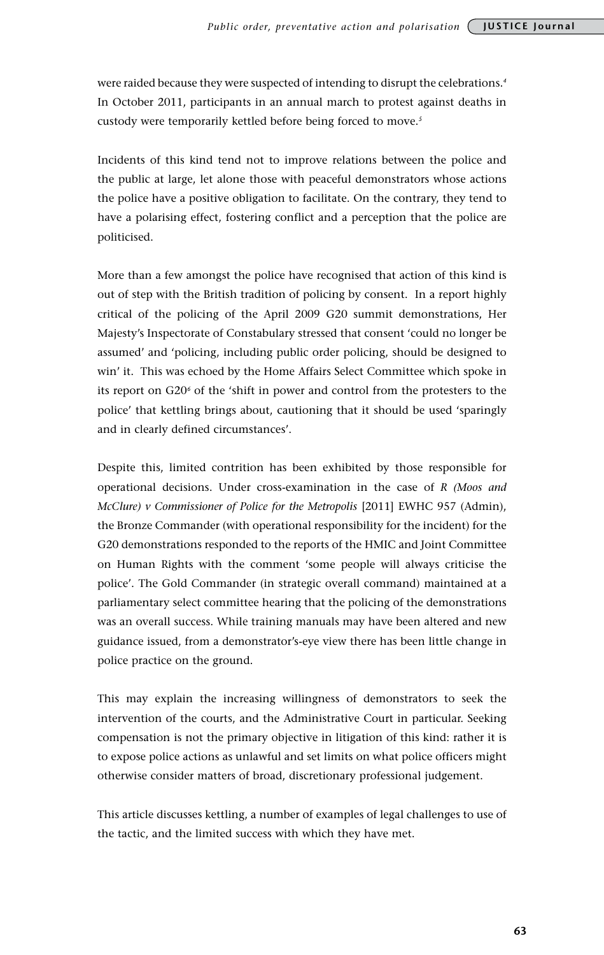were raided because they were suspected of intending to disrupt the celebrations.*<sup>4</sup>* In October 2011, participants in an annual march to protest against deaths in custody were temporarily kettled before being forced to move.*<sup>5</sup>*

Incidents of this kind tend not to improve relations between the police and the public at large, let alone those with peaceful demonstrators whose actions the police have a positive obligation to facilitate. On the contrary, they tend to have a polarising effect, fostering conflict and a perception that the police are politicised.

More than a few amongst the police have recognised that action of this kind is out of step with the British tradition of policing by consent. In a report highly critical of the policing of the April 2009 G20 summit demonstrations, Her Majesty's Inspectorate of Constabulary stressed that consent 'could no longer be assumed' and 'policing, including public order policing, should be designed to win' it. This was echoed by the Home Affairs Select Committee which spoke in its report on G20<sup>6</sup> of the 'shift in power and control from the protesters to the police' that kettling brings about, cautioning that it should be used 'sparingly and in clearly defined circumstances'.

Despite this, limited contrition has been exhibited by those responsible for operational decisions. Under cross-examination in the case of *R (Moos and McClure) v Commissioner of Police for the Metropolis* [2011] EWHC 957 (Admin), the Bronze Commander (with operational responsibility for the incident) for the G20 demonstrations responded to the reports of the HMIC and Joint Committee on Human Rights with the comment 'some people will always criticise the police'. The Gold Commander (in strategic overall command) maintained at a parliamentary select committee hearing that the policing of the demonstrations was an overall success. While training manuals may have been altered and new guidance issued, from a demonstrator's-eye view there has been little change in police practice on the ground.

This may explain the increasing willingness of demonstrators to seek the intervention of the courts, and the Administrative Court in particular. Seeking compensation is not the primary objective in litigation of this kind: rather it is to expose police actions as unlawful and set limits on what police officers might otherwise consider matters of broad, discretionary professional judgement.

This article discusses kettling, a number of examples of legal challenges to use of the tactic, and the limited success with which they have met.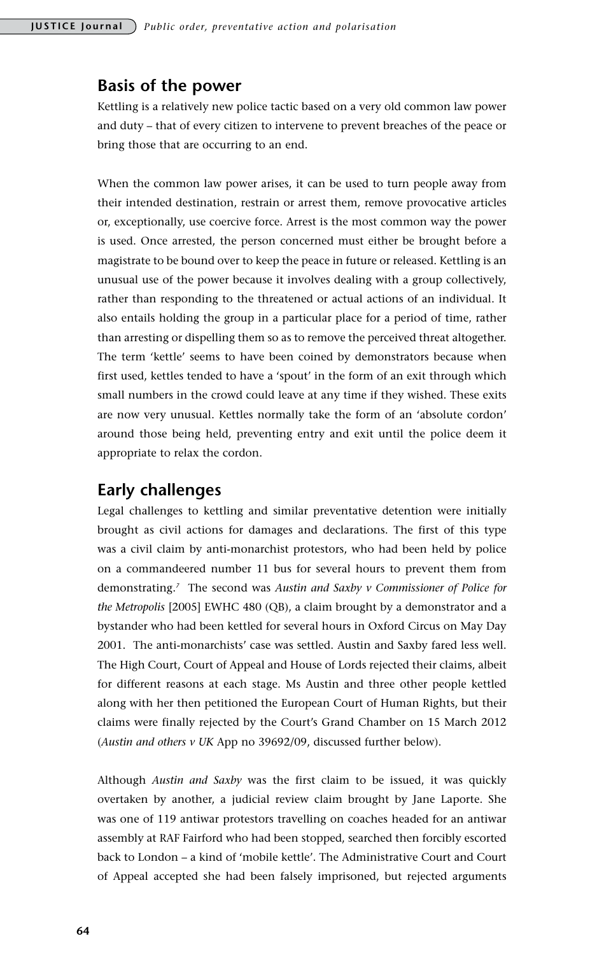## **Basis of the power**

Kettling is a relatively new police tactic based on a very old common law power and duty – that of every citizen to intervene to prevent breaches of the peace or bring those that are occurring to an end.

When the common law power arises, it can be used to turn people away from their intended destination, restrain or arrest them, remove provocative articles or, exceptionally, use coercive force. Arrest is the most common way the power is used. Once arrested, the person concerned must either be brought before a magistrate to be bound over to keep the peace in future or released. Kettling is an unusual use of the power because it involves dealing with a group collectively, rather than responding to the threatened or actual actions of an individual. It also entails holding the group in a particular place for a period of time, rather than arresting or dispelling them so as to remove the perceived threat altogether. The term 'kettle' seems to have been coined by demonstrators because when first used, kettles tended to have a 'spout' in the form of an exit through which small numbers in the crowd could leave at any time if they wished. These exits are now very unusual. Kettles normally take the form of an 'absolute cordon' around those being held, preventing entry and exit until the police deem it appropriate to relax the cordon.

## **Early challenges**

Legal challenges to kettling and similar preventative detention were initially brought as civil actions for damages and declarations. The first of this type was a civil claim by anti-monarchist protestors, who had been held by police on a commandeered number 11 bus for several hours to prevent them from demonstrating.*<sup>7</sup>* The second was *Austin and Saxby v Commissioner of Police for the Metropolis* [2005] EWHC 480 (QB), a claim brought by a demonstrator and a bystander who had been kettled for several hours in Oxford Circus on May Day 2001. The anti-monarchists' case was settled. Austin and Saxby fared less well. The High Court, Court of Appeal and House of Lords rejected their claims, albeit for different reasons at each stage. Ms Austin and three other people kettled along with her then petitioned the European Court of Human Rights, but their claims were finally rejected by the Court's Grand Chamber on 15 March 2012 (*Austin and others v UK* App no 39692/09, discussed further below).

Although *Austin and Saxby* was the first claim to be issued, it was quickly overtaken by another, a judicial review claim brought by Jane Laporte. She was one of 119 antiwar protestors travelling on coaches headed for an antiwar assembly at RAF Fairford who had been stopped, searched then forcibly escorted back to London – a kind of 'mobile kettle'. The Administrative Court and Court of Appeal accepted she had been falsely imprisoned, but rejected arguments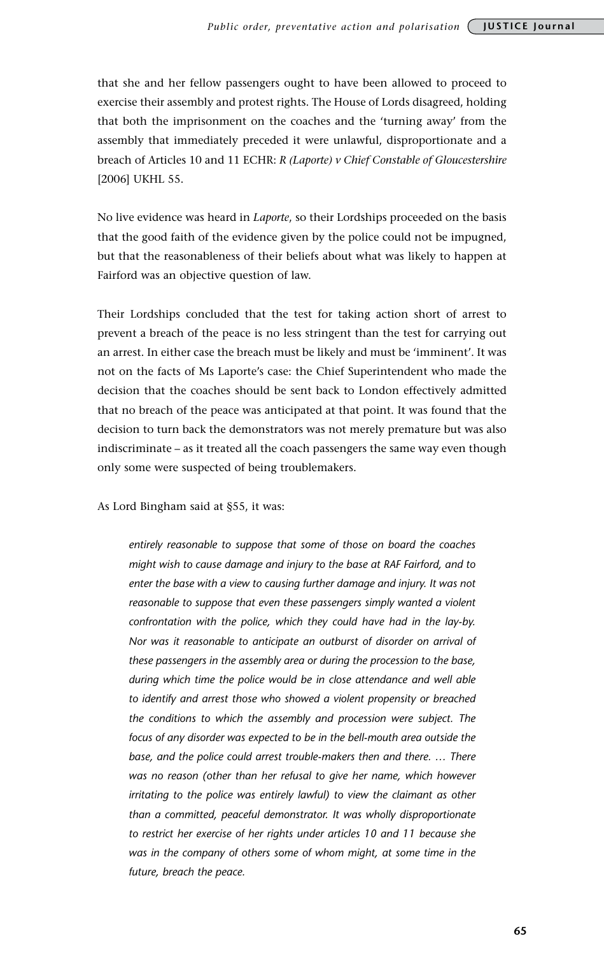that she and her fellow passengers ought to have been allowed to proceed to exercise their assembly and protest rights. The House of Lords disagreed, holding that both the imprisonment on the coaches and the 'turning away' from the assembly that immediately preceded it were unlawful, disproportionate and a breach of Articles 10 and 11 ECHR: *R (Laporte) v Chief Constable of Gloucestershire* [2006] UKHL 55.

No live evidence was heard in *Laporte*, so their Lordships proceeded on the basis that the good faith of the evidence given by the police could not be impugned, but that the reasonableness of their beliefs about what was likely to happen at Fairford was an objective question of law.

Their Lordships concluded that the test for taking action short of arrest to prevent a breach of the peace is no less stringent than the test for carrying out an arrest. In either case the breach must be likely and must be 'imminent'. It was not on the facts of Ms Laporte's case: the Chief Superintendent who made the decision that the coaches should be sent back to London effectively admitted that no breach of the peace was anticipated at that point. It was found that the decision to turn back the demonstrators was not merely premature but was also indiscriminate – as it treated all the coach passengers the same way even though only some were suspected of being troublemakers.

As Lord Bingham said at §55, it was:

*entirely reasonable to suppose that some of those on board the coaches might wish to cause damage and injury to the base at RAF Fairford, and to enter the base with a view to causing further damage and injury. It was not reasonable to suppose that even these passengers simply wanted a violent confrontation with the police, which they could have had in the lay-by. Nor was it reasonable to anticipate an outburst of disorder on arrival of these passengers in the assembly area or during the procession to the base, during which time the police would be in close attendance and well able to identify and arrest those who showed a violent propensity or breached the conditions to which the assembly and procession were subject. The focus of any disorder was expected to be in the bell-mouth area outside the base, and the police could arrest trouble-makers then and there. … There was no reason (other than her refusal to give her name, which however irritating to the police was entirely lawful) to view the claimant as other than a committed, peaceful demonstrator. It was wholly disproportionate to restrict her exercise of her rights under articles 10 and 11 because she was in the company of others some of whom might, at some time in the future, breach the peace.*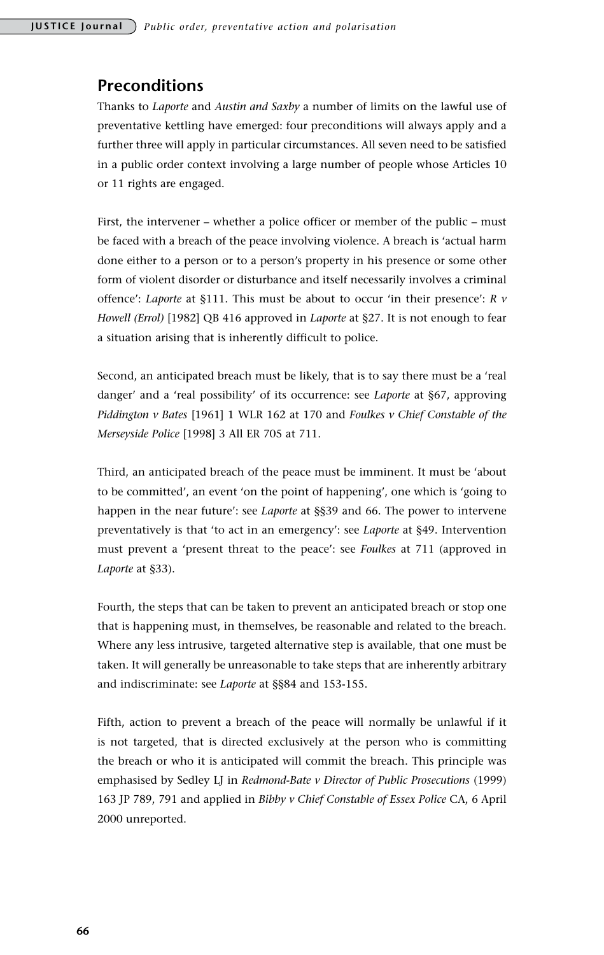## **Preconditions**

Thanks to *Laporte* and *Austin and Saxby* a number of limits on the lawful use of preventative kettling have emerged: four preconditions will always apply and a further three will apply in particular circumstances. All seven need to be satisfied in a public order context involving a large number of people whose Articles 10 or 11 rights are engaged.

First, the intervener – whether a police officer or member of the public – must be faced with a breach of the peace involving violence. A breach is 'actual harm done either to a person or to a person's property in his presence or some other form of violent disorder or disturbance and itself necessarily involves a criminal offence': *Laporte* at §111. This must be about to occur 'in their presence': *R v Howell (Errol)* [1982] QB 416 approved in *Laporte* at §27. It is not enough to fear a situation arising that is inherently difficult to police.

Second, an anticipated breach must be likely, that is to say there must be a 'real danger' and a 'real possibility' of its occurrence: see *Laporte* at §67, approving *Piddington v Bates* [1961] 1 WLR 162 at 170 and *Foulkes v Chief Constable of the Merseyside Police* [1998] 3 All ER 705 at 711.

Third, an anticipated breach of the peace must be imminent. It must be 'about to be committed', an event 'on the point of happening', one which is 'going to happen in the near future': see *Laporte* at §§39 and 66. The power to intervene preventatively is that 'to act in an emergency': see *Laporte* at §49. Intervention must prevent a 'present threat to the peace': see *Foulkes* at 711 (approved in *Laporte* at §33).

Fourth, the steps that can be taken to prevent an anticipated breach or stop one that is happening must, in themselves, be reasonable and related to the breach. Where any less intrusive, targeted alternative step is available, that one must be taken. It will generally be unreasonable to take steps that are inherently arbitrary and indiscriminate: see *Laporte* at §§84 and 153-155.

Fifth, action to prevent a breach of the peace will normally be unlawful if it is not targeted, that is directed exclusively at the person who is committing the breach or who it is anticipated will commit the breach. This principle was emphasised by Sedley LJ in *Redmond-Bate v Director of Public Prosecutions* (1999) 163 JP 789, 791 and applied in *Bibby v Chief Constable of Essex Police* CA, 6 April 2000 unreported.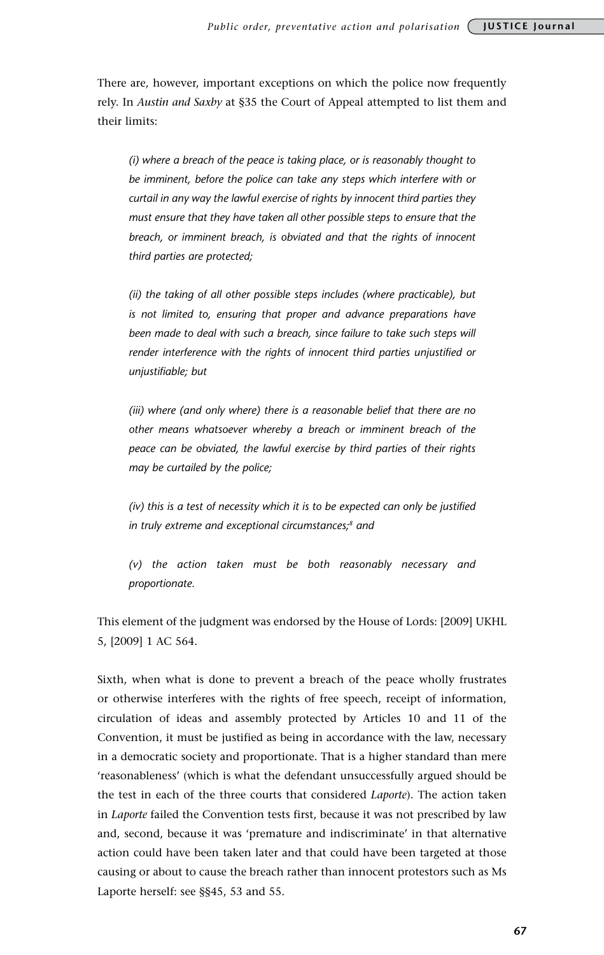There are, however, important exceptions on which the police now frequently rely. In *Austin and Saxby* at §35 the Court of Appeal attempted to list them and their limits:

*(i) where a breach of the peace is taking place, or is reasonably thought to be imminent, before the police can take any steps which interfere with or curtail in any way the lawful exercise of rights by innocent third parties they must ensure that they have taken all other possible steps to ensure that the breach, or imminent breach, is obviated and that the rights of innocent third parties are protected;* 

*(ii) the taking of all other possible steps includes (where practicable), but is not limited to, ensuring that proper and advance preparations have*  been made to deal with such a breach, since failure to take such steps will *render interference with the rights of innocent third parties unjustified or unjustifiable; but* 

*(iii) where (and only where) there is a reasonable belief that there are no other means whatsoever whereby a breach or imminent breach of the peace can be obviated, the lawful exercise by third parties of their rights may be curtailed by the police;* 

*(iv) this is a test of necessity which it is to be expected can only be justified in truly extreme and exceptional circumstances;8 and* 

*(v) the action taken must be both reasonably necessary and proportionate.*

This element of the judgment was endorsed by the House of Lords: [2009] UKHL 5, [2009] 1 AC 564.

Sixth, when what is done to prevent a breach of the peace wholly frustrates or otherwise interferes with the rights of free speech, receipt of information, circulation of ideas and assembly protected by Articles 10 and 11 of the Convention, it must be justified as being in accordance with the law, necessary in a democratic society and proportionate. That is a higher standard than mere 'reasonableness' (which is what the defendant unsuccessfully argued should be the test in each of the three courts that considered *Laporte*). The action taken in *Laporte* failed the Convention tests first, because it was not prescribed by law and, second, because it was 'premature and indiscriminate' in that alternative action could have been taken later and that could have been targeted at those causing or about to cause the breach rather than innocent protestors such as Ms Laporte herself: see §§45, 53 and 55.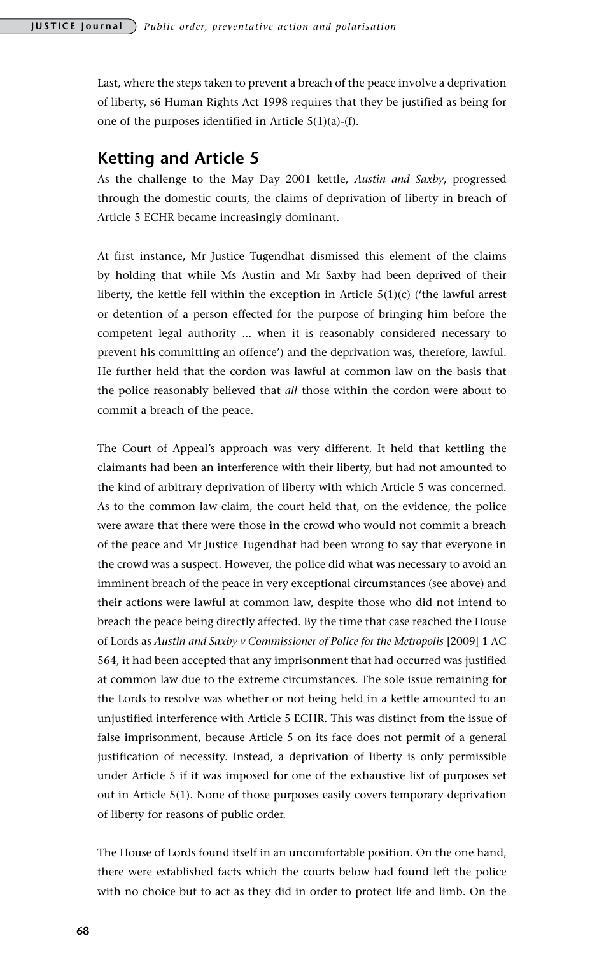Last, where the steps taken to prevent a breach of the peace involve a deprivation of liberty, s6 Human Rights Act 1998 requires that they be justified as being for one of the purposes identified in Article 5(1)(a)-(f).

## **Ketting and Article 5**

As the challenge to the May Day 2001 kettle, *Austin and Saxby*, progressed through the domestic courts, the claims of deprivation of liberty in breach of Article 5 ECHR became increasingly dominant.

At first instance, Mr Justice Tugendhat dismissed this element of the claims by holding that while Ms Austin and Mr Saxby had been deprived of their liberty, the kettle fell within the exception in Article  $5(1)(c)$  ('the lawful arrest or detention of a person effected for the purpose of bringing him before the competent legal authority ... when it is reasonably considered necessary to prevent his committing an offence') and the deprivation was, therefore, lawful. He further held that the cordon was lawful at common law on the basis that the police reasonably believed that *all* those within the cordon were about to commit a breach of the peace.

The Court of Appeal's approach was very different. It held that kettling the claimants had been an interference with their liberty, but had not amounted to the kind of arbitrary deprivation of liberty with which Article 5 was concerned. As to the common law claim, the court held that, on the evidence, the police were aware that there were those in the crowd who would not commit a breach of the peace and Mr Justice Tugendhat had been wrong to say that everyone in the crowd was a suspect. However, the police did what was necessary to avoid an imminent breach of the peace in very exceptional circumstances (see above) and their actions were lawful at common law, despite those who did not intend to breach the peace being directly affected. By the time that case reached the House of Lords as *Austin and Saxby v Commissioner of Police for the Metropolis* [2009] 1 AC 564, it had been accepted that any imprisonment that had occurred was justified at common law due to the extreme circumstances. The sole issue remaining for the Lords to resolve was whether or not being held in a kettle amounted to an unjustified interference with Article 5 ECHR. This was distinct from the issue of false imprisonment, because Article 5 on its face does not permit of a general justification of necessity. Instead, a deprivation of liberty is only permissible under Article 5 if it was imposed for one of the exhaustive list of purposes set out in Article 5(1). None of those purposes easily covers temporary deprivation of liberty for reasons of public order.

The House of Lords found itself in an uncomfortable position. On the one hand, there were established facts which the courts below had found left the police with no choice but to act as they did in order to protect life and limb. On the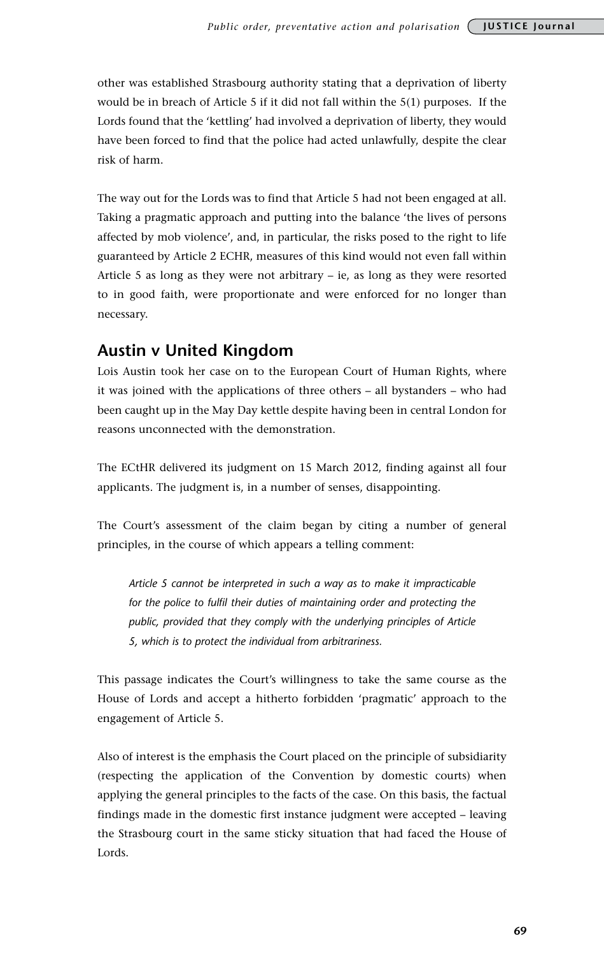other was established Strasbourg authority stating that a deprivation of liberty would be in breach of Article 5 if it did not fall within the 5(1) purposes. If the Lords found that the 'kettling' had involved a deprivation of liberty, they would have been forced to find that the police had acted unlawfully, despite the clear risk of harm.

The way out for the Lords was to find that Article 5 had not been engaged at all. Taking a pragmatic approach and putting into the balance 'the lives of persons affected by mob violence', and, in particular, the risks posed to the right to life guaranteed by Article 2 ECHR, measures of this kind would not even fall within Article 5 as long as they were not arbitrary – ie, as long as they were resorted to in good faith, were proportionate and were enforced for no longer than necessary.

## **Austin v United Kingdom**

Lois Austin took her case on to the European Court of Human Rights, where it was joined with the applications of three others – all bystanders – who had been caught up in the May Day kettle despite having been in central London for reasons unconnected with the demonstration.

The ECtHR delivered its judgment on 15 March 2012, finding against all four applicants. The judgment is, in a number of senses, disappointing.

The Court's assessment of the claim began by citing a number of general principles, in the course of which appears a telling comment:

*Article 5 cannot be interpreted in such a way as to make it impracticable for the police to fulfil their duties of maintaining order and protecting the public, provided that they comply with the underlying principles of Article 5, which is to protect the individual from arbitrariness.*

This passage indicates the Court's willingness to take the same course as the House of Lords and accept a hitherto forbidden 'pragmatic' approach to the engagement of Article 5.

Also of interest is the emphasis the Court placed on the principle of subsidiarity (respecting the application of the Convention by domestic courts) when applying the general principles to the facts of the case. On this basis, the factual findings made in the domestic first instance judgment were accepted – leaving the Strasbourg court in the same sticky situation that had faced the House of Lords.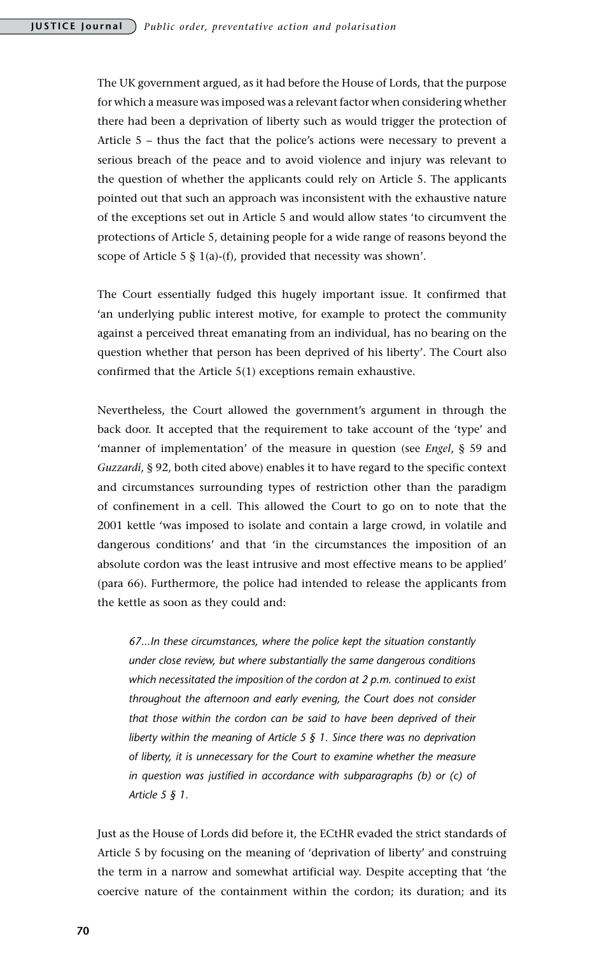The UK government argued, as it had before the House of Lords, that the purpose for which a measure was imposed was a relevant factor when considering whether there had been a deprivation of liberty such as would trigger the protection of Article 5 – thus the fact that the police's actions were necessary to prevent a serious breach of the peace and to avoid violence and injury was relevant to the question of whether the applicants could rely on Article 5. The applicants pointed out that such an approach was inconsistent with the exhaustive nature of the exceptions set out in Article 5 and would allow states 'to circumvent the protections of Article 5, detaining people for a wide range of reasons beyond the scope of Article 5 § 1(a)-(f), provided that necessity was shown'.

The Court essentially fudged this hugely important issue. It confirmed that 'an underlying public interest motive, for example to protect the community against a perceived threat emanating from an individual, has no bearing on the question whether that person has been deprived of his liberty'. The Court also confirmed that the Article 5(1) exceptions remain exhaustive.

Nevertheless, the Court allowed the government's argument in through the back door. It accepted that the requirement to take account of the 'type' and 'manner of implementation' of the measure in question (see *Engel*, § 59 and *Guzzardi*, § 92, both cited above) enables it to have regard to the specific context and circumstances surrounding types of restriction other than the paradigm of confinement in a cell. This allowed the Court to go on to note that the 2001 kettle 'was imposed to isolate and contain a large crowd, in volatile and dangerous conditions' and that 'in the circumstances the imposition of an absolute cordon was the least intrusive and most effective means to be applied' (para 66). Furthermore, the police had intended to release the applicants from the kettle as soon as they could and:

*67...In these circumstances, where the police kept the situation constantly under close review, but where substantially the same dangerous conditions which necessitated the imposition of the cordon at 2 p.m. continued to exist throughout the afternoon and early evening, the Court does not consider that those within the cordon can be said to have been deprived of their liberty within the meaning of Article 5 § 1. Since there was no deprivation of liberty, it is unnecessary for the Court to examine whether the measure in question was justified in accordance with subparagraphs (b) or (c) of Article 5 § 1.*

Just as the House of Lords did before it, the ECtHR evaded the strict standards of Article 5 by focusing on the meaning of 'deprivation of liberty' and construing the term in a narrow and somewhat artificial way. Despite accepting that 'the coercive nature of the containment within the cordon; its duration; and its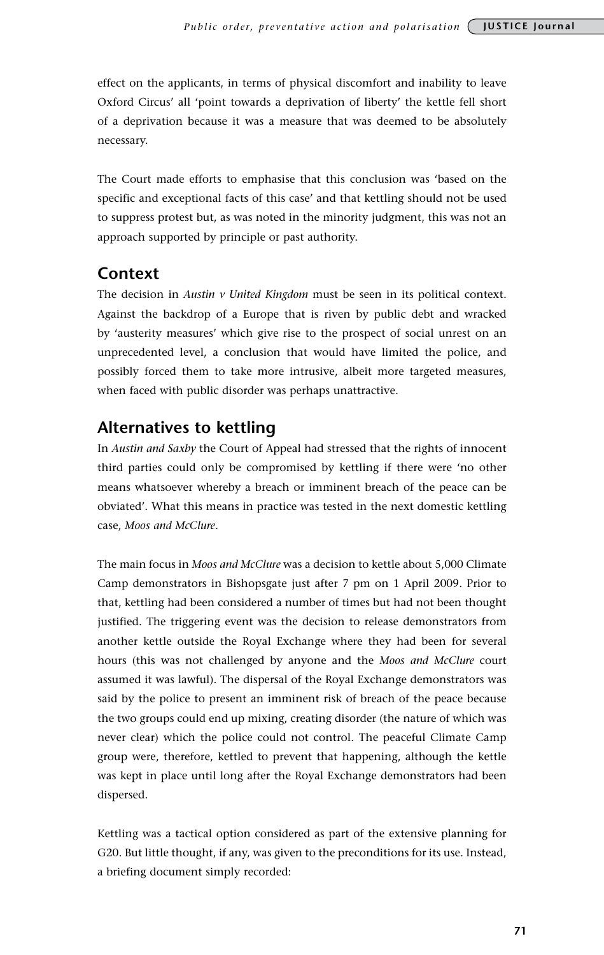effect on the applicants, in terms of physical discomfort and inability to leave Oxford Circus' all 'point towards a deprivation of liberty' the kettle fell short of a deprivation because it was a measure that was deemed to be absolutely necessary.

The Court made efforts to emphasise that this conclusion was 'based on the specific and exceptional facts of this case' and that kettling should not be used to suppress protest but, as was noted in the minority judgment, this was not an approach supported by principle or past authority.

## **Context**

The decision in *Austin v United Kingdom* must be seen in its political context. Against the backdrop of a Europe that is riven by public debt and wracked by 'austerity measures' which give rise to the prospect of social unrest on an unprecedented level, a conclusion that would have limited the police, and possibly forced them to take more intrusive, albeit more targeted measures, when faced with public disorder was perhaps unattractive.

# **Alternatives to kettling**

In *Austin and Saxby* the Court of Appeal had stressed that the rights of innocent third parties could only be compromised by kettling if there were 'no other means whatsoever whereby a breach or imminent breach of the peace can be obviated'. What this means in practice was tested in the next domestic kettling case, *Moos and McClure*.

The main focus in *Moos and McClure* was a decision to kettle about 5,000 Climate Camp demonstrators in Bishopsgate just after 7 pm on 1 April 2009. Prior to that, kettling had been considered a number of times but had not been thought justified. The triggering event was the decision to release demonstrators from another kettle outside the Royal Exchange where they had been for several hours (this was not challenged by anyone and the *Moos and McClure* court assumed it was lawful). The dispersal of the Royal Exchange demonstrators was said by the police to present an imminent risk of breach of the peace because the two groups could end up mixing, creating disorder (the nature of which was never clear) which the police could not control. The peaceful Climate Camp group were, therefore, kettled to prevent that happening, although the kettle was kept in place until long after the Royal Exchange demonstrators had been dispersed.

Kettling was a tactical option considered as part of the extensive planning for G20. But little thought, if any, was given to the preconditions for its use. Instead, a briefing document simply recorded: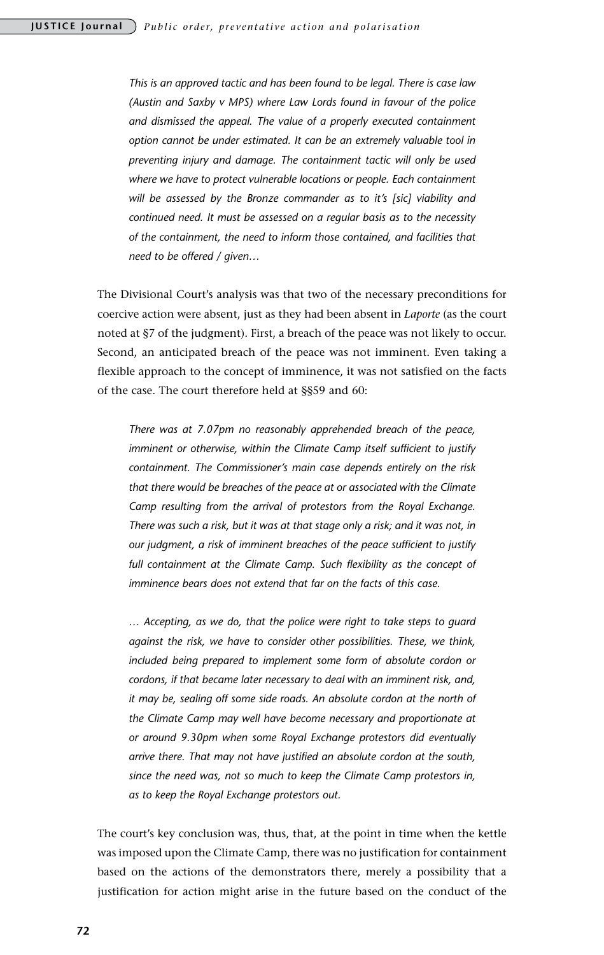*This is an approved tactic and has been found to be legal. There is case law (Austin and Saxby v MPS) where Law Lords found in favour of the police and dismissed the appeal. The value of a properly executed containment option cannot be under estimated. It can be an extremely valuable tool in preventing injury and damage. The containment tactic will only be used where we have to protect vulnerable locations or people. Each containment*  will be assessed by the Bronze commander as to it's [sic] viability and *continued need. It must be assessed on a regular basis as to the necessity of the containment, the need to inform those contained, and facilities that need to be offered / given…*

The Divisional Court's analysis was that two of the necessary preconditions for coercive action were absent, just as they had been absent in *Laporte* (as the court noted at §7 of the judgment). First, a breach of the peace was not likely to occur. Second, an anticipated breach of the peace was not imminent. Even taking a flexible approach to the concept of imminence, it was not satisfied on the facts of the case. The court therefore held at §§59 and 60:

*There was at 7.07pm no reasonably apprehended breach of the peace, imminent or otherwise, within the Climate Camp itself sufficient to justify containment. The Commissioner's main case depends entirely on the risk that there would be breaches of the peace at or associated with the Climate Camp resulting from the arrival of protestors from the Royal Exchange. There was such a risk, but it was at that stage only a risk; and it was not, in our judgment, a risk of imminent breaches of the peace sufficient to justify*  full containment at the Climate Camp. Such flexibility as the concept of *imminence bears does not extend that far on the facts of this case.*

*… Accepting, as we do, that the police were right to take steps to guard against the risk, we have to consider other possibilities. These, we think, included being prepared to implement some form of absolute cordon or cordons, if that became later necessary to deal with an imminent risk, and, it may be, sealing off some side roads. An absolute cordon at the north of the Climate Camp may well have become necessary and proportionate at or around 9.30pm when some Royal Exchange protestors did eventually arrive there. That may not have justified an absolute cordon at the south, since the need was, not so much to keep the Climate Camp protestors in, as to keep the Royal Exchange protestors out.*

The court's key conclusion was, thus, that, at the point in time when the kettle was imposed upon the Climate Camp, there was no justification for containment based on the actions of the demonstrators there, merely a possibility that a justification for action might arise in the future based on the conduct of the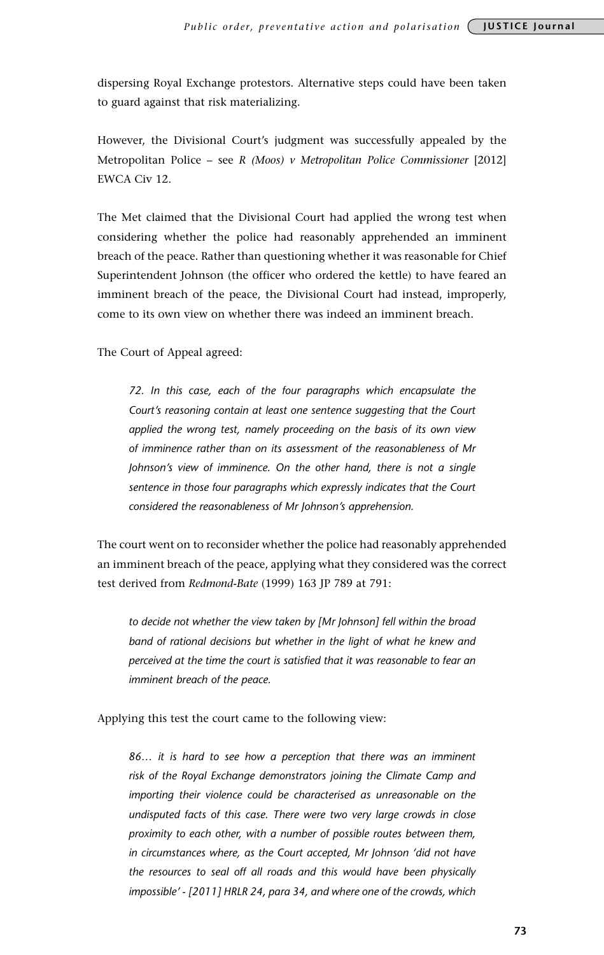dispersing Royal Exchange protestors. Alternative steps could have been taken to guard against that risk materializing.

However, the Divisional Court's judgment was successfully appealed by the Metropolitan Police – see *R (Moos) v Metropolitan Police Commissioner* [2012] EWCA Civ 12.

The Met claimed that the Divisional Court had applied the wrong test when considering whether the police had reasonably apprehended an imminent breach of the peace. Rather than questioning whether it was reasonable for Chief Superintendent Johnson (the officer who ordered the kettle) to have feared an imminent breach of the peace, the Divisional Court had instead, improperly, come to its own view on whether there was indeed an imminent breach.

The Court of Appeal agreed:

*72. In this case, each of the four paragraphs which encapsulate the Court's reasoning contain at least one sentence suggesting that the Court applied the wrong test, namely proceeding on the basis of its own view of imminence rather than on its assessment of the reasonableness of Mr Johnson's view of imminence. On the other hand, there is not a single sentence in those four paragraphs which expressly indicates that the Court considered the reasonableness of Mr Johnson's apprehension.*

The court went on to reconsider whether the police had reasonably apprehended an imminent breach of the peace, applying what they considered was the correct test derived from *Redmond-Bate* (1999) 163 JP 789 at 791:

*to decide not whether the view taken by [Mr Johnson] fell within the broad band of rational decisions but whether in the light of what he knew and perceived at the time the court is satisfied that it was reasonable to fear an imminent breach of the peace.*

Applying this test the court came to the following view:

*86… it is hard to see how a perception that there was an imminent risk of the Royal Exchange demonstrators joining the Climate Camp and importing their violence could be characterised as unreasonable on the undisputed facts of this case. There were two very large crowds in close proximity to each other, with a number of possible routes between them, in circumstances where, as the Court accepted, Mr Johnson 'did not have the resources to seal off all roads and this would have been physically impossible' - [2011] HRLR 24, para 34, and where one of the crowds, which*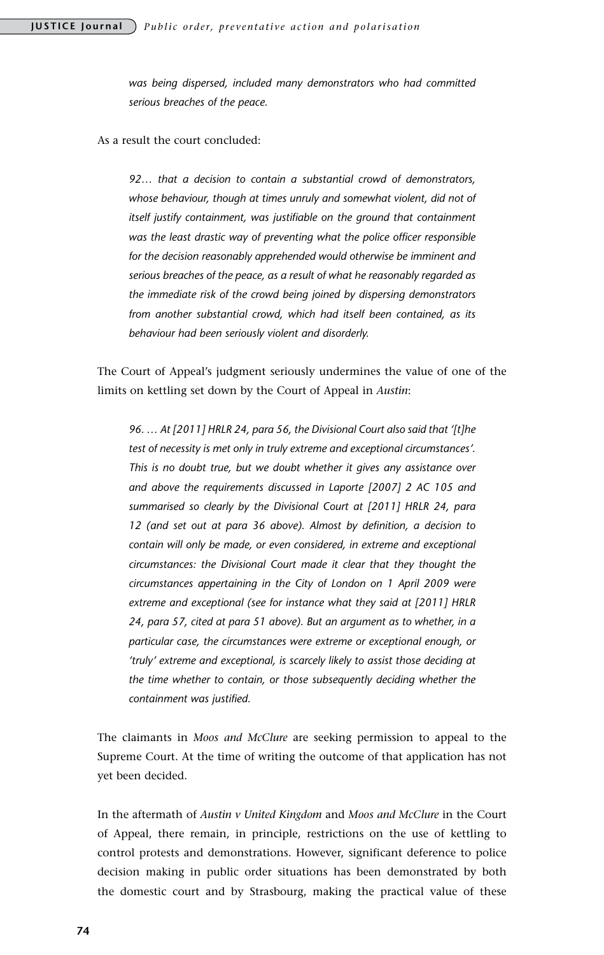*was being dispersed, included many demonstrators who had committed serious breaches of the peace.*

As a result the court concluded:

*92… that a decision to contain a substantial crowd of demonstrators,*  whose behaviour, though at times unruly and somewhat violent, did not of *itself justify containment, was justifiable on the ground that containment was the least drastic way of preventing what the police officer responsible for the decision reasonably apprehended would otherwise be imminent and serious breaches of the peace, as a result of what he reasonably regarded as the immediate risk of the crowd being joined by dispersing demonstrators from another substantial crowd, which had itself been contained, as its behaviour had been seriously violent and disorderly.* 

The Court of Appeal's judgment seriously undermines the value of one of the limits on kettling set down by the Court of Appeal in *Austin*:

*96. … At [2011] HRLR 24, para 56, the Divisional Court also said that '[t]he test of necessity is met only in truly extreme and exceptional circumstances'. This is no doubt true, but we doubt whether it gives any assistance over and above the requirements discussed in Laporte [2007] 2 AC 105 and summarised so clearly by the Divisional Court at [2011] HRLR 24, para 12 (and set out at para 36 above). Almost by definition, a decision to contain will only be made, or even considered, in extreme and exceptional circumstances: the Divisional Court made it clear that they thought the circumstances appertaining in the City of London on 1 April 2009 were extreme and exceptional (see for instance what they said at [2011] HRLR 24, para 57, cited at para 51 above). But an argument as to whether, in a particular case, the circumstances were extreme or exceptional enough, or 'truly' extreme and exceptional, is scarcely likely to assist those deciding at the time whether to contain, or those subsequently deciding whether the containment was justified.*

The claimants in *Moos and McClure* are seeking permission to appeal to the Supreme Court. At the time of writing the outcome of that application has not yet been decided.

In the aftermath of *Austin v United Kingdom* and *Moos and McClure* in the Court of Appeal, there remain, in principle, restrictions on the use of kettling to control protests and demonstrations. However, significant deference to police decision making in public order situations has been demonstrated by both the domestic court and by Strasbourg, making the practical value of these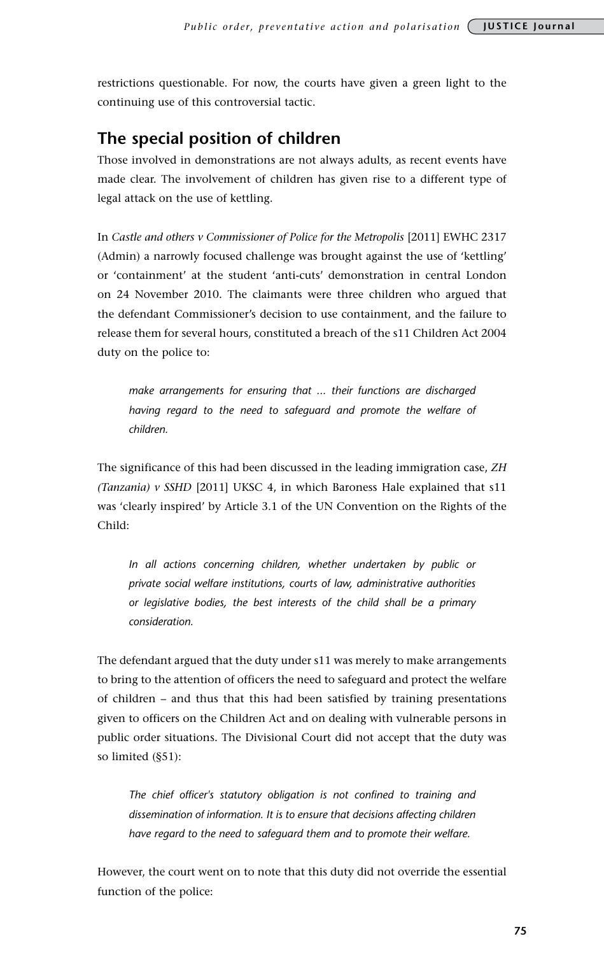restrictions questionable. For now, the courts have given a green light to the continuing use of this controversial tactic.

## **The special position of children**

Those involved in demonstrations are not always adults, as recent events have made clear. The involvement of children has given rise to a different type of legal attack on the use of kettling.

In *Castle and others v Commissioner of Police for the Metropolis* [2011] EWHC 2317 (Admin) a narrowly focused challenge was brought against the use of 'kettling' or 'containment' at the student 'anti-cuts' demonstration in central London on 24 November 2010. The claimants were three children who argued that the defendant Commissioner's decision to use containment, and the failure to release them for several hours, constituted a breach of the s11 Children Act 2004 duty on the police to:

*make arrangements for ensuring that ... their functions are discharged having regard to the need to safeguard and promote the welfare of children.*

The significance of this had been discussed in the leading immigration case, *ZH (Tanzania) v SSHD* [2011] UKSC 4, in which Baroness Hale explained that s11 was 'clearly inspired' by Article 3.1 of the UN Convention on the Rights of the Child:

*In all actions concerning children, whether undertaken by public or private social welfare institutions, courts of law, administrative authorities or legislative bodies, the best interests of the child shall be a primary consideration.*

The defendant argued that the duty under s11 was merely to make arrangements to bring to the attention of officers the need to safeguard and protect the welfare of children – and thus that this had been satisfied by training presentations given to officers on the Children Act and on dealing with vulnerable persons in public order situations. The Divisional Court did not accept that the duty was so limited (§51):

*The chief officer's statutory obligation is not confined to training and dissemination of information. It is to ensure that decisions affecting children have regard to the need to safeguard them and to promote their welfare.*

However, the court went on to note that this duty did not override the essential function of the police: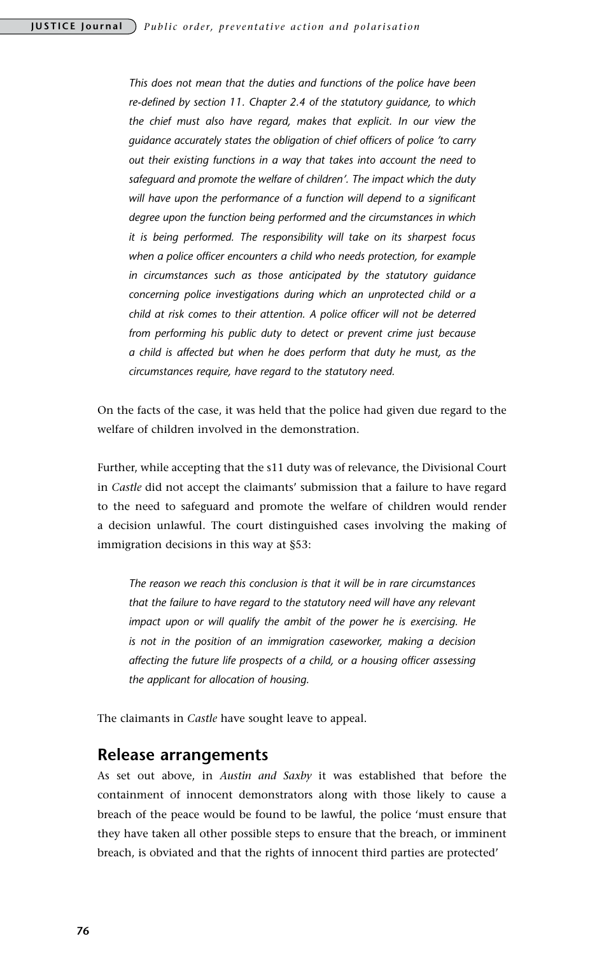*This does not mean that the duties and functions of the police have been re-defined by section 11. Chapter 2.4 of the statutory guidance, to which the chief must also have regard, makes that explicit. In our view the guidance accurately states the obligation of chief officers of police 'to carry out their existing functions in a way that takes into account the need to safeguard and promote the welfare of children'. The impact which the duty*  will have upon the performance of a function will depend to a significant *degree upon the function being performed and the circumstances in which it is being performed. The responsibility will take on its sharpest focus when a police officer encounters a child who needs protection, for example in circumstances such as those anticipated by the statutory guidance concerning police investigations during which an unprotected child or a child at risk comes to their attention. A police officer will not be deterred from performing his public duty to detect or prevent crime just because a child is affected but when he does perform that duty he must, as the circumstances require, have regard to the statutory need.*

On the facts of the case, it was held that the police had given due regard to the welfare of children involved in the demonstration.

Further, while accepting that the s11 duty was of relevance, the Divisional Court in *Castle* did not accept the claimants' submission that a failure to have regard to the need to safeguard and promote the welfare of children would render a decision unlawful. The court distinguished cases involving the making of immigration decisions in this way at §53:

*The reason we reach this conclusion is that it will be in rare circumstances that the failure to have regard to the statutory need will have any relevant impact upon or will qualify the ambit of the power he is exercising. He is not in the position of an immigration caseworker, making a decision affecting the future life prospects of a child, or a housing officer assessing the applicant for allocation of housing.*

The claimants in *Castle* have sought leave to appeal.

#### **Release arrangements**

As set out above, in *Austin and Saxby* it was established that before the containment of innocent demonstrators along with those likely to cause a breach of the peace would be found to be lawful, the police 'must ensure that they have taken all other possible steps to ensure that the breach, or imminent breach, is obviated and that the rights of innocent third parties are protected'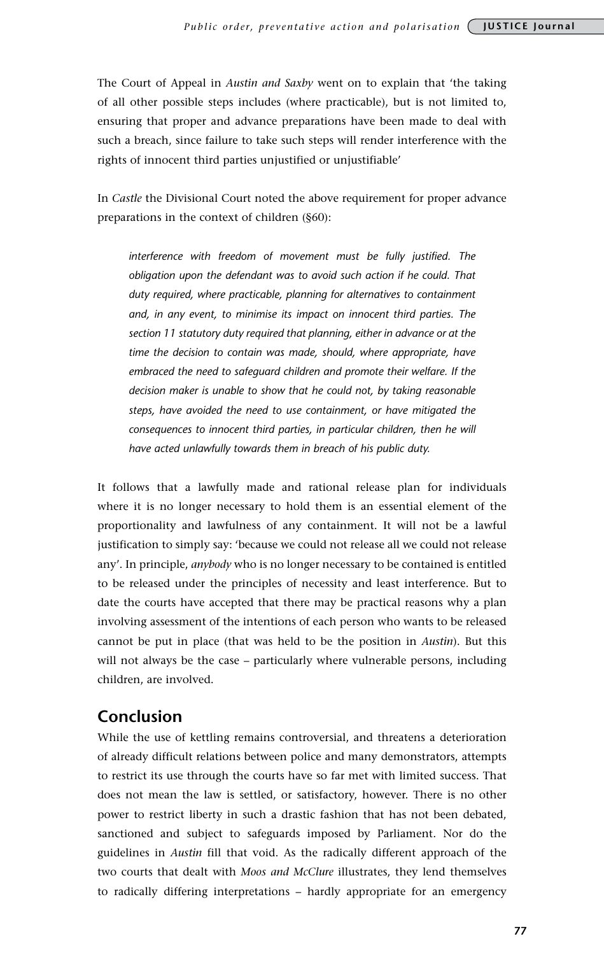The Court of Appeal in *Austin and Saxby* went on to explain that 'the taking of all other possible steps includes (where practicable), but is not limited to, ensuring that proper and advance preparations have been made to deal with such a breach, since failure to take such steps will render interference with the rights of innocent third parties unjustified or unjustifiable'

In *Castle* the Divisional Court noted the above requirement for proper advance preparations in the context of children (§60):

*interference with freedom of movement must be fully justified. The obligation upon the defendant was to avoid such action if he could. That duty required, where practicable, planning for alternatives to containment and, in any event, to minimise its impact on innocent third parties. The section 11 statutory duty required that planning, either in advance or at the time the decision to contain was made, should, where appropriate, have embraced the need to safeguard children and promote their welfare. If the decision maker is unable to show that he could not, by taking reasonable steps, have avoided the need to use containment, or have mitigated the consequences to innocent third parties, in particular children, then he will have acted unlawfully towards them in breach of his public duty.*

It follows that a lawfully made and rational release plan for individuals where it is no longer necessary to hold them is an essential element of the proportionality and lawfulness of any containment. It will not be a lawful justification to simply say: 'because we could not release all we could not release any'. In principle, *anybody* who is no longer necessary to be contained is entitled to be released under the principles of necessity and least interference. But to date the courts have accepted that there may be practical reasons why a plan involving assessment of the intentions of each person who wants to be released cannot be put in place (that was held to be the position in *Austin*). But this will not always be the case – particularly where vulnerable persons, including children, are involved.

## **Conclusion**

While the use of kettling remains controversial, and threatens a deterioration of already difficult relations between police and many demonstrators, attempts to restrict its use through the courts have so far met with limited success. That does not mean the law is settled, or satisfactory, however. There is no other power to restrict liberty in such a drastic fashion that has not been debated, sanctioned and subject to safeguards imposed by Parliament. Nor do the guidelines in *Austin* fill that void. As the radically different approach of the two courts that dealt with *Moos and McClure* illustrates, they lend themselves to radically differing interpretations – hardly appropriate for an emergency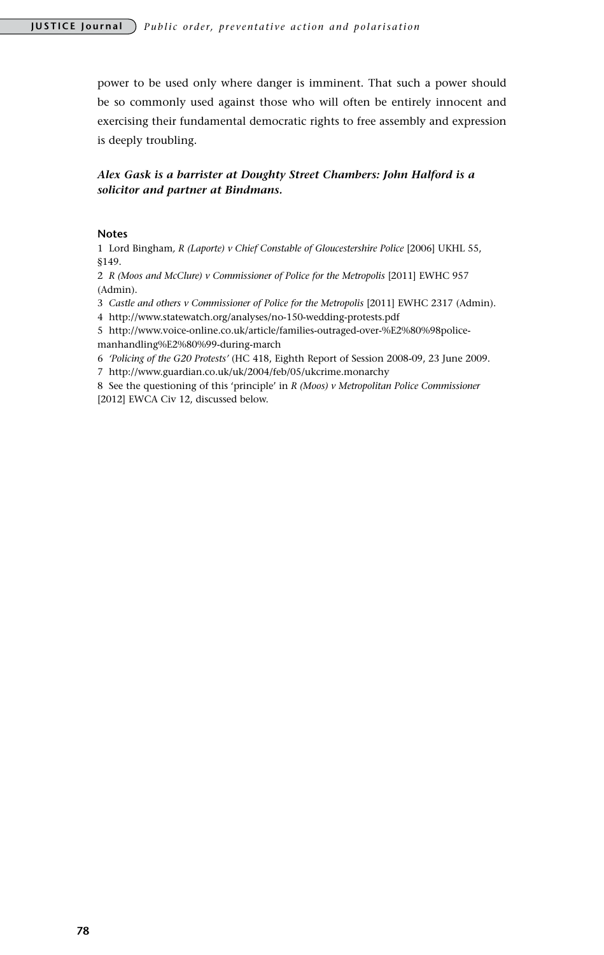power to be used only where danger is imminent. That such a power should be so commonly used against those who will often be entirely innocent and exercising their fundamental democratic rights to free assembly and expression is deeply troubling.

#### *Alex Gask is a barrister at Doughty Street Chambers: John Halford is a solicitor and partner at Bindmans.*

#### **Notes**

1 Lord Bingham*, R (Laporte) v Chief Constable of Gloucestershire Police* [2006] UKHL 55, §149.

2 *R (Moos and McClure) v Commissioner of Police for the Metropolis* [2011] EWHC 957 (Admin).

3 *Castle and others v Commissioner of Police for the Metropolis* [2011] EWHC 2317 (Admin).

4 http://www.statewatch.org/analyses/no-150-wedding-protests.pdf

5 http://www.voice-online.co.uk/article/families-outraged-over-%E2%80%98policemanhandling%E2%80%99-during-march

6 *'Policing of the G20 Protests'* (HC 418, Eighth Report of Session 2008-09, 23 June 2009.

7 http://www.guardian.co.uk/uk/2004/feb/05/ukcrime.monarchy

8 See the questioning of this 'principle' in *R (Moos) v Metropolitan Police Commissioner*  [2012] EWCA Civ 12, discussed below.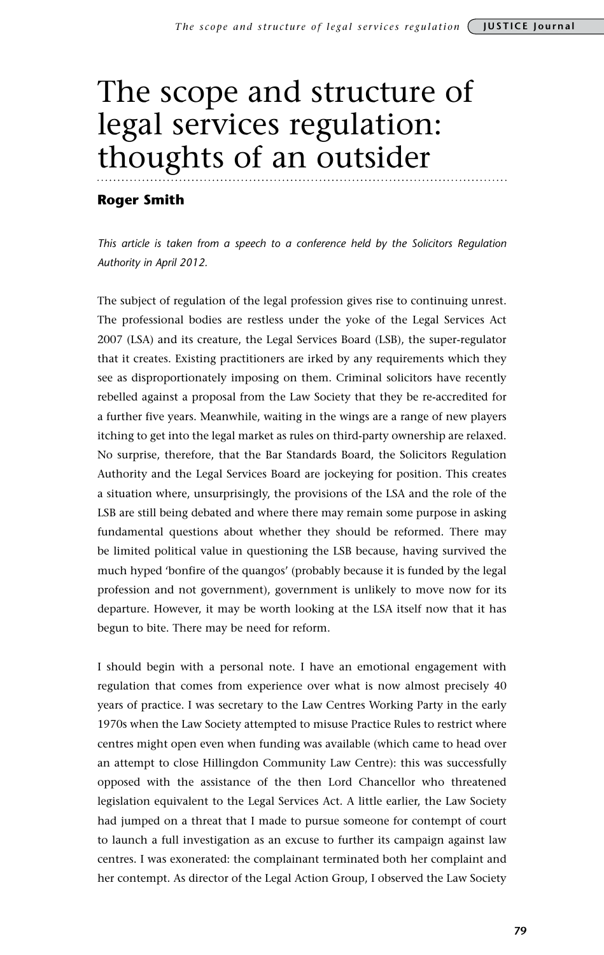# The scope and structure of legal services regulation: thoughts of an outsider

#### **Roger Smith**

*This article is taken from a speech to a conference held by the Solicitors Regulation Authority in April 2012.* 

The subject of regulation of the legal profession gives rise to continuing unrest. The professional bodies are restless under the yoke of the Legal Services Act 2007 (LSA) and its creature, the Legal Services Board (LSB), the super-regulator that it creates. Existing practitioners are irked by any requirements which they see as disproportionately imposing on them. Criminal solicitors have recently rebelled against a proposal from the Law Society that they be re-accredited for a further five years. Meanwhile, waiting in the wings are a range of new players itching to get into the legal market as rules on third-party ownership are relaxed. No surprise, therefore, that the Bar Standards Board, the Solicitors Regulation Authority and the Legal Services Board are jockeying for position. This creates a situation where, unsurprisingly, the provisions of the LSA and the role of the LSB are still being debated and where there may remain some purpose in asking fundamental questions about whether they should be reformed. There may be limited political value in questioning the LSB because, having survived the much hyped 'bonfire of the quangos' (probably because it is funded by the legal profession and not government), government is unlikely to move now for its departure. However, it may be worth looking at the LSA itself now that it has begun to bite. There may be need for reform.

I should begin with a personal note. I have an emotional engagement with regulation that comes from experience over what is now almost precisely 40 years of practice. I was secretary to the Law Centres Working Party in the early 1970s when the Law Society attempted to misuse Practice Rules to restrict where centres might open even when funding was available (which came to head over an attempt to close Hillingdon Community Law Centre): this was successfully opposed with the assistance of the then Lord Chancellor who threatened legislation equivalent to the Legal Services Act. A little earlier, the Law Society had jumped on a threat that I made to pursue someone for contempt of court to launch a full investigation as an excuse to further its campaign against law centres. I was exonerated: the complainant terminated both her complaint and her contempt. As director of the Legal Action Group, I observed the Law Society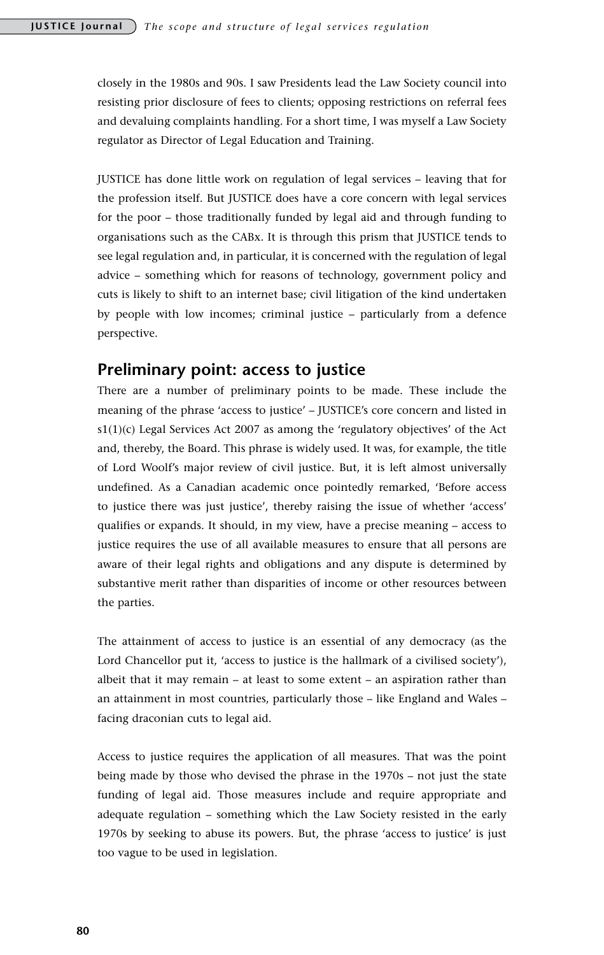closely in the 1980s and 90s. I saw Presidents lead the Law Society council into resisting prior disclosure of fees to clients; opposing restrictions on referral fees and devaluing complaints handling. For a short time, I was myself a Law Society regulator as Director of Legal Education and Training.

JUSTICE has done little work on regulation of legal services – leaving that for the profession itself. But JUSTICE does have a core concern with legal services for the poor – those traditionally funded by legal aid and through funding to organisations such as the CABx. It is through this prism that JUSTICE tends to see legal regulation and, in particular, it is concerned with the regulation of legal advice – something which for reasons of technology, government policy and cuts is likely to shift to an internet base; civil litigation of the kind undertaken by people with low incomes; criminal justice – particularly from a defence perspective.

## **Preliminary point: access to justice**

There are a number of preliminary points to be made. These include the meaning of the phrase 'access to justice' – JUSTICE's core concern and listed in  $s1(1)(c)$  Legal Services Act 2007 as among the 'regulatory objectives' of the Act and, thereby, the Board. This phrase is widely used. It was, for example, the title of Lord Woolf's major review of civil justice. But, it is left almost universally undefined. As a Canadian academic once pointedly remarked, 'Before access to justice there was just justice', thereby raising the issue of whether 'access' qualifies or expands. It should, in my view, have a precise meaning – access to justice requires the use of all available measures to ensure that all persons are aware of their legal rights and obligations and any dispute is determined by substantive merit rather than disparities of income or other resources between the parties.

The attainment of access to justice is an essential of any democracy (as the Lord Chancellor put it, 'access to justice is the hallmark of a civilised society'), albeit that it may remain – at least to some extent – an aspiration rather than an attainment in most countries, particularly those – like England and Wales – facing draconian cuts to legal aid.

Access to justice requires the application of all measures. That was the point being made by those who devised the phrase in the 1970s – not just the state funding of legal aid. Those measures include and require appropriate and adequate regulation – something which the Law Society resisted in the early 1970s by seeking to abuse its powers. But, the phrase 'access to justice' is just too vague to be used in legislation.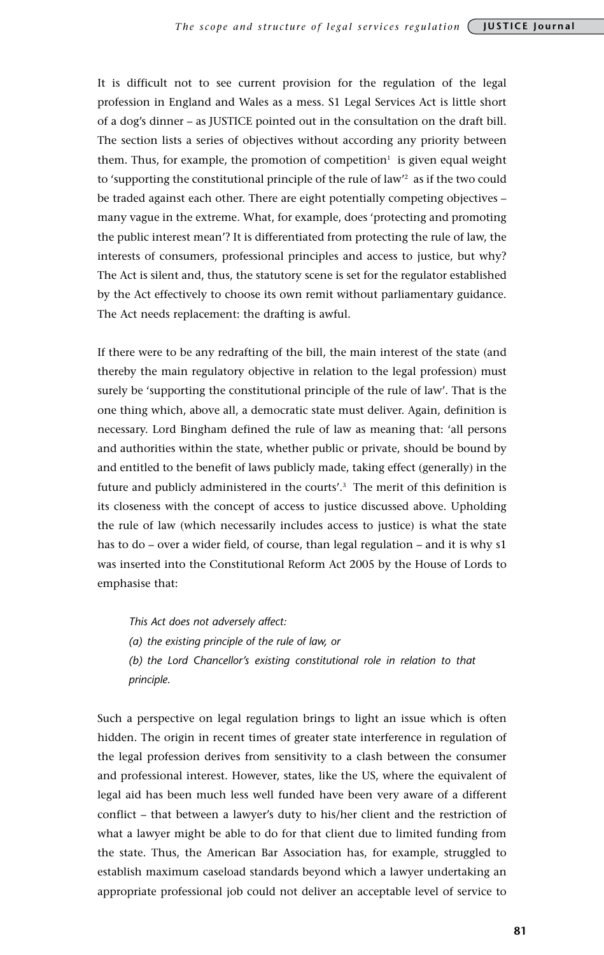It is difficult not to see current provision for the regulation of the legal profession in England and Wales as a mess. S1 Legal Services Act is little short of a dog's dinner – as JUSTICE pointed out in the consultation on the draft bill. The section lists a series of objectives without according any priority between them. Thus, for example, the promotion of competition<sup>1</sup> is given equal weight to 'supporting the constitutional principle of the rule of law'<sup>2</sup> as if the two could be traded against each other. There are eight potentially competing objectives – many vague in the extreme. What, for example, does 'protecting and promoting the public interest mean'? It is differentiated from protecting the rule of law, the interests of consumers, professional principles and access to justice, but why? The Act is silent and, thus, the statutory scene is set for the regulator established by the Act effectively to choose its own remit without parliamentary guidance. The Act needs replacement: the drafting is awful.

If there were to be any redrafting of the bill, the main interest of the state (and thereby the main regulatory objective in relation to the legal profession) must surely be 'supporting the constitutional principle of the rule of law'. That is the one thing which, above all, a democratic state must deliver. Again, definition is necessary. Lord Bingham defined the rule of law as meaning that: 'all persons and authorities within the state, whether public or private, should be bound by and entitled to the benefit of laws publicly made, taking effect (generally) in the future and publicly administered in the courts'.<sup>3</sup> The merit of this definition is its closeness with the concept of access to justice discussed above. Upholding the rule of law (which necessarily includes access to justice) is what the state has to do – over a wider field, of course, than legal regulation – and it is why s1 was inserted into the Constitutional Reform Act 2005 by the House of Lords to emphasise that:

*This Act does not adversely affect:*

*(a) the existing principle of the rule of law, or*

*(b) the Lord Chancellor's existing constitutional role in relation to that principle.*

Such a perspective on legal regulation brings to light an issue which is often hidden. The origin in recent times of greater state interference in regulation of the legal profession derives from sensitivity to a clash between the consumer and professional interest. However, states, like the US, where the equivalent of legal aid has been much less well funded have been very aware of a different conflict – that between a lawyer's duty to his/her client and the restriction of what a lawyer might be able to do for that client due to limited funding from the state. Thus, the American Bar Association has, for example, struggled to establish maximum caseload standards beyond which a lawyer undertaking an appropriate professional job could not deliver an acceptable level of service to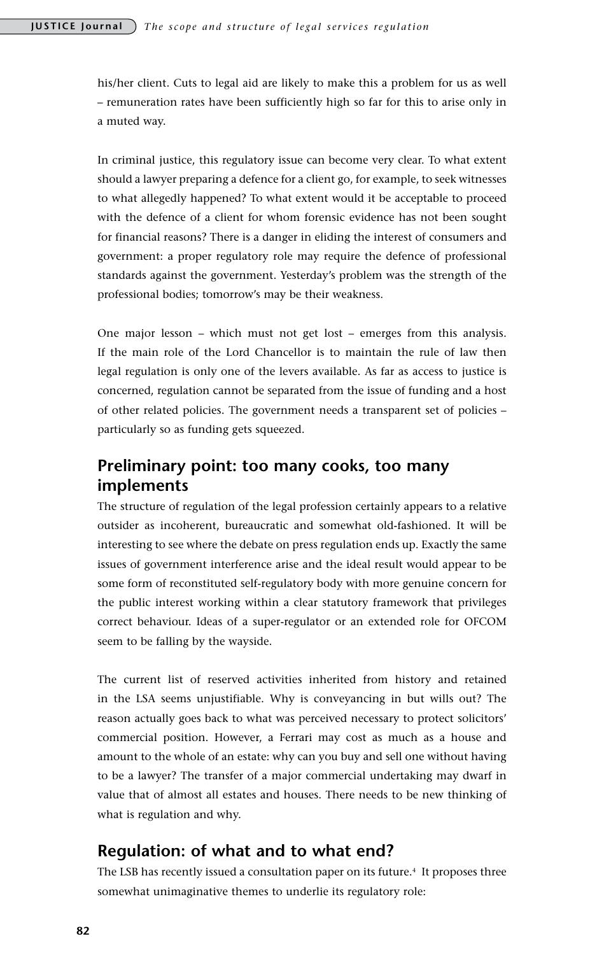his/her client. Cuts to legal aid are likely to make this a problem for us as well – remuneration rates have been sufficiently high so far for this to arise only in a muted way.

In criminal justice, this regulatory issue can become very clear. To what extent should a lawyer preparing a defence for a client go, for example, to seek witnesses to what allegedly happened? To what extent would it be acceptable to proceed with the defence of a client for whom forensic evidence has not been sought for financial reasons? There is a danger in eliding the interest of consumers and government: a proper regulatory role may require the defence of professional standards against the government. Yesterday's problem was the strength of the professional bodies; tomorrow's may be their weakness.

One major lesson – which must not get lost – emerges from this analysis. If the main role of the Lord Chancellor is to maintain the rule of law then legal regulation is only one of the levers available. As far as access to justice is concerned, regulation cannot be separated from the issue of funding and a host of other related policies. The government needs a transparent set of policies – particularly so as funding gets squeezed.

## **Preliminary point: too many cooks, too many implements**

The structure of regulation of the legal profession certainly appears to a relative outsider as incoherent, bureaucratic and somewhat old-fashioned. It will be interesting to see where the debate on press regulation ends up. Exactly the same issues of government interference arise and the ideal result would appear to be some form of reconstituted self-regulatory body with more genuine concern for the public interest working within a clear statutory framework that privileges correct behaviour. Ideas of a super-regulator or an extended role for OFCOM seem to be falling by the wayside.

The current list of reserved activities inherited from history and retained in the LSA seems unjustifiable. Why is conveyancing in but wills out? The reason actually goes back to what was perceived necessary to protect solicitors' commercial position. However, a Ferrari may cost as much as a house and amount to the whole of an estate: why can you buy and sell one without having to be a lawyer? The transfer of a major commercial undertaking may dwarf in value that of almost all estates and houses. There needs to be new thinking of what is regulation and why.

## **Regulation: of what and to what end?**

The LSB has recently issued a consultation paper on its future.4 It proposes three somewhat unimaginative themes to underlie its regulatory role: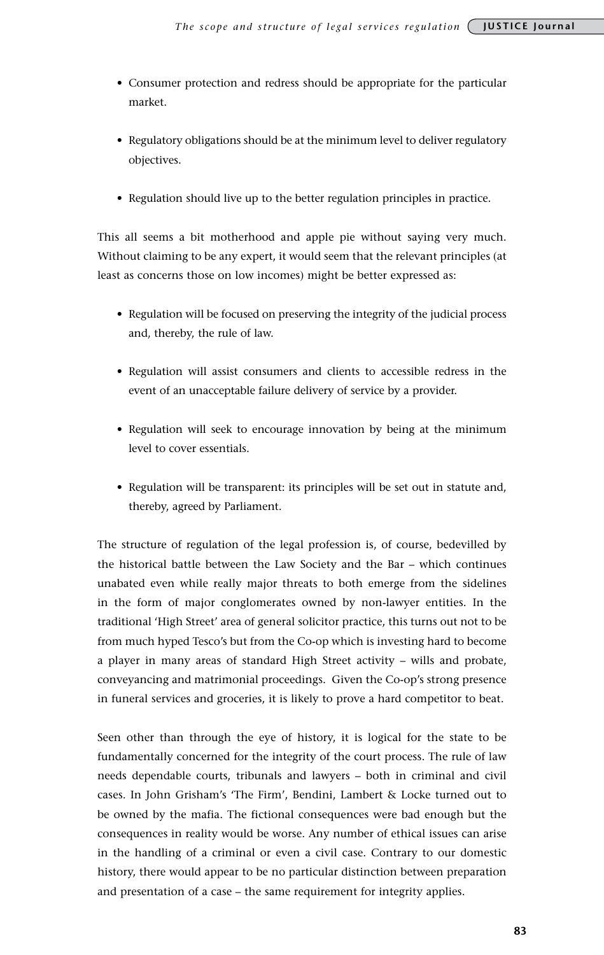- Consumer protection and redress should be appropriate for the particular market.
- Regulatory obligations should be at the minimum level to deliver regulatory objectives.
- Regulation should live up to the better regulation principles in practice.

This all seems a bit motherhood and apple pie without saying very much. Without claiming to be any expert, it would seem that the relevant principles (at least as concerns those on low incomes) might be better expressed as:

- Regulation will be focused on preserving the integrity of the judicial process and, thereby, the rule of law.
- Regulation will assist consumers and clients to accessible redress in the event of an unacceptable failure delivery of service by a provider.
- Regulation will seek to encourage innovation by being at the minimum level to cover essentials.
- Regulation will be transparent: its principles will be set out in statute and, thereby, agreed by Parliament.

The structure of regulation of the legal profession is, of course, bedevilled by the historical battle between the Law Society and the Bar – which continues unabated even while really major threats to both emerge from the sidelines in the form of major conglomerates owned by non-lawyer entities. In the traditional 'High Street' area of general solicitor practice, this turns out not to be from much hyped Tesco's but from the Co-op which is investing hard to become a player in many areas of standard High Street activity – wills and probate, conveyancing and matrimonial proceedings. Given the Co-op's strong presence in funeral services and groceries, it is likely to prove a hard competitor to beat.

Seen other than through the eye of history, it is logical for the state to be fundamentally concerned for the integrity of the court process. The rule of law needs dependable courts, tribunals and lawyers – both in criminal and civil cases. In John Grisham's 'The Firm', Bendini, Lambert & Locke turned out to be owned by the mafia. The fictional consequences were bad enough but the consequences in reality would be worse. Any number of ethical issues can arise in the handling of a criminal or even a civil case. Contrary to our domestic history, there would appear to be no particular distinction between preparation and presentation of a case – the same requirement for integrity applies.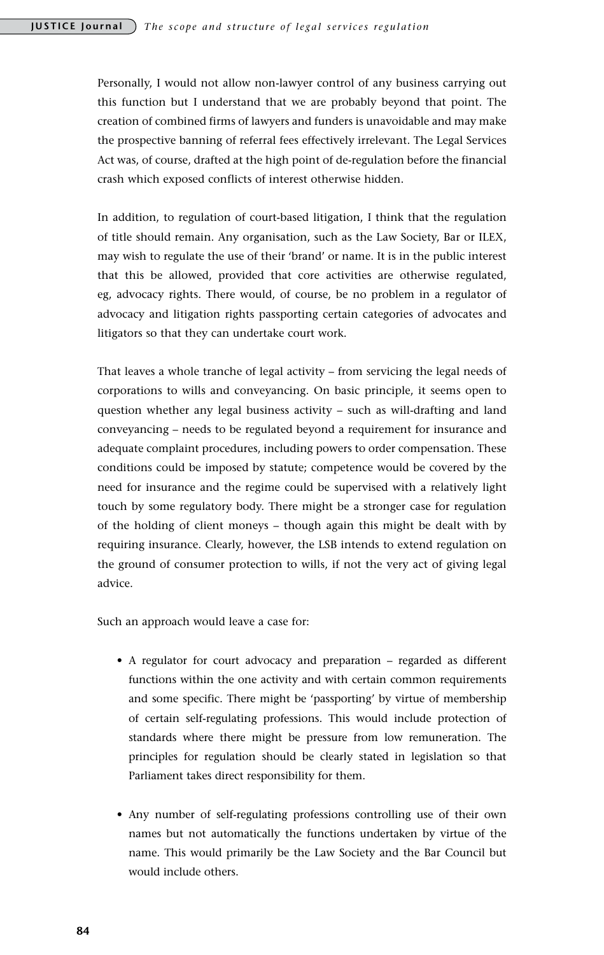Personally, I would not allow non-lawyer control of any business carrying out this function but I understand that we are probably beyond that point. The creation of combined firms of lawyers and funders is unavoidable and may make the prospective banning of referral fees effectively irrelevant. The Legal Services Act was, of course, drafted at the high point of de-regulation before the financial crash which exposed conflicts of interest otherwise hidden.

In addition, to regulation of court-based litigation, I think that the regulation of title should remain. Any organisation, such as the Law Society, Bar or ILEX, may wish to regulate the use of their 'brand' or name. It is in the public interest that this be allowed, provided that core activities are otherwise regulated, eg, advocacy rights. There would, of course, be no problem in a regulator of advocacy and litigation rights passporting certain categories of advocates and litigators so that they can undertake court work.

That leaves a whole tranche of legal activity – from servicing the legal needs of corporations to wills and conveyancing. On basic principle, it seems open to question whether any legal business activity – such as will-drafting and land conveyancing – needs to be regulated beyond a requirement for insurance and adequate complaint procedures, including powers to order compensation. These conditions could be imposed by statute; competence would be covered by the need for insurance and the regime could be supervised with a relatively light touch by some regulatory body. There might be a stronger case for regulation of the holding of client moneys – though again this might be dealt with by requiring insurance. Clearly, however, the LSB intends to extend regulation on the ground of consumer protection to wills, if not the very act of giving legal advice.

Such an approach would leave a case for:

- A regulator for court advocacy and preparation regarded as different functions within the one activity and with certain common requirements and some specific. There might be 'passporting' by virtue of membership of certain self-regulating professions. This would include protection of standards where there might be pressure from low remuneration. The principles for regulation should be clearly stated in legislation so that Parliament takes direct responsibility for them.
- Any number of self-regulating professions controlling use of their own names but not automatically the functions undertaken by virtue of the name. This would primarily be the Law Society and the Bar Council but would include others.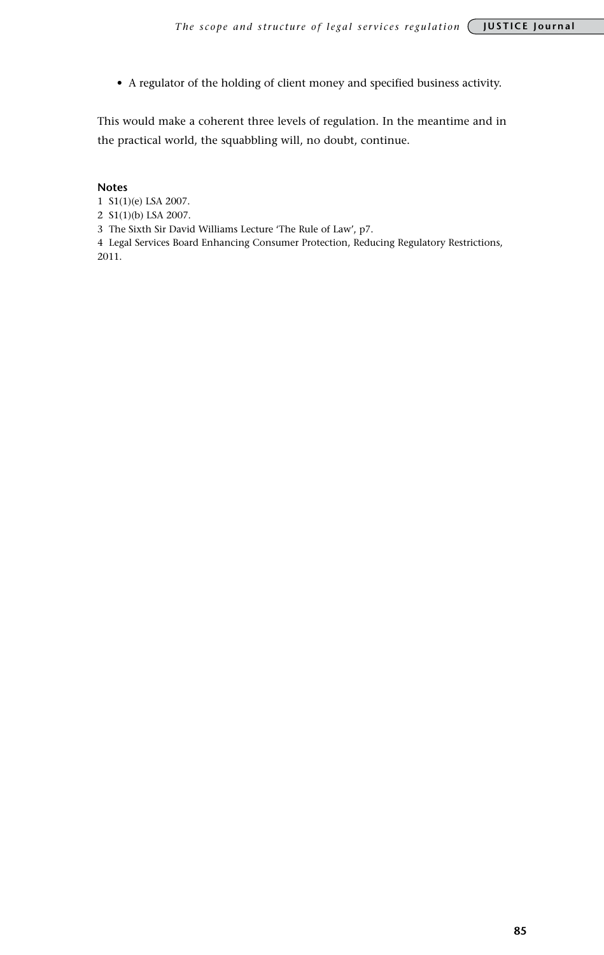• A regulator of the holding of client money and specified business activity.

This would make a coherent three levels of regulation. In the meantime and in the practical world, the squabbling will, no doubt, continue.

#### **Notes**

- 1 S1(1)(e) LSA 2007.
- 2 S1(1)(b) LSA 2007.
- 3 The Sixth Sir David Williams Lecture 'The Rule of Law', p7.

4 Legal Services Board Enhancing Consumer Protection, Reducing Regulatory Restrictions, 2011.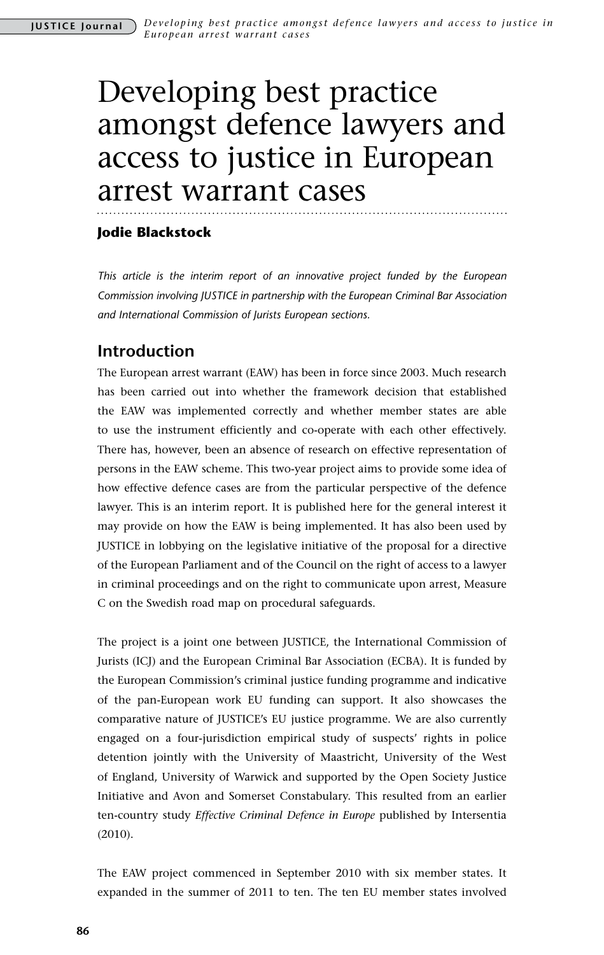# Developing best practice amongst defence lawyers and access to justice in European arrest warrant cases

### **Jodie Blackstock**

*This article is the interim report of an innovative project funded by the European Commission involving JUSTICE in partnership with the European Criminal Bar Association and International Commission of Jurists European sections.*

# **Introduction**

The European arrest warrant (EAW) has been in force since 2003. Much research has been carried out into whether the framework decision that established the EAW was implemented correctly and whether member states are able to use the instrument efficiently and co-operate with each other effectively. There has, however, been an absence of research on effective representation of persons in the EAW scheme. This two-year project aims to provide some idea of how effective defence cases are from the particular perspective of the defence lawyer. This is an interim report. It is published here for the general interest it may provide on how the EAW is being implemented. It has also been used by JUSTICE in lobbying on the legislative initiative of the proposal for a directive of the European Parliament and of the Council on the right of access to a lawyer in criminal proceedings and on the right to communicate upon arrest, Measure C on the Swedish road map on procedural safeguards.

The project is a joint one between JUSTICE, the International Commission of Jurists (ICJ) and the European Criminal Bar Association (ECBA). It is funded by the European Commission's criminal justice funding programme and indicative of the pan-European work EU funding can support. It also showcases the comparative nature of JUSTICE's EU justice programme. We are also currently engaged on a four-jurisdiction empirical study of suspects' rights in police detention jointly with the University of Maastricht, University of the West of England, University of Warwick and supported by the Open Society Justice Initiative and Avon and Somerset Constabulary. This resulted from an earlier ten-country study *Effective Criminal Defence in Europe* published by Intersentia (2010).

The EAW project commenced in September 2010 with six member states. It expanded in the summer of 2011 to ten. The ten EU member states involved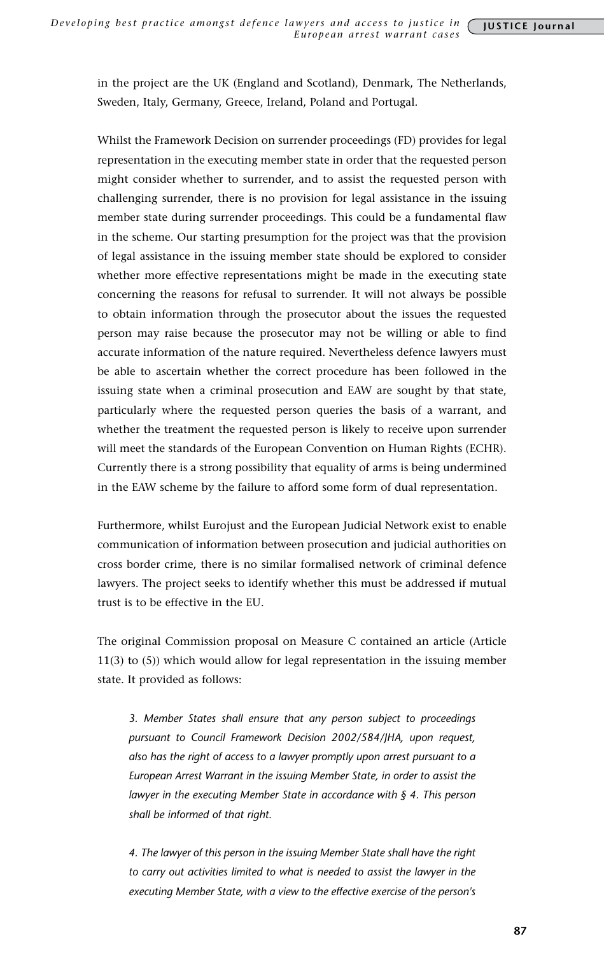in the project are the UK (England and Scotland), Denmark, The Netherlands, Sweden, Italy, Germany, Greece, Ireland, Poland and Portugal.

Whilst the Framework Decision on surrender proceedings (FD) provides for legal representation in the executing member state in order that the requested person might consider whether to surrender, and to assist the requested person with challenging surrender, there is no provision for legal assistance in the issuing member state during surrender proceedings. This could be a fundamental flaw in the scheme. Our starting presumption for the project was that the provision of legal assistance in the issuing member state should be explored to consider whether more effective representations might be made in the executing state concerning the reasons for refusal to surrender. It will not always be possible to obtain information through the prosecutor about the issues the requested person may raise because the prosecutor may not be willing or able to find accurate information of the nature required. Nevertheless defence lawyers must be able to ascertain whether the correct procedure has been followed in the issuing state when a criminal prosecution and EAW are sought by that state, particularly where the requested person queries the basis of a warrant, and whether the treatment the requested person is likely to receive upon surrender will meet the standards of the European Convention on Human Rights (ECHR). Currently there is a strong possibility that equality of arms is being undermined in the EAW scheme by the failure to afford some form of dual representation.

Furthermore, whilst Eurojust and the European Judicial Network exist to enable communication of information between prosecution and judicial authorities on cross border crime, there is no similar formalised network of criminal defence lawyers. The project seeks to identify whether this must be addressed if mutual trust is to be effective in the EU.

The original Commission proposal on Measure C contained an article (Article 11(3) to (5)) which would allow for legal representation in the issuing member state. It provided as follows:

*3. Member States shall ensure that any person subject to proceedings pursuant to Council Framework Decision 2002/584/JHA, upon request, also has the right of access to a lawyer promptly upon arrest pursuant to a European Arrest Warrant in the issuing Member State, in order to assist the lawyer in the executing Member State in accordance with § 4. This person shall be informed of that right.*

*4. The lawyer of this person in the issuing Member State shall have the right to carry out activities limited to what is needed to assist the lawyer in the executing Member State, with a view to the effective exercise of the person's*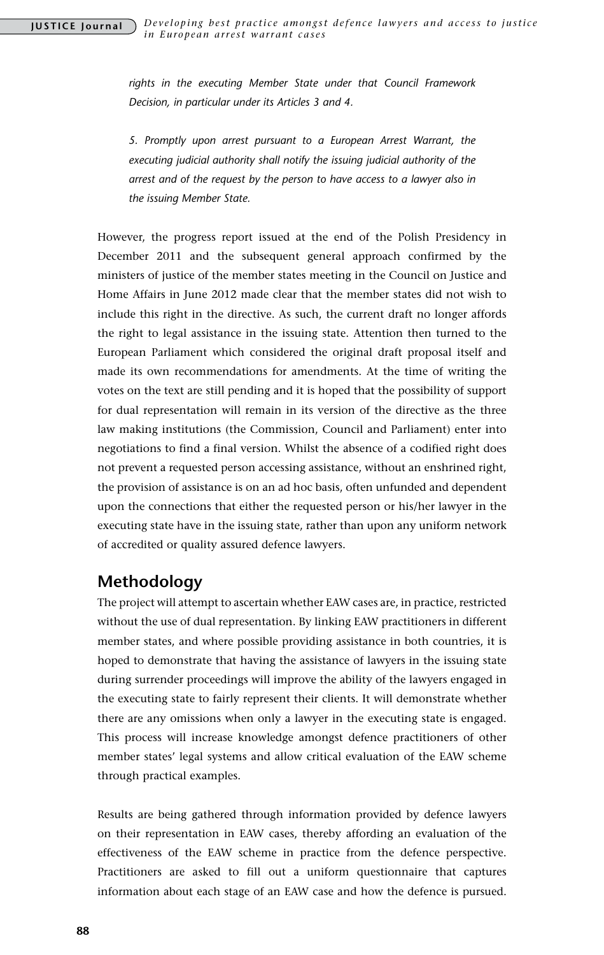*rights in the executing Member State under that Council Framework Decision, in particular under its Articles 3 and 4.*

*5. Promptly upon arrest pursuant to a European Arrest Warrant, the executing judicial authority shall notify the issuing judicial authority of the arrest and of the request by the person to have access to a lawyer also in the issuing Member State.*

However, the progress report issued at the end of the Polish Presidency in December 2011 and the subsequent general approach confirmed by the ministers of justice of the member states meeting in the Council on Justice and Home Affairs in June 2012 made clear that the member states did not wish to include this right in the directive. As such, the current draft no longer affords the right to legal assistance in the issuing state. Attention then turned to the European Parliament which considered the original draft proposal itself and made its own recommendations for amendments. At the time of writing the votes on the text are still pending and it is hoped that the possibility of support for dual representation will remain in its version of the directive as the three law making institutions (the Commission, Council and Parliament) enter into negotiations to find a final version. Whilst the absence of a codified right does not prevent a requested person accessing assistance, without an enshrined right, the provision of assistance is on an ad hoc basis, often unfunded and dependent upon the connections that either the requested person or his/her lawyer in the executing state have in the issuing state, rather than upon any uniform network of accredited or quality assured defence lawyers.

## **Methodology**

The project will attempt to ascertain whether EAW cases are, in practice, restricted without the use of dual representation. By linking EAW practitioners in different member states, and where possible providing assistance in both countries, it is hoped to demonstrate that having the assistance of lawyers in the issuing state during surrender proceedings will improve the ability of the lawyers engaged in the executing state to fairly represent their clients. It will demonstrate whether there are any omissions when only a lawyer in the executing state is engaged. This process will increase knowledge amongst defence practitioners of other member states' legal systems and allow critical evaluation of the EAW scheme through practical examples.

Results are being gathered through information provided by defence lawyers on their representation in EAW cases, thereby affording an evaluation of the effectiveness of the EAW scheme in practice from the defence perspective. Practitioners are asked to fill out a uniform questionnaire that captures information about each stage of an EAW case and how the defence is pursued.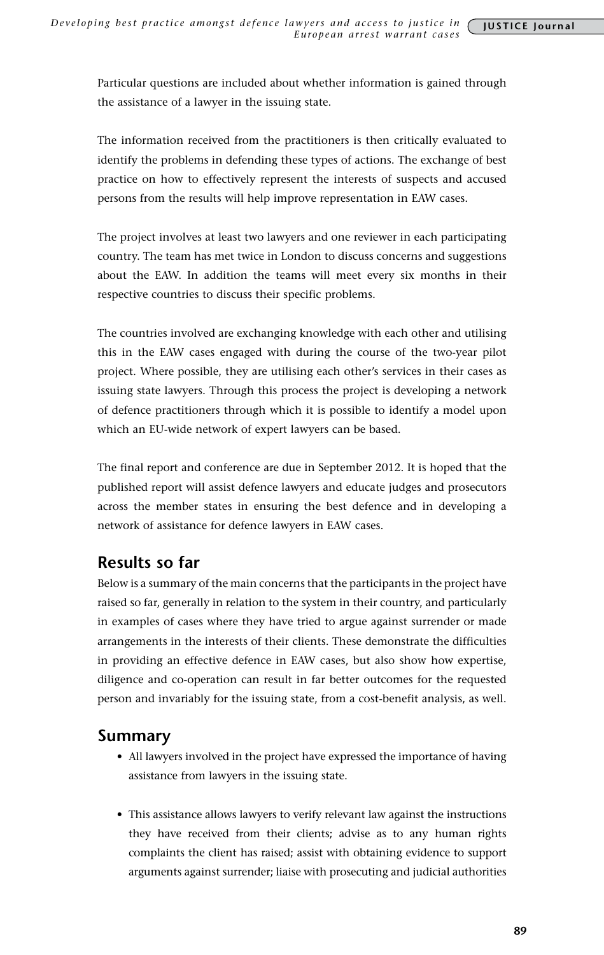Particular questions are included about whether information is gained through the assistance of a lawyer in the issuing state.

The information received from the practitioners is then critically evaluated to identify the problems in defending these types of actions. The exchange of best practice on how to effectively represent the interests of suspects and accused persons from the results will help improve representation in EAW cases.

The project involves at least two lawyers and one reviewer in each participating country. The team has met twice in London to discuss concerns and suggestions about the EAW. In addition the teams will meet every six months in their respective countries to discuss their specific problems.

The countries involved are exchanging knowledge with each other and utilising this in the EAW cases engaged with during the course of the two-year pilot project. Where possible, they are utilising each other's services in their cases as issuing state lawyers. Through this process the project is developing a network of defence practitioners through which it is possible to identify a model upon which an EU-wide network of expert lawyers can be based.

The final report and conference are due in September 2012. It is hoped that the published report will assist defence lawyers and educate judges and prosecutors across the member states in ensuring the best defence and in developing a network of assistance for defence lawyers in EAW cases.

# **Results so far**

Below is a summary of the main concerns that the participants in the project have raised so far, generally in relation to the system in their country, and particularly in examples of cases where they have tried to argue against surrender or made arrangements in the interests of their clients. These demonstrate the difficulties in providing an effective defence in EAW cases, but also show how expertise, diligence and co-operation can result in far better outcomes for the requested person and invariably for the issuing state, from a cost-benefit analysis, as well.

## **Summary**

- All lawyers involved in the project have expressed the importance of having assistance from lawyers in the issuing state.
- This assistance allows lawyers to verify relevant law against the instructions they have received from their clients; advise as to any human rights complaints the client has raised; assist with obtaining evidence to support arguments against surrender; liaise with prosecuting and judicial authorities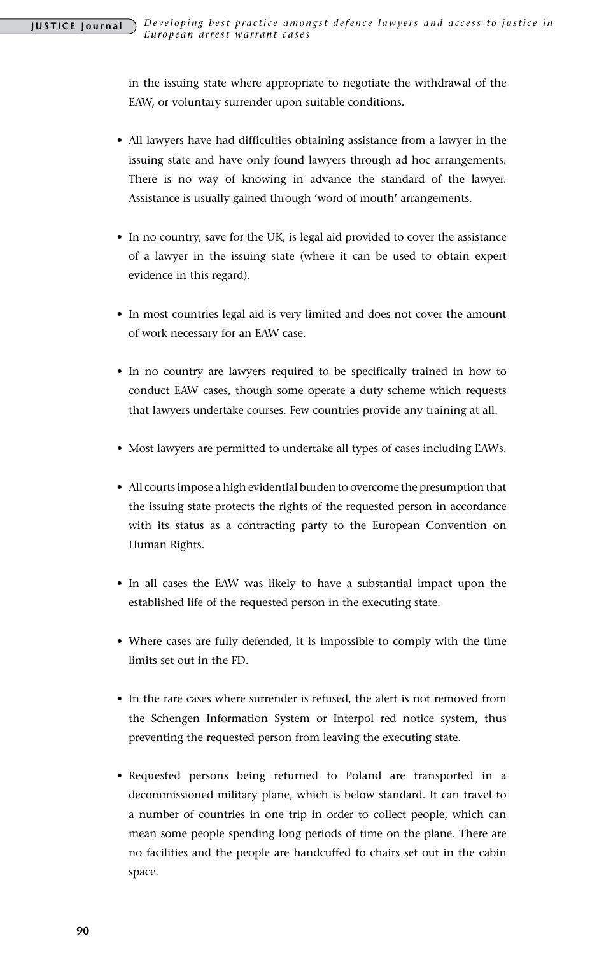in the issuing state where appropriate to negotiate the withdrawal of the EAW, or voluntary surrender upon suitable conditions.

- All lawyers have had difficulties obtaining assistance from a lawyer in the issuing state and have only found lawyers through ad hoc arrangements. There is no way of knowing in advance the standard of the lawyer. Assistance is usually gained through 'word of mouth' arrangements.
- In no country, save for the UK, is legal aid provided to cover the assistance of a lawyer in the issuing state (where it can be used to obtain expert evidence in this regard).
- In most countries legal aid is very limited and does not cover the amount of work necessary for an EAW case.
- In no country are lawyers required to be specifically trained in how to conduct EAW cases, though some operate a duty scheme which requests that lawyers undertake courses. Few countries provide any training at all.
- Most lawyers are permitted to undertake all types of cases including EAWs.
- • All courts impose a high evidential burden to overcome the presumption that the issuing state protects the rights of the requested person in accordance with its status as a contracting party to the European Convention on Human Rights.
- In all cases the EAW was likely to have a substantial impact upon the established life of the requested person in the executing state.
- Where cases are fully defended, it is impossible to comply with the time limits set out in the FD.
- In the rare cases where surrender is refused, the alert is not removed from the Schengen Information System or Interpol red notice system, thus preventing the requested person from leaving the executing state.
- • Requested persons being returned to Poland are transported in a decommissioned military plane, which is below standard. It can travel to a number of countries in one trip in order to collect people, which can mean some people spending long periods of time on the plane. There are no facilities and the people are handcuffed to chairs set out in the cabin space.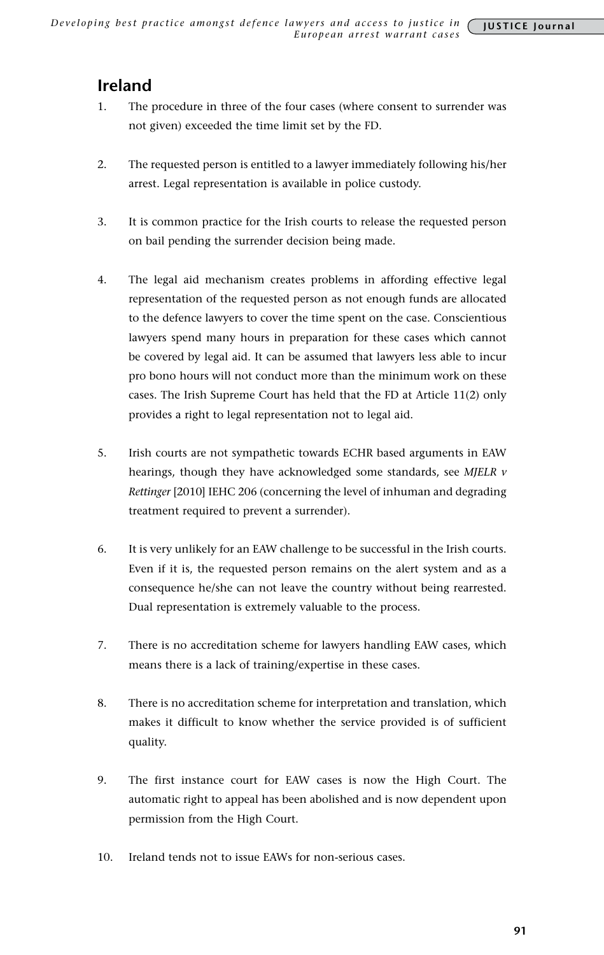# **Ireland**

- 1. The procedure in three of the four cases (where consent to surrender was not given) exceeded the time limit set by the FD.
- 2. The requested person is entitled to a lawyer immediately following his/her arrest. Legal representation is available in police custody.
- 3. It is common practice for the Irish courts to release the requested person on bail pending the surrender decision being made.
- 4. The legal aid mechanism creates problems in affording effective legal representation of the requested person as not enough funds are allocated to the defence lawyers to cover the time spent on the case. Conscientious lawyers spend many hours in preparation for these cases which cannot be covered by legal aid. It can be assumed that lawyers less able to incur pro bono hours will not conduct more than the minimum work on these cases. The Irish Supreme Court has held that the FD at Article 11(2) only provides a right to legal representation not to legal aid.
- 5. Irish courts are not sympathetic towards ECHR based arguments in EAW hearings, though they have acknowledged some standards, see *MJELR v Rettinger* [2010] IEHC 206 (concerning the level of inhuman and degrading treatment required to prevent a surrender).
- 6. It is very unlikely for an EAW challenge to be successful in the Irish courts. Even if it is, the requested person remains on the alert system and as a consequence he/she can not leave the country without being rearrested. Dual representation is extremely valuable to the process.
- 7. There is no accreditation scheme for lawyers handling EAW cases, which means there is a lack of training/expertise in these cases.
- 8. There is no accreditation scheme for interpretation and translation, which makes it difficult to know whether the service provided is of sufficient quality.
- 9. The first instance court for EAW cases is now the High Court. The automatic right to appeal has been abolished and is now dependent upon permission from the High Court.
- 10. Ireland tends not to issue EAWs for non-serious cases.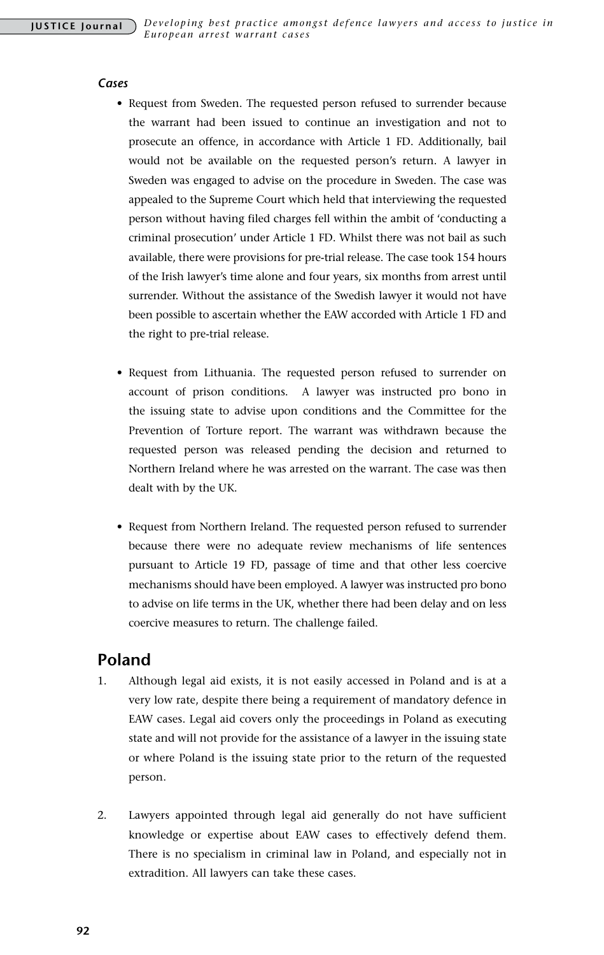#### *Cases*

- Request from Sweden. The requested person refused to surrender because the warrant had been issued to continue an investigation and not to prosecute an offence, in accordance with Article 1 FD. Additionally, bail would not be available on the requested person's return. A lawyer in Sweden was engaged to advise on the procedure in Sweden. The case was appealed to the Supreme Court which held that interviewing the requested person without having filed charges fell within the ambit of 'conducting a criminal prosecution' under Article 1 FD. Whilst there was not bail as such available, there were provisions for pre-trial release. The case took 154 hours of the Irish lawyer's time alone and four years, six months from arrest until surrender. Without the assistance of the Swedish lawyer it would not have been possible to ascertain whether the EAW accorded with Article 1 FD and the right to pre-trial release.
- Request from Lithuania. The requested person refused to surrender on account of prison conditions. A lawyer was instructed pro bono in the issuing state to advise upon conditions and the Committee for the Prevention of Torture report. The warrant was withdrawn because the requested person was released pending the decision and returned to Northern Ireland where he was arrested on the warrant. The case was then dealt with by the UK.
- Request from Northern Ireland. The requested person refused to surrender because there were no adequate review mechanisms of life sentences pursuant to Article 19 FD, passage of time and that other less coercive mechanisms should have been employed. A lawyer was instructed pro bono to advise on life terms in the UK, whether there had been delay and on less coercive measures to return. The challenge failed.

## **Poland**

- 1. Although legal aid exists, it is not easily accessed in Poland and is at a very low rate, despite there being a requirement of mandatory defence in EAW cases. Legal aid covers only the proceedings in Poland as executing state and will not provide for the assistance of a lawyer in the issuing state or where Poland is the issuing state prior to the return of the requested person.
- 2. Lawyers appointed through legal aid generally do not have sufficient knowledge or expertise about EAW cases to effectively defend them. There is no specialism in criminal law in Poland, and especially not in extradition. All lawyers can take these cases.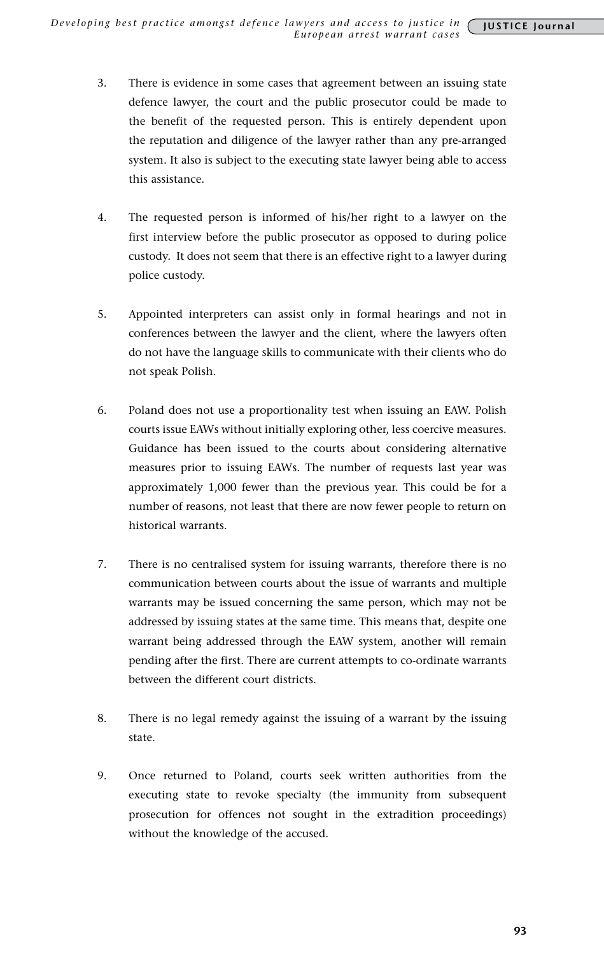- 3. There is evidence in some cases that agreement between an issuing state defence lawyer, the court and the public prosecutor could be made to the benefit of the requested person. This is entirely dependent upon the reputation and diligence of the lawyer rather than any pre-arranged system. It also is subject to the executing state lawyer being able to access this assistance.
- 4. The requested person is informed of his/her right to a lawyer on the first interview before the public prosecutor as opposed to during police custody. It does not seem that there is an effective right to a lawyer during police custody.
- 5. Appointed interpreters can assist only in formal hearings and not in conferences between the lawyer and the client, where the lawyers often do not have the language skills to communicate with their clients who do not speak Polish.
- 6. Poland does not use a proportionality test when issuing an EAW. Polish courts issue EAWs without initially exploring other, less coercive measures. Guidance has been issued to the courts about considering alternative measures prior to issuing EAWs. The number of requests last year was approximately 1,000 fewer than the previous year. This could be for a number of reasons, not least that there are now fewer people to return on historical warrants.
- 7. There is no centralised system for issuing warrants, therefore there is no communication between courts about the issue of warrants and multiple warrants may be issued concerning the same person, which may not be addressed by issuing states at the same time. This means that, despite one warrant being addressed through the EAW system, another will remain pending after the first. There are current attempts to co-ordinate warrants between the different court districts.
- 8. There is no legal remedy against the issuing of a warrant by the issuing state.
- 9. Once returned to Poland, courts seek written authorities from the executing state to revoke specialty (the immunity from subsequent prosecution for offences not sought in the extradition proceedings) without the knowledge of the accused.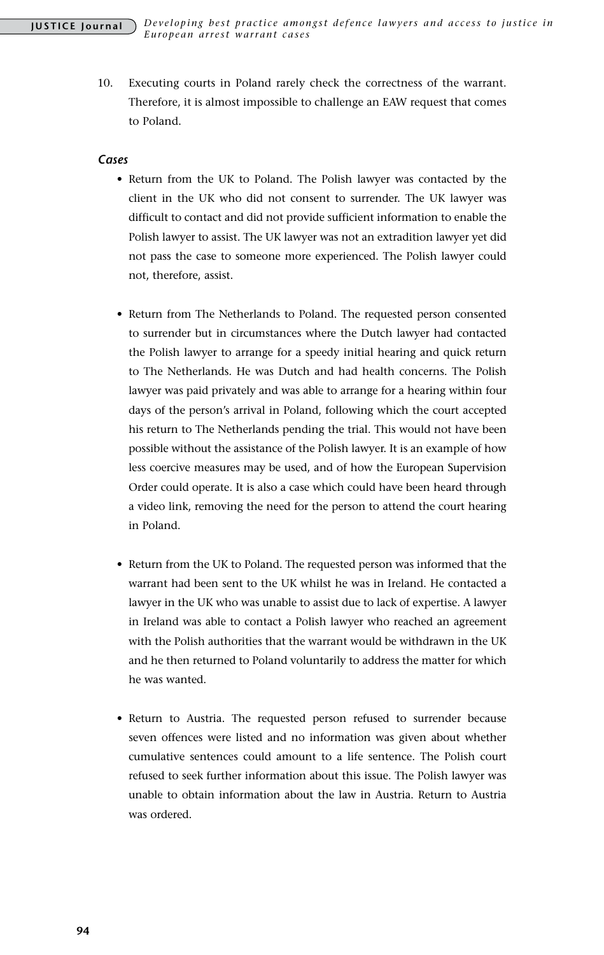10. Executing courts in Poland rarely check the correctness of the warrant. Therefore, it is almost impossible to challenge an EAW request that comes to Poland.

#### *Cases*

- Return from the UK to Poland. The Polish lawyer was contacted by the client in the UK who did not consent to surrender. The UK lawyer was difficult to contact and did not provide sufficient information to enable the Polish lawyer to assist. The UK lawyer was not an extradition lawyer yet did not pass the case to someone more experienced. The Polish lawyer could not, therefore, assist.
- Return from The Netherlands to Poland. The requested person consented to surrender but in circumstances where the Dutch lawyer had contacted the Polish lawyer to arrange for a speedy initial hearing and quick return to The Netherlands. He was Dutch and had health concerns. The Polish lawyer was paid privately and was able to arrange for a hearing within four days of the person's arrival in Poland, following which the court accepted his return to The Netherlands pending the trial. This would not have been possible without the assistance of the Polish lawyer. It is an example of how less coercive measures may be used, and of how the European Supervision Order could operate. It is also a case which could have been heard through a video link, removing the need for the person to attend the court hearing in Poland.
- Return from the UK to Poland. The requested person was informed that the warrant had been sent to the UK whilst he was in Ireland. He contacted a lawyer in the UK who was unable to assist due to lack of expertise. A lawyer in Ireland was able to contact a Polish lawyer who reached an agreement with the Polish authorities that the warrant would be withdrawn in the UK and he then returned to Poland voluntarily to address the matter for which he was wanted.
- Return to Austria. The requested person refused to surrender because seven offences were listed and no information was given about whether cumulative sentences could amount to a life sentence. The Polish court refused to seek further information about this issue. The Polish lawyer was unable to obtain information about the law in Austria. Return to Austria was ordered.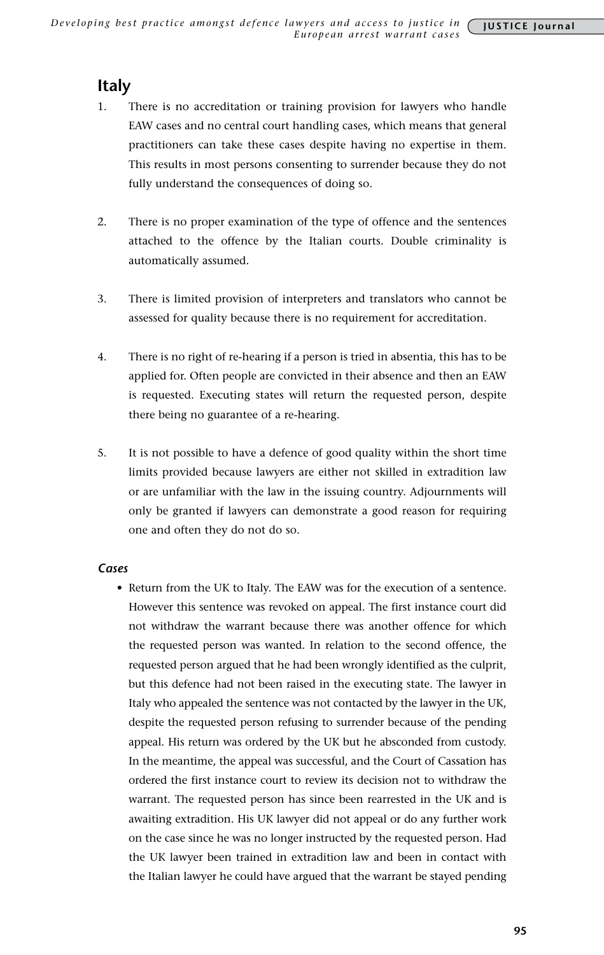## **Italy**

- 1. There is no accreditation or training provision for lawyers who handle EAW cases and no central court handling cases, which means that general practitioners can take these cases despite having no expertise in them. This results in most persons consenting to surrender because they do not fully understand the consequences of doing so.
- 2. There is no proper examination of the type of offence and the sentences attached to the offence by the Italian courts. Double criminality is automatically assumed.
- 3. There is limited provision of interpreters and translators who cannot be assessed for quality because there is no requirement for accreditation.
- 4. There is no right of re-hearing if a person is tried in absentia, this has to be applied for. Often people are convicted in their absence and then an EAW is requested. Executing states will return the requested person, despite there being no guarantee of a re-hearing.
- 5. It is not possible to have a defence of good quality within the short time limits provided because lawyers are either not skilled in extradition law or are unfamiliar with the law in the issuing country. Adjournments will only be granted if lawyers can demonstrate a good reason for requiring one and often they do not do so.

#### *Cases*

• Return from the UK to Italy. The EAW was for the execution of a sentence. However this sentence was revoked on appeal. The first instance court did not withdraw the warrant because there was another offence for which the requested person was wanted. In relation to the second offence, the requested person argued that he had been wrongly identified as the culprit, but this defence had not been raised in the executing state. The lawyer in Italy who appealed the sentence was not contacted by the lawyer in the UK, despite the requested person refusing to surrender because of the pending appeal. His return was ordered by the UK but he absconded from custody. In the meantime, the appeal was successful, and the Court of Cassation has ordered the first instance court to review its decision not to withdraw the warrant. The requested person has since been rearrested in the UK and is awaiting extradition. His UK lawyer did not appeal or do any further work on the case since he was no longer instructed by the requested person. Had the UK lawyer been trained in extradition law and been in contact with the Italian lawyer he could have argued that the warrant be stayed pending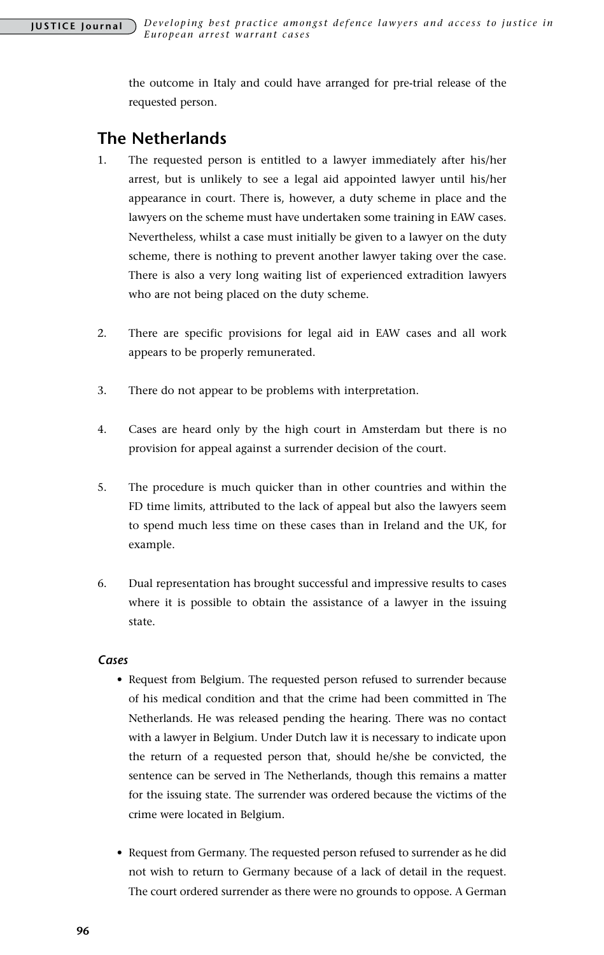the outcome in Italy and could have arranged for pre-trial release of the requested person.

## **The Netherlands**

- 1. The requested person is entitled to a lawyer immediately after his/her arrest, but is unlikely to see a legal aid appointed lawyer until his/her appearance in court. There is, however, a duty scheme in place and the lawyers on the scheme must have undertaken some training in EAW cases. Nevertheless, whilst a case must initially be given to a lawyer on the duty scheme, there is nothing to prevent another lawyer taking over the case. There is also a very long waiting list of experienced extradition lawyers who are not being placed on the duty scheme.
- 2. There are specific provisions for legal aid in EAW cases and all work appears to be properly remunerated.
- 3. There do not appear to be problems with interpretation.
- 4. Cases are heard only by the high court in Amsterdam but there is no provision for appeal against a surrender decision of the court.
- 5. The procedure is much quicker than in other countries and within the FD time limits, attributed to the lack of appeal but also the lawyers seem to spend much less time on these cases than in Ireland and the UK, for example.
- 6. Dual representation has brought successful and impressive results to cases where it is possible to obtain the assistance of a lawyer in the issuing state.

#### *Cases*

- Request from Belgium. The requested person refused to surrender because of his medical condition and that the crime had been committed in The Netherlands. He was released pending the hearing. There was no contact with a lawyer in Belgium. Under Dutch law it is necessary to indicate upon the return of a requested person that, should he/she be convicted, the sentence can be served in The Netherlands, though this remains a matter for the issuing state. The surrender was ordered because the victims of the crime were located in Belgium.
- Request from Germany. The requested person refused to surrender as he did not wish to return to Germany because of a lack of detail in the request. The court ordered surrender as there were no grounds to oppose. A German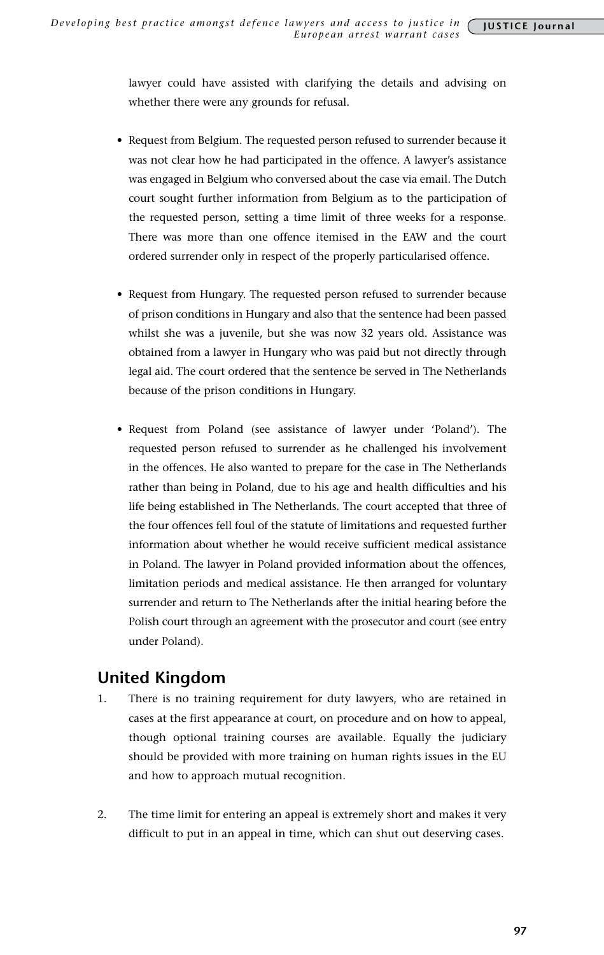lawyer could have assisted with clarifying the details and advising on whether there were any grounds for refusal.

- Request from Belgium. The requested person refused to surrender because it was not clear how he had participated in the offence. A lawyer's assistance was engaged in Belgium who conversed about the case via email. The Dutch court sought further information from Belgium as to the participation of the requested person, setting a time limit of three weeks for a response. There was more than one offence itemised in the EAW and the court ordered surrender only in respect of the properly particularised offence.
- Request from Hungary. The requested person refused to surrender because of prison conditions in Hungary and also that the sentence had been passed whilst she was a juvenile, but she was now 32 years old. Assistance was obtained from a lawyer in Hungary who was paid but not directly through legal aid. The court ordered that the sentence be served in The Netherlands because of the prison conditions in Hungary.
- • Request from Poland (see assistance of lawyer under 'Poland'). The requested person refused to surrender as he challenged his involvement in the offences. He also wanted to prepare for the case in The Netherlands rather than being in Poland, due to his age and health difficulties and his life being established in The Netherlands. The court accepted that three of the four offences fell foul of the statute of limitations and requested further information about whether he would receive sufficient medical assistance in Poland. The lawyer in Poland provided information about the offences, limitation periods and medical assistance. He then arranged for voluntary surrender and return to The Netherlands after the initial hearing before the Polish court through an agreement with the prosecutor and court (see entry under Poland).

## **United Kingdom**

- 1. There is no training requirement for duty lawyers, who are retained in cases at the first appearance at court, on procedure and on how to appeal, though optional training courses are available. Equally the judiciary should be provided with more training on human rights issues in the EU and how to approach mutual recognition.
- 2. The time limit for entering an appeal is extremely short and makes it very difficult to put in an appeal in time, which can shut out deserving cases.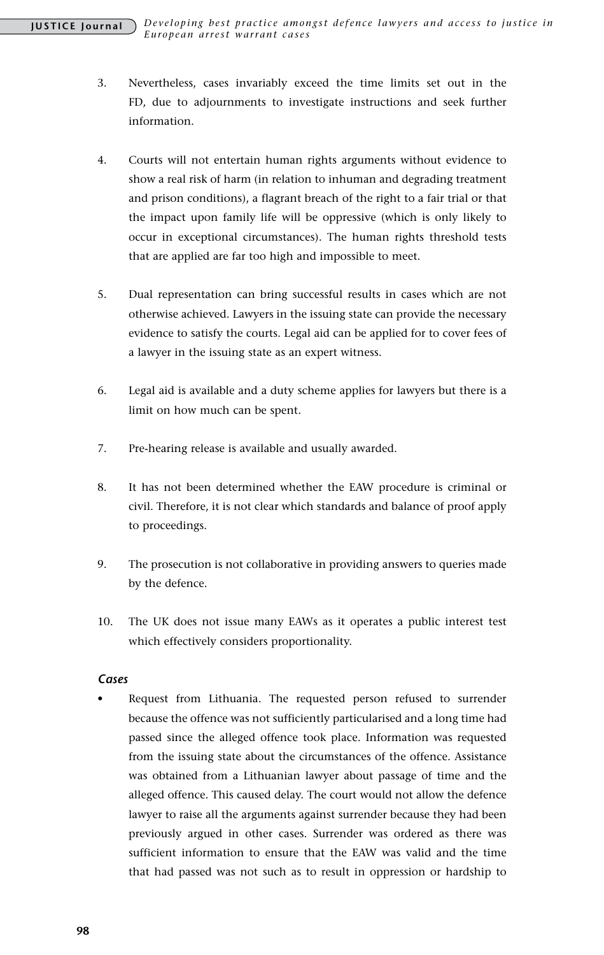- 3. Nevertheless, cases invariably exceed the time limits set out in the FD, due to adjournments to investigate instructions and seek further information.
- 4. Courts will not entertain human rights arguments without evidence to show a real risk of harm (in relation to inhuman and degrading treatment and prison conditions), a flagrant breach of the right to a fair trial or that the impact upon family life will be oppressive (which is only likely to occur in exceptional circumstances). The human rights threshold tests that are applied are far too high and impossible to meet.
- 5. Dual representation can bring successful results in cases which are not otherwise achieved. Lawyers in the issuing state can provide the necessary evidence to satisfy the courts. Legal aid can be applied for to cover fees of a lawyer in the issuing state as an expert witness.
- 6. Legal aid is available and a duty scheme applies for lawyers but there is a limit on how much can be spent.
- 7. Pre-hearing release is available and usually awarded.
- 8. It has not been determined whether the EAW procedure is criminal or civil. Therefore, it is not clear which standards and balance of proof apply to proceedings.
- 9. The prosecution is not collaborative in providing answers to queries made by the defence.
- 10. The UK does not issue many EAWs as it operates a public interest test which effectively considers proportionality.

#### *Cases*

• Request from Lithuania. The requested person refused to surrender because the offence was not sufficiently particularised and a long time had passed since the alleged offence took place. Information was requested from the issuing state about the circumstances of the offence. Assistance was obtained from a Lithuanian lawyer about passage of time and the alleged offence. This caused delay. The court would not allow the defence lawyer to raise all the arguments against surrender because they had been previously argued in other cases. Surrender was ordered as there was sufficient information to ensure that the EAW was valid and the time that had passed was not such as to result in oppression or hardship to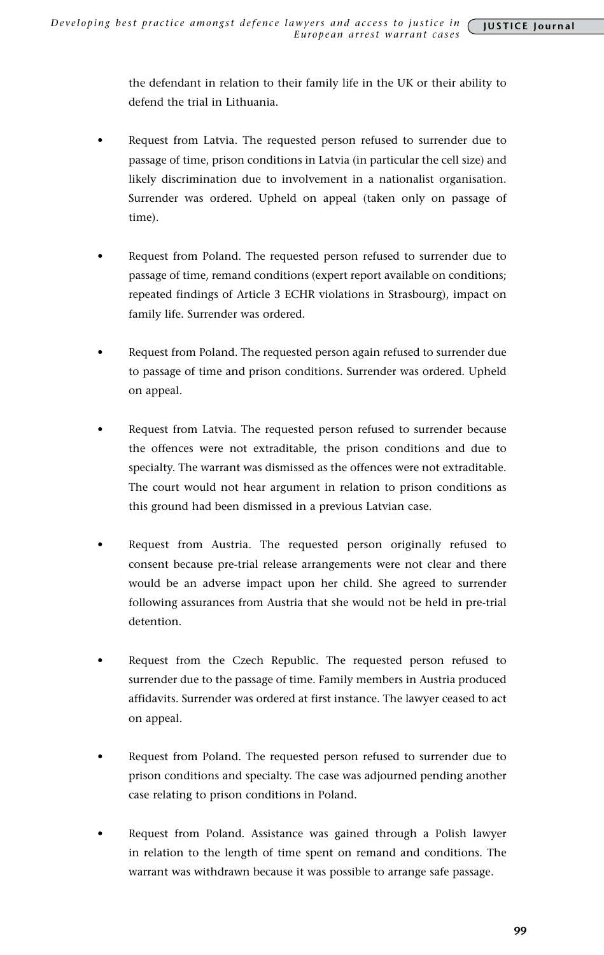the defendant in relation to their family life in the UK or their ability to defend the trial in Lithuania.

- Request from Latvia. The requested person refused to surrender due to passage of time, prison conditions in Latvia (in particular the cell size) and likely discrimination due to involvement in a nationalist organisation. Surrender was ordered. Upheld on appeal (taken only on passage of time).
- Request from Poland. The requested person refused to surrender due to passage of time, remand conditions (expert report available on conditions; repeated findings of Article 3 ECHR violations in Strasbourg), impact on family life. Surrender was ordered.
- Request from Poland. The requested person again refused to surrender due to passage of time and prison conditions. Surrender was ordered. Upheld on appeal.
- Request from Latvia. The requested person refused to surrender because the offences were not extraditable, the prison conditions and due to specialty. The warrant was dismissed as the offences were not extraditable. The court would not hear argument in relation to prison conditions as this ground had been dismissed in a previous Latvian case.
- Request from Austria. The requested person originally refused to consent because pre-trial release arrangements were not clear and there would be an adverse impact upon her child. She agreed to surrender following assurances from Austria that she would not be held in pre-trial detention.
- Request from the Czech Republic. The requested person refused to surrender due to the passage of time. Family members in Austria produced affidavits. Surrender was ordered at first instance. The lawyer ceased to act on appeal.
- Request from Poland. The requested person refused to surrender due to prison conditions and specialty. The case was adjourned pending another case relating to prison conditions in Poland.
- Request from Poland. Assistance was gained through a Polish lawyer in relation to the length of time spent on remand and conditions. The warrant was withdrawn because it was possible to arrange safe passage.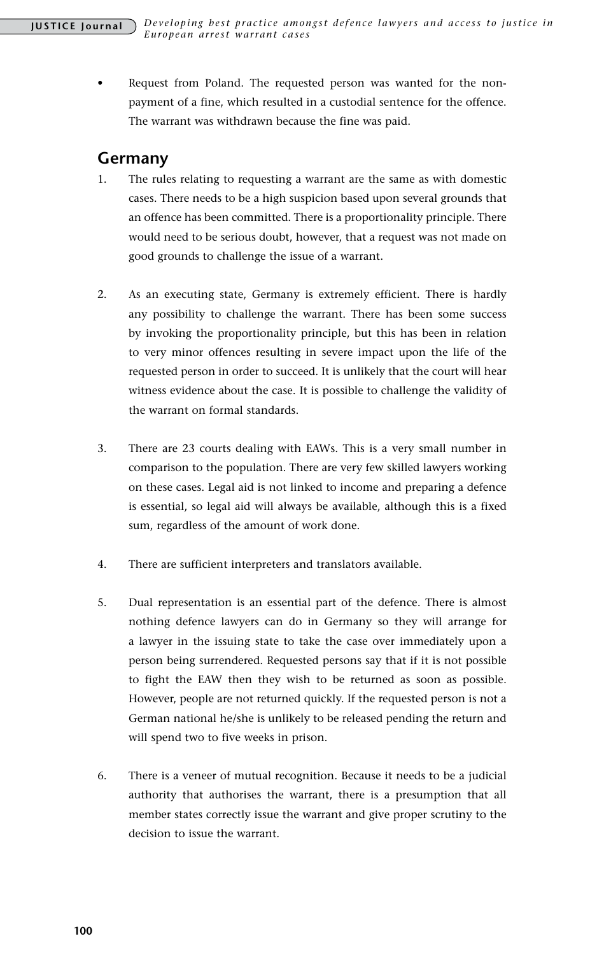Request from Poland. The requested person was wanted for the nonpayment of a fine, which resulted in a custodial sentence for the offence. The warrant was withdrawn because the fine was paid.

## **Germany**

- 1. The rules relating to requesting a warrant are the same as with domestic cases. There needs to be a high suspicion based upon several grounds that an offence has been committed. There is a proportionality principle. There would need to be serious doubt, however, that a request was not made on good grounds to challenge the issue of a warrant.
- 2. As an executing state, Germany is extremely efficient. There is hardly any possibility to challenge the warrant. There has been some success by invoking the proportionality principle, but this has been in relation to very minor offences resulting in severe impact upon the life of the requested person in order to succeed. It is unlikely that the court will hear witness evidence about the case. It is possible to challenge the validity of the warrant on formal standards.
- 3. There are 23 courts dealing with EAWs. This is a very small number in comparison to the population. There are very few skilled lawyers working on these cases. Legal aid is not linked to income and preparing a defence is essential, so legal aid will always be available, although this is a fixed sum, regardless of the amount of work done.
- 4. There are sufficient interpreters and translators available.
- 5. Dual representation is an essential part of the defence. There is almost nothing defence lawyers can do in Germany so they will arrange for a lawyer in the issuing state to take the case over immediately upon a person being surrendered. Requested persons say that if it is not possible to fight the EAW then they wish to be returned as soon as possible. However, people are not returned quickly. If the requested person is not a German national he/she is unlikely to be released pending the return and will spend two to five weeks in prison.
- 6. There is a veneer of mutual recognition. Because it needs to be a judicial authority that authorises the warrant, there is a presumption that all member states correctly issue the warrant and give proper scrutiny to the decision to issue the warrant.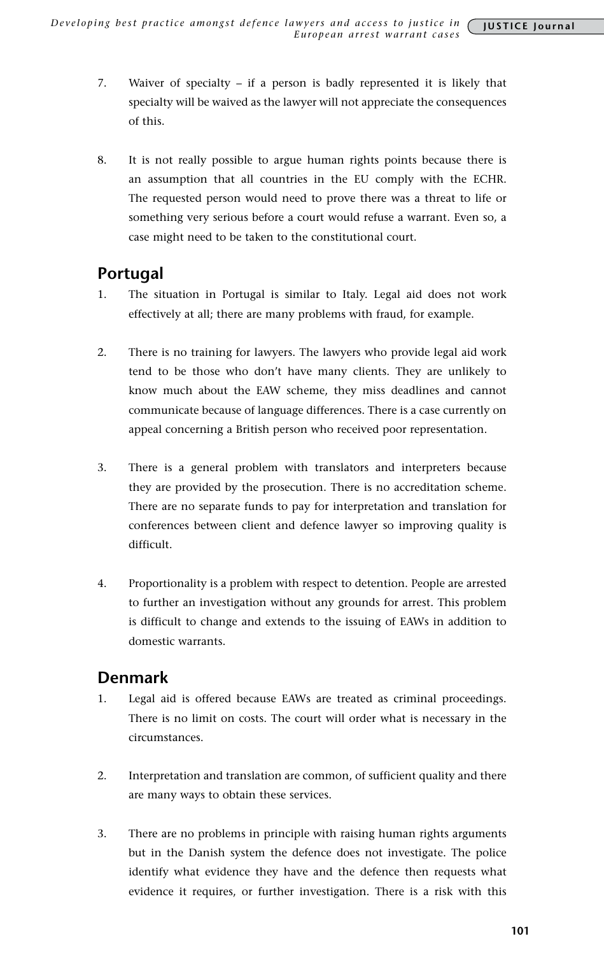- 7. Waiver of specialty if a person is badly represented it is likely that specialty will be waived as the lawyer will not appreciate the consequences of this.
- 8. It is not really possible to argue human rights points because there is an assumption that all countries in the EU comply with the ECHR. The requested person would need to prove there was a threat to life or something very serious before a court would refuse a warrant. Even so, a case might need to be taken to the constitutional court.

# **Portugal**

- 1. The situation in Portugal is similar to Italy. Legal aid does not work effectively at all; there are many problems with fraud, for example.
- 2. There is no training for lawyers. The lawyers who provide legal aid work tend to be those who don't have many clients. They are unlikely to know much about the EAW scheme, they miss deadlines and cannot communicate because of language differences. There is a case currently on appeal concerning a British person who received poor representation.
- 3. There is a general problem with translators and interpreters because they are provided by the prosecution. There is no accreditation scheme. There are no separate funds to pay for interpretation and translation for conferences between client and defence lawyer so improving quality is difficult.
- 4. Proportionality is a problem with respect to detention. People are arrested to further an investigation without any grounds for arrest. This problem is difficult to change and extends to the issuing of EAWs in addition to domestic warrants.

## **Denmark**

- 1. Legal aid is offered because EAWs are treated as criminal proceedings. There is no limit on costs. The court will order what is necessary in the circumstances.
- 2. Interpretation and translation are common, of sufficient quality and there are many ways to obtain these services.
- 3. There are no problems in principle with raising human rights arguments but in the Danish system the defence does not investigate. The police identify what evidence they have and the defence then requests what evidence it requires, or further investigation. There is a risk with this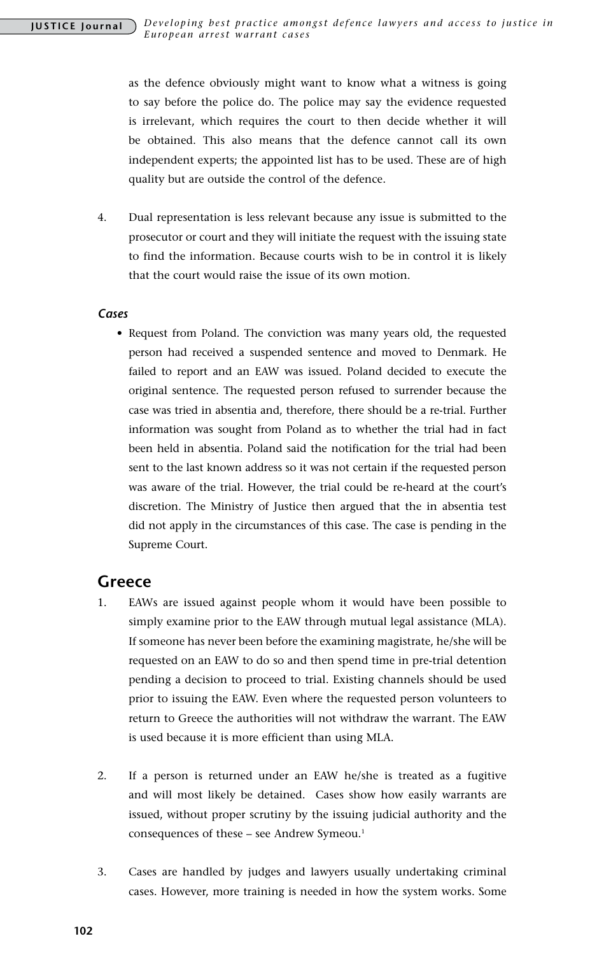as the defence obviously might want to know what a witness is going to say before the police do. The police may say the evidence requested is irrelevant, which requires the court to then decide whether it will be obtained. This also means that the defence cannot call its own independent experts; the appointed list has to be used. These are of high quality but are outside the control of the defence.

4. Dual representation is less relevant because any issue is submitted to the prosecutor or court and they will initiate the request with the issuing state to find the information. Because courts wish to be in control it is likely that the court would raise the issue of its own motion.

#### *Cases*

• Request from Poland. The conviction was many years old, the requested person had received a suspended sentence and moved to Denmark. He failed to report and an EAW was issued. Poland decided to execute the original sentence. The requested person refused to surrender because the case was tried in absentia and, therefore, there should be a re-trial. Further information was sought from Poland as to whether the trial had in fact been held in absentia. Poland said the notification for the trial had been sent to the last known address so it was not certain if the requested person was aware of the trial. However, the trial could be re-heard at the court's discretion. The Ministry of Justice then argued that the in absentia test did not apply in the circumstances of this case. The case is pending in the Supreme Court.

### **Greece**

- 1. EAWs are issued against people whom it would have been possible to simply examine prior to the EAW through mutual legal assistance (MLA). If someone has never been before the examining magistrate, he/she will be requested on an EAW to do so and then spend time in pre-trial detention pending a decision to proceed to trial. Existing channels should be used prior to issuing the EAW. Even where the requested person volunteers to return to Greece the authorities will not withdraw the warrant. The EAW is used because it is more efficient than using MLA.
- 2. If a person is returned under an EAW he/she is treated as a fugitive and will most likely be detained. Cases show how easily warrants are issued, without proper scrutiny by the issuing judicial authority and the consequences of these - see Andrew Symeou.<sup>1</sup>
- 3. Cases are handled by judges and lawyers usually undertaking criminal cases. However, more training is needed in how the system works. Some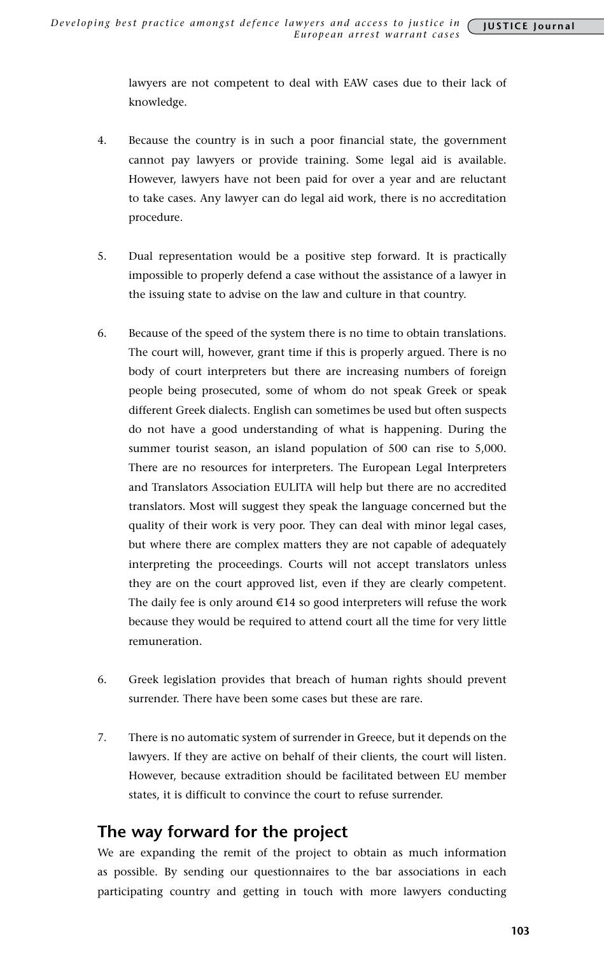lawyers are not competent to deal with EAW cases due to their lack of knowledge.

- 4. Because the country is in such a poor financial state, the government cannot pay lawyers or provide training. Some legal aid is available. However, lawyers have not been paid for over a year and are reluctant to take cases. Any lawyer can do legal aid work, there is no accreditation procedure.
- 5. Dual representation would be a positive step forward. It is practically impossible to properly defend a case without the assistance of a lawyer in the issuing state to advise on the law and culture in that country.
- 6. Because of the speed of the system there is no time to obtain translations. The court will, however, grant time if this is properly argued. There is no body of court interpreters but there are increasing numbers of foreign people being prosecuted, some of whom do not speak Greek or speak different Greek dialects. English can sometimes be used but often suspects do not have a good understanding of what is happening. During the summer tourist season, an island population of 500 can rise to 5,000. There are no resources for interpreters. The European Legal Interpreters and Translators Association EULITA will help but there are no accredited translators. Most will suggest they speak the language concerned but the quality of their work is very poor. They can deal with minor legal cases, but where there are complex matters they are not capable of adequately interpreting the proceedings. Courts will not accept translators unless they are on the court approved list, even if they are clearly competent. The daily fee is only around €14 so good interpreters will refuse the work because they would be required to attend court all the time for very little remuneration.
- 6. Greek legislation provides that breach of human rights should prevent surrender. There have been some cases but these are rare.
- 7. There is no automatic system of surrender in Greece, but it depends on the lawyers. If they are active on behalf of their clients, the court will listen. However, because extradition should be facilitated between EU member states, it is difficult to convince the court to refuse surrender.

## **The way forward for the project**

We are expanding the remit of the project to obtain as much information as possible. By sending our questionnaires to the bar associations in each participating country and getting in touch with more lawyers conducting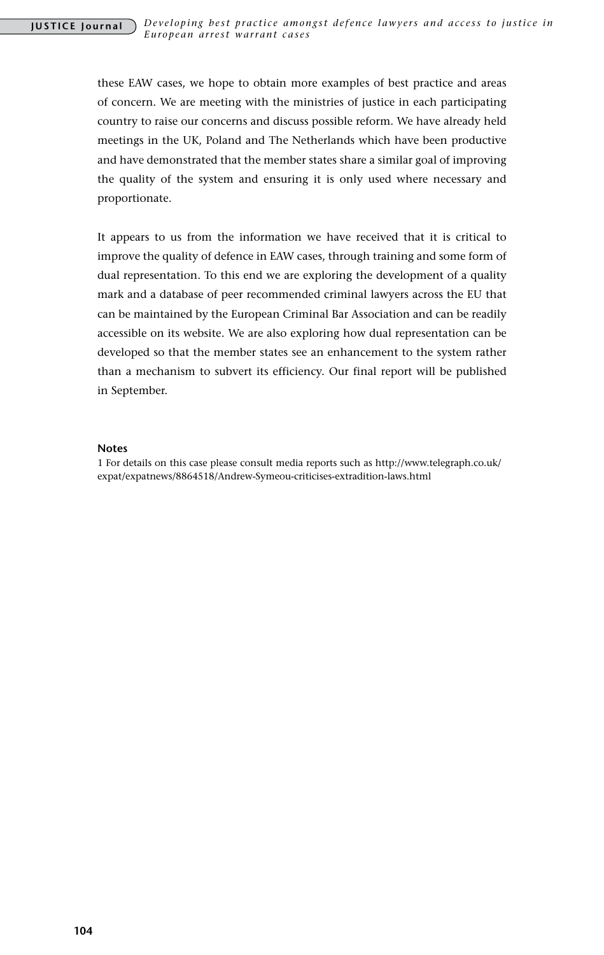these EAW cases, we hope to obtain more examples of best practice and areas of concern. We are meeting with the ministries of justice in each participating country to raise our concerns and discuss possible reform. We have already held meetings in the UK, Poland and The Netherlands which have been productive and have demonstrated that the member states share a similar goal of improving the quality of the system and ensuring it is only used where necessary and proportionate.

It appears to us from the information we have received that it is critical to improve the quality of defence in EAW cases, through training and some form of dual representation. To this end we are exploring the development of a quality mark and a database of peer recommended criminal lawyers across the EU that can be maintained by the European Criminal Bar Association and can be readily accessible on its website. We are also exploring how dual representation can be developed so that the member states see an enhancement to the system rather than a mechanism to subvert its efficiency. Our final report will be published in September.

#### **Notes**

1 For details on this case please consult media reports such as http://www.telegraph.co.uk/ expat/expatnews/8864518/Andrew-Symeou-criticises-extradition-laws.html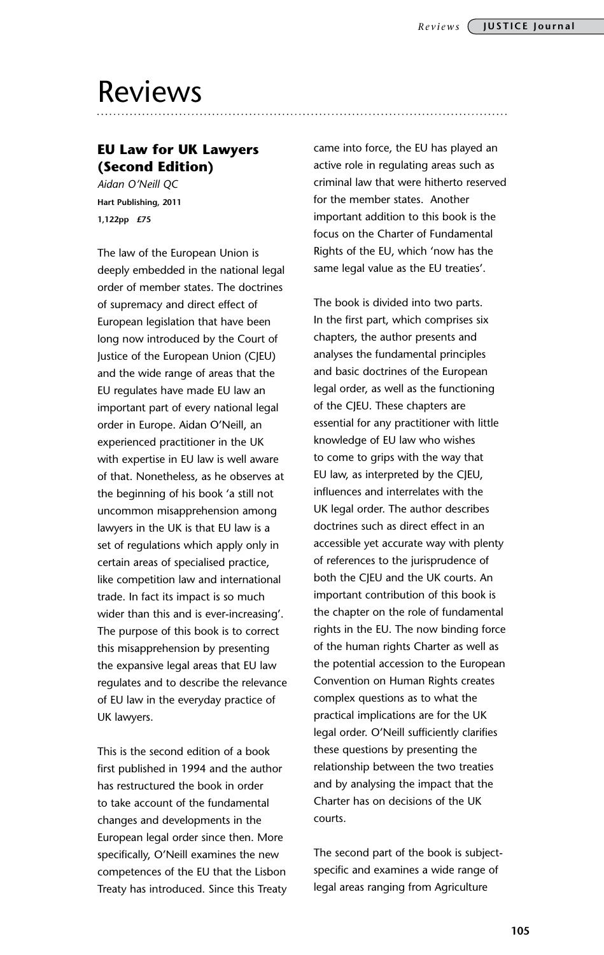# Reviews

## **EU Law for UK Lawyers (Second Edition)**

*Aidan O'Neill QC* **Hart Publishing, 2011 1,122pp £75**

The law of the European Union is deeply embedded in the national legal order of member states. The doctrines of supremacy and direct effect of European legislation that have been long now introduced by the Court of Justice of the European Union (CJEU) and the wide range of areas that the EU regulates have made EU law an important part of every national legal order in Europe. Aidan O'Neill, an experienced practitioner in the UK with expertise in EU law is well aware of that. Nonetheless, as he observes at the beginning of his book 'a still not uncommon misapprehension among lawyers in the UK is that EU law is a set of regulations which apply only in certain areas of specialised practice, like competition law and international trade. In fact its impact is so much wider than this and is ever-increasing'. The purpose of this book is to correct this misapprehension by presenting the expansive legal areas that EU law regulates and to describe the relevance of EU law in the everyday practice of UK lawyers.

This is the second edition of a book first published in 1994 and the author has restructured the book in order to take account of the fundamental changes and developments in the European legal order since then. More specifically, O'Neill examines the new competences of the EU that the Lisbon Treaty has introduced. Since this Treaty came into force, the EU has played an active role in regulating areas such as criminal law that were hitherto reserved for the member states. Another important addition to this book is the focus on the Charter of Fundamental Rights of the EU, which 'now has the same legal value as the EU treaties'.

The book is divided into two parts. In the first part, which comprises six chapters, the author presents and analyses the fundamental principles and basic doctrines of the European legal order, as well as the functioning of the CJEU. These chapters are essential for any practitioner with little knowledge of EU law who wishes to come to grips with the way that EU law, as interpreted by the CJEU, influences and interrelates with the UK legal order. The author describes doctrines such as direct effect in an accessible yet accurate way with plenty of references to the jurisprudence of both the CJEU and the UK courts. An important contribution of this book is the chapter on the role of fundamental rights in the EU. The now binding force of the human rights Charter as well as the potential accession to the European Convention on Human Rights creates complex questions as to what the practical implications are for the UK legal order. O'Neill sufficiently clarifies these questions by presenting the relationship between the two treaties and by analysing the impact that the Charter has on decisions of the UK courts.

The second part of the book is subjectspecific and examines a wide range of legal areas ranging from Agriculture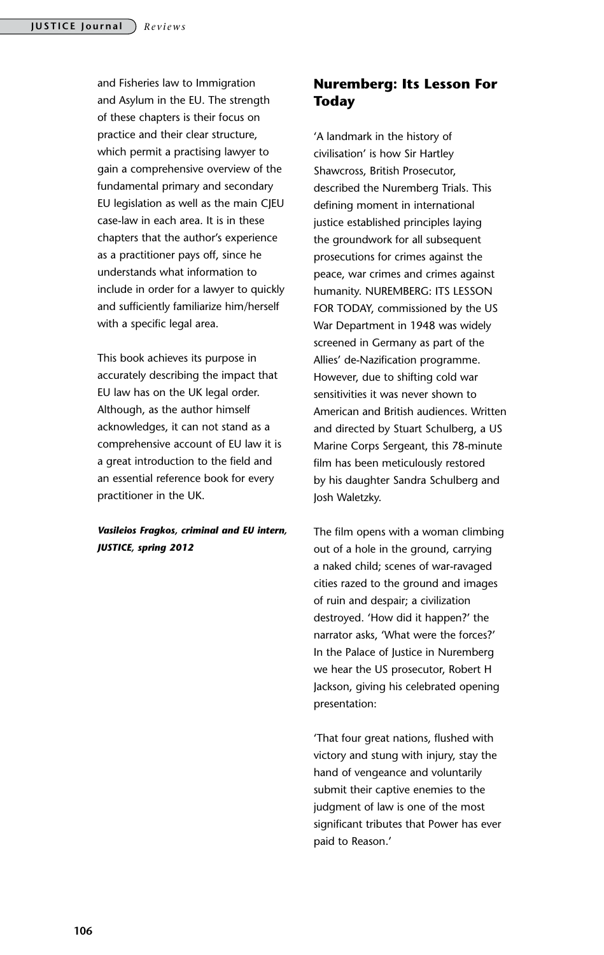and Fisheries law to Immigration and Asylum in the EU. The strength of these chapters is their focus on practice and their clear structure, which permit a practising lawyer to gain a comprehensive overview of the fundamental primary and secondary EU legislation as well as the main CJEU case-law in each area. It is in these chapters that the author's experience as a practitioner pays off, since he understands what information to include in order for a lawyer to quickly and sufficiently familiarize him/herself with a specific legal area.

This book achieves its purpose in accurately describing the impact that EU law has on the UK legal order. Although, as the author himself acknowledges, it can not stand as a comprehensive account of EU law it is a great introduction to the field and an essential reference book for every practitioner in the UK.

#### *Vasileios Fragkos, criminal and EU intern, JUSTICE, spring 2012*

### **Nuremberg: Its Lesson For Today**

'A landmark in the history of civilisation' is how Sir Hartley Shawcross, British Prosecutor, described the Nuremberg Trials. This defining moment in international justice established principles laying the groundwork for all subsequent prosecutions for crimes against the peace, war crimes and crimes against humanity. NUREMBERG: ITS LESSON FOR TODAY, commissioned by the US War Department in 1948 was widely screened in Germany as part of the Allies' de-Nazification programme. However, due to shifting cold war sensitivities it was never shown to American and British audiences. Written and directed by Stuart Schulberg, a US Marine Corps Sergeant, this 78-minute film has been meticulously restored by his daughter Sandra Schulberg and Josh Waletzky.

The film opens with a woman climbing out of a hole in the ground, carrying a naked child; scenes of war-ravaged cities razed to the ground and images of ruin and despair; a civilization destroyed. 'How did it happen?' the narrator asks, 'What were the forces?' In the Palace of Justice in Nuremberg we hear the US prosecutor, Robert H Jackson, giving his celebrated opening presentation:

'That four great nations, flushed with victory and stung with injury, stay the hand of vengeance and voluntarily submit their captive enemies to the judgment of law is one of the most significant tributes that Power has ever paid to Reason.'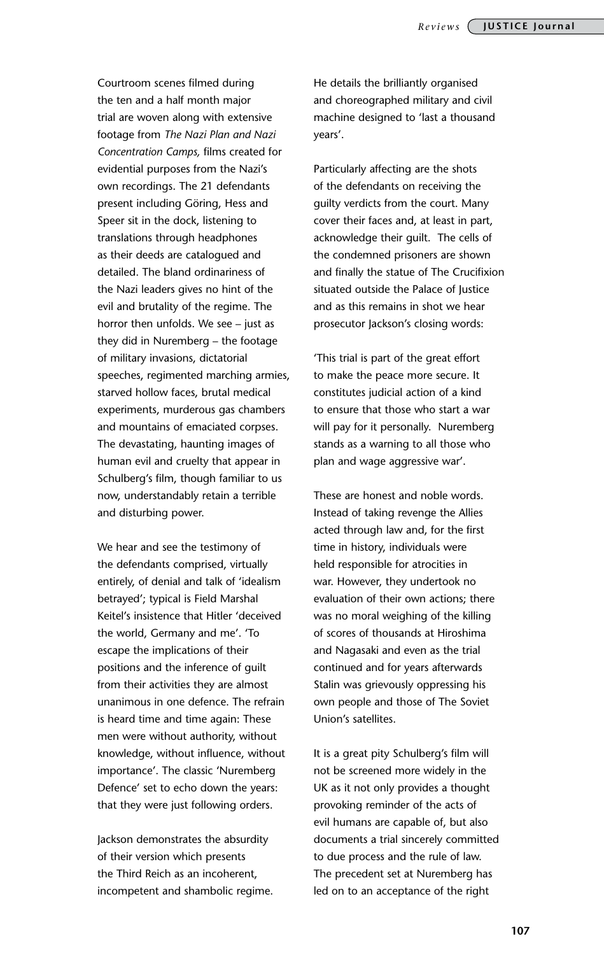Courtroom scenes filmed during the ten and a half month major trial are woven along with extensive footage from *The Nazi Plan and Nazi Concentration Camps,* films created for evidential purposes from the Nazi's own recordings. The 21 defendants present including Göring, Hess and Speer sit in the dock, listening to translations through headphones as their deeds are catalogued and detailed. The bland ordinariness of the Nazi leaders gives no hint of the evil and brutality of the regime. The horror then unfolds. We see – just as they did in Nuremberg – the footage of military invasions, dictatorial speeches, regimented marching armies, starved hollow faces, brutal medical experiments, murderous gas chambers and mountains of emaciated corpses. The devastating, haunting images of human evil and cruelty that appear in Schulberg's film, though familiar to us now, understandably retain a terrible and disturbing power.

We hear and see the testimony of the defendants comprised, virtually entirely, of denial and talk of 'idealism betrayed'; typical is Field Marshal Keitel's insistence that Hitler 'deceived the world, Germany and me'. 'To escape the implications of their positions and the inference of guilt from their activities they are almost unanimous in one defence. The refrain is heard time and time again: These men were without authority, without knowledge, without influence, without importance'. The classic 'Nuremberg Defence' set to echo down the years: that they were just following orders.

Jackson demonstrates the absurdity of their version which presents the Third Reich as an incoherent, incompetent and shambolic regime.

He details the brilliantly organised and choreographed military and civil machine designed to 'last a thousand years'.

Particularly affecting are the shots of the defendants on receiving the guilty verdicts from the court. Many cover their faces and, at least in part, acknowledge their guilt. The cells of the condemned prisoners are shown and finally the statue of The Crucifixion situated outside the Palace of Justice and as this remains in shot we hear prosecutor Jackson's closing words:

'This trial is part of the great effort to make the peace more secure. It constitutes judicial action of a kind to ensure that those who start a war will pay for it personally. Nuremberg stands as a warning to all those who plan and wage aggressive war'.

These are honest and noble words. Instead of taking revenge the Allies acted through law and, for the first time in history, individuals were held responsible for atrocities in war. However, they undertook no evaluation of their own actions; there was no moral weighing of the killing of scores of thousands at Hiroshima and Nagasaki and even as the trial continued and for years afterwards Stalin was grievously oppressing his own people and those of The Soviet Union's satellites.

It is a great pity Schulberg's film will not be screened more widely in the UK as it not only provides a thought provoking reminder of the acts of evil humans are capable of, but also documents a trial sincerely committed to due process and the rule of law. The precedent set at Nuremberg has led on to an acceptance of the right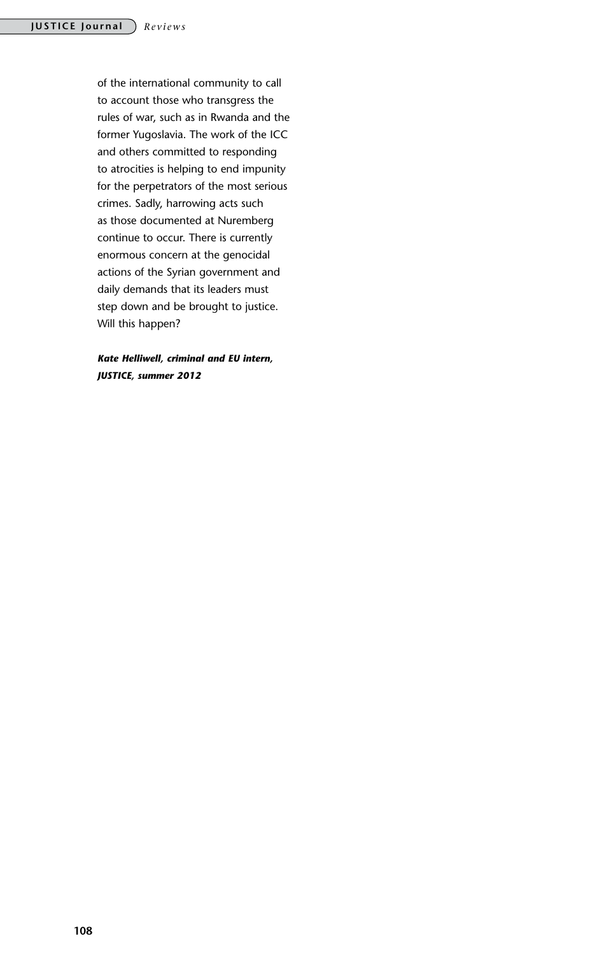of the international community to call to account those who transgress the rules of war, such as in Rwanda and the former Yugoslavia. The work of the ICC and others committed to responding to atrocities is helping to end impunity for the perpetrators of the most serious crimes. Sadly, harrowing acts such as those documented at Nuremberg continue to occur. There is currently enormous concern at the genocidal actions of the Syrian government and daily demands that its leaders must step down and be brought to justice. Will this happen?

*Kate Helliwell, criminal and EU intern, JUSTICE, summer 2012*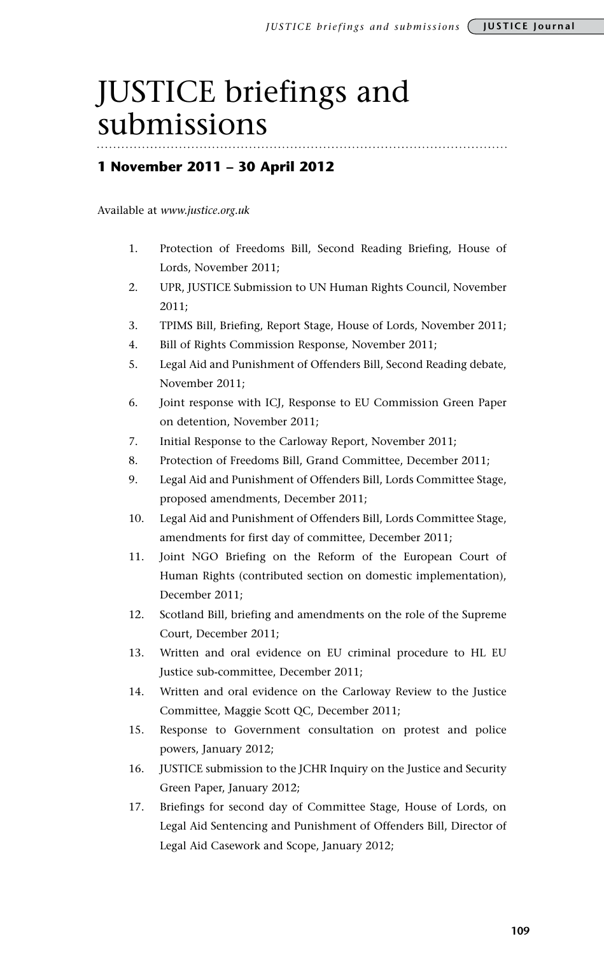# JUSTICE briefings and submissions

#### **1 November 2011 – 30 April 2012**

Available at *www.justice.org.uk*

- 1. Protection of Freedoms Bill, Second Reading Briefing, House of Lords, November 2011;
- 2. UPR, JUSTICE Submission to UN Human Rights Council, November 2011;
- 3. TPIMS Bill, Briefing, Report Stage, House of Lords, November 2011;
- 4. Bill of Rights Commission Response, November 2011;
- 5. Legal Aid and Punishment of Offenders Bill, Second Reading debate, November 2011;
- 6. Joint response with ICJ, Response to EU Commission Green Paper on detention, November 2011;
- 7. Initial Response to the Carloway Report, November 2011;
- 8. Protection of Freedoms Bill, Grand Committee, December 2011;
- 9. Legal Aid and Punishment of Offenders Bill, Lords Committee Stage, proposed amendments, December 2011;
- 10. Legal Aid and Punishment of Offenders Bill, Lords Committee Stage, amendments for first day of committee, December 2011;
- 11. Joint NGO Briefing on the Reform of the European Court of Human Rights (contributed section on domestic implementation), December 2011;
- 12. Scotland Bill, briefing and amendments on the role of the Supreme Court, December 2011;
- 13. Written and oral evidence on EU criminal procedure to HL EU Justice sub-committee, December 2011;
- 14. Written and oral evidence on the Carloway Review to the Justice Committee, Maggie Scott QC, December 2011;
- 15. Response to Government consultation on protest and police powers, January 2012;
- 16. JUSTICE submission to the JCHR Inquiry on the Justice and Security Green Paper, January 2012;
- 17. Briefings for second day of Committee Stage, House of Lords, on Legal Aid Sentencing and Punishment of Offenders Bill, Director of Legal Aid Casework and Scope, January 2012;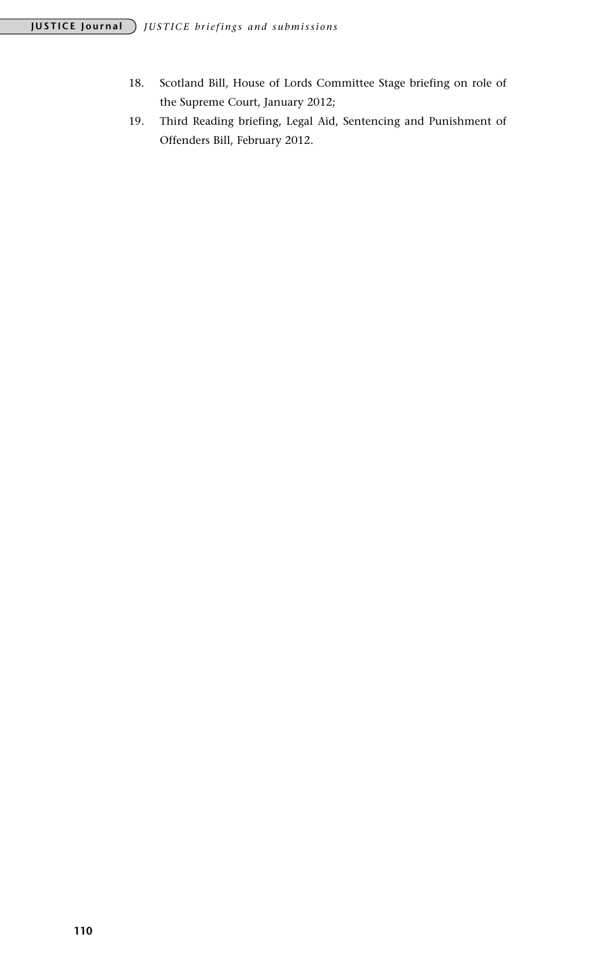- 18. Scotland Bill, House of Lords Committee Stage briefing on role of the Supreme Court, January 2012;
- 19. Third Reading briefing, Legal Aid, Sentencing and Punishment of Offenders Bill, February 2012.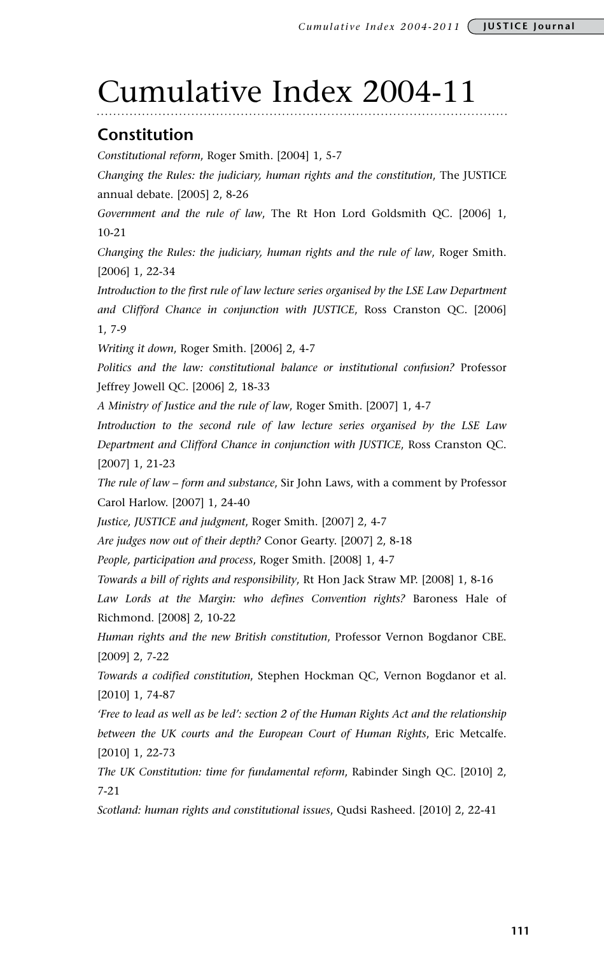# Cumulative Index 2004-11

### **Constitution**

*Constitutional reform*, Roger Smith. [2004] 1, 5-7

*Changing the Rules: the judiciary, human rights and the constitution*, The JUSTICE annual debate. [2005] 2, 8-26

*Government and the rule of law*, The Rt Hon Lord Goldsmith QC. [2006] 1, 10-21

*Changing the Rules: the judiciary, human rights and the rule of law*, Roger Smith. [2006] 1, 22-34

*Introduction to the first rule of law lecture series organised by the LSE Law Department and Clifford Chance in conjunction with JUSTICE*, Ross Cranston QC. [2006] 1, 7-9

*Writing it down*, Roger Smith. [2006] 2, 4-7

*Politics and the law: constitutional balance or institutional confusion?* Professor Jeffrey Jowell QC. [2006] 2, 18-33

*A Ministry of Justice and the rule of law*, Roger Smith. [2007] 1, 4-7

*Introduction to the second rule of law lecture series organised by the LSE Law Department and Clifford Chance in conjunction with JUSTICE*, Ross Cranston QC. [2007] 1, 21-23

*The rule of law – form and substance*, Sir John Laws, with a comment by Professor Carol Harlow. [2007] 1, 24-40

*Justice, JUSTICE and judgment*, Roger Smith. [2007] 2, 4-7

*Are judges now out of their depth?* Conor Gearty. [2007] 2, 8-18

*People, participation and process*, Roger Smith. [2008] 1, 4-7

*Towards a bill of rights and responsibility*, Rt Hon Jack Straw MP. [2008] 1, 8-16 *Law Lords at the Margin: who defines Convention rights?* Baroness Hale of Richmond. [2008] 2, 10-22

*Human rights and the new British constitution*, Professor Vernon Bogdanor CBE. [2009] 2, 7-22

*Towards a codified constitution*, Stephen Hockman QC, Vernon Bogdanor et al. [2010] 1, 74-87

*'Free to lead as well as be led': section 2 of the Human Rights Act and the relationship between the UK courts and the European Court of Human Rights*, Eric Metcalfe. [2010] 1, 22-73

*The UK Constitution: time for fundamental reform*, Rabinder Singh QC. [2010] 2, 7-21

*Scotland: human rights and constitutional issues*, Qudsi Rasheed. [2010] 2, 22-41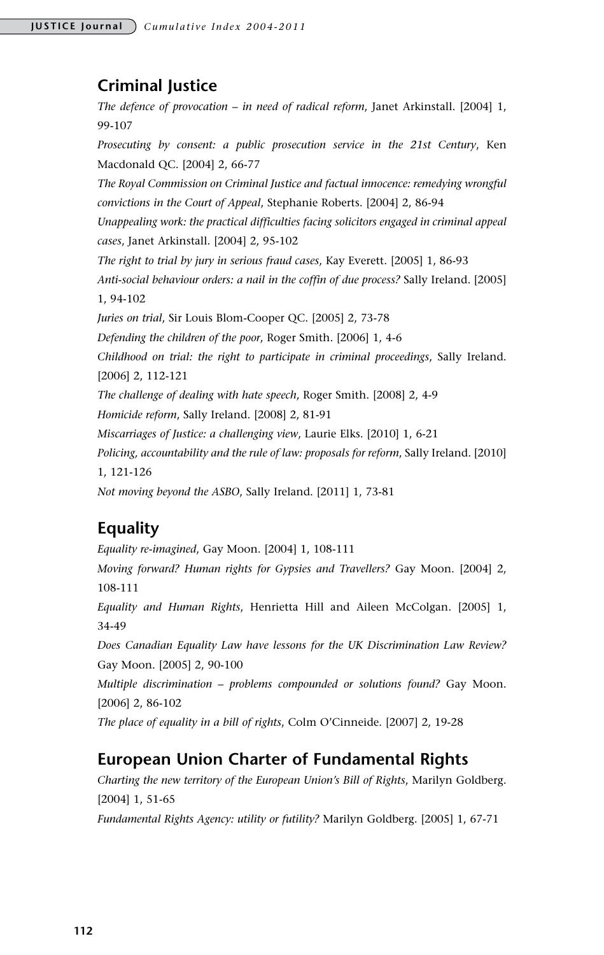# **Criminal Justice**

*The defence of provocation – in need of radical reform*, Janet Arkinstall. [2004] 1, 99-107 *Prosecuting by consent: a public prosecution service in the 21st Century*, Ken Macdonald QC. [2004] 2, 66-77 *The Royal Commission on Criminal Justice and factual innocence: remedying wrongful convictions in the Court of Appeal*, Stephanie Roberts. [2004] 2, 86-94 *Unappealing work: the practical difficulties facing solicitors engaged in criminal appeal cases*, Janet Arkinstall. [2004] 2, 95-102 *The right to trial by jury in serious fraud cases*, Kay Everett. [2005] 1, 86-93 *Anti-social behaviour orders: a nail in the coffin of due process?* Sally Ireland. [2005] 1, 94-102 *Juries on trial*, Sir Louis Blom-Cooper QC. [2005] 2, 73-78 *Defending the children of the poor*, Roger Smith. [2006] 1, 4-6 *Childhood on trial: the right to participate in criminal proceedings*, Sally Ireland. [2006] 2, 112-121 *The challenge of dealing with hate speech*, Roger Smith. [2008] 2, 4-9 *Homicide reform*, Sally Ireland. [2008] 2, 81-91 *Miscarriages of Justice: a challenging view*, Laurie Elks. [2010] 1, 6-21 *Policing, accountability and the rule of law: proposals for reform*, Sally Ireland. [2010] 1, 121-126 *Not moving beyond the ASBO*, Sally Ireland. [2011] 1, 73-81

# **Equality**

*Equality re-imagined*, Gay Moon. [2004] 1, 108-111 *Moving forward? Human rights for Gypsies and Travellers?* Gay Moon. [2004] 2, 108-111 *Equality and Human Rights*, Henrietta Hill and Aileen McColgan. [2005] 1, 34-49 *Does Canadian Equality Law have lessons for the UK Discrimination Law Review?* Gay Moon. [2005] 2, 90-100 *Multiple discrimination – problems compounded or solutions found?* Gay Moon. [2006] 2, 86-102 *The place of equality in a bill of rights*, Colm O'Cinneide. [2007] 2, 19-28

# **European Union Charter of Fundamental Rights**

*Charting the new territory of the European Union's Bill of Rights*, Marilyn Goldberg. [2004] 1, 51-65

*Fundamental Rights Agency: utility or futility?* Marilyn Goldberg. [2005] 1, 67-71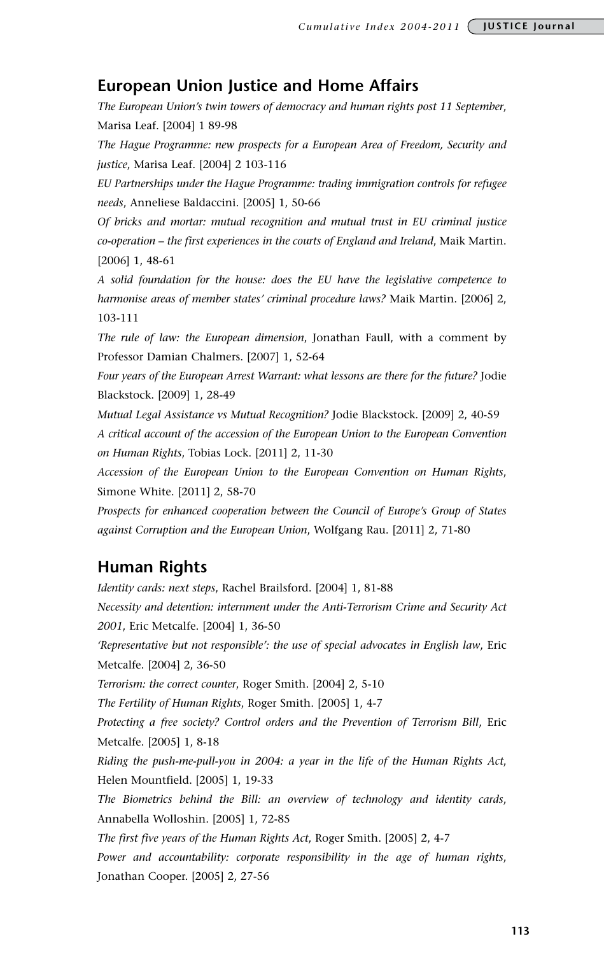#### **European Union Justice and Home Affairs**

*The European Union's twin towers of democracy and human rights post 11 September*, Marisa Leaf. [2004] 1 89-98

*The Hague Programme: new prospects for a European Area of Freedom, Security and justice*, Marisa Leaf. [2004] 2 103-116

*EU Partnerships under the Hague Programme: trading immigration controls for refugee needs*, Anneliese Baldaccini. [2005] 1, 50-66

*Of bricks and mortar: mutual recognition and mutual trust in EU criminal justice co-operation – the first experiences in the courts of England and Ireland*, Maik Martin. [2006] 1, 48-61

*A solid foundation for the house: does the EU have the legislative competence to harmonise areas of member states' criminal procedure laws?* Maik Martin. [2006] 2, 103-111

*The rule of law: the European dimension*, Jonathan Faull, with a comment by Professor Damian Chalmers. [2007] 1, 52-64

Four years of the European Arrest Warrant: what lessons are there for the future? Jodie Blackstock. [2009] 1, 28-49

*Mutual Legal Assistance vs Mutual Recognition?* Jodie Blackstock. [2009] 2, 40-59 *A critical account of the accession of the European Union to the European Convention on Human Rights*, Tobias Lock. [2011] 2, 11-30

*Accession of the European Union to the European Convention on Human Rights*, Simone White. [2011] 2, 58-70

*Prospects for enhanced cooperation between the Council of Europe's Group of States against Corruption and the European Union*, Wolfgang Rau. [2011] 2, 71-80

#### **Human Rights**

*Identity cards: next steps*, Rachel Brailsford. [2004] 1, 81-88 *Necessity and detention: internment under the Anti-Terrorism Crime and Security Act 2001*, Eric Metcalfe. [2004] 1, 36-50 *'Representative but not responsible': the use of special advocates in English law*, Eric Metcalfe. [2004] 2, 36-50 *Terrorism: the correct counter*, Roger Smith. [2004] 2, 5-10 *The Fertility of Human Rights*, Roger Smith. [2005] 1, 4-7 *Protecting a free society? Control orders and the Prevention of Terrorism Bill*, Eric Metcalfe. [2005] 1, 8-18 *Riding the push-me-pull-you in 2004: a year in the life of the Human Rights Act*, Helen Mountfield. [2005] 1, 19-33 *The Biometrics behind the Bill: an overview of technology and identity cards*, Annabella Wolloshin. [2005] 1, 72-85 *The first five years of the Human Rights Act*, Roger Smith. [2005] 2, 4-7 *Power and accountability: corporate responsibility in the age of human rights*, Jonathan Cooper. [2005] 2, 27-56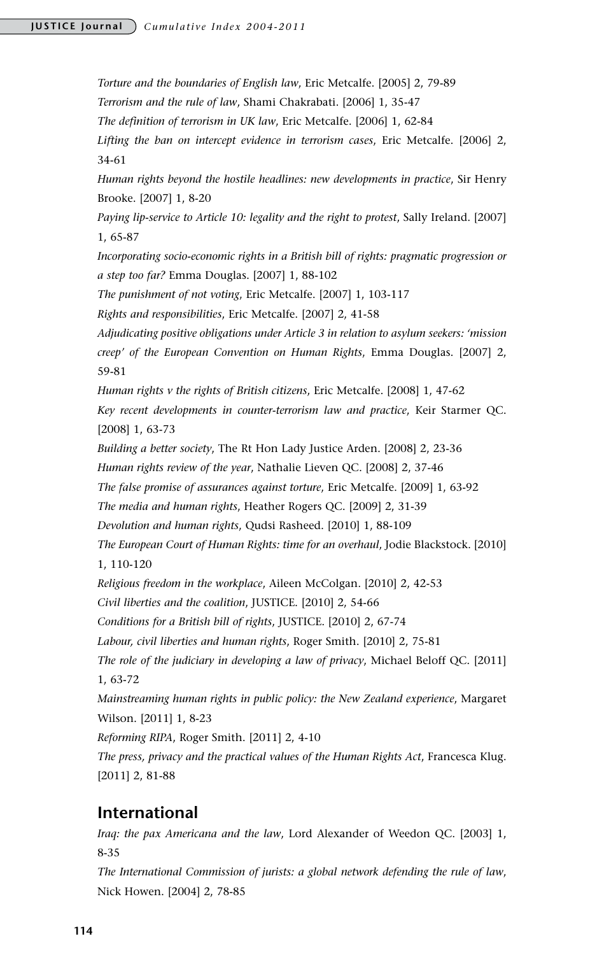#### **JUSTICE Journal** *Cumulative Index 2004-2011*

*Torture and the boundaries of English law*, Eric Metcalfe. [2005] 2, 79-89 *Terrorism and the rule of law*, Shami Chakrabati. [2006] 1, 35-47 *The definition of terrorism in UK law*, Eric Metcalfe. [2006] 1, 62-84 *Lifting the ban on intercept evidence in terrorism cases*, Eric Metcalfe. [2006] 2, 34-61 *Human rights beyond the hostile headlines: new developments in practice*, Sir Henry Brooke. [2007] 1, 8-20 *Paying lip-service to Article 10: legality and the right to protest, Sally Ireland.* [2007] 1, 65-87 *Incorporating socio-economic rights in a British bill of rights: pragmatic progression or a step too far?* Emma Douglas. [2007] 1, 88-102 *The punishment of not voting*, Eric Metcalfe. [2007] 1, 103-117 *Rights and responsibilities*, Eric Metcalfe. [2007] 2, 41-58 *Adjudicating positive obligations under Article 3 in relation to asylum seekers: 'mission creep' of the European Convention on Human Rights*, Emma Douglas. [2007] 2, 59-81 *Human rights v the rights of British citizens*, Eric Metcalfe. [2008] 1, 47-62 *Key recent developments in counter-terrorism law and practice*, Keir Starmer QC. [2008] 1, 63-73 *Building a better society*, The Rt Hon Lady Justice Arden. [2008] 2, 23-36 *Human rights review of the year*, Nathalie Lieven QC. [2008] 2, 37-46 *The false promise of assurances against torture*, Eric Metcalfe. [2009] 1, 63-92 *The media and human rights*, Heather Rogers QC. [2009] 2, 31-39 *Devolution and human rights*, Qudsi Rasheed. [2010] 1, 88-109 *The European Court of Human Rights: time for an overhaul*, Jodie Blackstock. [2010] 1, 110-120 *Religious freedom in the workplace*, Aileen McColgan. [2010] 2, 42-53 *Civil liberties and the coalition*, JUSTICE. [2010] 2, 54-66 *Conditions for a British bill of rights*, JUSTICE. [2010] 2, 67-74 *Labour, civil liberties and human rights*, Roger Smith. [2010] 2, 75-81 *The role of the judiciary in developing a law of privacy*, Michael Beloff QC. [2011] 1, 63-72 *Mainstreaming human rights in public policy: the New Zealand experience*, Margaret Wilson. [2011] 1, 8-23 *Reforming RIPA*, Roger Smith. [2011] 2, 4-10 *The press, privacy and the practical values of the Human Rights Act*, Francesca Klug. [2011] 2, 81-88

#### **International**

*Iraq: the pax Americana and the law*, Lord Alexander of Weedon QC. [2003] 1, 8-35

*The International Commission of jurists: a global network defending the rule of law*, Nick Howen. [2004] 2, 78-85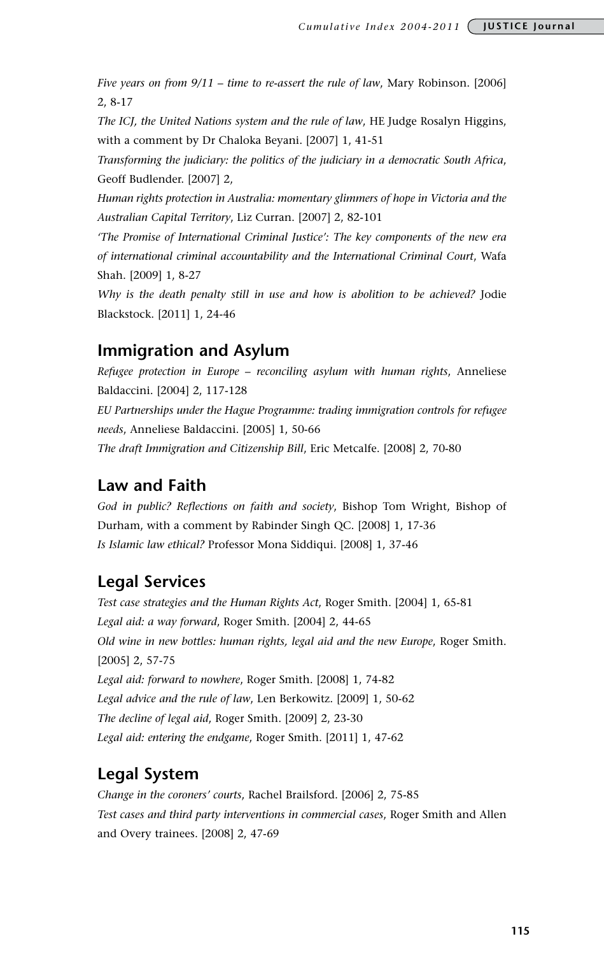*Five years on from 9/11 – time to re-assert the rule of law*, Mary Robinson. [2006] 2, 8-17

*The ICJ, the United Nations system and the rule of law*, HE Judge Rosalyn Higgins, with a comment by Dr Chaloka Beyani. [2007] 1, 41-51

*Transforming the judiciary: the politics of the judiciary in a democratic South Africa*, Geoff Budlender. [2007] 2,

*Human rights protection in Australia: momentary glimmers of hope in Victoria and the Australian Capital Territory*, Liz Curran. [2007] 2, 82-101

*'The Promise of International Criminal Justice': The key components of the new era of international criminal accountability and the International Criminal Court*, Wafa Shah. [2009] 1, 8-27

*Why is the death penalty still in use and how is abolition to be achieved?* Jodie Blackstock. [2011] 1, 24-46

### **Immigration and Asylum**

*Refugee protection in Europe – reconciling asylum with human rights*, Anneliese Baldaccini. [2004] 2, 117-128 *EU Partnerships under the Hague Programme: trading immigration controls for refugee needs*, Anneliese Baldaccini. [2005] 1, 50-66 *The draft Immigration and Citizenship Bill*, Eric Metcalfe. [2008] 2, 70-80

#### **Law and Faith**

*God in public? Reflections on faith and society*, Bishop Tom Wright, Bishop of Durham, with a comment by Rabinder Singh QC. [2008] 1, 17-36 *Is Islamic law ethical?* Professor Mona Siddiqui. [2008] 1, 37-46

# **Legal Services**

*Test case strategies and the Human Rights Act*, Roger Smith. [2004] 1, 65-81 *Legal aid: a way forward*, Roger Smith. [2004] 2, 44-65 *Old wine in new bottles: human rights, legal aid and the new Europe*, Roger Smith. [2005] 2, 57-75 *Legal aid: forward to nowhere*, Roger Smith. [2008] 1, 74-82 *Legal advice and the rule of law*, Len Berkowitz. [2009] 1, 50-62 *The decline of legal aid*, Roger Smith. [2009] 2, 23-30 *Legal aid: entering the endgame*, Roger Smith. [2011] 1, 47-62

# **Legal System**

*Change in the coroners' courts*, Rachel Brailsford. [2006] 2, 75-85 *Test cases and third party interventions in commercial cases*, Roger Smith and Allen and Overy trainees. [2008] 2, 47-69